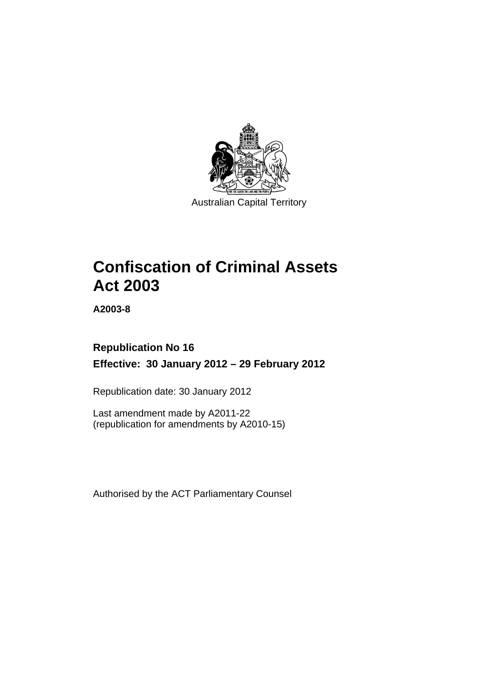

**Confiscation of Criminal Assets Act 2003** 

**A2003-8** 

## **Republication No 16 Effective: 30 January 2012 – 29 February 2012**

Republication date: 30 January 2012

Last amendment made by A2011-22 (republication for amendments by A2010-15)

Authorised by the ACT Parliamentary Counsel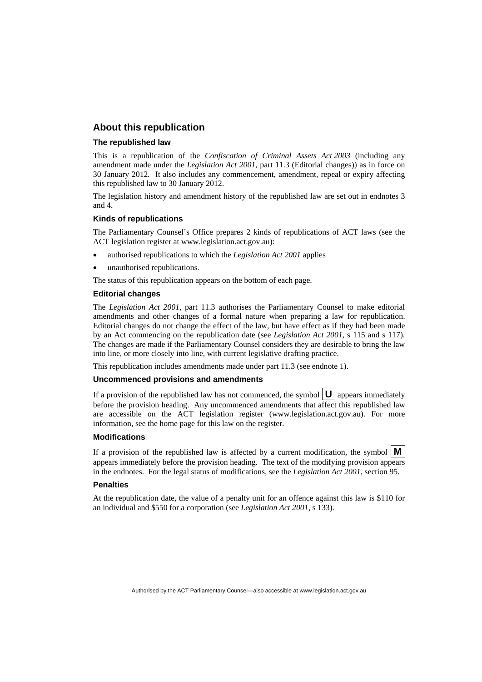### **About this republication**

#### **The republished law**

This is a republication of the *Confiscation of Criminal Assets Act 2003* (including any amendment made under the *Legislation Act 2001*, part 11.3 (Editorial changes)) as in force on 30 January 2012*.* It also includes any commencement, amendment, repeal or expiry affecting this republished law to 30 January 2012.

The legislation history and amendment history of the republished law are set out in endnotes 3 and 4.

#### **Kinds of republications**

The Parliamentary Counsel's Office prepares 2 kinds of republications of ACT laws (see the ACT legislation register at www.legislation.act.gov.au):

- authorised republications to which the *Legislation Act 2001* applies
- unauthorised republications.

The status of this republication appears on the bottom of each page.

#### **Editorial changes**

The *Legislation Act 2001*, part 11.3 authorises the Parliamentary Counsel to make editorial amendments and other changes of a formal nature when preparing a law for republication. Editorial changes do not change the effect of the law, but have effect as if they had been made by an Act commencing on the republication date (see *Legislation Act 2001*, s 115 and s 117). The changes are made if the Parliamentary Counsel considers they are desirable to bring the law into line, or more closely into line, with current legislative drafting practice.

This republication includes amendments made under part 11.3 (see endnote 1).

#### **Uncommenced provisions and amendments**

If a provision of the republished law has not commenced, the symbol  $\mathbf{U}$  appears immediately before the provision heading. Any uncommenced amendments that affect this republished law are accessible on the ACT legislation register (www.legislation.act.gov.au). For more information, see the home page for this law on the register.

#### **Modifications**

If a provision of the republished law is affected by a current modification, the symbol  $\vert \mathbf{M} \vert$ appears immediately before the provision heading. The text of the modifying provision appears in the endnotes. For the legal status of modifications, see the *Legislation Act 2001*, section 95.

#### **Penalties**

At the republication date, the value of a penalty unit for an offence against this law is \$110 for an individual and \$550 for a corporation (see *Legislation Act 2001*, s 133).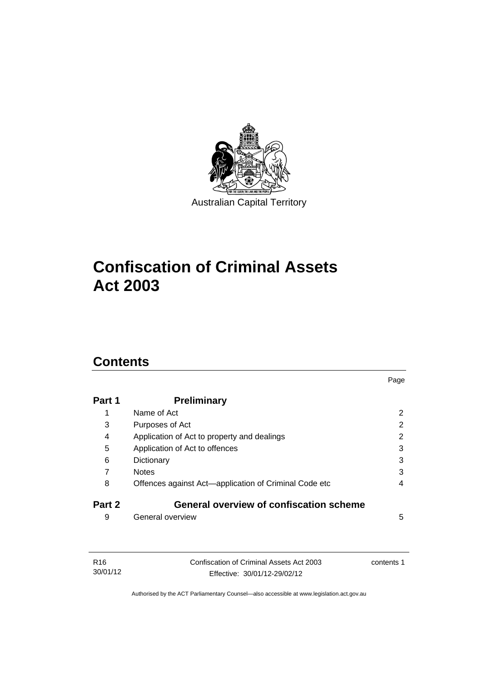

# **Confiscation of Criminal Assets Act 2003**

## **Contents**

| Part 1 | <b>Preliminary</b>                                    |                |
|--------|-------------------------------------------------------|----------------|
| 1      | Name of Act                                           | $\overline{2}$ |
| 3      | Purposes of Act                                       | 2              |
| 4      | Application of Act to property and dealings           | 2              |
| 5      | Application of Act to offences                        | 3              |
| 6      | Dictionary                                            | 3              |
| 7      | <b>Notes</b>                                          | 3              |
| 8      | Offences against Act-application of Criminal Code etc | 4              |
| Part 2 | <b>General overview of confiscation scheme</b>        |                |
| 9      | General overview                                      | 5              |
|        |                                                       |                |

Page

| R16      | Confiscation of Criminal Assets Act 2003 | contents 1 |
|----------|------------------------------------------|------------|
| 30/01/12 | Effective: 30/01/12-29/02/12             |            |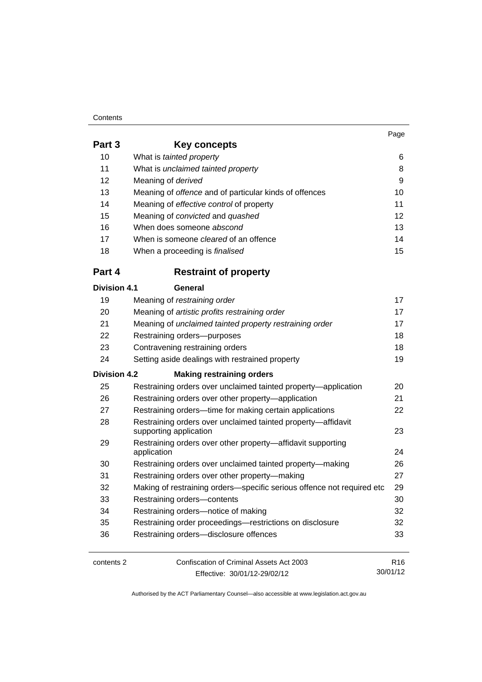#### **Contents**

| Page |
|------|
|      |

| Part 3              | <b>Key concepts</b>                                                        |                 |
|---------------------|----------------------------------------------------------------------------|-----------------|
| 10                  | What is tainted property                                                   | 6               |
| 11                  | What is unclaimed tainted property                                         | 8               |
| 12                  | Meaning of derived                                                         | 9               |
| 13                  | Meaning of offence and of particular kinds of offences                     | 10              |
| 14                  | Meaning of effective control of property                                   | 11              |
| 15                  | Meaning of convicted and quashed                                           | 12              |
| 16                  | When does someone abscond                                                  | 13              |
| 17                  | When is someone <i>cleared</i> of an offence                               | 14              |
| 18                  | When a proceeding is <i>finalised</i>                                      | 15              |
| Part 4              | <b>Restraint of property</b>                                               |                 |
| <b>Division 4.1</b> | General                                                                    |                 |
| 19                  | Meaning of restraining order                                               | 17              |
| 20                  | Meaning of artistic profits restraining order                              | 17              |
| 21                  | Meaning of unclaimed tainted property restraining order                    | 17              |
| 22                  | Restraining orders-purposes                                                | 18              |
| 23                  | Contravening restraining orders                                            | 18              |
| 24                  | Setting aside dealings with restrained property                            | 19              |
| <b>Division 4.2</b> | <b>Making restraining orders</b>                                           |                 |
| 25                  | Restraining orders over unclaimed tainted property-application             | 20              |
| 26                  | Restraining orders over other property-application                         | 21              |
| 27                  | Restraining orders---time for making certain applications                  | 22              |
| 28                  | Restraining orders over unclaimed tainted property-affidavit               |                 |
|                     | supporting application                                                     | 23              |
| 29                  | Restraining orders over other property-affidavit supporting<br>application | 24              |
| 30                  | Restraining orders over unclaimed tainted property-making                  | 26              |
| 31                  | Restraining orders over other property-making                              | 27              |
| 32                  | Making of restraining orders-specific serious offence not required etc     | 29              |
| 33                  | Restraining orders-contents                                                | 30              |
| 34                  | Restraining orders-notice of making                                        | 32              |
| 35                  | Restraining order proceedings-restrictions on disclosure                   | 32              |
| 36                  | Restraining orders-disclosure offences                                     | 33              |
| contents 2          | Confiscation of Criminal Assets Act 2003                                   | R <sub>16</sub> |
|                     | Effective: 30/01/12-29/02/12                                               | 30/01/12        |

Effective: 30/01/12-29/02/12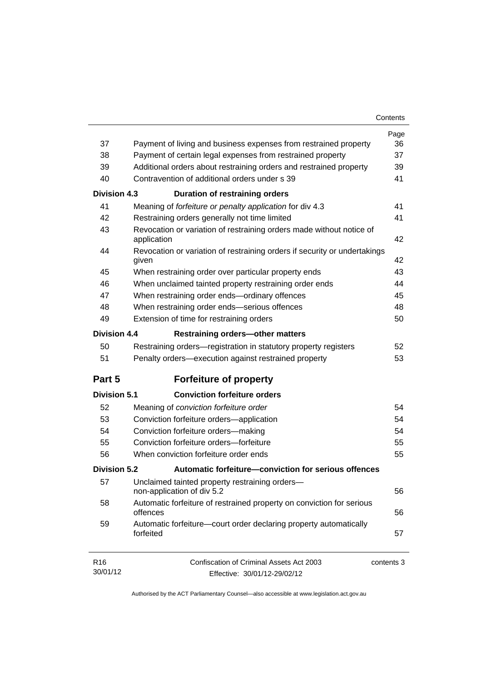| Contents |  |
|----------|--|
|----------|--|

| 37                          |                                                                                                                                | Page<br>36 |
|-----------------------------|--------------------------------------------------------------------------------------------------------------------------------|------------|
| 38                          | Payment of living and business expenses from restrained property<br>Payment of certain legal expenses from restrained property | 37         |
| 39                          |                                                                                                                                | 39         |
| 40                          | Additional orders about restraining orders and restrained property<br>Contravention of additional orders under s 39            | 41         |
|                             |                                                                                                                                |            |
| <b>Division 4.3</b>         | <b>Duration of restraining orders</b>                                                                                          |            |
| 41                          | Meaning of forfeiture or penalty application for div 4.3                                                                       | 41         |
| 42                          | Restraining orders generally not time limited                                                                                  | 41         |
| 43                          | Revocation or variation of restraining orders made without notice of<br>application                                            | 42         |
| 44                          | Revocation or variation of restraining orders if security or undertakings<br>given                                             | 42         |
| 45                          | When restraining order over particular property ends                                                                           | 43         |
| 46                          | When unclaimed tainted property restraining order ends                                                                         | 44         |
| 47                          | When restraining order ends-ordinary offences                                                                                  | 45         |
| 48                          | When restraining order ends-serious offences                                                                                   | 48         |
| 49                          | Extension of time for restraining orders                                                                                       | 50         |
| <b>Division 4.4</b>         | <b>Restraining orders-other matters</b>                                                                                        |            |
| 50                          | Restraining orders-registration in statutory property registers                                                                | 52         |
| 51                          | Penalty orders-execution against restrained property                                                                           | 53         |
| Part 5                      | <b>Forfeiture of property</b>                                                                                                  |            |
| <b>Division 5.1</b>         | <b>Conviction forfeiture orders</b>                                                                                            |            |
| 52                          | Meaning of conviction forfeiture order                                                                                         | 54         |
| 53                          | Conviction forfeiture orders-application                                                                                       | 54         |
| 54                          | Conviction forfeiture orders-making                                                                                            | 54         |
| 55                          | Conviction forfeiture orders-forfeiture                                                                                        | 55         |
| 56                          | When conviction forfeiture order ends                                                                                          | 55         |
| <b>Division 5.2</b>         | Automatic forfeiture-conviction for serious offences                                                                           |            |
| 57                          | Unclaimed tainted property restraining orders-<br>non-application of div 5.2                                                   | 56         |
| 58                          | Automatic forfeiture of restrained property on conviction for serious<br>offences                                              | 56         |
| 59                          | Automatic forfeiture-court order declaring property automatically<br>forfeited                                                 | 57         |
| R <sub>16</sub><br>30/01/12 | Confiscation of Criminal Assets Act 2003<br>Effective: 30/01/12-29/02/12                                                       | contents 3 |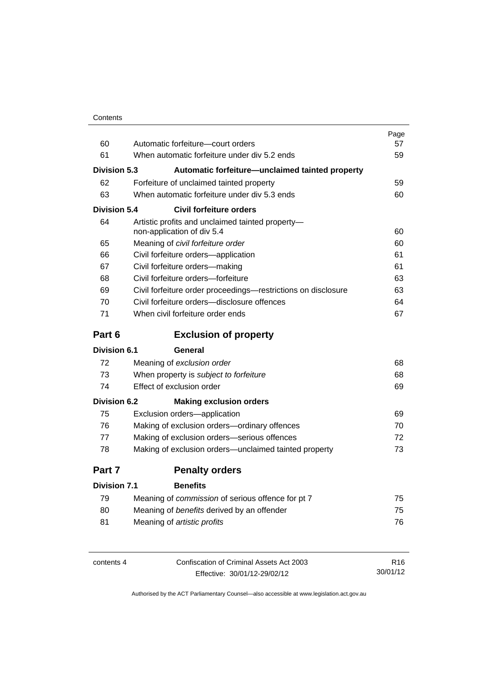| Contents |
|----------|
|----------|

|                     |                                                                                | Page |
|---------------------|--------------------------------------------------------------------------------|------|
| 60                  | Automatic forfeiture-court orders                                              | 57   |
| 61                  | When automatic forfeiture under div 5.2 ends                                   | 59   |
| <b>Division 5.3</b> | Automatic forfeiture-unclaimed tainted property                                |      |
| 62                  | Forfeiture of unclaimed tainted property                                       | 59   |
| 63                  | When automatic forfeiture under div 5.3 ends                                   | 60   |
| <b>Division 5.4</b> | <b>Civil forfeiture orders</b>                                                 |      |
| 64                  | Artistic profits and unclaimed tainted property-<br>non-application of div 5.4 | 60   |
| 65                  | Meaning of civil forfeiture order                                              | 60   |
| 66                  | Civil forfeiture orders-application                                            | 61   |
| 67                  | Civil forfeiture orders-making                                                 | 61   |
| 68                  | Civil forfeiture orders-forfeiture                                             |      |
| 69                  | Civil forfeiture order proceedings-restrictions on disclosure                  | 63   |
| 70                  | Civil forfeiture orders-disclosure offences                                    | 64   |
| 71                  | When civil forfeiture order ends                                               | 67   |
| Part 6              | <b>Exclusion of property</b>                                                   |      |
| <b>Division 6.1</b> | General                                                                        |      |
| 72                  | Meaning of exclusion order                                                     | 68   |
| 73                  | When property is subject to forfeiture                                         | 68   |
| 74                  | Effect of exclusion order                                                      | 69   |
| <b>Division 6.2</b> | <b>Making exclusion orders</b>                                                 |      |
| 75                  | Exclusion orders-application                                                   | 69   |
| 76                  | Making of exclusion orders-ordinary offences                                   | 70   |
| 77                  | Making of exclusion orders-serious offences                                    | 72   |
| 78                  | Making of exclusion orders—unclaimed tainted property                          | 73   |
| Part 7              | <b>Penalty orders</b>                                                          |      |
| <b>Division 7.1</b> | <b>Benefits</b>                                                                |      |
| 79                  | Meaning of <i>commission</i> of serious offence for pt 7                       | 75   |
| 80                  | Meaning of benefits derived by an offender                                     | 75   |

| contents 4 | Confiscation of Criminal Assets Act 2003 | R <sub>16</sub> |
|------------|------------------------------------------|-----------------|
|            | Effective: 30/01/12-29/02/12             | 30/01/12        |

81 Meaning of *artistic profits* [76](#page-89-0)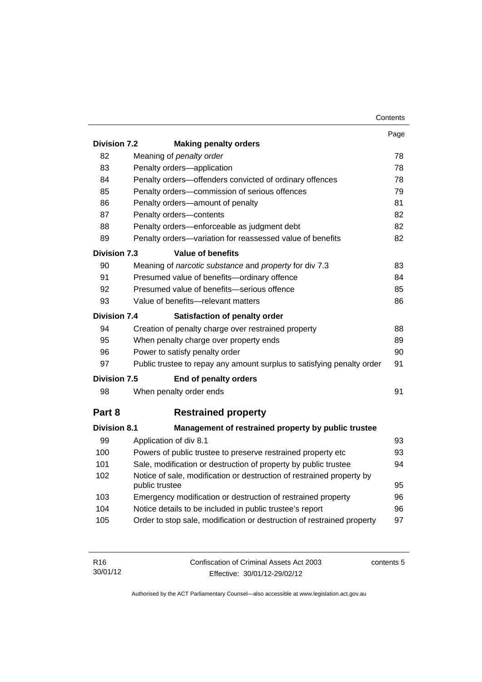|                     |                                                                                         | Contents |
|---------------------|-----------------------------------------------------------------------------------------|----------|
|                     |                                                                                         | Page     |
| <b>Division 7.2</b> | <b>Making penalty orders</b>                                                            |          |
| 82                  | Meaning of penalty order                                                                | 78       |
| 83                  | Penalty orders-application                                                              | 78       |
| 84                  | Penalty orders-offenders convicted of ordinary offences                                 | 78       |
| 85                  | Penalty orders-commission of serious offences                                           | 79       |
| 86                  | Penalty orders-amount of penalty                                                        | 81       |
| 87                  | Penalty orders-contents                                                                 | 82       |
| 88                  | Penalty orders-enforceable as judgment debt                                             | 82       |
| 89                  | Penalty orders-variation for reassessed value of benefits                               | 82       |
| <b>Division 7.3</b> | <b>Value of benefits</b>                                                                |          |
| 90                  | Meaning of narcotic substance and property for div 7.3                                  | 83       |
| 91                  | Presumed value of benefits-ordinary offence                                             | 84       |
| 92                  | Presumed value of benefits-serious offence                                              | 85       |
| 93                  | Value of benefits-relevant matters                                                      | 86       |
| Division 7.4        | Satisfaction of penalty order                                                           |          |
| 94                  | Creation of penalty charge over restrained property                                     | 88       |
| 95                  | When penalty charge over property ends                                                  | 89       |
| 96                  | Power to satisfy penalty order                                                          | 90       |
| 97                  | Public trustee to repay any amount surplus to satisfying penalty order                  | 91       |
| <b>Division 7.5</b> | End of penalty orders                                                                   |          |
| 98                  | When penalty order ends                                                                 | 91       |
| Part 8              | <b>Restrained property</b>                                                              |          |
| <b>Division 8.1</b> | Management of restrained property by public trustee                                     |          |
| 99                  | Application of div 8.1                                                                  | 93       |
| 100                 | Powers of public trustee to preserve restrained property etc                            | 93       |
| 101                 | Sale, modification or destruction of property by public trustee                         | 94       |
| 102                 | Notice of sale, modification or destruction of restrained property by<br>public trustee | 95       |
| 103                 | Emergency modification or destruction of restrained property                            | 96       |
| 104                 | Notice details to be included in public trustee's report                                | 96       |
| 105                 | Order to stop sale, modification or destruction of restrained property                  | 97       |
|                     |                                                                                         |          |

| R16      | Confiscation of Criminal Assets Act 2003 | contents 5 |
|----------|------------------------------------------|------------|
| 30/01/12 | Effective: 30/01/12-29/02/12             |            |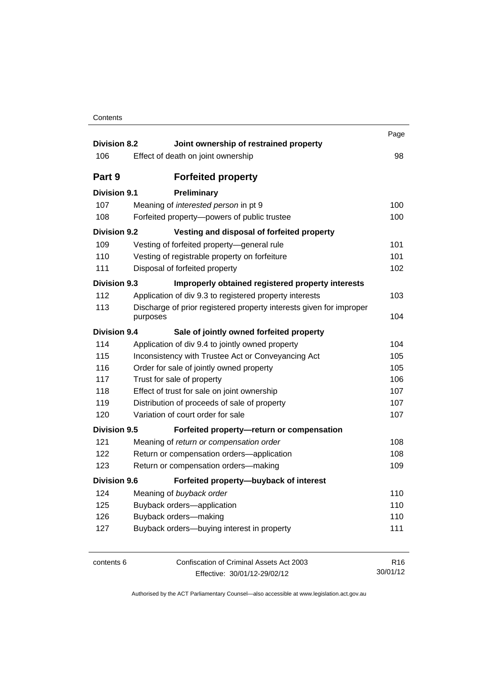| Contents |
|----------|
|----------|

| <b>Division 8.2</b> |          | Joint ownership of restrained property                              | Page            |
|---------------------|----------|---------------------------------------------------------------------|-----------------|
| 106                 |          | Effect of death on joint ownership                                  | 98              |
| Part 9              |          | <b>Forfeited property</b>                                           |                 |
| <b>Division 9.1</b> |          | Preliminary                                                         |                 |
| 107                 |          | Meaning of interested person in pt 9                                | 100             |
| 108                 |          | Forfeited property-powers of public trustee                         | 100             |
| <b>Division 9.2</b> |          | Vesting and disposal of forfeited property                          |                 |
| 109                 |          | Vesting of forfeited property-general rule                          | 101             |
| 110                 |          | Vesting of registrable property on forfeiture                       | 101             |
| 111                 |          | Disposal of forfeited property                                      | 102             |
| Division 9.3        |          | Improperly obtained registered property interests                   |                 |
| 112                 |          | Application of div 9.3 to registered property interests             | 103             |
| 113                 |          | Discharge of prior registered property interests given for improper |                 |
|                     | purposes |                                                                     | 104             |
| <b>Division 9.4</b> |          | Sale of jointly owned forfeited property                            |                 |
| 114                 |          | Application of div 9.4 to jointly owned property                    | 104             |
| 115                 |          | Inconsistency with Trustee Act or Conveyancing Act                  | 105             |
| 116                 |          | Order for sale of jointly owned property                            | 105             |
| 117                 |          | Trust for sale of property                                          | 106             |
| 118                 |          | Effect of trust for sale on joint ownership                         | 107             |
| 119                 |          | Distribution of proceeds of sale of property                        | 107             |
| 120                 |          | Variation of court order for sale                                   | 107             |
| <b>Division 9.5</b> |          | Forfeited property-return or compensation                           |                 |
| 121                 |          | Meaning of return or compensation order                             | 108             |
| 122                 |          | Return or compensation orders-application                           | 108             |
| 123                 |          | Return or compensation orders-making                                | 109             |
| <b>Division 9.6</b> |          | Forfeited property-buyback of interest                              |                 |
| 124                 |          | Meaning of buyback order                                            | 110             |
| 125                 |          | Buyback orders-application                                          | 110             |
| 126                 |          | Buyback orders-making                                               | 110             |
| 127                 |          | Buyback orders-buying interest in property                          | 111             |
| contents 6          |          | Confiscation of Criminal Assets Act 2003                            | R <sub>16</sub> |
|                     |          | Effective: 30/01/12-29/02/12                                        | 30/01/12        |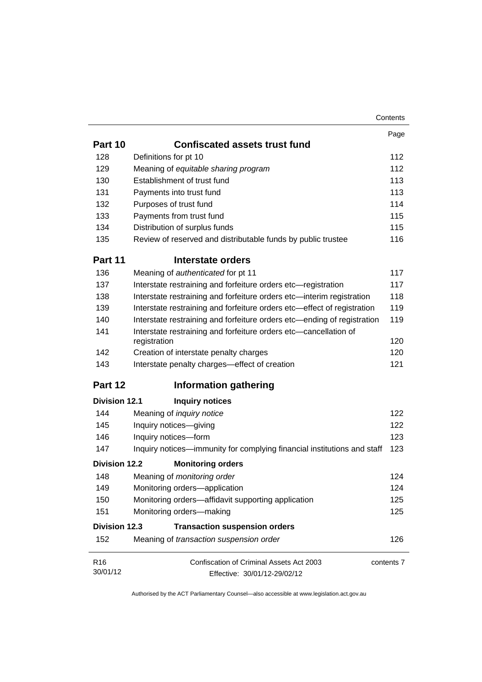|                      |                                                                                  | Contents   |
|----------------------|----------------------------------------------------------------------------------|------------|
|                      |                                                                                  | Page       |
| Part 10              | <b>Confiscated assets trust fund</b>                                             |            |
| 128                  | Definitions for pt 10                                                            | 112        |
| 129                  | Meaning of equitable sharing program                                             | 112        |
| 130                  | Establishment of trust fund                                                      | 113        |
| 131                  | Payments into trust fund                                                         | 113        |
| 132                  | Purposes of trust fund                                                           | 114        |
| 133                  | Payments from trust fund                                                         | 115        |
| 134                  | Distribution of surplus funds                                                    | 115        |
| 135                  | Review of reserved and distributable funds by public trustee                     | 116        |
| Part 11              | Interstate orders                                                                |            |
| 136                  | Meaning of authenticated for pt 11                                               | 117        |
| 137                  | Interstate restraining and forfeiture orders etc-registration                    | 117        |
| 138                  | Interstate restraining and forfeiture orders etc-interim registration            | 118        |
| 139                  | Interstate restraining and forfeiture orders etc-effect of registration          | 119        |
| 140                  | Interstate restraining and forfeiture orders etc—ending of registration          | 119        |
| 141                  | Interstate restraining and forfeiture orders etc-cancellation of<br>registration | 120        |
| 142                  | Creation of interstate penalty charges                                           | 120        |
| 143                  | Interstate penalty charges-effect of creation                                    | 121        |
| Part 12              | <b>Information gathering</b>                                                     |            |
| <b>Division 12.1</b> | <b>Inquiry notices</b>                                                           |            |
| 144                  | Meaning of <i>inquiry notice</i>                                                 | 122        |
| 145                  | Inquiry notices-giving                                                           | 122        |
| 146                  | Inquiry notices-form                                                             | 123        |
| 147                  | Inquiry notices—immunity for complying financial institutions and staff          | 123        |
| <b>Division 12.2</b> | <b>Monitoring orders</b>                                                         |            |
| 148                  | Meaning of <i>monitoring order</i>                                               | 124        |
| 149                  | Monitoring orders-application                                                    | 124        |
| 150                  | Monitoring orders-affidavit supporting application                               | 125        |
| 151                  | Monitoring orders-making                                                         | 125        |
| <b>Division 12.3</b> | <b>Transaction suspension orders</b>                                             |            |
| 152                  | Meaning of transaction suspension order                                          | 126        |
| R <sub>16</sub>      | Confiscation of Criminal Assets Act 2003                                         | contents 7 |
| 30/01/12             | Effective: 30/01/12-29/02/12                                                     |            |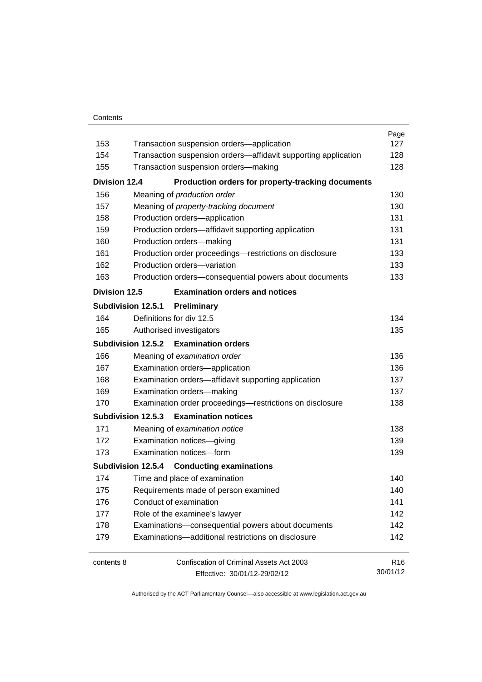#### **Contents**

| 153                  | Transaction suspension orders-application                      | Page<br>127     |
|----------------------|----------------------------------------------------------------|-----------------|
| 154                  | Transaction suspension orders-affidavit supporting application | 128             |
| 155                  | Transaction suspension orders-making                           | 128             |
|                      |                                                                |                 |
| <b>Division 12.4</b> | Production orders for property-tracking documents              |                 |
| 156                  | Meaning of production order                                    | 130             |
| 157                  | Meaning of property-tracking document                          | 130             |
| 158                  | Production orders-application                                  | 131             |
| 159                  | Production orders-affidavit supporting application             | 131             |
| 160                  | Production orders-making                                       | 131             |
| 161                  | Production order proceedings-restrictions on disclosure        | 133             |
| 162                  | Production orders-variation                                    | 133             |
| 163                  | Production orders-consequential powers about documents         | 133             |
| <b>Division 12.5</b> | <b>Examination orders and notices</b>                          |                 |
|                      | Subdivision 12.5.1<br>Preliminary                              |                 |
| 164                  | Definitions for div 12.5                                       | 134             |
| 165                  | Authorised investigators                                       | 135             |
|                      | Subdivision 12.5.2 Examination orders                          |                 |
| 166                  | Meaning of examination order                                   | 136             |
| 167                  | Examination orders-application                                 | 136             |
| 168                  | Examination orders-affidavit supporting application            | 137             |
| 169                  | Examination orders-making                                      | 137             |
| 170                  | Examination order proceedings-restrictions on disclosure       | 138             |
|                      | Subdivision 12.5.3 Examination notices                         |                 |
| 171                  | Meaning of examination notice                                  | 138             |
| 172                  | Examination notices-giving                                     | 139             |
| 173                  | Examination notices-form                                       | 139             |
|                      | Subdivision 12.5.4 Conducting examinations                     |                 |
| 174                  | Time and place of examination                                  | 140             |
| 175                  | Requirements made of person examined                           | 140             |
| 176                  | Conduct of examination                                         | 141             |
| 177                  | Role of the examinee's lawyer                                  | 142             |
| 178                  | Examinations-consequential powers about documents              | 142             |
| 179                  | Examinations-additional restrictions on disclosure             | 142             |
| contents 8           | Confiscation of Criminal Assets Act 2003                       | R <sub>16</sub> |
|                      | Effective: 30/01/12-29/02/12                                   | 30/01/12        |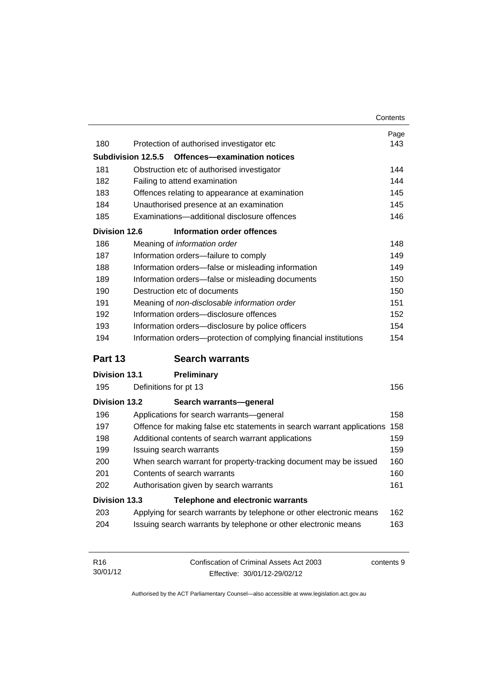|                      |                                                                        | Contents                        |
|----------------------|------------------------------------------------------------------------|---------------------------------|
|                      |                                                                        | Page                            |
| 180                  | Protection of authorised investigator etc                              | 143                             |
| Subdivision 12.5.5   | Offences-examination notices                                           |                                 |
| 181                  | Obstruction etc of authorised investigator                             | 144                             |
| 182                  | Failing to attend examination                                          | 144                             |
| 183                  | Offences relating to appearance at examination                         | 145                             |
| 184                  | Unauthorised presence at an examination                                | 145                             |
| 185                  | Examinations-additional disclosure offences                            | 146                             |
| <b>Division 12.6</b> | Information order offences                                             |                                 |
| 186                  | Meaning of information order                                           | 148                             |
| 187                  | Information orders-failure to comply                                   | 149                             |
| 188                  | Information orders-false or misleading information                     | 149                             |
| 189                  | Information orders-false or misleading documents                       | 150                             |
| 190                  | Destruction etc of documents                                           | 150                             |
| 191                  | Meaning of non-disclosable information order                           | 151                             |
| 192                  | Information orders-disclosure offences                                 | 152                             |
| 193                  | Information orders-disclosure by police officers                       | 154                             |
| 194                  | Information orders-protection of complying financial institutions      | 154                             |
| Part 13              | <b>Search warrants</b>                                                 |                                 |
| <b>Division 13.1</b> | <b>Preliminary</b>                                                     |                                 |
| 195                  | Definitions for pt 13                                                  | 156                             |
| <b>Division 13.2</b> | Search warrants-general                                                |                                 |
| 196                  | Applications for search warrants-general                               | 158                             |
| 197                  | Offence for making false etc statements in search warrant applications | 158                             |
| 198                  | Additional contents of search warrant applications                     | 159                             |
|                      |                                                                        |                                 |
| 199                  | Issuing search warrants                                                |                                 |
| 200                  | When search warrant for property-tracking document may be issued       |                                 |
| 201                  | Contents of search warrants                                            |                                 |
| 202                  | Authorisation given by search warrants                                 |                                 |
| <b>Division 13.3</b> | <b>Telephone and electronic warrants</b>                               |                                 |
| 203                  | Applying for search warrants by telephone or other electronic means    | 159<br>160<br>160<br>161<br>162 |

| R <sub>16</sub> | Confiscation of Criminal Assets Act 2003 | contents 9 |
|-----------------|------------------------------------------|------------|
| 30/01/12        | Effective: 30/01/12-29/02/12             |            |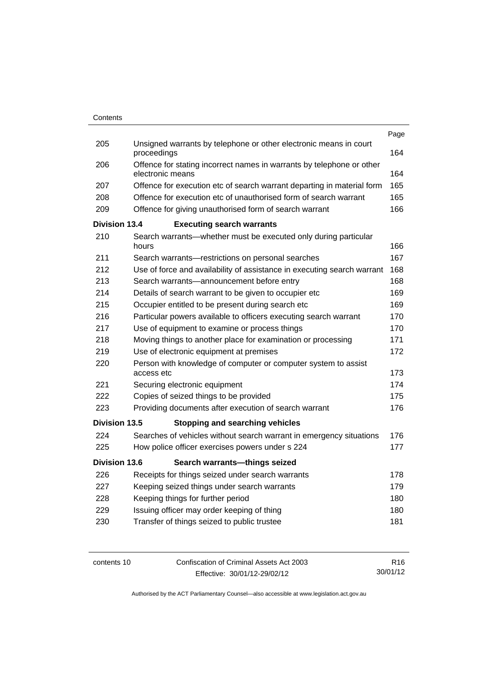|                      |                                                                                           | Page |
|----------------------|-------------------------------------------------------------------------------------------|------|
| 205                  | Unsigned warrants by telephone or other electronic means in court<br>proceedings          |      |
| 206                  | Offence for stating incorrect names in warrants by telephone or other<br>electronic means |      |
| 207                  | Offence for execution etc of search warrant departing in material form                    | 165  |
| 208                  | Offence for execution etc of unauthorised form of search warrant                          | 165  |
| 209                  | Offence for giving unauthorised form of search warrant                                    | 166  |
| <b>Division 13.4</b> | <b>Executing search warrants</b>                                                          |      |
| 210                  | Search warrants—whether must be executed only during particular<br>hours                  | 166  |
| 211                  | Search warrants-restrictions on personal searches                                         | 167  |
| 212                  | Use of force and availability of assistance in executing search warrant                   | 168  |
| 213                  | Search warrants-announcement before entry                                                 | 168  |
| 214                  | Details of search warrant to be given to occupier etc                                     | 169  |
| 215                  | Occupier entitled to be present during search etc                                         | 169  |
| 216                  | Particular powers available to officers executing search warrant                          | 170  |
| 217                  | Use of equipment to examine or process things                                             | 170  |
| 218                  | Moving things to another place for examination or processing                              | 171  |
| 219                  | Use of electronic equipment at premises                                                   | 172  |
| 220                  | Person with knowledge of computer or computer system to assist<br>access etc              | 173  |
| 221                  | Securing electronic equipment                                                             | 174  |
| 222                  | Copies of seized things to be provided                                                    | 175  |
| 223                  | Providing documents after execution of search warrant                                     | 176  |
| <b>Division 13.5</b> | <b>Stopping and searching vehicles</b>                                                    |      |
| 224                  | Searches of vehicles without search warrant in emergency situations                       | 176  |
| 225                  | How police officer exercises powers under s 224                                           | 177  |
| <b>Division 13.6</b> | Search warrants-things seized                                                             |      |
| 226                  | Receipts for things seized under search warrants                                          | 178  |
| 227                  | Keeping seized things under search warrants                                               | 179  |
| 228                  | Keeping things for further period                                                         | 180  |
| 229                  | Issuing officer may order keeping of thing                                                | 180  |
| 230                  | Transfer of things seized to public trustee                                               | 181  |
|                      |                                                                                           |      |

contents 10 Confiscation of Criminal Assets Act 2003 Effective: 30/01/12-29/02/12 R16 30/01/12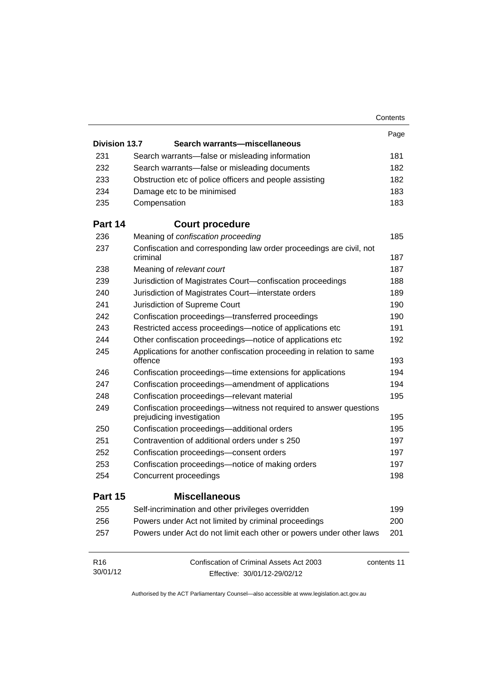|                      |                                                                                                | Contents    |
|----------------------|------------------------------------------------------------------------------------------------|-------------|
|                      |                                                                                                | Page        |
| <b>Division 13.7</b> | Search warrants-miscellaneous                                                                  |             |
| 231                  | Search warrants—false or misleading information                                                | 181         |
| 232                  | Search warrants-false or misleading documents                                                  | 182         |
| 233                  | Obstruction etc of police officers and people assisting                                        | 182         |
| 234                  | Damage etc to be minimised                                                                     | 183         |
| 235                  | Compensation                                                                                   | 183         |
| Part 14              | <b>Court procedure</b>                                                                         |             |
| 236                  | Meaning of confiscation proceeding                                                             | 185         |
| 237                  | Confiscation and corresponding law order proceedings are civil, not<br>criminal                | 187         |
| 238                  |                                                                                                | 187         |
|                      | Meaning of relevant court                                                                      |             |
| 239                  | Jurisdiction of Magistrates Court-confiscation proceedings                                     | 188         |
| 240                  | Jurisdiction of Magistrates Court-interstate orders                                            | 189         |
| 241<br>242           | Jurisdiction of Supreme Court                                                                  | 190<br>190  |
|                      | Confiscation proceedings-transferred proceedings                                               |             |
| 243<br>244           | Restricted access proceedings—notice of applications etc                                       | 191<br>192  |
|                      | Other confiscation proceedings—notice of applications etc                                      |             |
| 245                  | Applications for another confiscation proceeding in relation to same<br>offence                | 193         |
| 246                  | Confiscation proceedings—time extensions for applications                                      | 194         |
| 247                  | Confiscation proceedings—amendment of applications                                             | 194         |
| 248                  | Confiscation proceedings-relevant material                                                     | 195         |
| 249                  | Confiscation proceedings—witness not required to answer questions<br>prejudicing investigation | 195         |
| 250                  | Confiscation proceedings-additional orders                                                     | 195         |
| 251                  | Contravention of additional orders under s 250                                                 | 197         |
| 252                  | Confiscation proceedings-consent orders                                                        | 197         |
| 253                  | Confiscation proceedings—notice of making orders                                               | 197         |
| 254                  | Concurrent proceedings                                                                         | 198         |
| Part 15              | <b>Miscellaneous</b>                                                                           |             |
| 255                  | Self-incrimination and other privileges overridden                                             | 199         |
| 256                  | Powers under Act not limited by criminal proceedings                                           | 200         |
| 257                  | Powers under Act do not limit each other or powers under other laws                            | 201         |
| R <sub>16</sub>      | Confiscation of Criminal Assets Act 2003                                                       | contents 11 |
| 30/01/12             | Effective: 30/01/12-29/02/12                                                                   |             |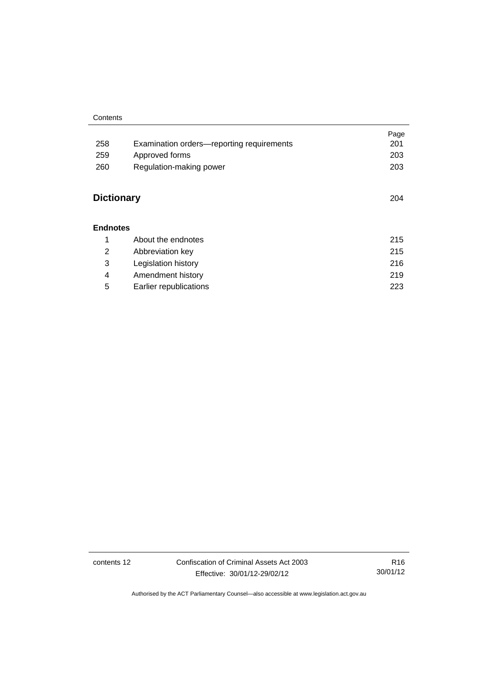#### **Contents**

|                   |                                           | Page |
|-------------------|-------------------------------------------|------|
| 258               | Examination orders—reporting requirements | 201  |
| 259               | Approved forms                            | 203  |
| 260               | Regulation-making power                   | 203  |
|                   |                                           |      |
| <b>Dictionary</b> | 204                                       |      |
|                   |                                           |      |
| <b>Endnotes</b>   |                                           |      |
| 1                 | About the endnotes                        | 215  |
| 2                 | Abbreviation key                          | 215  |
| 3                 | Legislation history                       | 216  |
| 4                 | Amendment history                         | 219  |

5 [Earlier republications 223](#page-236-0)

contents 12 Confiscation of Criminal Assets Act 2003 Effective: 30/01/12-29/02/12

R16 30/01/12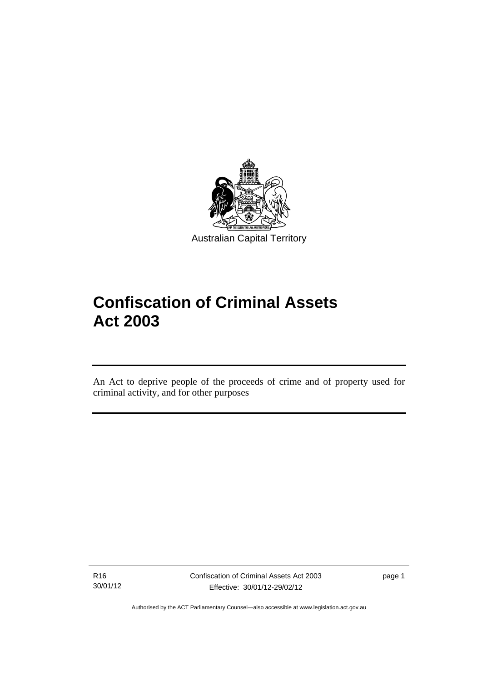

# **Confiscation of Criminal Assets Act 2003**

An Act to deprive people of the proceeds of crime and of property used for criminal activity, and for other purposes

R16 30/01/12

l

Confiscation of Criminal Assets Act 2003 Effective: 30/01/12-29/02/12

page 1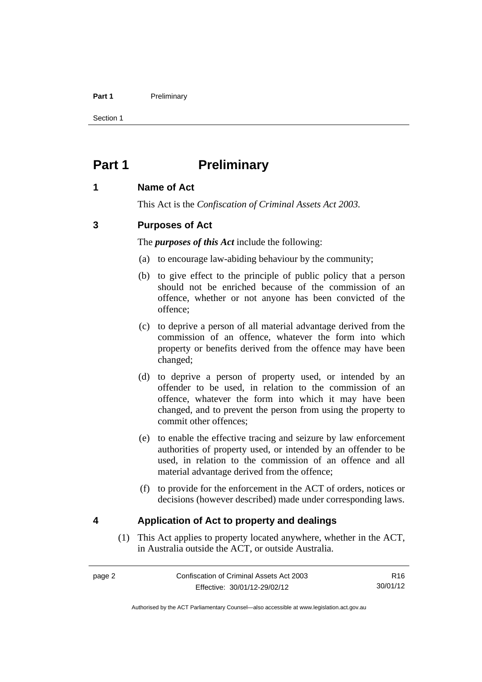#### Part 1 **Preliminary**

Section 1

## <span id="page-15-0"></span>**Part 1** Preliminary

## <span id="page-15-1"></span>**1 Name of Act**

This Act is the *Confiscation of Criminal Assets Act 2003.*

## <span id="page-15-2"></span>**3 Purposes of Act**

The *purposes of this Act* include the following:

- (a) to encourage law-abiding behaviour by the community;
- (b) to give effect to the principle of public policy that a person should not be enriched because of the commission of an offence, whether or not anyone has been convicted of the offence;
- (c) to deprive a person of all material advantage derived from the commission of an offence, whatever the form into which property or benefits derived from the offence may have been changed;
- (d) to deprive a person of property used, or intended by an offender to be used, in relation to the commission of an offence, whatever the form into which it may have been changed, and to prevent the person from using the property to commit other offences;
- (e) to enable the effective tracing and seizure by law enforcement authorities of property used, or intended by an offender to be used, in relation to the commission of an offence and all material advantage derived from the offence;
- (f) to provide for the enforcement in the ACT of orders, notices or decisions (however described) made under corresponding laws.

## <span id="page-15-3"></span>**4 Application of Act to property and dealings**

(1) This Act applies to property located anywhere, whether in the ACT, in Australia outside the ACT, or outside Australia.

R16 30/01/12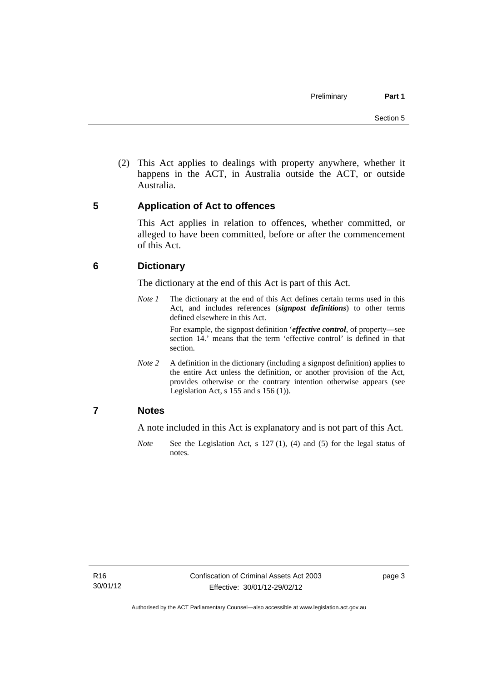(2) This Act applies to dealings with property anywhere, whether it happens in the ACT, in Australia outside the ACT, or outside Australia.

## <span id="page-16-0"></span>**5 Application of Act to offences**

This Act applies in relation to offences, whether committed, or alleged to have been committed, before or after the commencement of this Act.

## <span id="page-16-1"></span>**6 Dictionary**

The dictionary at the end of this Act is part of this Act.

*Note 1* The dictionary at the end of this Act defines certain terms used in this Act, and includes references (*signpost definitions*) to other terms defined elsewhere in this Act.

> For example, the signpost definition '*effective control*, of property—see section 14.' means that the term 'effective control' is defined in that section.

*Note* 2 A definition in the dictionary (including a signpost definition) applies to the entire Act unless the definition, or another provision of the Act, provides otherwise or the contrary intention otherwise appears (see Legislation Act,  $s$  155 and  $s$  156 (1)).

## <span id="page-16-2"></span>**7 Notes**

A note included in this Act is explanatory and is not part of this Act.

*Note* See the Legislation Act, s 127 (1), (4) and (5) for the legal status of notes.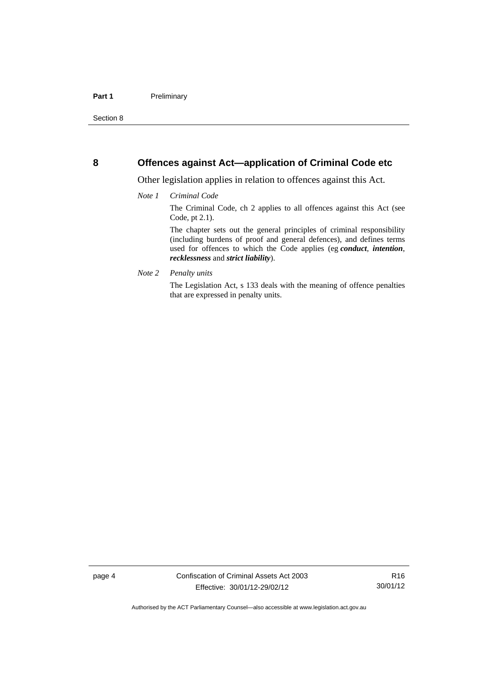#### <span id="page-17-0"></span>**8 Offences against Act—application of Criminal Code etc**

Other legislation applies in relation to offences against this Act.

#### *Note 1 Criminal Code*

The Criminal Code, ch 2 applies to all offences against this Act (see Code, pt 2.1).

The chapter sets out the general principles of criminal responsibility (including burdens of proof and general defences), and defines terms used for offences to which the Code applies (eg *conduct*, *intention*, *recklessness* and *strict liability*).

*Note 2 Penalty units* 

The Legislation Act, s 133 deals with the meaning of offence penalties that are expressed in penalty units.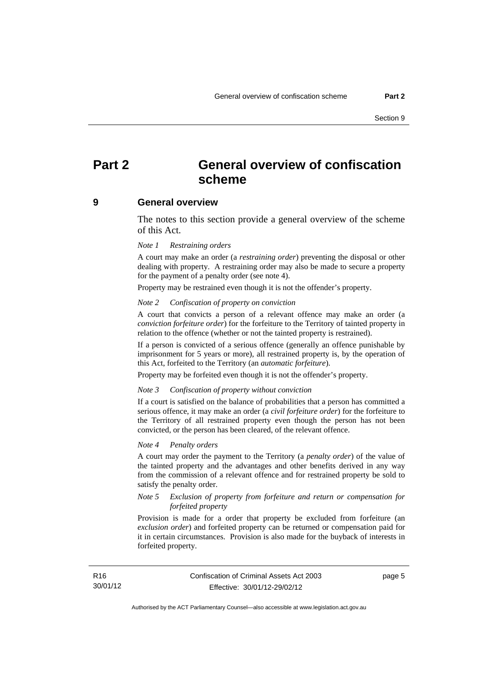## <span id="page-18-0"></span>**Part 2 General overview of confiscation scheme**

#### <span id="page-18-1"></span>**9 General overview**

The notes to this section provide a general overview of the scheme of this Act.

#### *Note 1 Restraining orders*

A court may make an order (a *restraining order*) preventing the disposal or other dealing with property. A restraining order may also be made to secure a property for the payment of a penalty order (see note 4).

Property may be restrained even though it is not the offender's property.

#### *Note 2 Confiscation of property on conviction*

A court that convicts a person of a relevant offence may make an order (a *conviction forfeiture order*) for the forfeiture to the Territory of tainted property in relation to the offence (whether or not the tainted property is restrained).

If a person is convicted of a serious offence (generally an offence punishable by imprisonment for 5 years or more), all restrained property is, by the operation of this Act, forfeited to the Territory (an *automatic forfeiture*).

Property may be forfeited even though it is not the offender's property.

#### *Note 3 Confiscation of property without conviction*

If a court is satisfied on the balance of probabilities that a person has committed a serious offence, it may make an order (a *civil forfeiture order*) for the forfeiture to the Territory of all restrained property even though the person has not been convicted, or the person has been cleared, of the relevant offence.

#### *Note 4 Penalty orders*

A court may order the payment to the Territory (a *penalty order*) of the value of the tainted property and the advantages and other benefits derived in any way from the commission of a relevant offence and for restrained property be sold to satisfy the penalty order.

#### *Note 5 Exclusion of property from forfeiture and return or compensation for forfeited property*

Provision is made for a order that property be excluded from forfeiture (an *exclusion order*) and forfeited property can be returned or compensation paid for it in certain circumstances. Provision is also made for the buyback of interests in forfeited property.

page 5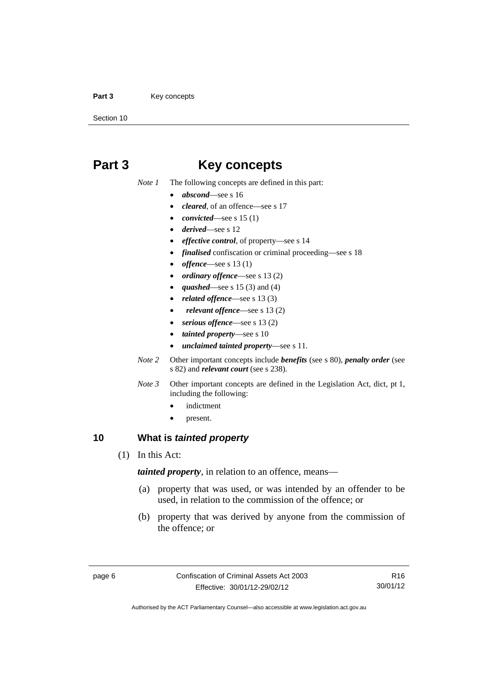#### Part 3 **Key concepts**

Section 10

## <span id="page-19-0"></span>**Part 3 Key concepts**

*Note 1* The following concepts are defined in this part:

- *abscond*—see s 16
- *cleared*, of an offence—see s 17
- *convicted*—see s 15 (1)
- *derived*—see s 12
- *effective control*, of property—see s 14
- *finalised* confiscation or criminal proceeding—see s 18
- *offence*—see s 13 (1)
- *ordinary offence*—see s 13 (2)
- *quashed*—see s 15 (3) and (4)
- *related offence*—see s 13 (3)
- *relevant offence*—see s 13 (2)
- *serious offence*—see s 13 (2)
- *tainted property*—see s 10
- *unclaimed tainted property*—see s 11.
- *Note 2* Other important concepts include *benefits* (see s 80), *penalty order* (see s 82) and *relevant court* (see s 238).
- *Note 3* Other important concepts are defined in the Legislation Act, dict, pt 1, including the following:
	- indictment
	- present.

## <span id="page-19-1"></span>**10 What is** *tainted property*

(1) In this Act:

*tainted property*, in relation to an offence, means—

- (a) property that was used, or was intended by an offender to be used, in relation to the commission of the offence; or
- (b) property that was derived by anyone from the commission of the offence; or

R16 30/01/12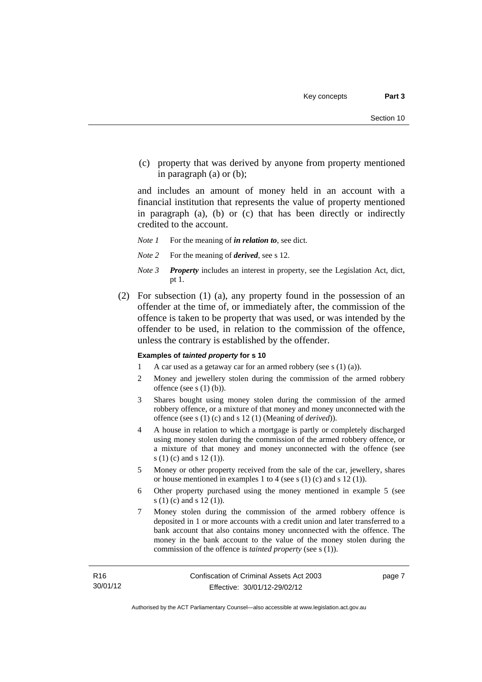(c) property that was derived by anyone from property mentioned in paragraph (a) or (b);

and includes an amount of money held in an account with a financial institution that represents the value of property mentioned in paragraph (a), (b) or (c) that has been directly or indirectly credited to the account.

- *Note 1* For the meaning of *in relation to*, see dict.
- *Note 2* For the meaning of *derived*, see s 12.
- *Note 3 Property* includes an interest in property, see the Legislation Act, dict, pt 1.
- (2) For subsection (1) (a), any property found in the possession of an offender at the time of, or immediately after, the commission of the offence is taken to be property that was used, or was intended by the offender to be used, in relation to the commission of the offence, unless the contrary is established by the offender.

#### **Examples of** *tainted property* **for s 10**

- 1 A car used as a getaway car for an armed robbery (see s (1) (a)).
- 2 Money and jewellery stolen during the commission of the armed robbery offence (see s (1) (b)).
- 3 Shares bought using money stolen during the commission of the armed robbery offence, or a mixture of that money and money unconnected with the offence (see s (1) (c) and s 12 (1) (Meaning of *derived*)).
- 4 A house in relation to which a mortgage is partly or completely discharged using money stolen during the commission of the armed robbery offence, or a mixture of that money and money unconnected with the offence (see s (1) (c) and s 12 (1)).
- 5 Money or other property received from the sale of the car, jewellery, shares or house mentioned in examples 1 to 4 (see s (1) (c) and s 12 (1)).
- 6 Other property purchased using the money mentioned in example 5 (see s (1) (c) and s 12 (1)).
- 7 Money stolen during the commission of the armed robbery offence is deposited in 1 or more accounts with a credit union and later transferred to a bank account that also contains money unconnected with the offence. The money in the bank account to the value of the money stolen during the commission of the offence is *tainted property* (see s (1)).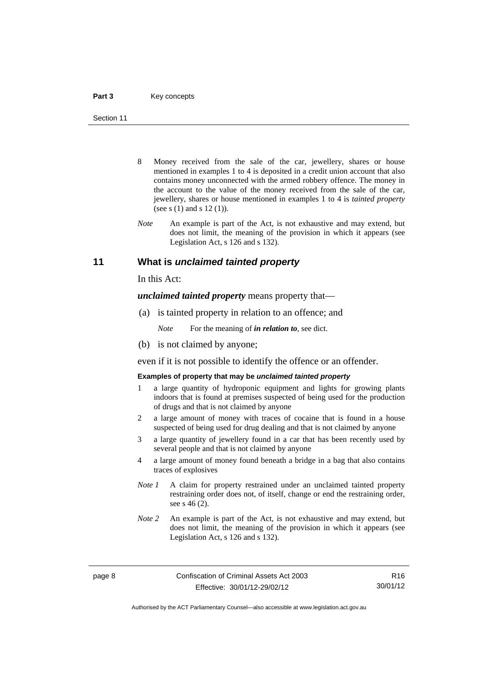- 8 Money received from the sale of the car, jewellery, shares or house mentioned in examples 1 to 4 is deposited in a credit union account that also contains money unconnected with the armed robbery offence. The money in the account to the value of the money received from the sale of the car, jewellery, shares or house mentioned in examples 1 to 4 is *tainted property* (see s (1) and s 12 (1)).
- *Note* An example is part of the Act, is not exhaustive and may extend, but does not limit, the meaning of the provision in which it appears (see Legislation Act, s 126 and s 132).

#### <span id="page-21-0"></span>**11 What is** *unclaimed tainted property*

In this Act:

*unclaimed tainted property* means property that—

(a) is tainted property in relation to an offence; and

*Note* For the meaning of *in relation to*, see dict.

(b) is not claimed by anyone;

even if it is not possible to identify the offence or an offender.

#### **Examples of property that may be** *unclaimed tainted property*

- 1 a large quantity of hydroponic equipment and lights for growing plants indoors that is found at premises suspected of being used for the production of drugs and that is not claimed by anyone
- 2 a large amount of money with traces of cocaine that is found in a house suspected of being used for drug dealing and that is not claimed by anyone
- 3 a large quantity of jewellery found in a car that has been recently used by several people and that is not claimed by anyone
- 4 a large amount of money found beneath a bridge in a bag that also contains traces of explosives
- *Note 1* A claim for property restrained under an unclaimed tainted property restraining order does not, of itself, change or end the restraining order, see s 46 (2).
- *Note 2* An example is part of the Act, is not exhaustive and may extend, but does not limit, the meaning of the provision in which it appears (see Legislation Act, s 126 and s 132).

R16 30/01/12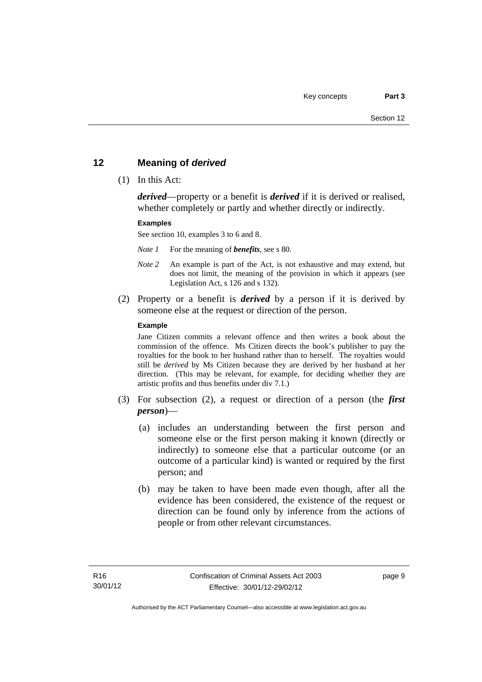## <span id="page-22-0"></span>**12 Meaning of** *derived*

(1) In this Act:

*derived*—property or a benefit is *derived* if it is derived or realised, whether completely or partly and whether directly or indirectly.

#### **Examples**

See section 10, examples 3 to 6 and 8.

*Note 1* For the meaning of *benefits*, see s 80.

- *Note 2* An example is part of the Act, is not exhaustive and may extend, but does not limit, the meaning of the provision in which it appears (see Legislation Act, s 126 and s 132).
- (2) Property or a benefit is *derived* by a person if it is derived by someone else at the request or direction of the person.

#### **Example**

Jane Citizen commits a relevant offence and then writes a book about the commission of the offence. Ms Citizen directs the book's publisher to pay the royalties for the book to her husband rather than to herself. The royalties would still be *derived* by Ms Citizen because they are derived by her husband at her direction. (This may be relevant, for example, for deciding whether they are artistic profits and thus benefits under div 7.1.)

- (3) For subsection (2), a request or direction of a person (the *first person*)—
	- (a) includes an understanding between the first person and someone else or the first person making it known (directly or indirectly) to someone else that a particular outcome (or an outcome of a particular kind) is wanted or required by the first person; and
	- (b) may be taken to have been made even though, after all the evidence has been considered, the existence of the request or direction can be found only by inference from the actions of people or from other relevant circumstances.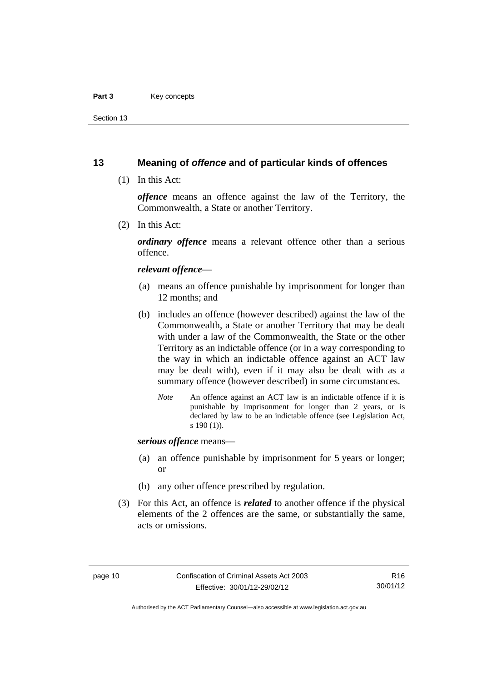#### Part 3 **Key concepts**

Section 13

### <span id="page-23-0"></span>**13 Meaning of** *offence* **and of particular kinds of offences**

(1) In this Act:

*offence* means an offence against the law of the Territory, the Commonwealth, a State or another Territory.

(2) In this Act:

*ordinary offence* means a relevant offence other than a serious offence.

#### *relevant offence*—

- (a) means an offence punishable by imprisonment for longer than 12 months; and
- (b) includes an offence (however described) against the law of the Commonwealth, a State or another Territory that may be dealt with under a law of the Commonwealth, the State or the other Territory as an indictable offence (or in a way corresponding to the way in which an indictable offence against an ACT law may be dealt with), even if it may also be dealt with as a summary offence (however described) in some circumstances.
	- *Note* An offence against an ACT law is an indictable offence if it is punishable by imprisonment for longer than 2 years, or is declared by law to be an indictable offence (see Legislation Act, s 190 (1)).

*serious offence* means—

- (a) an offence punishable by imprisonment for 5 years or longer; or
- (b) any other offence prescribed by regulation.
- (3) For this Act, an offence is *related* to another offence if the physical elements of the 2 offences are the same, or substantially the same, acts or omissions.

Authorised by the ACT Parliamentary Counsel—also accessible at www.legislation.act.gov.au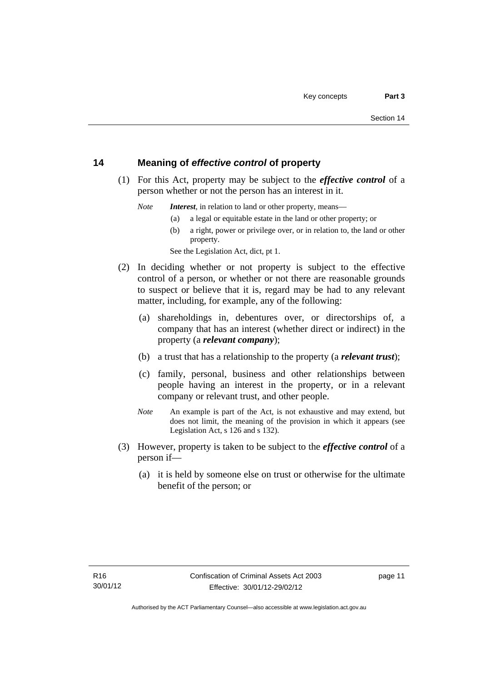## <span id="page-24-0"></span>**14 Meaning of** *effective control* **of property**

 (1) For this Act, property may be subject to the *effective control* of a person whether or not the person has an interest in it.

*Note Interest*, in relation to land or other property, means—

- (a) a legal or equitable estate in the land or other property; or
- (b) a right, power or privilege over, or in relation to, the land or other property.

See the Legislation Act, dict, pt 1.

- (2) In deciding whether or not property is subject to the effective control of a person, or whether or not there are reasonable grounds to suspect or believe that it is, regard may be had to any relevant matter, including, for example, any of the following:
	- (a) shareholdings in, debentures over, or directorships of, a company that has an interest (whether direct or indirect) in the property (a *relevant company*);
	- (b) a trust that has a relationship to the property (a *relevant trust*);
	- (c) family, personal, business and other relationships between people having an interest in the property, or in a relevant company or relevant trust, and other people.
	- *Note* An example is part of the Act, is not exhaustive and may extend, but does not limit, the meaning of the provision in which it appears (see Legislation Act, s 126 and s 132).
- (3) However, property is taken to be subject to the *effective control* of a person if—
	- (a) it is held by someone else on trust or otherwise for the ultimate benefit of the person; or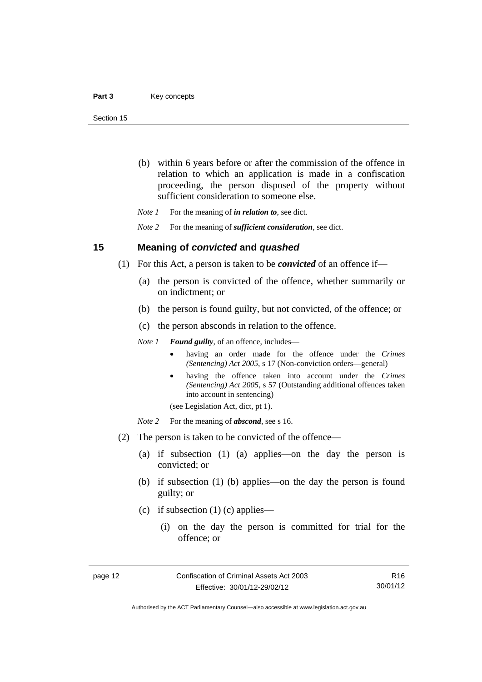- (b) within 6 years before or after the commission of the offence in relation to which an application is made in a confiscation proceeding, the person disposed of the property without sufficient consideration to someone else.
- *Note 1* For the meaning of *in relation to*, see dict.

*Note 2* For the meaning of *sufficient consideration*, see dict.

#### <span id="page-25-0"></span>**15 Meaning of** *convicted* **and** *quashed*

- (1) For this Act, a person is taken to be *convicted* of an offence if—
	- (a) the person is convicted of the offence, whether summarily or on indictment; or
	- (b) the person is found guilty, but not convicted, of the offence; or
	- (c) the person absconds in relation to the offence.

*Note 1 Found guilty*, of an offence, includes—

- having an order made for the offence under the *Crimes (Sentencing) Act 2005*, s 17 (Non-conviction orders—general)
- having the offence taken into account under the *Crimes (Sentencing) Act 2005*, s 57 (Outstanding additional offences taken into account in sentencing)

(see Legislation Act, dict, pt 1).

- *Note* 2 For the meaning of *abscond*, see s 16.
- (2) The person is taken to be convicted of the offence—
	- (a) if subsection (1) (a) applies—on the day the person is convicted; or
	- (b) if subsection (1) (b) applies—on the day the person is found guilty; or
	- (c) if subsection (1) (c) applies—
		- (i) on the day the person is committed for trial for the offence; or

R16 30/01/12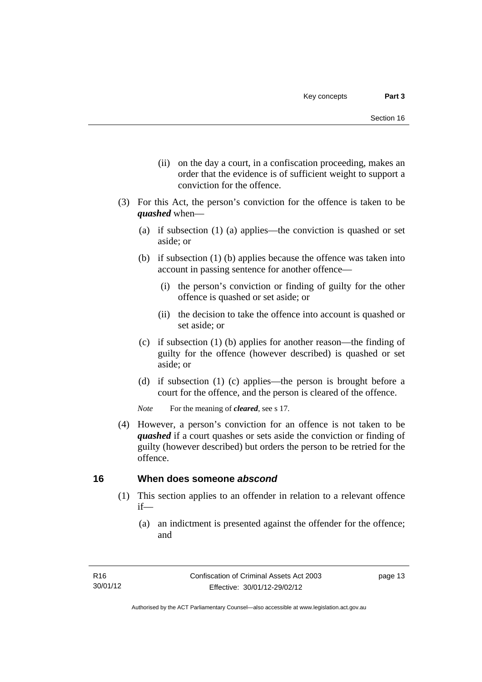- (ii) on the day a court, in a confiscation proceeding, makes an order that the evidence is of sufficient weight to support a conviction for the offence.
- (3) For this Act, the person's conviction for the offence is taken to be *quashed* when—
	- (a) if subsection (1) (a) applies—the conviction is quashed or set aside; or
	- (b) if subsection (1) (b) applies because the offence was taken into account in passing sentence for another offence—
		- (i) the person's conviction or finding of guilty for the other offence is quashed or set aside; or
		- (ii) the decision to take the offence into account is quashed or set aside; or
	- (c) if subsection (1) (b) applies for another reason—the finding of guilty for the offence (however described) is quashed or set aside; or
	- (d) if subsection (1) (c) applies—the person is brought before a court for the offence, and the person is cleared of the offence.

*Note* For the meaning of *cleared*, see s 17.

 (4) However, a person's conviction for an offence is not taken to be *quashed* if a court quashes or sets aside the conviction or finding of guilty (however described) but orders the person to be retried for the offence.

## <span id="page-26-0"></span>**16 When does someone** *abscond*

- (1) This section applies to an offender in relation to a relevant offence if—
	- (a) an indictment is presented against the offender for the offence; and

page 13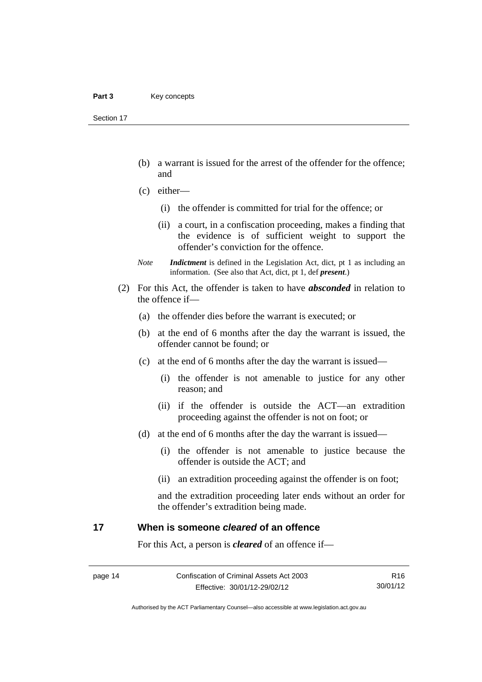Section 17

- (b) a warrant is issued for the arrest of the offender for the offence; and
- (c) either—
	- (i) the offender is committed for trial for the offence; or
	- (ii) a court, in a confiscation proceeding, makes a finding that the evidence is of sufficient weight to support the offender's conviction for the offence.
- *Note Indictment* is defined in the Legislation Act, dict, pt 1 as including an information. (See also that Act, dict, pt 1, def *present*.)
- (2) For this Act, the offender is taken to have *absconded* in relation to the offence if—
	- (a) the offender dies before the warrant is executed; or
	- (b) at the end of 6 months after the day the warrant is issued, the offender cannot be found; or
	- (c) at the end of 6 months after the day the warrant is issued—
		- (i) the offender is not amenable to justice for any other reason; and
		- (ii) if the offender is outside the ACT—an extradition proceeding against the offender is not on foot; or
	- (d) at the end of 6 months after the day the warrant is issued—
		- (i) the offender is not amenable to justice because the offender is outside the ACT; and
		- (ii) an extradition proceeding against the offender is on foot;

and the extradition proceeding later ends without an order for the offender's extradition being made.

### <span id="page-27-0"></span>**17 When is someone** *cleared* **of an offence**

For this Act, a person is *cleared* of an offence if—

R16 30/01/12

Authorised by the ACT Parliamentary Counsel—also accessible at www.legislation.act.gov.au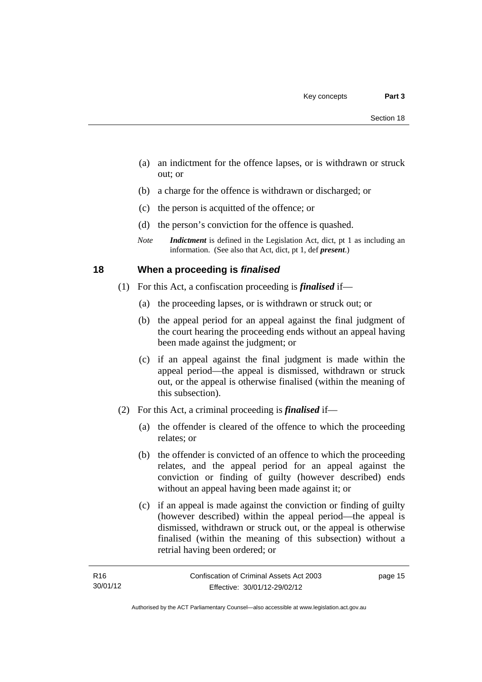- (a) an indictment for the offence lapses, or is withdrawn or struck out; or
- (b) a charge for the offence is withdrawn or discharged; or
- (c) the person is acquitted of the offence; or
- (d) the person's conviction for the offence is quashed.
- *Note Indictment* is defined in the Legislation Act, dict, pt 1 as including an information. (See also that Act, dict, pt 1, def *present*.)

## <span id="page-28-0"></span>**18 When a proceeding is** *finalised*

- (1) For this Act, a confiscation proceeding is *finalised* if—
	- (a) the proceeding lapses, or is withdrawn or struck out; or
	- (b) the appeal period for an appeal against the final judgment of the court hearing the proceeding ends without an appeal having been made against the judgment; or
	- (c) if an appeal against the final judgment is made within the appeal period—the appeal is dismissed, withdrawn or struck out, or the appeal is otherwise finalised (within the meaning of this subsection).
- (2) For this Act, a criminal proceeding is *finalised* if—
	- (a) the offender is cleared of the offence to which the proceeding relates; or
	- (b) the offender is convicted of an offence to which the proceeding relates, and the appeal period for an appeal against the conviction or finding of guilty (however described) ends without an appeal having been made against it; or
	- (c) if an appeal is made against the conviction or finding of guilty (however described) within the appeal period—the appeal is dismissed, withdrawn or struck out, or the appeal is otherwise finalised (within the meaning of this subsection) without a retrial having been ordered; or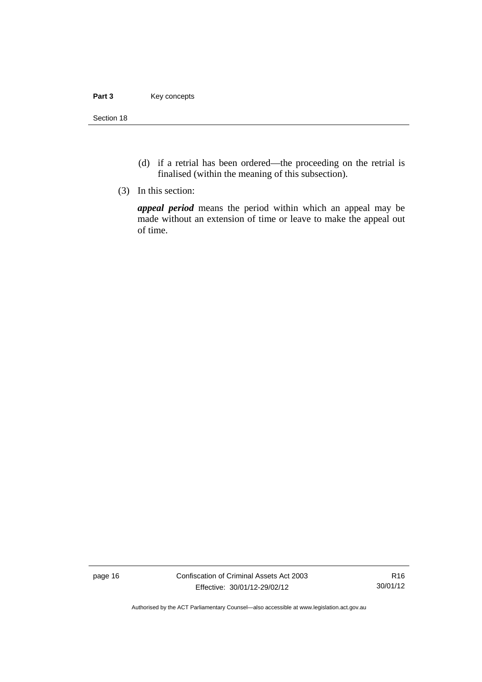#### Part 3 **Key concepts**

Section 18

- (d) if a retrial has been ordered—the proceeding on the retrial is finalised (within the meaning of this subsection).
- (3) In this section:

*appeal period* means the period within which an appeal may be made without an extension of time or leave to make the appeal out of time.

page 16 Confiscation of Criminal Assets Act 2003 Effective: 30/01/12-29/02/12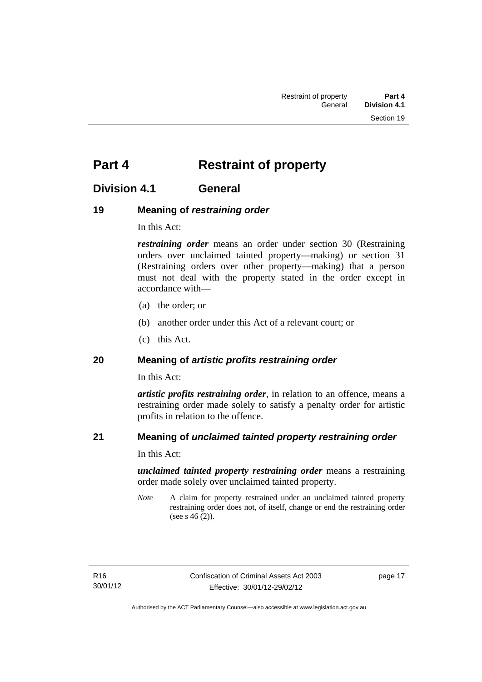## <span id="page-30-0"></span>**Part 4** Restraint of property

## <span id="page-30-1"></span>**Division 4.1 General**

## <span id="page-30-2"></span>**19 Meaning of** *restraining order*

In this Act:

*restraining order* means an order under section 30 (Restraining orders over unclaimed tainted property—making) or section 31 (Restraining orders over other property—making) that a person must not deal with the property stated in the order except in accordance with—

- (a) the order; or
- (b) another order under this Act of a relevant court; or
- (c) this Act.

## <span id="page-30-3"></span>**20 Meaning of** *artistic profits restraining order*

In this Act:

*artistic profits restraining order*, in relation to an offence, means a restraining order made solely to satisfy a penalty order for artistic profits in relation to the offence.

## <span id="page-30-4"></span>**21 Meaning of** *unclaimed tainted property restraining order*

In this Act:

*unclaimed tainted property restraining order* means a restraining order made solely over unclaimed tainted property.

*Note* A claim for property restrained under an unclaimed tainted property restraining order does not, of itself, change or end the restraining order (see s 46 (2)).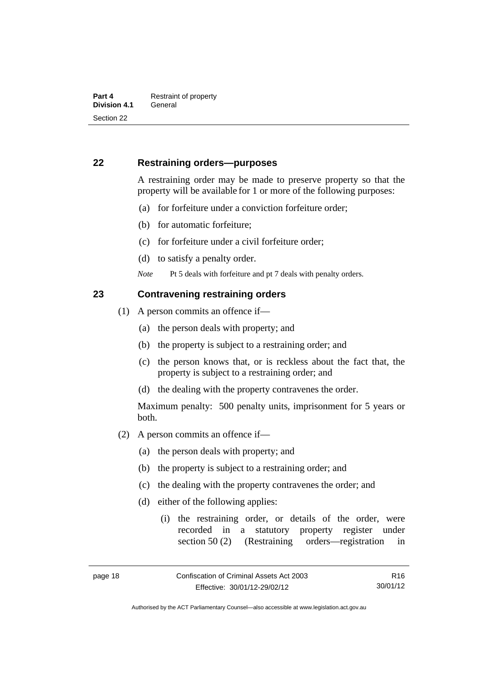## <span id="page-31-0"></span>**22 Restraining orders—purposes**

A restraining order may be made to preserve property so that the property will be available for 1 or more of the following purposes:

- (a) for forfeiture under a conviction forfeiture order;
- (b) for automatic forfeiture;
- (c) for forfeiture under a civil forfeiture order;
- (d) to satisfy a penalty order.

*Note* Pt 5 deals with forfeiture and pt 7 deals with penalty orders.

#### <span id="page-31-1"></span>**23 Contravening restraining orders**

- (1) A person commits an offence if—
	- (a) the person deals with property; and
	- (b) the property is subject to a restraining order; and
	- (c) the person knows that, or is reckless about the fact that, the property is subject to a restraining order; and
	- (d) the dealing with the property contravenes the order.

Maximum penalty: 500 penalty units, imprisonment for 5 years or both.

- (2) A person commits an offence if—
	- (a) the person deals with property; and
	- (b) the property is subject to a restraining order; and
	- (c) the dealing with the property contravenes the order; and
	- (d) either of the following applies:
		- (i) the restraining order, or details of the order, were recorded in a statutory property register under section 50 (2) (Restraining orders—registration in

Authorised by the ACT Parliamentary Counsel—also accessible at www.legislation.act.gov.au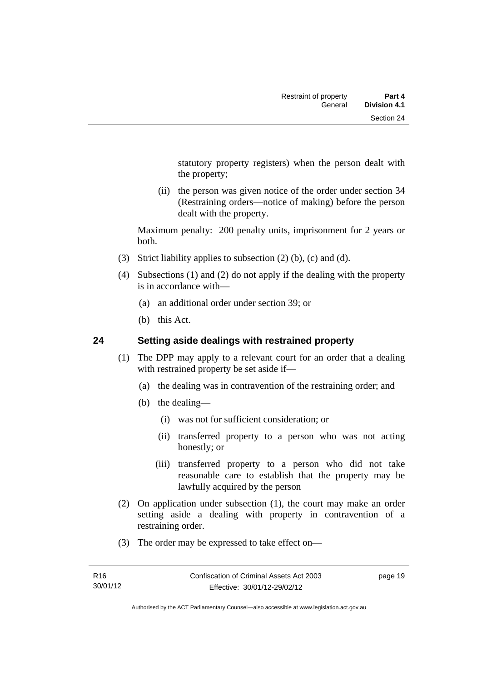statutory property registers) when the person dealt with the property;

 (ii) the person was given notice of the order under section 34 (Restraining orders—notice of making) before the person dealt with the property.

Maximum penalty: 200 penalty units, imprisonment for 2 years or both.

- (3) Strict liability applies to subsection (2) (b), (c) and (d).
- (4) Subsections (1) and (2) do not apply if the dealing with the property is in accordance with—
	- (a) an additional order under section 39; or
	- (b) this Act.

## <span id="page-32-0"></span>**24 Setting aside dealings with restrained property**

- (1) The DPP may apply to a relevant court for an order that a dealing with restrained property be set aside if—
	- (a) the dealing was in contravention of the restraining order; and
	- (b) the dealing—
		- (i) was not for sufficient consideration; or
		- (ii) transferred property to a person who was not acting honestly; or
		- (iii) transferred property to a person who did not take reasonable care to establish that the property may be lawfully acquired by the person
- (2) On application under subsection (1), the court may make an order setting aside a dealing with property in contravention of a restraining order.
- (3) The order may be expressed to take effect on—

page 19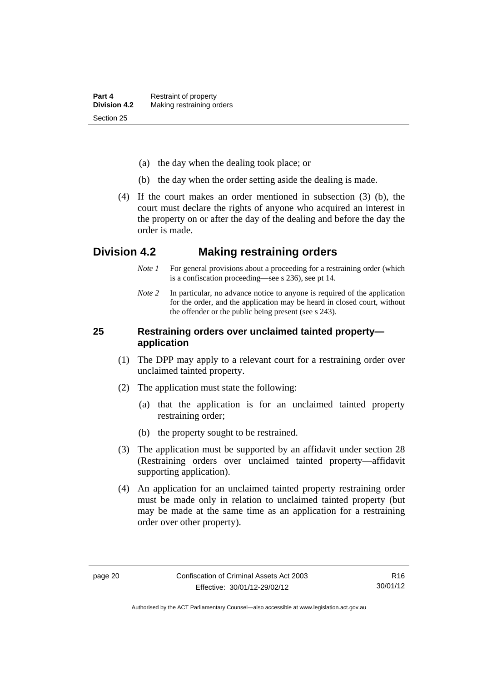- (a) the day when the dealing took place; or
- (b) the day when the order setting aside the dealing is made.
- (4) If the court makes an order mentioned in subsection (3) (b), the court must declare the rights of anyone who acquired an interest in the property on or after the day of the dealing and before the day the order is made.

## <span id="page-33-0"></span>**Division 4.2 Making restraining orders**

- *Note 1* For general provisions about a proceeding for a restraining order (which is a confiscation proceeding—see s 236), see pt 14.
- *Note* 2 In particular, no advance notice to anyone is required of the application for the order, and the application may be heard in closed court, without the offender or the public being present (see s 243).

## <span id="page-33-1"></span>**25 Restraining orders over unclaimed tainted property application**

- (1) The DPP may apply to a relevant court for a restraining order over unclaimed tainted property.
- (2) The application must state the following:
	- (a) that the application is for an unclaimed tainted property restraining order;
	- (b) the property sought to be restrained.
- (3) The application must be supported by an affidavit under section 28 (Restraining orders over unclaimed tainted property—affidavit supporting application).
- (4) An application for an unclaimed tainted property restraining order must be made only in relation to unclaimed tainted property (but may be made at the same time as an application for a restraining order over other property).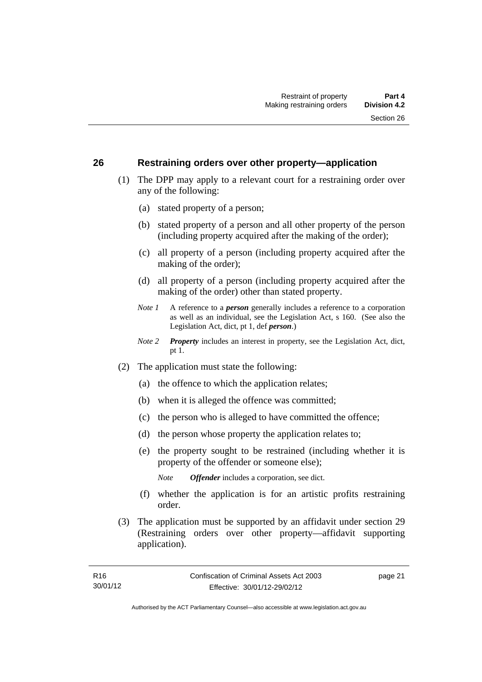### <span id="page-34-0"></span>**26 Restraining orders over other property—application**

- (1) The DPP may apply to a relevant court for a restraining order over any of the following:
	- (a) stated property of a person;
	- (b) stated property of a person and all other property of the person (including property acquired after the making of the order);
	- (c) all property of a person (including property acquired after the making of the order);
	- (d) all property of a person (including property acquired after the making of the order) other than stated property.
	- *Note 1* A reference to a *person* generally includes a reference to a corporation as well as an individual, see the Legislation Act, s 160. (See also the Legislation Act, dict, pt 1, def *person*.)
	- *Note 2 Property* includes an interest in property, see the Legislation Act, dict, pt 1.
- (2) The application must state the following:
	- (a) the offence to which the application relates;
	- (b) when it is alleged the offence was committed;
	- (c) the person who is alleged to have committed the offence;
	- (d) the person whose property the application relates to;
	- (e) the property sought to be restrained (including whether it is property of the offender or someone else);

*Note Offender* includes a corporation, see dict.

- (f) whether the application is for an artistic profits restraining order.
- (3) The application must be supported by an affidavit under section 29 (Restraining orders over other property—affidavit supporting application).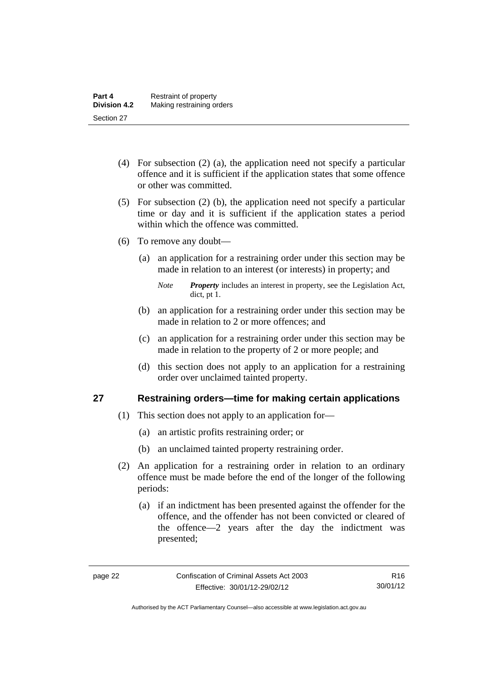- (4) For subsection (2) (a), the application need not specify a particular offence and it is sufficient if the application states that some offence or other was committed.
- (5) For subsection (2) (b), the application need not specify a particular time or day and it is sufficient if the application states a period within which the offence was committed.
- (6) To remove any doubt—
	- (a) an application for a restraining order under this section may be made in relation to an interest (or interests) in property; and
		- *Note Property* includes an interest in property, see the Legislation Act, dict, pt 1.
	- (b) an application for a restraining order under this section may be made in relation to 2 or more offences; and
	- (c) an application for a restraining order under this section may be made in relation to the property of 2 or more people; and
	- (d) this section does not apply to an application for a restraining order over unclaimed tainted property.

## <span id="page-35-0"></span>**27 Restraining orders—time for making certain applications**

- (1) This section does not apply to an application for—
	- (a) an artistic profits restraining order; or
	- (b) an unclaimed tainted property restraining order.
- (2) An application for a restraining order in relation to an ordinary offence must be made before the end of the longer of the following periods:
	- (a) if an indictment has been presented against the offender for the offence, and the offender has not been convicted or cleared of the offence—2 years after the day the indictment was presented;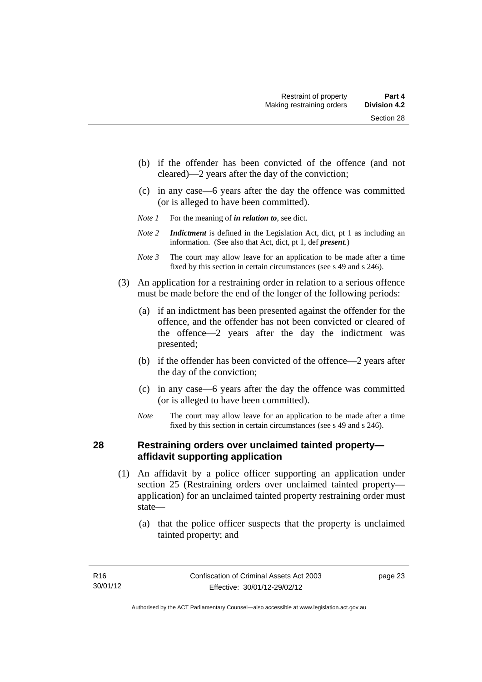- (b) if the offender has been convicted of the offence (and not cleared)—2 years after the day of the conviction;
- (c) in any case—6 years after the day the offence was committed (or is alleged to have been committed).
- *Note 1* For the meaning of *in relation to*, see dict.
- *Note 2 Indictment* is defined in the Legislation Act, dict, pt 1 as including an information. (See also that Act, dict, pt 1, def *present*.)
- *Note 3* The court may allow leave for an application to be made after a time fixed by this section in certain circumstances (see s 49 and s 246).
- (3) An application for a restraining order in relation to a serious offence must be made before the end of the longer of the following periods:
	- (a) if an indictment has been presented against the offender for the offence, and the offender has not been convicted or cleared of the offence—2 years after the day the indictment was presented;
	- (b) if the offender has been convicted of the offence—2 years after the day of the conviction;
	- (c) in any case—6 years after the day the offence was committed (or is alleged to have been committed).
	- *Note* The court may allow leave for an application to be made after a time fixed by this section in certain circumstances (see s 49 and s 246).

# **28 Restraining orders over unclaimed tainted property affidavit supporting application**

- (1) An affidavit by a police officer supporting an application under section 25 (Restraining orders over unclaimed tainted property application) for an unclaimed tainted property restraining order must state—
	- (a) that the police officer suspects that the property is unclaimed tainted property; and

page 23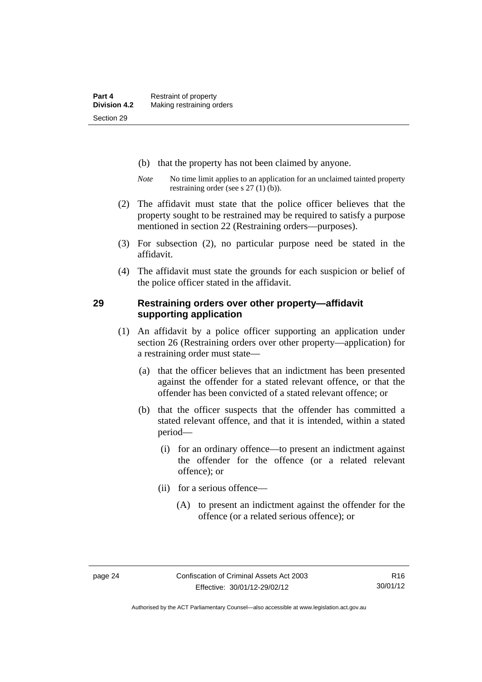- (b) that the property has not been claimed by anyone.
- *Note* No time limit applies to an application for an unclaimed tainted property restraining order (see s 27 (1) (b)).
- (2) The affidavit must state that the police officer believes that the property sought to be restrained may be required to satisfy a purpose mentioned in section 22 (Restraining orders—purposes).
- (3) For subsection (2), no particular purpose need be stated in the affidavit.
- (4) The affidavit must state the grounds for each suspicion or belief of the police officer stated in the affidavit.

### **29 Restraining orders over other property—affidavit supporting application**

- (1) An affidavit by a police officer supporting an application under section 26 (Restraining orders over other property—application) for a restraining order must state—
	- (a) that the officer believes that an indictment has been presented against the offender for a stated relevant offence, or that the offender has been convicted of a stated relevant offence; or
	- (b) that the officer suspects that the offender has committed a stated relevant offence, and that it is intended, within a stated period—
		- (i) for an ordinary offence—to present an indictment against the offender for the offence (or a related relevant offence); or
		- (ii) for a serious offence—
			- (A) to present an indictment against the offender for the offence (or a related serious offence); or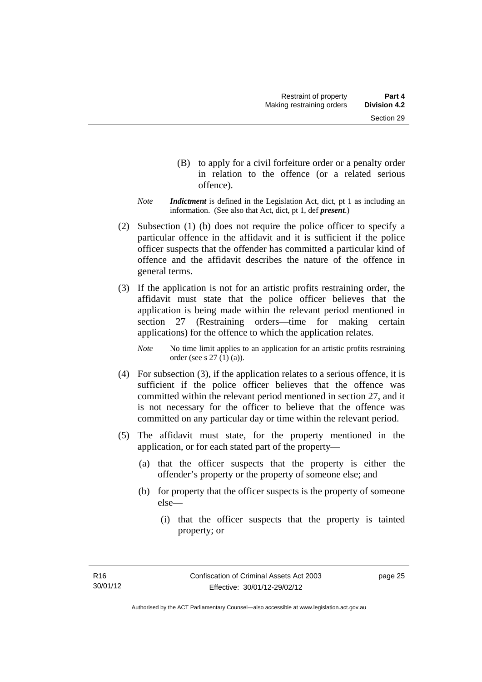- (B) to apply for a civil forfeiture order or a penalty order in relation to the offence (or a related serious offence).
- *Note Indictment* is defined in the Legislation Act, dict, pt 1 as including an information. (See also that Act, dict, pt 1, def *present*.)
- (2) Subsection (1) (b) does not require the police officer to specify a particular offence in the affidavit and it is sufficient if the police officer suspects that the offender has committed a particular kind of offence and the affidavit describes the nature of the offence in general terms.
- (3) If the application is not for an artistic profits restraining order, the affidavit must state that the police officer believes that the application is being made within the relevant period mentioned in section 27 (Restraining orders—time for making certain applications) for the offence to which the application relates.

*Note* No time limit applies to an application for an artistic profits restraining order (see s 27 (1) (a)).

- (4) For subsection (3), if the application relates to a serious offence, it is sufficient if the police officer believes that the offence was committed within the relevant period mentioned in section 27, and it is not necessary for the officer to believe that the offence was committed on any particular day or time within the relevant period.
- (5) The affidavit must state, for the property mentioned in the application, or for each stated part of the property—
	- (a) that the officer suspects that the property is either the offender's property or the property of someone else; and
	- (b) for property that the officer suspects is the property of someone else—
		- (i) that the officer suspects that the property is tainted property; or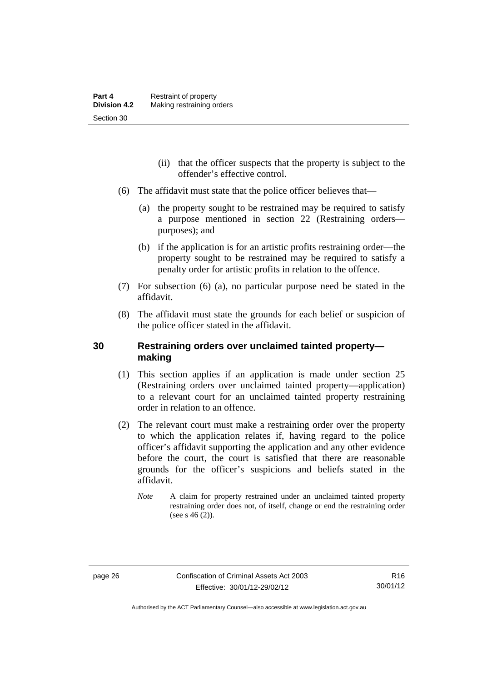- (ii) that the officer suspects that the property is subject to the offender's effective control.
- (6) The affidavit must state that the police officer believes that—
	- (a) the property sought to be restrained may be required to satisfy a purpose mentioned in section 22 (Restraining orders purposes); and
	- (b) if the application is for an artistic profits restraining order—the property sought to be restrained may be required to satisfy a penalty order for artistic profits in relation to the offence.
- (7) For subsection (6) (a), no particular purpose need be stated in the affidavit.
- (8) The affidavit must state the grounds for each belief or suspicion of the police officer stated in the affidavit.

# **30 Restraining orders over unclaimed tainted property making**

- (1) This section applies if an application is made under section 25 (Restraining orders over unclaimed tainted property—application) to a relevant court for an unclaimed tainted property restraining order in relation to an offence.
- (2) The relevant court must make a restraining order over the property to which the application relates if, having regard to the police officer's affidavit supporting the application and any other evidence before the court, the court is satisfied that there are reasonable grounds for the officer's suspicions and beliefs stated in the affidavit.
	- *Note* A claim for property restrained under an unclaimed tainted property restraining order does not, of itself, change or end the restraining order (see s  $46(2)$ ).

Authorised by the ACT Parliamentary Counsel—also accessible at www.legislation.act.gov.au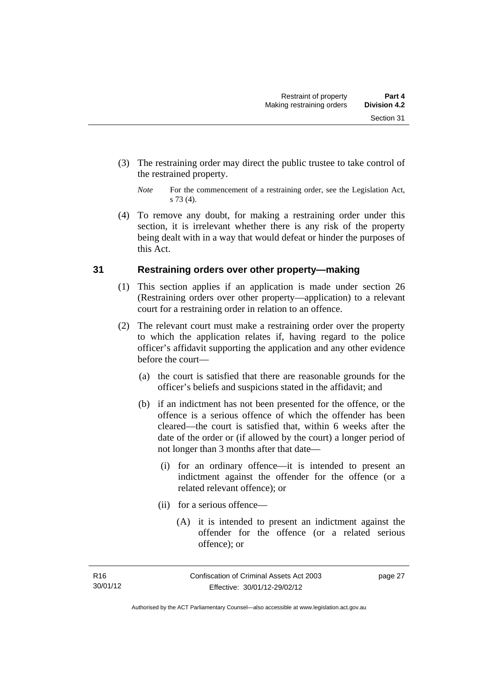- (3) The restraining order may direct the public trustee to take control of the restrained property.
	- *Note* For the commencement of a restraining order, see the Legislation Act, s 73 (4).
- (4) To remove any doubt, for making a restraining order under this section, it is irrelevant whether there is any risk of the property being dealt with in a way that would defeat or hinder the purposes of this Act.

# **31 Restraining orders over other property—making**

- (1) This section applies if an application is made under section 26 (Restraining orders over other property—application) to a relevant court for a restraining order in relation to an offence.
- (2) The relevant court must make a restraining order over the property to which the application relates if, having regard to the police officer's affidavit supporting the application and any other evidence before the court—
	- (a) the court is satisfied that there are reasonable grounds for the officer's beliefs and suspicions stated in the affidavit; and
	- (b) if an indictment has not been presented for the offence, or the offence is a serious offence of which the offender has been cleared—the court is satisfied that, within 6 weeks after the date of the order or (if allowed by the court) a longer period of not longer than 3 months after that date—
		- (i) for an ordinary offence—it is intended to present an indictment against the offender for the offence (or a related relevant offence); or
		- (ii) for a serious offence—
			- (A) it is intended to present an indictment against the offender for the offence (or a related serious offence); or

page 27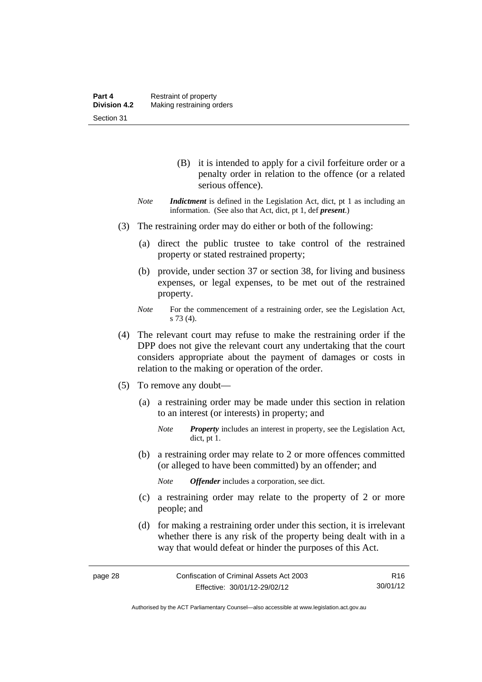- (B) it is intended to apply for a civil forfeiture order or a penalty order in relation to the offence (or a related serious offence).
- *Note Indictment* is defined in the Legislation Act, dict, pt 1 as including an information. (See also that Act, dict, pt 1, def *present*.)
- (3) The restraining order may do either or both of the following:
	- (a) direct the public trustee to take control of the restrained property or stated restrained property;
	- (b) provide, under section 37 or section 38, for living and business expenses, or legal expenses, to be met out of the restrained property.
	- *Note* For the commencement of a restraining order, see the Legislation Act, s 73 (4).
- (4) The relevant court may refuse to make the restraining order if the DPP does not give the relevant court any undertaking that the court considers appropriate about the payment of damages or costs in relation to the making or operation of the order.
- (5) To remove any doubt—
	- (a) a restraining order may be made under this section in relation to an interest (or interests) in property; and
		- *Note Property* includes an interest in property, see the Legislation Act, dict, pt 1.
	- (b) a restraining order may relate to 2 or more offences committed (or alleged to have been committed) by an offender; and

*Note Offender* includes a corporation, see dict.

- (c) a restraining order may relate to the property of 2 or more people; and
- (d) for making a restraining order under this section, it is irrelevant whether there is any risk of the property being dealt with in a way that would defeat or hinder the purposes of this Act.

Authorised by the ACT Parliamentary Counsel—also accessible at www.legislation.act.gov.au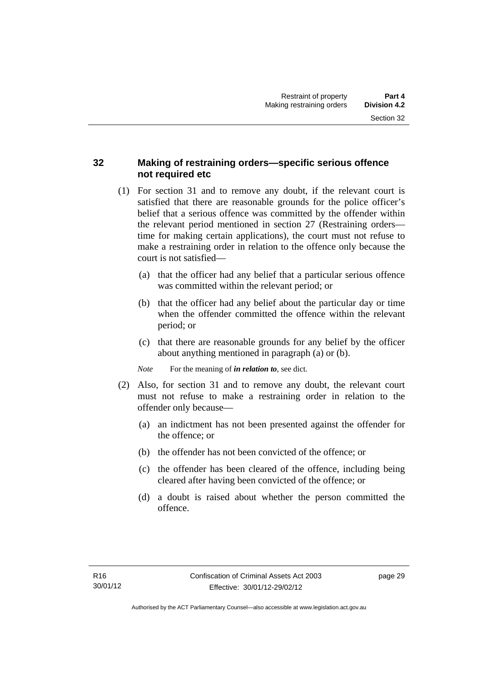# **32 Making of restraining orders—specific serious offence not required etc**

- (1) For section 31 and to remove any doubt, if the relevant court is satisfied that there are reasonable grounds for the police officer's belief that a serious offence was committed by the offender within the relevant period mentioned in section 27 (Restraining orders time for making certain applications), the court must not refuse to make a restraining order in relation to the offence only because the court is not satisfied—
	- (a) that the officer had any belief that a particular serious offence was committed within the relevant period; or
	- (b) that the officer had any belief about the particular day or time when the offender committed the offence within the relevant period; or
	- (c) that there are reasonable grounds for any belief by the officer about anything mentioned in paragraph (a) or (b).

*Note* For the meaning of *in relation to*, see dict.

- (2) Also, for section 31 and to remove any doubt, the relevant court must not refuse to make a restraining order in relation to the offender only because—
	- (a) an indictment has not been presented against the offender for the offence; or
	- (b) the offender has not been convicted of the offence; or
	- (c) the offender has been cleared of the offence, including being cleared after having been convicted of the offence; or
	- (d) a doubt is raised about whether the person committed the offence.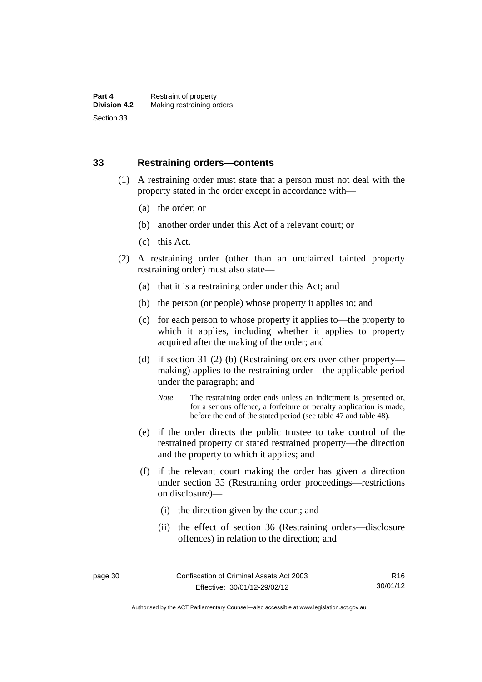### **33 Restraining orders—contents**

- (1) A restraining order must state that a person must not deal with the property stated in the order except in accordance with—
	- (a) the order; or
	- (b) another order under this Act of a relevant court; or
	- (c) this Act.
- (2) A restraining order (other than an unclaimed tainted property restraining order) must also state—
	- (a) that it is a restraining order under this Act; and
	- (b) the person (or people) whose property it applies to; and
	- (c) for each person to whose property it applies to—the property to which it applies, including whether it applies to property acquired after the making of the order; and
	- (d) if section 31 (2) (b) (Restraining orders over other property making) applies to the restraining order—the applicable period under the paragraph; and
		- *Note* The restraining order ends unless an indictment is presented or, for a serious offence, a forfeiture or penalty application is made, before the end of the stated period (see table 47 and table 48).
	- (e) if the order directs the public trustee to take control of the restrained property or stated restrained property—the direction and the property to which it applies; and
	- (f) if the relevant court making the order has given a direction under section 35 (Restraining order proceedings—restrictions on disclosure)—
		- (i) the direction given by the court; and
		- (ii) the effect of section 36 (Restraining orders—disclosure offences) in relation to the direction; and

Authorised by the ACT Parliamentary Counsel—also accessible at www.legislation.act.gov.au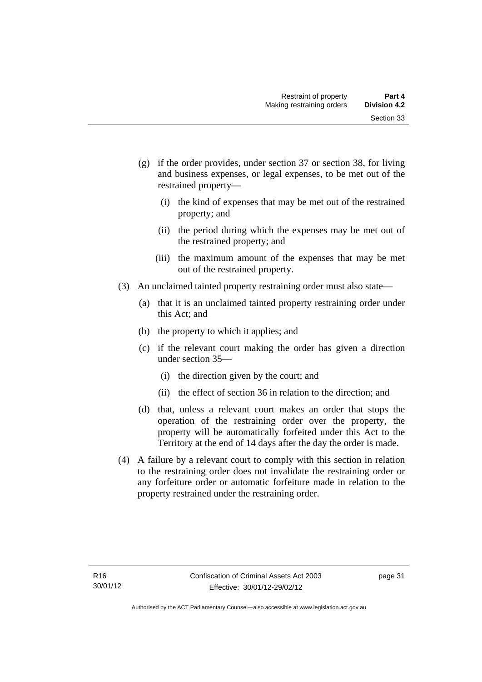- (g) if the order provides, under section 37 or section 38, for living and business expenses, or legal expenses, to be met out of the restrained property—
	- (i) the kind of expenses that may be met out of the restrained property; and
	- (ii) the period during which the expenses may be met out of the restrained property; and
	- (iii) the maximum amount of the expenses that may be met out of the restrained property.
- (3) An unclaimed tainted property restraining order must also state—
	- (a) that it is an unclaimed tainted property restraining order under this Act; and
	- (b) the property to which it applies; and
	- (c) if the relevant court making the order has given a direction under section 35—
		- (i) the direction given by the court; and
		- (ii) the effect of section 36 in relation to the direction; and
	- (d) that, unless a relevant court makes an order that stops the operation of the restraining order over the property, the property will be automatically forfeited under this Act to the Territory at the end of 14 days after the day the order is made.
- (4) A failure by a relevant court to comply with this section in relation to the restraining order does not invalidate the restraining order or any forfeiture order or automatic forfeiture made in relation to the property restrained under the restraining order.

page 31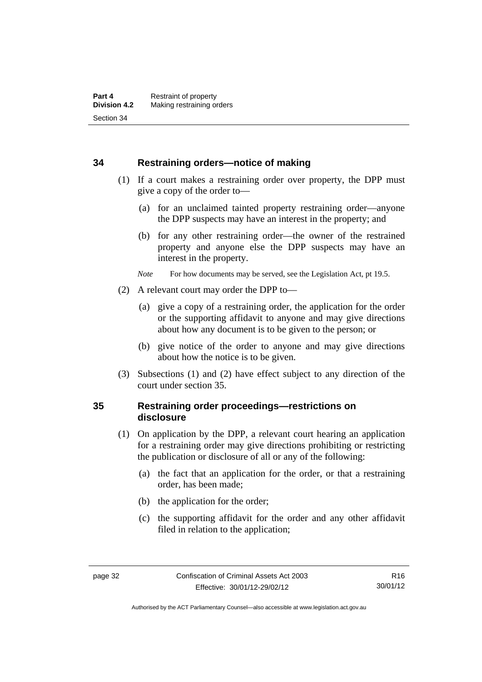#### **34 Restraining orders—notice of making**

- (1) If a court makes a restraining order over property, the DPP must give a copy of the order to—
	- (a) for an unclaimed tainted property restraining order—anyone the DPP suspects may have an interest in the property; and
	- (b) for any other restraining order—the owner of the restrained property and anyone else the DPP suspects may have an interest in the property.
	- *Note* For how documents may be served, see the Legislation Act, pt 19.5.
- (2) A relevant court may order the DPP to—
	- (a) give a copy of a restraining order, the application for the order or the supporting affidavit to anyone and may give directions about how any document is to be given to the person; or
	- (b) give notice of the order to anyone and may give directions about how the notice is to be given.
- (3) Subsections (1) and (2) have effect subject to any direction of the court under section 35.

# **35 Restraining order proceedings—restrictions on disclosure**

- (1) On application by the DPP, a relevant court hearing an application for a restraining order may give directions prohibiting or restricting the publication or disclosure of all or any of the following:
	- (a) the fact that an application for the order, or that a restraining order, has been made;
	- (b) the application for the order;
	- (c) the supporting affidavit for the order and any other affidavit filed in relation to the application;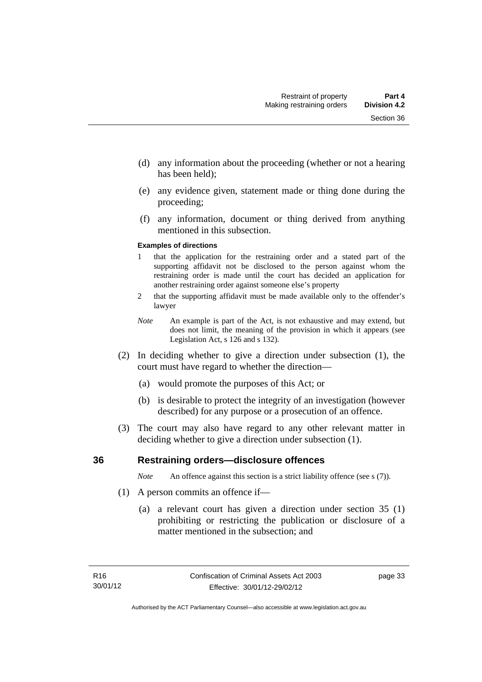- (d) any information about the proceeding (whether or not a hearing has been held);
- (e) any evidence given, statement made or thing done during the proceeding;
- (f) any information, document or thing derived from anything mentioned in this subsection.

#### **Examples of directions**

- 1 that the application for the restraining order and a stated part of the supporting affidavit not be disclosed to the person against whom the restraining order is made until the court has decided an application for another restraining order against someone else's property
- 2 that the supporting affidavit must be made available only to the offender's lawyer
- *Note* An example is part of the Act, is not exhaustive and may extend, but does not limit, the meaning of the provision in which it appears (see Legislation Act, s 126 and s 132).
- (2) In deciding whether to give a direction under subsection (1), the court must have regard to whether the direction—
	- (a) would promote the purposes of this Act; or
	- (b) is desirable to protect the integrity of an investigation (however described) for any purpose or a prosecution of an offence.
- (3) The court may also have regard to any other relevant matter in deciding whether to give a direction under subsection (1).

### **36 Restraining orders—disclosure offences**

*Note* An offence against this section is a strict liability offence (see s (7)).

- (1) A person commits an offence if—
	- (a) a relevant court has given a direction under section 35 (1) prohibiting or restricting the publication or disclosure of a matter mentioned in the subsection; and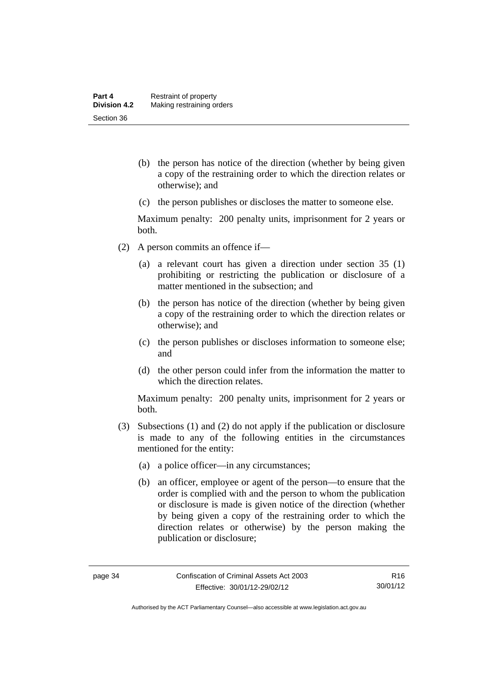- (b) the person has notice of the direction (whether by being given a copy of the restraining order to which the direction relates or otherwise); and
- (c) the person publishes or discloses the matter to someone else.

Maximum penalty: 200 penalty units, imprisonment for 2 years or both.

- (2) A person commits an offence if—
	- (a) a relevant court has given a direction under section 35 (1) prohibiting or restricting the publication or disclosure of a matter mentioned in the subsection; and
	- (b) the person has notice of the direction (whether by being given a copy of the restraining order to which the direction relates or otherwise); and
	- (c) the person publishes or discloses information to someone else; and
	- (d) the other person could infer from the information the matter to which the direction relates.

Maximum penalty: 200 penalty units, imprisonment for 2 years or both.

- (3) Subsections (1) and (2) do not apply if the publication or disclosure is made to any of the following entities in the circumstances mentioned for the entity:
	- (a) a police officer—in any circumstances;
	- (b) an officer, employee or agent of the person—to ensure that the order is complied with and the person to whom the publication or disclosure is made is given notice of the direction (whether by being given a copy of the restraining order to which the direction relates or otherwise) by the person making the publication or disclosure;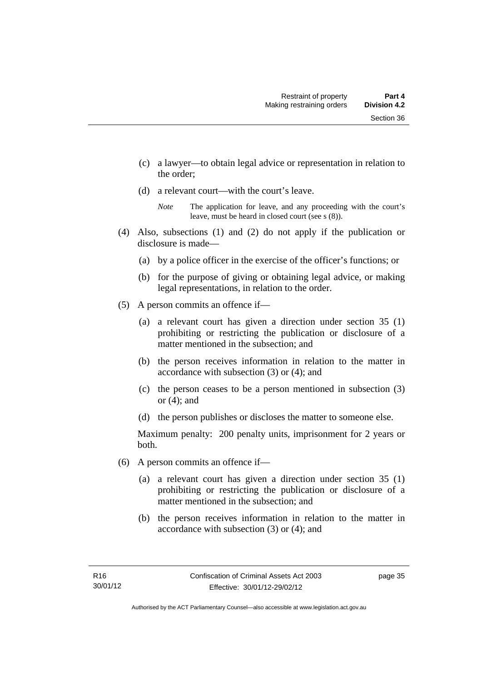- (c) a lawyer—to obtain legal advice or representation in relation to the order;
- (d) a relevant court—with the court's leave.

- (4) Also, subsections (1) and (2) do not apply if the publication or disclosure is made—
	- (a) by a police officer in the exercise of the officer's functions; or
	- (b) for the purpose of giving or obtaining legal advice, or making legal representations, in relation to the order.
- (5) A person commits an offence if—
	- (a) a relevant court has given a direction under section 35 (1) prohibiting or restricting the publication or disclosure of a matter mentioned in the subsection; and
	- (b) the person receives information in relation to the matter in accordance with subsection (3) or (4); and
	- (c) the person ceases to be a person mentioned in subsection (3) or (4); and
	- (d) the person publishes or discloses the matter to someone else.

Maximum penalty: 200 penalty units, imprisonment for 2 years or both.

- (6) A person commits an offence if—
	- (a) a relevant court has given a direction under section 35 (1) prohibiting or restricting the publication or disclosure of a matter mentioned in the subsection; and
	- (b) the person receives information in relation to the matter in accordance with subsection (3) or (4); and

*Note* The application for leave, and any proceeding with the court's leave, must be heard in closed court (see s (8)).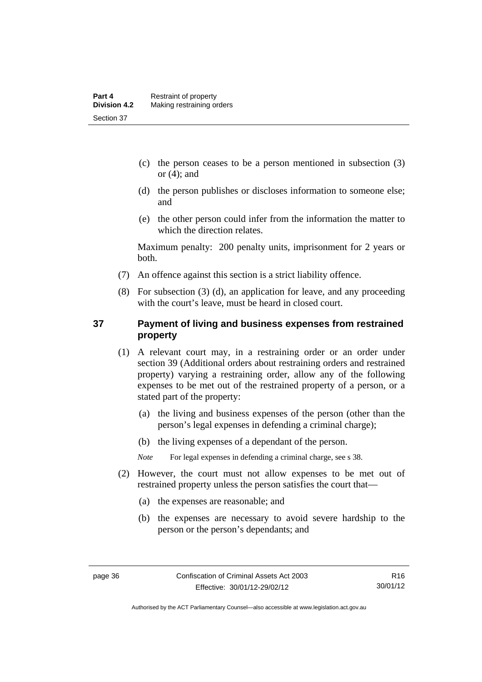- (c) the person ceases to be a person mentioned in subsection (3) or  $(4)$ ; and
- (d) the person publishes or discloses information to someone else; and
- (e) the other person could infer from the information the matter to which the direction relates.

Maximum penalty: 200 penalty units, imprisonment for 2 years or both.

- (7) An offence against this section is a strict liability offence.
- (8) For subsection (3) (d), an application for leave, and any proceeding with the court's leave, must be heard in closed court.

# **37 Payment of living and business expenses from restrained property**

- (1) A relevant court may, in a restraining order or an order under section 39 (Additional orders about restraining orders and restrained property) varying a restraining order, allow any of the following expenses to be met out of the restrained property of a person, or a stated part of the property:
	- (a) the living and business expenses of the person (other than the person's legal expenses in defending a criminal charge);
	- (b) the living expenses of a dependant of the person.

*Note* For legal expenses in defending a criminal charge, see s 38.

- (2) However, the court must not allow expenses to be met out of restrained property unless the person satisfies the court that—
	- (a) the expenses are reasonable; and
	- (b) the expenses are necessary to avoid severe hardship to the person or the person's dependants; and

Authorised by the ACT Parliamentary Counsel—also accessible at www.legislation.act.gov.au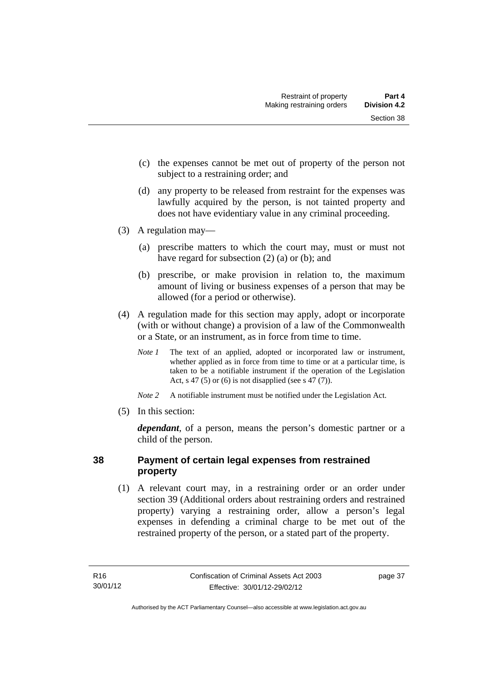- (c) the expenses cannot be met out of property of the person not subject to a restraining order; and
- (d) any property to be released from restraint for the expenses was lawfully acquired by the person, is not tainted property and does not have evidentiary value in any criminal proceeding.
- (3) A regulation may—
	- (a) prescribe matters to which the court may, must or must not have regard for subsection (2) (a) or (b); and
	- (b) prescribe, or make provision in relation to, the maximum amount of living or business expenses of a person that may be allowed (for a period or otherwise).
- (4) A regulation made for this section may apply, adopt or incorporate (with or without change) a provision of a law of the Commonwealth or a State, or an instrument, as in force from time to time.
	- *Note 1* The text of an applied, adopted or incorporated law or instrument, whether applied as in force from time to time or at a particular time, is taken to be a notifiable instrument if the operation of the Legislation Act, s 47 (5) or (6) is not disapplied (see s 47 (7)).
	- *Note 2* A notifiable instrument must be notified under the Legislation Act.
- (5) In this section:

*dependant*, of a person, means the person's domestic partner or a child of the person.

# **38 Payment of certain legal expenses from restrained property**

 (1) A relevant court may, in a restraining order or an order under section 39 (Additional orders about restraining orders and restrained property) varying a restraining order, allow a person's legal expenses in defending a criminal charge to be met out of the restrained property of the person, or a stated part of the property.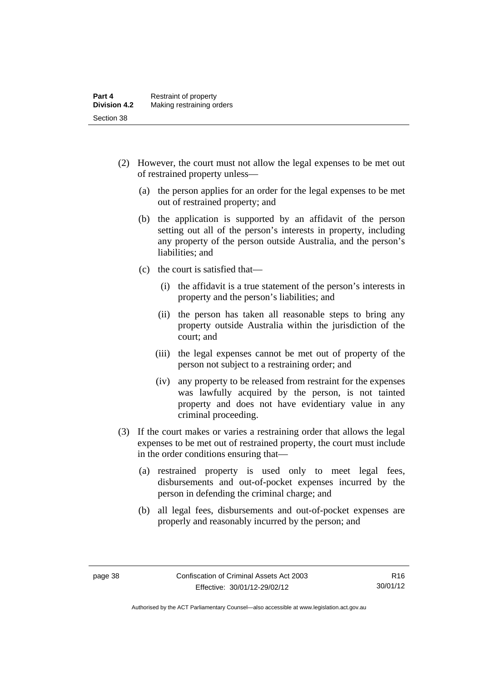- (2) However, the court must not allow the legal expenses to be met out of restrained property unless—
	- (a) the person applies for an order for the legal expenses to be met out of restrained property; and
	- (b) the application is supported by an affidavit of the person setting out all of the person's interests in property, including any property of the person outside Australia, and the person's liabilities; and
	- (c) the court is satisfied that—
		- (i) the affidavit is a true statement of the person's interests in property and the person's liabilities; and
		- (ii) the person has taken all reasonable steps to bring any property outside Australia within the jurisdiction of the court; and
		- (iii) the legal expenses cannot be met out of property of the person not subject to a restraining order; and
		- (iv) any property to be released from restraint for the expenses was lawfully acquired by the person, is not tainted property and does not have evidentiary value in any criminal proceeding.
- (3) If the court makes or varies a restraining order that allows the legal expenses to be met out of restrained property, the court must include in the order conditions ensuring that—
	- (a) restrained property is used only to meet legal fees, disbursements and out-of-pocket expenses incurred by the person in defending the criminal charge; and
	- (b) all legal fees, disbursements and out-of-pocket expenses are properly and reasonably incurred by the person; and

Authorised by the ACT Parliamentary Counsel—also accessible at www.legislation.act.gov.au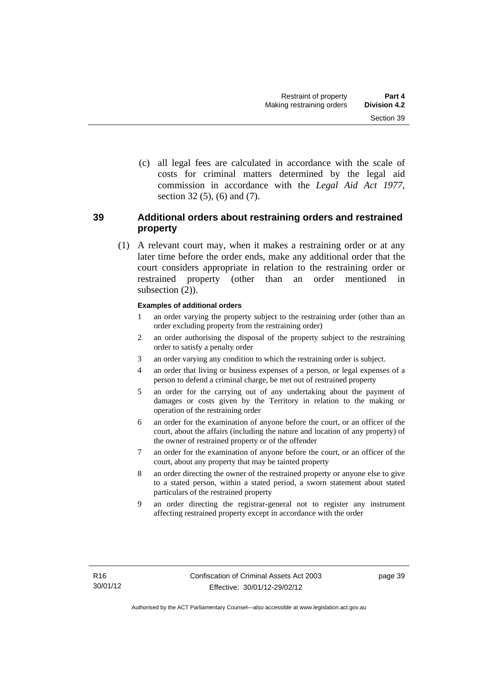(c) all legal fees are calculated in accordance with the scale of costs for criminal matters determined by the legal aid commission in accordance with the *Legal Aid Act 1977*, section 32 (5), (6) and (7).

# **39 Additional orders about restraining orders and restrained property**

 (1) A relevant court may, when it makes a restraining order or at any later time before the order ends, make any additional order that the court considers appropriate in relation to the restraining order or restrained property (other than an order mentioned in subsection  $(2)$ ).

#### **Examples of additional orders**

- 1 an order varying the property subject to the restraining order (other than an order excluding property from the restraining order)
- 2 an order authorising the disposal of the property subject to the restraining order to satisfy a penalty order
- 3 an order varying any condition to which the restraining order is subject.
- 4 an order that living or business expenses of a person, or legal expenses of a person to defend a criminal charge, be met out of restrained property
- 5 an order for the carrying out of any undertaking about the payment of damages or costs given by the Territory in relation to the making or operation of the restraining order
- 6 an order for the examination of anyone before the court, or an officer of the court, about the affairs (including the nature and location of any property) of the owner of restrained property or of the offender
- 7 an order for the examination of anyone before the court, or an officer of the court, about any property that may be tainted property
- 8 an order directing the owner of the restrained property or anyone else to give to a stated person, within a stated period, a sworn statement about stated particulars of the restrained property
- 9 an order directing the registrar-general not to register any instrument affecting restrained property except in accordance with the order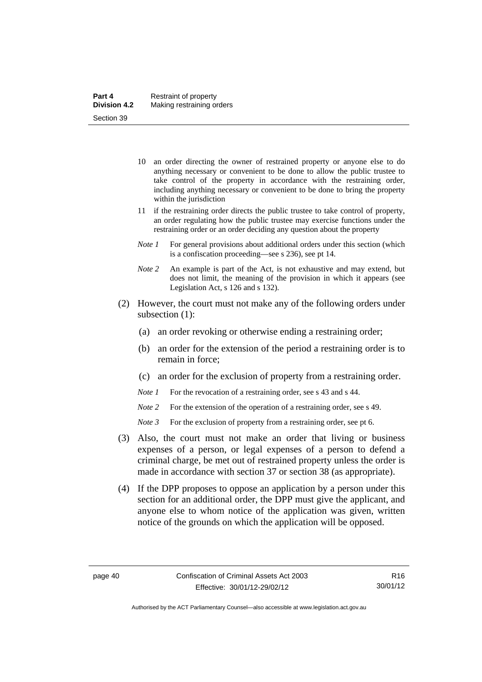- 10 an order directing the owner of restrained property or anyone else to do anything necessary or convenient to be done to allow the public trustee to take control of the property in accordance with the restraining order, including anything necessary or convenient to be done to bring the property within the jurisdiction
- 11 if the restraining order directs the public trustee to take control of property, an order regulating how the public trustee may exercise functions under the restraining order or an order deciding any question about the property
- *Note 1* For general provisions about additional orders under this section (which is a confiscation proceeding—see s 236), see pt 14.
- *Note 2* An example is part of the Act, is not exhaustive and may extend, but does not limit, the meaning of the provision in which it appears (see Legislation Act, s 126 and s 132).
- (2) However, the court must not make any of the following orders under subsection (1):
	- (a) an order revoking or otherwise ending a restraining order;
	- (b) an order for the extension of the period a restraining order is to remain in force;
	- (c) an order for the exclusion of property from a restraining order.
	- *Note 1* For the revocation of a restraining order, see s 43 and s 44.
	- *Note* 2 For the extension of the operation of a restraining order, see s 49.
	- *Note 3* For the exclusion of property from a restraining order, see pt 6.
- (3) Also, the court must not make an order that living or business expenses of a person, or legal expenses of a person to defend a criminal charge, be met out of restrained property unless the order is made in accordance with section 37 or section 38 (as appropriate).
- (4) If the DPP proposes to oppose an application by a person under this section for an additional order, the DPP must give the applicant, and anyone else to whom notice of the application was given, written notice of the grounds on which the application will be opposed.

Authorised by the ACT Parliamentary Counsel—also accessible at www.legislation.act.gov.au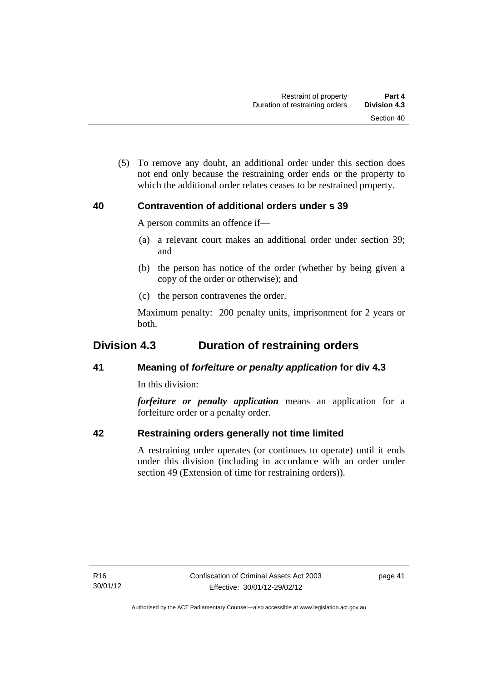(5) To remove any doubt, an additional order under this section does not end only because the restraining order ends or the property to which the additional order relates ceases to be restrained property.

# **40 Contravention of additional orders under s 39**

A person commits an offence if—

- (a) a relevant court makes an additional order under section 39; and
- (b) the person has notice of the order (whether by being given a copy of the order or otherwise); and
- (c) the person contravenes the order.

Maximum penalty: 200 penalty units, imprisonment for 2 years or both.

# **Division 4.3 Duration of restraining orders**

# **41 Meaning of** *forfeiture or penalty application* **for div 4.3**

In this division:

*forfeiture or penalty application* means an application for a forfeiture order or a penalty order.

# **42 Restraining orders generally not time limited**

A restraining order operates (or continues to operate) until it ends under this division (including in accordance with an order under section 49 (Extension of time for restraining orders)).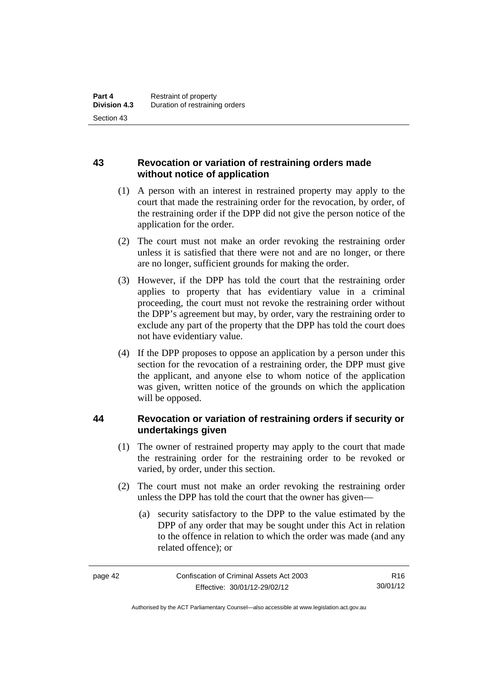# **43 Revocation or variation of restraining orders made without notice of application**

- (1) A person with an interest in restrained property may apply to the court that made the restraining order for the revocation, by order, of the restraining order if the DPP did not give the person notice of the application for the order.
- (2) The court must not make an order revoking the restraining order unless it is satisfied that there were not and are no longer, or there are no longer, sufficient grounds for making the order.
- (3) However, if the DPP has told the court that the restraining order applies to property that has evidentiary value in a criminal proceeding, the court must not revoke the restraining order without the DPP's agreement but may, by order, vary the restraining order to exclude any part of the property that the DPP has told the court does not have evidentiary value.
- (4) If the DPP proposes to oppose an application by a person under this section for the revocation of a restraining order, the DPP must give the applicant, and anyone else to whom notice of the application was given, written notice of the grounds on which the application will be opposed.

# **44 Revocation or variation of restraining orders if security or undertakings given**

- (1) The owner of restrained property may apply to the court that made the restraining order for the restraining order to be revoked or varied, by order, under this section.
- (2) The court must not make an order revoking the restraining order unless the DPP has told the court that the owner has given—
	- (a) security satisfactory to the DPP to the value estimated by the DPP of any order that may be sought under this Act in relation to the offence in relation to which the order was made (and any related offence); or

R16 30/01/12

Authorised by the ACT Parliamentary Counsel—also accessible at www.legislation.act.gov.au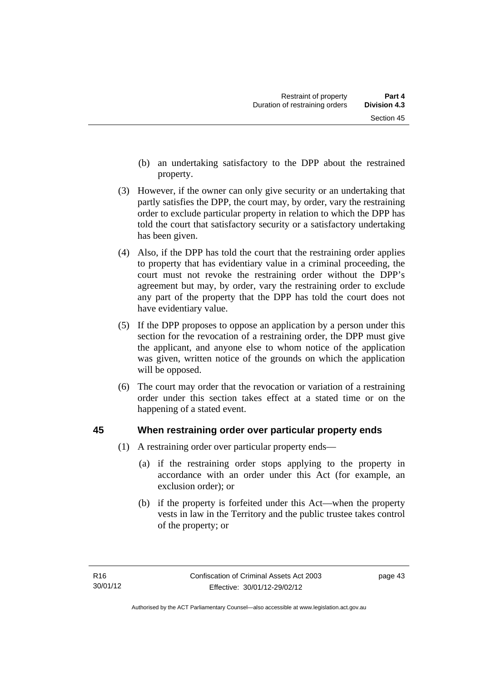- (b) an undertaking satisfactory to the DPP about the restrained property.
- (3) However, if the owner can only give security or an undertaking that partly satisfies the DPP, the court may, by order, vary the restraining order to exclude particular property in relation to which the DPP has told the court that satisfactory security or a satisfactory undertaking has been given.
- (4) Also, if the DPP has told the court that the restraining order applies to property that has evidentiary value in a criminal proceeding, the court must not revoke the restraining order without the DPP's agreement but may, by order, vary the restraining order to exclude any part of the property that the DPP has told the court does not have evidentiary value.
- (5) If the DPP proposes to oppose an application by a person under this section for the revocation of a restraining order, the DPP must give the applicant, and anyone else to whom notice of the application was given, written notice of the grounds on which the application will be opposed.
- (6) The court may order that the revocation or variation of a restraining order under this section takes effect at a stated time or on the happening of a stated event.

# **45 When restraining order over particular property ends**

- (1) A restraining order over particular property ends—
	- (a) if the restraining order stops applying to the property in accordance with an order under this Act (for example, an exclusion order); or
	- (b) if the property is forfeited under this Act—when the property vests in law in the Territory and the public trustee takes control of the property; or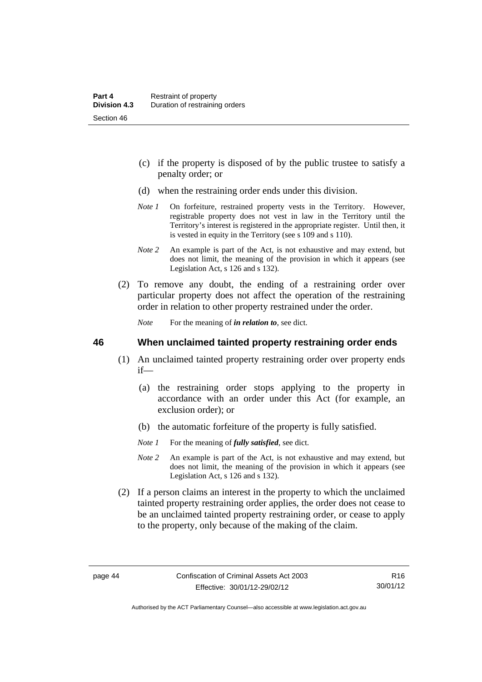- (c) if the property is disposed of by the public trustee to satisfy a penalty order; or
- (d) when the restraining order ends under this division.
- *Note 1* On forfeiture, restrained property vests in the Territory. However, registrable property does not vest in law in the Territory until the Territory's interest is registered in the appropriate register. Until then, it is vested in equity in the Territory (see s 109 and s 110).
- *Note 2* An example is part of the Act, is not exhaustive and may extend, but does not limit, the meaning of the provision in which it appears (see Legislation Act, s 126 and s 132).
- (2) To remove any doubt, the ending of a restraining order over particular property does not affect the operation of the restraining order in relation to other property restrained under the order.

*Note* For the meaning of *in relation to*, see dict.

#### **46 When unclaimed tainted property restraining order ends**

- (1) An unclaimed tainted property restraining order over property ends if—
	- (a) the restraining order stops applying to the property in accordance with an order under this Act (for example, an exclusion order); or
	- (b) the automatic forfeiture of the property is fully satisfied.
	- *Note 1* For the meaning of *fully satisfied*, see dict.
	- *Note 2* An example is part of the Act, is not exhaustive and may extend, but does not limit, the meaning of the provision in which it appears (see Legislation Act, s 126 and s 132).
- (2) If a person claims an interest in the property to which the unclaimed tainted property restraining order applies, the order does not cease to be an unclaimed tainted property restraining order, or cease to apply to the property, only because of the making of the claim.

Authorised by the ACT Parliamentary Counsel—also accessible at www.legislation.act.gov.au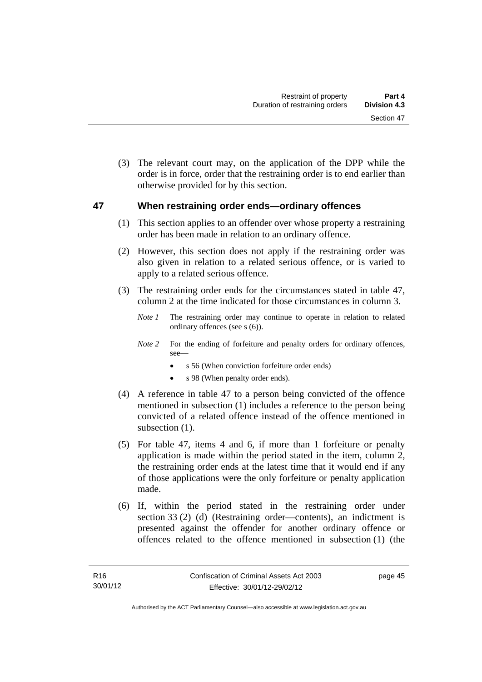(3) The relevant court may, on the application of the DPP while the order is in force, order that the restraining order is to end earlier than otherwise provided for by this section.

# **47 When restraining order ends—ordinary offences**

- (1) This section applies to an offender over whose property a restraining order has been made in relation to an ordinary offence.
- (2) However, this section does not apply if the restraining order was also given in relation to a related serious offence, or is varied to apply to a related serious offence.
- (3) The restraining order ends for the circumstances stated in table 47, column 2 at the time indicated for those circumstances in column 3.
	- *Note 1* The restraining order may continue to operate in relation to related ordinary offences (see s (6)).
	- *Note 2* For the ending of forfeiture and penalty orders for ordinary offences, see—
		- s 56 (When conviction forfeiture order ends)
		- s 98 (When penalty order ends).
- (4) A reference in table 47 to a person being convicted of the offence mentioned in subsection (1) includes a reference to the person being convicted of a related offence instead of the offence mentioned in subsection  $(1)$ .
- (5) For table 47, items 4 and 6, if more than 1 forfeiture or penalty application is made within the period stated in the item, column 2, the restraining order ends at the latest time that it would end if any of those applications were the only forfeiture or penalty application made.
- (6) If, within the period stated in the restraining order under section 33 (2) (d) (Restraining order—contents), an indictment is presented against the offender for another ordinary offence or offences related to the offence mentioned in subsection (1) (the

page 45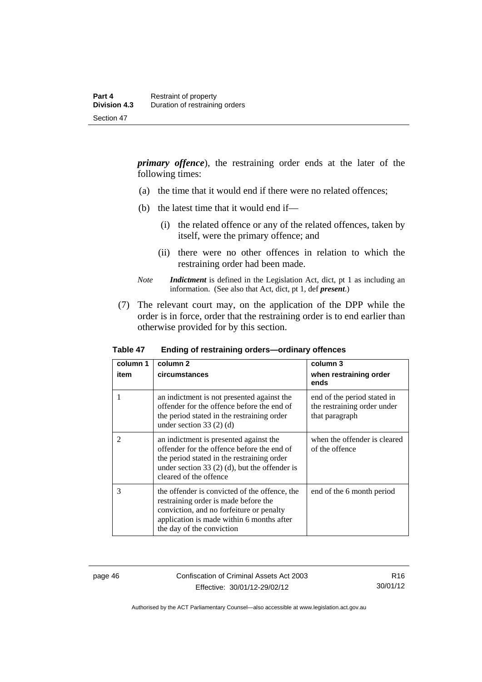*primary offence*), the restraining order ends at the later of the following times:

- (a) the time that it would end if there were no related offences;
- (b) the latest time that it would end if—
	- (i) the related offence or any of the related offences, taken by itself, were the primary offence; and
	- (ii) there were no other offences in relation to which the restraining order had been made.
- *Note Indictment* is defined in the Legislation Act, dict, pt 1 as including an information. (See also that Act, dict, pt 1, def *present*.)
- (7) The relevant court may, on the application of the DPP while the order is in force, order that the restraining order is to end earlier than otherwise provided for by this section.

| column 1<br>item | column 2<br>circumstances                                                                                                                                                                                       | column 3<br>when restraining order<br>ends                                   |
|------------------|-----------------------------------------------------------------------------------------------------------------------------------------------------------------------------------------------------------------|------------------------------------------------------------------------------|
|                  | an indictment is not presented against the<br>offender for the offence before the end of<br>the period stated in the restraining order<br>under section 33 $(2)$ $(d)$                                          | end of the period stated in<br>the restraining order under<br>that paragraph |
| $\mathfrak{D}$   | an indictment is presented against the<br>offender for the offence before the end of<br>the period stated in the restraining order<br>under section 33 $(2)$ (d), but the offender is<br>cleared of the offence | when the offender is cleared<br>of the offence                               |
| 3                | the offender is convicted of the offence, the<br>restraining order is made before the<br>conviction, and no forfeiture or penalty<br>application is made within 6 months after<br>the day of the conviction     | end of the 6 month period                                                    |

#### **Table 47 Ending of restraining orders—ordinary offences**

page 46 Confiscation of Criminal Assets Act 2003 Effective: 30/01/12-29/02/12

R16 30/01/12

Authorised by the ACT Parliamentary Counsel—also accessible at www.legislation.act.gov.au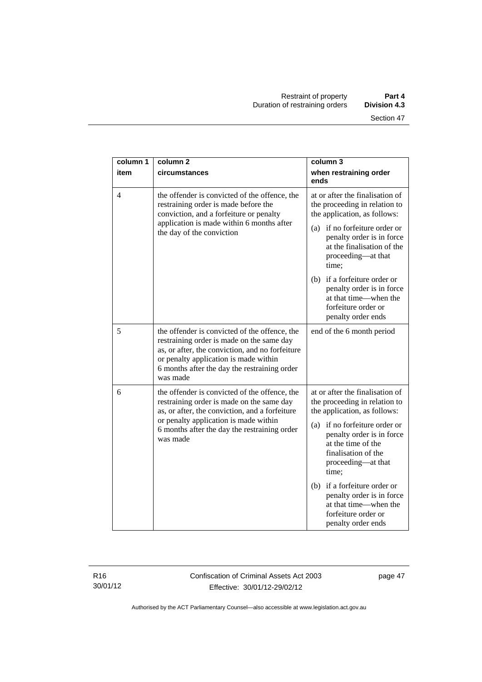| column 1       | column <sub>2</sub>                                                                                                                                                                                                                                | column 3                                                                                                                               |
|----------------|----------------------------------------------------------------------------------------------------------------------------------------------------------------------------------------------------------------------------------------------------|----------------------------------------------------------------------------------------------------------------------------------------|
| item           | circumstances                                                                                                                                                                                                                                      | when restraining order<br>ends                                                                                                         |
| $\overline{4}$ | the offender is convicted of the offence, the<br>restraining order is made before the<br>conviction, and a forfeiture or penalty<br>application is made within 6 months after<br>the day of the conviction                                         | at or after the finalisation of<br>the proceeding in relation to<br>the application, as follows:                                       |
|                |                                                                                                                                                                                                                                                    | (a) if no forfeiture order or<br>penalty order is in force<br>at the finalisation of the<br>proceeding—at that<br>time;                |
|                |                                                                                                                                                                                                                                                    | (b) if a forfeiture order or<br>penalty order is in force<br>at that time—when the<br>forfeiture order or<br>penalty order ends        |
| 5              | the offender is convicted of the offence, the<br>restraining order is made on the same day<br>as, or after, the conviction, and no forfeiture<br>or penalty application is made within<br>6 months after the day the restraining order<br>was made | end of the 6 month period                                                                                                              |
| 6              | the offender is convicted of the offence, the<br>restraining order is made on the same day<br>as, or after, the conviction, and a forfeiture<br>or penalty application is made within<br>6 months after the day the restraining order<br>was made  | at or after the finalisation of<br>the proceeding in relation to<br>the application, as follows:                                       |
|                |                                                                                                                                                                                                                                                    | (a) if no forfeiture order or<br>penalty order is in force<br>at the time of the<br>finalisation of the<br>proceeding-at that<br>time; |
|                |                                                                                                                                                                                                                                                    | (b) if a forfeiture order or<br>penalty order is in force<br>at that time—when the<br>forfeiture order or<br>penalty order ends        |

R16 30/01/12 Confiscation of Criminal Assets Act 2003 Effective: 30/01/12-29/02/12

page 47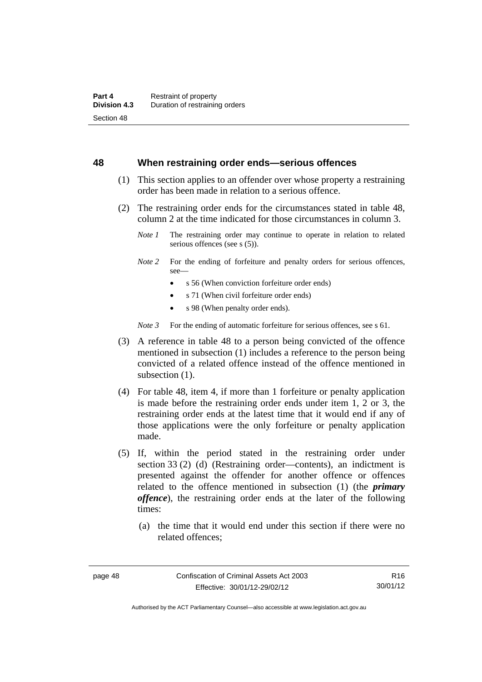#### **48 When restraining order ends—serious offences**

- (1) This section applies to an offender over whose property a restraining order has been made in relation to a serious offence.
- (2) The restraining order ends for the circumstances stated in table 48, column 2 at the time indicated for those circumstances in column 3.
	- *Note 1* The restraining order may continue to operate in relation to related serious offences (see s (5)).
	- *Note 2* For the ending of forfeiture and penalty orders for serious offences, see—
		- s 56 (When conviction forfeiture order ends)
		- s 71 (When civil forfeiture order ends)
		- s 98 (When penalty order ends).

*Note* 3 For the ending of automatic forfeiture for serious offences, see s 61.

- (3) A reference in table 48 to a person being convicted of the offence mentioned in subsection (1) includes a reference to the person being convicted of a related offence instead of the offence mentioned in subsection  $(1)$ .
- (4) For table 48, item 4, if more than 1 forfeiture or penalty application is made before the restraining order ends under item 1, 2 or 3, the restraining order ends at the latest time that it would end if any of those applications were the only forfeiture or penalty application made.
- (5) If, within the period stated in the restraining order under section 33 (2) (d) (Restraining order—contents), an indictment is presented against the offender for another offence or offences related to the offence mentioned in subsection (1) (the *primary offence*), the restraining order ends at the later of the following times:
	- (a) the time that it would end under this section if there were no related offences;

R16 30/01/12

Authorised by the ACT Parliamentary Counsel—also accessible at www.legislation.act.gov.au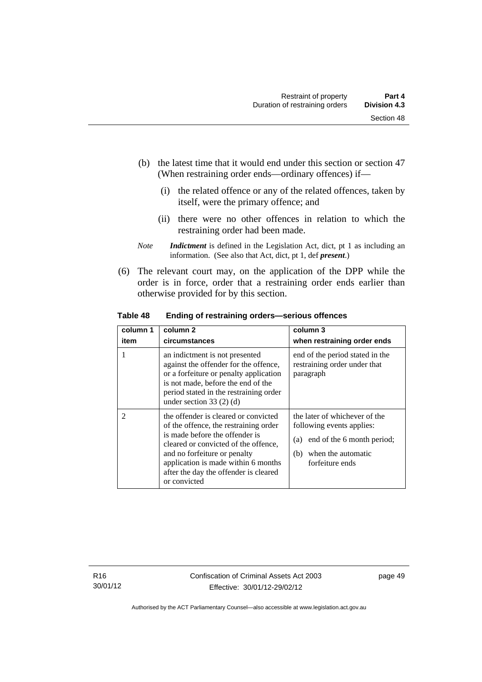- (b) the latest time that it would end under this section or section 47 (When restraining order ends—ordinary offences) if—
	- (i) the related offence or any of the related offences, taken by itself, were the primary offence; and
	- (ii) there were no other offences in relation to which the restraining order had been made.
- *Note Indictment* is defined in the Legislation Act, dict, pt 1 as including an information. (See also that Act, dict, pt 1, def *present*.)
- (6) The relevant court may, on the application of the DPP while the order is in force, order that a restraining order ends earlier than otherwise provided for by this section.

| column 1<br>item | column <sub>2</sub><br>circumstances                                                                                                                                                                                                                                                    | column 3<br>when restraining order ends                                                                                                         |
|------------------|-----------------------------------------------------------------------------------------------------------------------------------------------------------------------------------------------------------------------------------------------------------------------------------------|-------------------------------------------------------------------------------------------------------------------------------------------------|
|                  | an indictment is not presented<br>against the offender for the offence,<br>or a forfeiture or penalty application<br>is not made, before the end of the<br>period stated in the restraining order<br>under section $33(2)$ (d)                                                          | end of the period stated in the<br>restraining order under that<br>paragraph                                                                    |
| $\mathfrak{D}$   | the offender is cleared or convicted<br>of the offence, the restraining order<br>is made before the offender is<br>cleared or convicted of the offence,<br>and no forfeiture or penalty<br>application is made within 6 months<br>after the day the offender is cleared<br>or convicted | the later of whichever of the<br>following events applies:<br>end of the 6 month period;<br>(a)<br>when the automatic<br>(b)<br>forfeiture ends |

**Table 48 Ending of restraining orders—serious offences**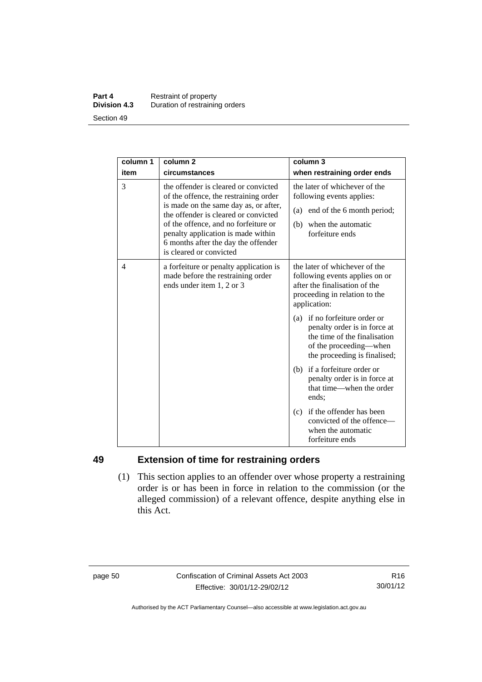#### **Part 4 Restraint of property**<br>**Division 4.3** Duration of restrainin **Division 4.3** Duration of restraining orders Section 49

| column 1 | column <sub>2</sub>                                                                                                                                                                                                                                                                                            | column 3                                                                                                                                                |
|----------|----------------------------------------------------------------------------------------------------------------------------------------------------------------------------------------------------------------------------------------------------------------------------------------------------------------|---------------------------------------------------------------------------------------------------------------------------------------------------------|
| item     | circumstances                                                                                                                                                                                                                                                                                                  | when restraining order ends                                                                                                                             |
| 3        | the offender is cleared or convicted<br>of the offence, the restraining order<br>is made on the same day as, or after,<br>the offender is cleared or convicted<br>of the offence, and no forfeiture or<br>penalty application is made within<br>6 months after the day the offender<br>is cleared or convicted | the later of whichever of the<br>following events applies:<br>(a) end of the 6 month period;<br>when the automatic<br>(b)<br>forfeiture ends            |
| 4        | a forfeiture or penalty application is<br>made before the restraining order<br>ends under item 1, 2 or 3                                                                                                                                                                                                       | the later of whichever of the<br>following events applies on or<br>after the finalisation of the<br>proceeding in relation to the<br>application:       |
|          |                                                                                                                                                                                                                                                                                                                | (a) if no forfeiture order or<br>penalty order is in force at<br>the time of the finalisation<br>of the proceeding—when<br>the proceeding is finalised; |
|          |                                                                                                                                                                                                                                                                                                                | (b) if a forfeiture order or<br>penalty order is in force at<br>that time—when the order<br>ends:                                                       |
|          |                                                                                                                                                                                                                                                                                                                | (c) if the offender has been<br>convicted of the offence—<br>when the automatic<br>forfeiture ends                                                      |

# **49 Extension of time for restraining orders**

 (1) This section applies to an offender over whose property a restraining order is or has been in force in relation to the commission (or the alleged commission) of a relevant offence, despite anything else in this Act.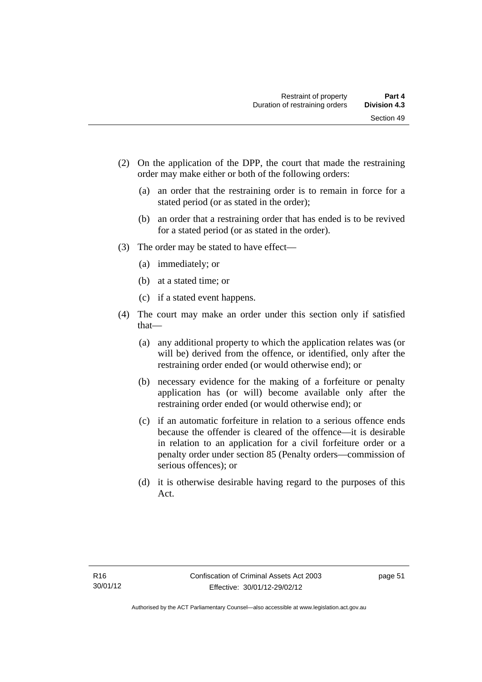- (2) On the application of the DPP, the court that made the restraining order may make either or both of the following orders:
	- (a) an order that the restraining order is to remain in force for a stated period (or as stated in the order);
	- (b) an order that a restraining order that has ended is to be revived for a stated period (or as stated in the order).
- (3) The order may be stated to have effect—
	- (a) immediately; or
	- (b) at a stated time; or
	- (c) if a stated event happens.
- (4) The court may make an order under this section only if satisfied that—
	- (a) any additional property to which the application relates was (or will be) derived from the offence, or identified, only after the restraining order ended (or would otherwise end); or
	- (b) necessary evidence for the making of a forfeiture or penalty application has (or will) become available only after the restraining order ended (or would otherwise end); or
	- (c) if an automatic forfeiture in relation to a serious offence ends because the offender is cleared of the offence—it is desirable in relation to an application for a civil forfeiture order or a penalty order under section 85 (Penalty orders—commission of serious offences); or
	- (d) it is otherwise desirable having regard to the purposes of this Act.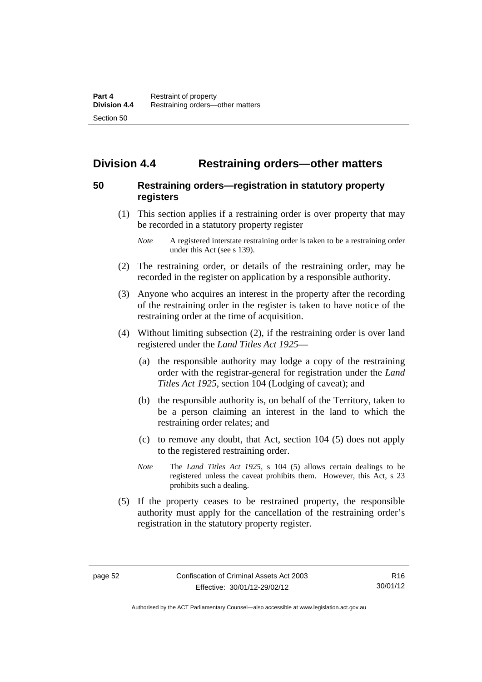# **Division 4.4 Restraining orders—other matters**

# **50 Restraining orders—registration in statutory property registers**

 (1) This section applies if a restraining order is over property that may be recorded in a statutory property register

- (2) The restraining order, or details of the restraining order, may be recorded in the register on application by a responsible authority.
- (3) Anyone who acquires an interest in the property after the recording of the restraining order in the register is taken to have notice of the restraining order at the time of acquisition.
- (4) Without limiting subsection (2), if the restraining order is over land registered under the *Land Titles Act 1925*—
	- (a) the responsible authority may lodge a copy of the restraining order with the registrar-general for registration under the *Land Titles Act 1925*, section 104 (Lodging of caveat); and
	- (b) the responsible authority is, on behalf of the Territory, taken to be a person claiming an interest in the land to which the restraining order relates; and
	- (c) to remove any doubt, that Act, section 104 (5) does not apply to the registered restraining order.
	- *Note* The *Land Titles Act 1925*, s 104 (5) allows certain dealings to be registered unless the caveat prohibits them. However, this Act, s 23 prohibits such a dealing.
- (5) If the property ceases to be restrained property, the responsible authority must apply for the cancellation of the restraining order's registration in the statutory property register.

*Note* A registered interstate restraining order is taken to be a restraining order under this Act (see s 139).

R16 30/01/12

Authorised by the ACT Parliamentary Counsel—also accessible at www.legislation.act.gov.au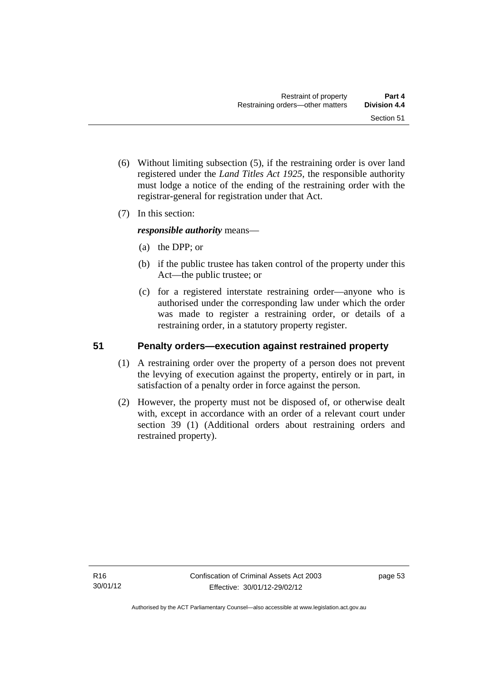- (6) Without limiting subsection (5), if the restraining order is over land registered under the *Land Titles Act 1925*, the responsible authority must lodge a notice of the ending of the restraining order with the registrar-general for registration under that Act.
- (7) In this section:

*responsible authority* means—

- (a) the DPP; or
- (b) if the public trustee has taken control of the property under this Act—the public trustee; or
- (c) for a registered interstate restraining order—anyone who is authorised under the corresponding law under which the order was made to register a restraining order, or details of a restraining order, in a statutory property register.

# **51 Penalty orders—execution against restrained property**

- (1) A restraining order over the property of a person does not prevent the levying of execution against the property, entirely or in part, in satisfaction of a penalty order in force against the person.
- (2) However, the property must not be disposed of, or otherwise dealt with, except in accordance with an order of a relevant court under section 39 (1) (Additional orders about restraining orders and restrained property).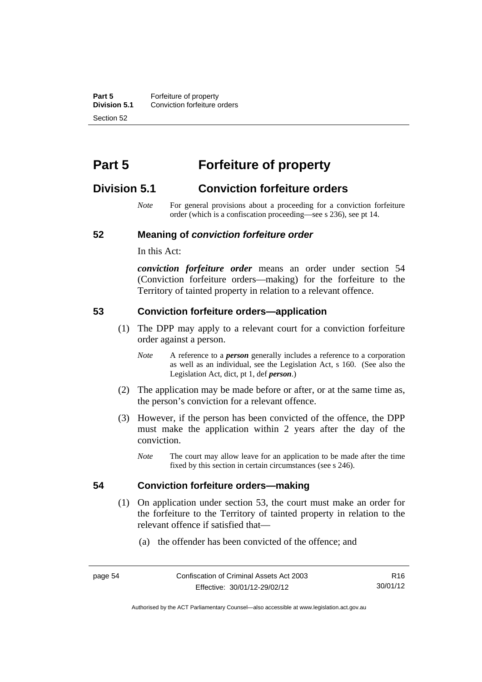**Part 5 Forfeiture of property**<br>**Division 5.1** Conviction forfeiture of **Division 5.1** Conviction forfeiture orders Section 52

# **Part 5 Forfeiture of property**

# **Division 5.1 Conviction forfeiture orders**

*Note* For general provisions about a proceeding for a conviction forfeiture order (which is a confiscation proceeding—see s 236), see pt 14.

#### **52 Meaning of** *conviction forfeiture order*

In this Act:

*conviction forfeiture order* means an order under section 54 (Conviction forfeiture orders—making) for the forfeiture to the Territory of tainted property in relation to a relevant offence.

#### **53 Conviction forfeiture orders—application**

- (1) The DPP may apply to a relevant court for a conviction forfeiture order against a person.
	- *Note* A reference to a *person* generally includes a reference to a corporation as well as an individual, see the Legislation Act, s 160. (See also the Legislation Act, dict, pt 1, def *person*.)
- (2) The application may be made before or after, or at the same time as, the person's conviction for a relevant offence.
- (3) However, if the person has been convicted of the offence, the DPP must make the application within 2 years after the day of the conviction.
	- *Note* The court may allow leave for an application to be made after the time fixed by this section in certain circumstances (see s 246).

#### **54 Conviction forfeiture orders—making**

- (1) On application under section 53, the court must make an order for the forfeiture to the Territory of tainted property in relation to the
	- (a) the offender has been convicted of the offence; and

relevant offence if satisfied that—

R16 30/01/12

Authorised by the ACT Parliamentary Counsel—also accessible at www.legislation.act.gov.au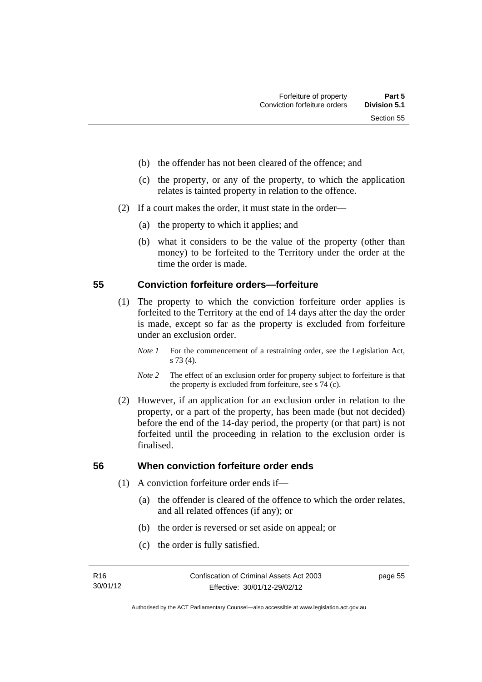- (b) the offender has not been cleared of the offence; and
- (c) the property, or any of the property, to which the application relates is tainted property in relation to the offence.
- (2) If a court makes the order, it must state in the order—
	- (a) the property to which it applies; and
	- (b) what it considers to be the value of the property (other than money) to be forfeited to the Territory under the order at the time the order is made.

### **55 Conviction forfeiture orders—forfeiture**

- (1) The property to which the conviction forfeiture order applies is forfeited to the Territory at the end of 14 days after the day the order is made, except so far as the property is excluded from forfeiture under an exclusion order.
	- *Note 1* For the commencement of a restraining order, see the Legislation Act, s 73 (4).
	- *Note 2* The effect of an exclusion order for property subject to forfeiture is that the property is excluded from forfeiture, see s 74 (c).
- (2) However, if an application for an exclusion order in relation to the property, or a part of the property, has been made (but not decided) before the end of the 14-day period, the property (or that part) is not forfeited until the proceeding in relation to the exclusion order is finalised.

# **56 When conviction forfeiture order ends**

- (1) A conviction forfeiture order ends if—
	- (a) the offender is cleared of the offence to which the order relates, and all related offences (if any); or
	- (b) the order is reversed or set aside on appeal; or
	- (c) the order is fully satisfied.

page 55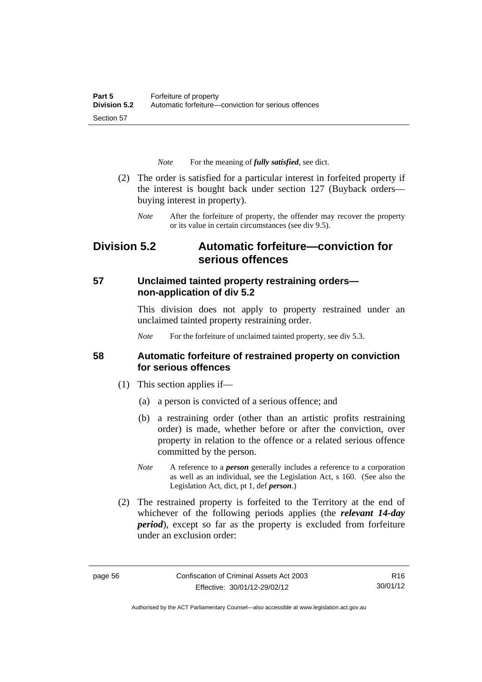*Note* For the meaning of *fully satisfied*, see dict.

- (2) The order is satisfied for a particular interest in forfeited property if the interest is bought back under section 127 (Buyback orders buying interest in property).
	- *Note* After the forfeiture of property, the offender may recover the property or its value in certain circumstances (see div 9.5).

# **Division 5.2 Automatic forfeiture—conviction for serious offences**

# **57 Unclaimed tainted property restraining orders non-application of div 5.2**

This division does not apply to property restrained under an unclaimed tainted property restraining order.

*Note* For the forfeiture of unclaimed tainted property, see div 5.3.

### **58 Automatic forfeiture of restrained property on conviction for serious offences**

- (1) This section applies if—
	- (a) a person is convicted of a serious offence; and
	- (b) a restraining order (other than an artistic profits restraining order) is made, whether before or after the conviction, over property in relation to the offence or a related serious offence committed by the person.
	- *Note* A reference to a *person* generally includes a reference to a corporation as well as an individual, see the Legislation Act, s 160. (See also the Legislation Act, dict, pt 1, def *person*.)
- (2) The restrained property is forfeited to the Territory at the end of whichever of the following periods applies (the *relevant 14-day period*), except so far as the property is excluded from forfeiture under an exclusion order:

R16 30/01/12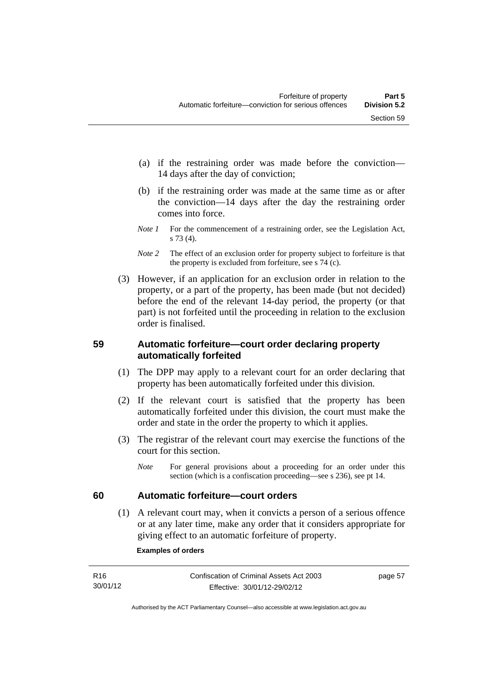- (a) if the restraining order was made before the conviction— 14 days after the day of conviction;
- (b) if the restraining order was made at the same time as or after the conviction—14 days after the day the restraining order comes into force.
- *Note 1* For the commencement of a restraining order, see the Legislation Act, s 73 (4).
- *Note* 2 The effect of an exclusion order for property subject to forfeiture is that the property is excluded from forfeiture, see s 74 (c).
- (3) However, if an application for an exclusion order in relation to the property, or a part of the property, has been made (but not decided) before the end of the relevant 14-day period, the property (or that part) is not forfeited until the proceeding in relation to the exclusion order is finalised.

# **59 Automatic forfeiture—court order declaring property automatically forfeited**

- (1) The DPP may apply to a relevant court for an order declaring that property has been automatically forfeited under this division.
- (2) If the relevant court is satisfied that the property has been automatically forfeited under this division, the court must make the order and state in the order the property to which it applies.
- (3) The registrar of the relevant court may exercise the functions of the court for this section.
	- *Note* For general provisions about a proceeding for an order under this section (which is a confiscation proceeding—see s 236), see pt 14.

# **60 Automatic forfeiture—court orders**

 (1) A relevant court may, when it convicts a person of a serious offence or at any later time, make any order that it considers appropriate for giving effect to an automatic forfeiture of property.

#### **Examples of orders**

| R <sub>16</sub> | Confiscation of Criminal Assets Act 2003 | page 57 |
|-----------------|------------------------------------------|---------|
| 30/01/12        | Effective: 30/01/12-29/02/12             |         |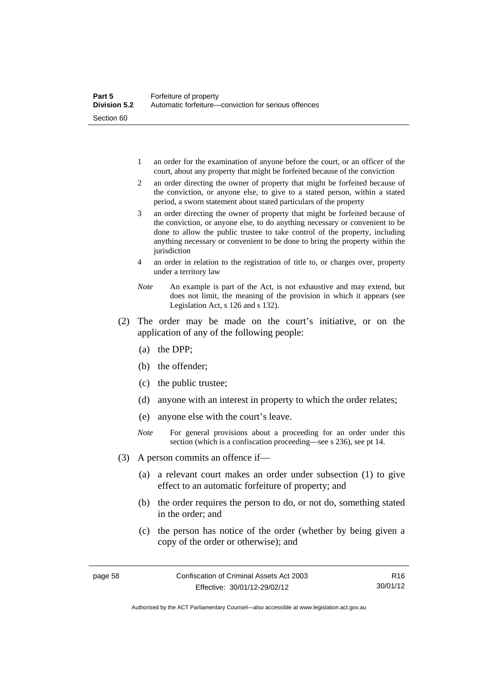- 1 an order for the examination of anyone before the court, or an officer of the court, about any property that might be forfeited because of the conviction
- 2 an order directing the owner of property that might be forfeited because of the conviction, or anyone else, to give to a stated person, within a stated period, a sworn statement about stated particulars of the property
- 3 an order directing the owner of property that might be forfeited because of the conviction, or anyone else, to do anything necessary or convenient to be done to allow the public trustee to take control of the property, including anything necessary or convenient to be done to bring the property within the jurisdiction
- 4 an order in relation to the registration of title to, or charges over, property under a territory law
- *Note* An example is part of the Act, is not exhaustive and may extend, but does not limit, the meaning of the provision in which it appears (see Legislation Act, s 126 and s 132).
- (2) The order may be made on the court's initiative, or on the application of any of the following people:
	- (a) the DPP;
	- (b) the offender;
	- (c) the public trustee;
	- (d) anyone with an interest in property to which the order relates;
	- (e) anyone else with the court's leave.
	- *Note* For general provisions about a proceeding for an order under this section (which is a confiscation proceeding—see s 236), see pt 14.
- (3) A person commits an offence if—
	- (a) a relevant court makes an order under subsection (1) to give effect to an automatic forfeiture of property; and
	- (b) the order requires the person to do, or not do, something stated in the order; and
	- (c) the person has notice of the order (whether by being given a copy of the order or otherwise); and

R16 30/01/12

Authorised by the ACT Parliamentary Counsel—also accessible at www.legislation.act.gov.au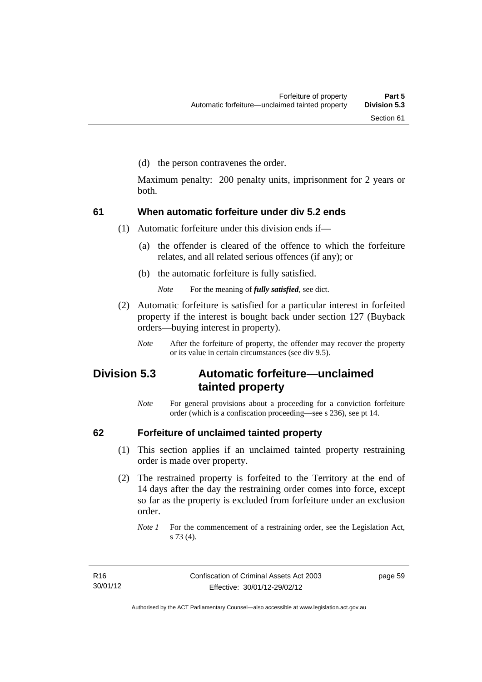(d) the person contravenes the order.

Maximum penalty: 200 penalty units, imprisonment for 2 years or both.

### **61 When automatic forfeiture under div 5.2 ends**

(1) Automatic forfeiture under this division ends if—

- (a) the offender is cleared of the offence to which the forfeiture relates, and all related serious offences (if any); or
- (b) the automatic forfeiture is fully satisfied.

*Note* For the meaning of *fully satisfied*, see dict.

- (2) Automatic forfeiture is satisfied for a particular interest in forfeited property if the interest is bought back under section 127 (Buyback orders—buying interest in property).
	- *Note* After the forfeiture of property, the offender may recover the property or its value in certain circumstances (see div 9.5).

# **Division 5.3 Automatic forfeiture—unclaimed tainted property**

*Note* For general provisions about a proceeding for a conviction forfeiture order (which is a confiscation proceeding—see s 236), see pt 14.

### **62 Forfeiture of unclaimed tainted property**

- (1) This section applies if an unclaimed tainted property restraining order is made over property.
- (2) The restrained property is forfeited to the Territory at the end of 14 days after the day the restraining order comes into force, except so far as the property is excluded from forfeiture under an exclusion order.

*Note 1* For the commencement of a restraining order, see the Legislation Act, s 73 (4).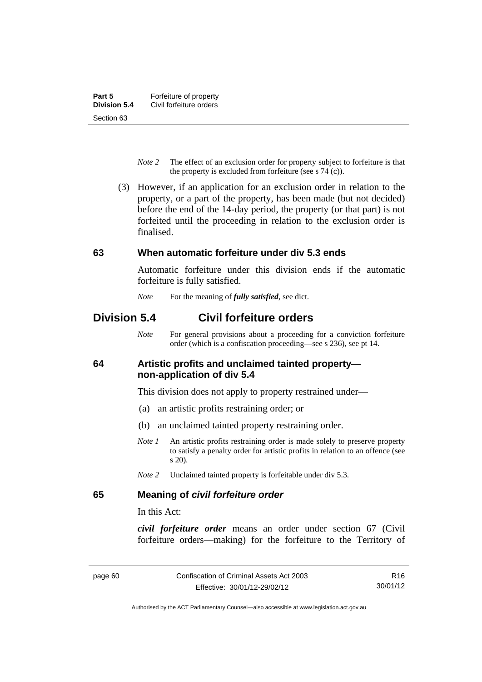- *Note 2* The effect of an exclusion order for property subject to forfeiture is that the property is excluded from forfeiture (see s 74 (c)).
- (3) However, if an application for an exclusion order in relation to the property, or a part of the property, has been made (but not decided) before the end of the 14-day period, the property (or that part) is not forfeited until the proceeding in relation to the exclusion order is finalised.

### **63 When automatic forfeiture under div 5.3 ends**

Automatic forfeiture under this division ends if the automatic forfeiture is fully satisfied.

*Note* For the meaning of *fully satisfied*, see dict.

# **Division 5.4 Civil forfeiture orders**

*Note* For general provisions about a proceeding for a conviction forfeiture order (which is a confiscation proceeding—see s 236), see pt 14.

### **64 Artistic profits and unclaimed tainted property non-application of div 5.4**

This division does not apply to property restrained under—

- (a) an artistic profits restraining order; or
- (b) an unclaimed tainted property restraining order.
- *Note 1* An artistic profits restraining order is made solely to preserve property to satisfy a penalty order for artistic profits in relation to an offence (see s 20).
- *Note 2* Unclaimed tainted property is forfeitable under div 5.3.

### **65 Meaning of** *civil forfeiture order*

In this Act:

*civil forfeiture order* means an order under section 67 (Civil forfeiture orders—making) for the forfeiture to the Territory of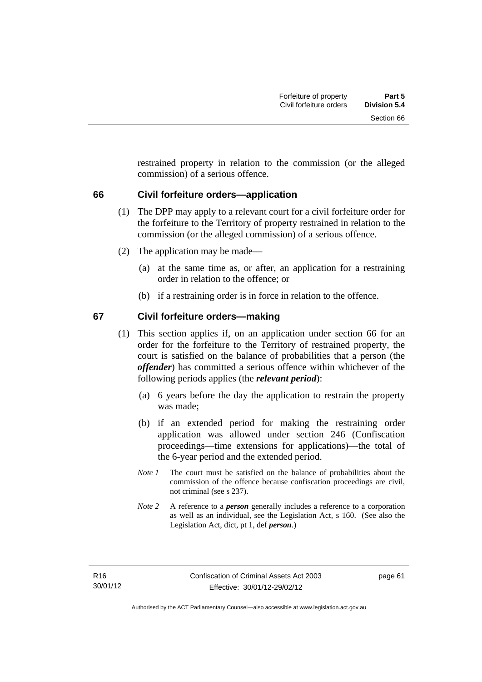restrained property in relation to the commission (or the alleged commission) of a serious offence.

### **66 Civil forfeiture orders—application**

- (1) The DPP may apply to a relevant court for a civil forfeiture order for the forfeiture to the Territory of property restrained in relation to the commission (or the alleged commission) of a serious offence.
- (2) The application may be made—
	- (a) at the same time as, or after, an application for a restraining order in relation to the offence; or
	- (b) if a restraining order is in force in relation to the offence.

### **67 Civil forfeiture orders—making**

- (1) This section applies if, on an application under section 66 for an order for the forfeiture to the Territory of restrained property, the court is satisfied on the balance of probabilities that a person (the *offender*) has committed a serious offence within whichever of the following periods applies (the *relevant period*):
	- (a) 6 years before the day the application to restrain the property was made;
	- (b) if an extended period for making the restraining order application was allowed under section 246 (Confiscation proceedings—time extensions for applications)—the total of the 6-year period and the extended period.
	- *Note 1* The court must be satisfied on the balance of probabilities about the commission of the offence because confiscation proceedings are civil, not criminal (see s 237).
	- *Note 2* A reference to a *person* generally includes a reference to a corporation as well as an individual, see the Legislation Act, s 160. (See also the Legislation Act, dict, pt 1, def *person*.)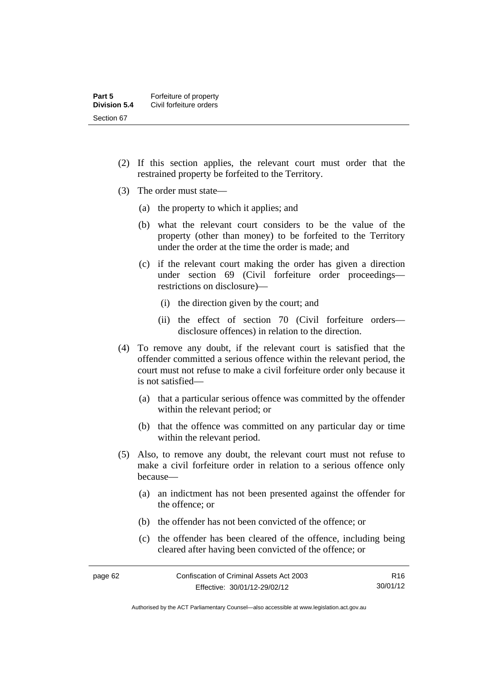- (2) If this section applies, the relevant court must order that the restrained property be forfeited to the Territory.
- (3) The order must state—
	- (a) the property to which it applies; and
	- (b) what the relevant court considers to be the value of the property (other than money) to be forfeited to the Territory under the order at the time the order is made; and
	- (c) if the relevant court making the order has given a direction under section 69 (Civil forfeiture order proceedings restrictions on disclosure)—
		- (i) the direction given by the court; and
		- (ii) the effect of section 70 (Civil forfeiture orders disclosure offences) in relation to the direction.
- (4) To remove any doubt, if the relevant court is satisfied that the offender committed a serious offence within the relevant period, the court must not refuse to make a civil forfeiture order only because it is not satisfied—
	- (a) that a particular serious offence was committed by the offender within the relevant period; or
	- (b) that the offence was committed on any particular day or time within the relevant period.
- (5) Also, to remove any doubt, the relevant court must not refuse to make a civil forfeiture order in relation to a serious offence only because—
	- (a) an indictment has not been presented against the offender for the offence; or
	- (b) the offender has not been convicted of the offence; or
	- (c) the offender has been cleared of the offence, including being cleared after having been convicted of the offence; or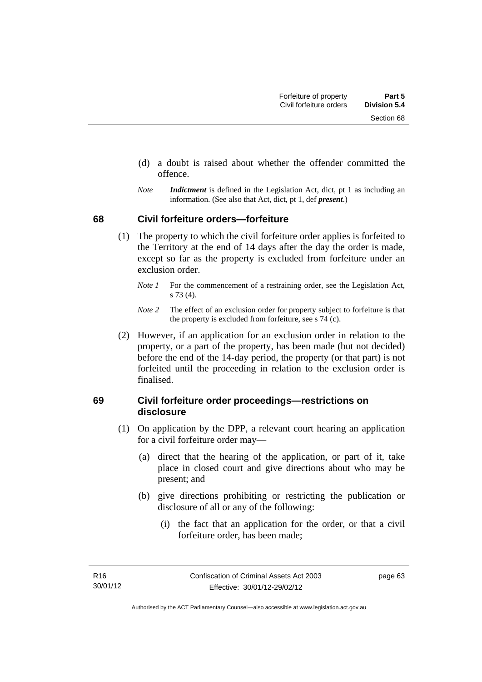- (d) a doubt is raised about whether the offender committed the offence.
- *Note Indictment* is defined in the Legislation Act, dict, pt 1 as including an information. (See also that Act, dict, pt 1, def *present*.)

### **68 Civil forfeiture orders—forfeiture**

- (1) The property to which the civil forfeiture order applies is forfeited to the Territory at the end of 14 days after the day the order is made, except so far as the property is excluded from forfeiture under an exclusion order.
	- *Note 1* For the commencement of a restraining order, see the Legislation Act, s 73 (4).
	- *Note 2* The effect of an exclusion order for property subject to forfeiture is that the property is excluded from forfeiture, see s 74 (c).
- (2) However, if an application for an exclusion order in relation to the property, or a part of the property, has been made (but not decided) before the end of the 14-day period, the property (or that part) is not forfeited until the proceeding in relation to the exclusion order is finalised.

### **69 Civil forfeiture order proceedings—restrictions on disclosure**

- (1) On application by the DPP, a relevant court hearing an application for a civil forfeiture order may—
	- (a) direct that the hearing of the application, or part of it, take place in closed court and give directions about who may be present; and
	- (b) give directions prohibiting or restricting the publication or disclosure of all or any of the following:
		- (i) the fact that an application for the order, or that a civil forfeiture order, has been made;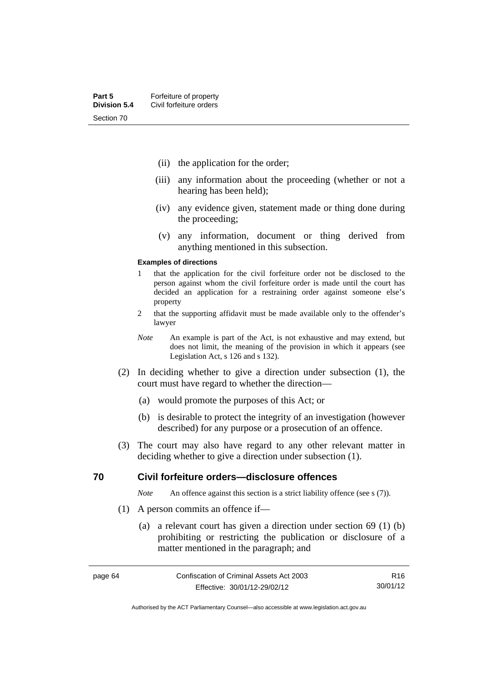- (ii) the application for the order;
- (iii) any information about the proceeding (whether or not a hearing has been held);
- (iv) any evidence given, statement made or thing done during the proceeding;
- (v) any information, document or thing derived from anything mentioned in this subsection.

#### **Examples of directions**

- 1 that the application for the civil forfeiture order not be disclosed to the person against whom the civil forfeiture order is made until the court has decided an application for a restraining order against someone else's property
- 2 that the supporting affidavit must be made available only to the offender's lawyer
- *Note* An example is part of the Act, is not exhaustive and may extend, but does not limit, the meaning of the provision in which it appears (see Legislation Act, s 126 and s 132).
- (2) In deciding whether to give a direction under subsection (1), the court must have regard to whether the direction—
	- (a) would promote the purposes of this Act; or
	- (b) is desirable to protect the integrity of an investigation (however described) for any purpose or a prosecution of an offence.
- (3) The court may also have regard to any other relevant matter in deciding whether to give a direction under subsection (1).

### **70 Civil forfeiture orders—disclosure offences**

*Note* An offence against this section is a strict liability offence (see s (7)).

- (1) A person commits an offence if—
	- (a) a relevant court has given a direction under section 69 (1) (b) prohibiting or restricting the publication or disclosure of a matter mentioned in the paragraph; and

R16 30/01/12

Authorised by the ACT Parliamentary Counsel—also accessible at www.legislation.act.gov.au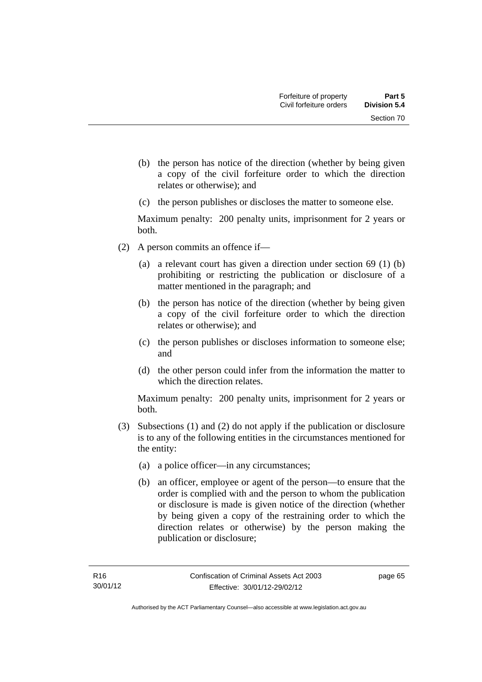- (b) the person has notice of the direction (whether by being given a copy of the civil forfeiture order to which the direction relates or otherwise); and
- (c) the person publishes or discloses the matter to someone else.

Maximum penalty: 200 penalty units, imprisonment for 2 years or both.

- (2) A person commits an offence if—
	- (a) a relevant court has given a direction under section 69 (1) (b) prohibiting or restricting the publication or disclosure of a matter mentioned in the paragraph; and
	- (b) the person has notice of the direction (whether by being given a copy of the civil forfeiture order to which the direction relates or otherwise); and
	- (c) the person publishes or discloses information to someone else; and
	- (d) the other person could infer from the information the matter to which the direction relates.

Maximum penalty: 200 penalty units, imprisonment for 2 years or both.

- (3) Subsections (1) and (2) do not apply if the publication or disclosure is to any of the following entities in the circumstances mentioned for the entity:
	- (a) a police officer—in any circumstances;
	- (b) an officer, employee or agent of the person—to ensure that the order is complied with and the person to whom the publication or disclosure is made is given notice of the direction (whether by being given a copy of the restraining order to which the direction relates or otherwise) by the person making the publication or disclosure;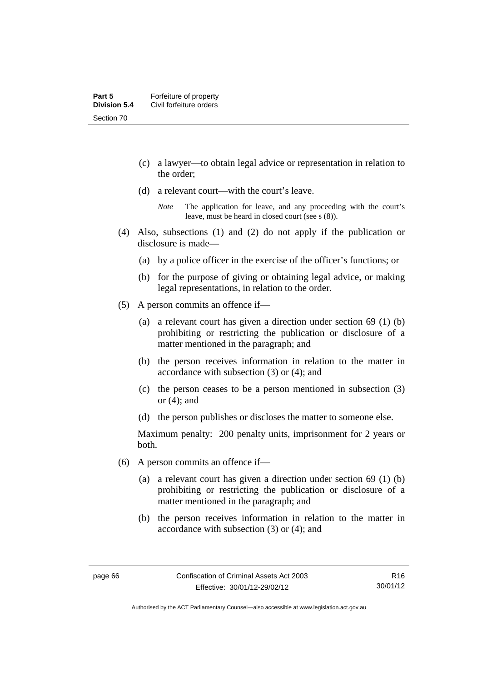- (c) a lawyer—to obtain legal advice or representation in relation to the order;
- (d) a relevant court—with the court's leave.

- (4) Also, subsections (1) and (2) do not apply if the publication or disclosure is made—
	- (a) by a police officer in the exercise of the officer's functions; or
	- (b) for the purpose of giving or obtaining legal advice, or making legal representations, in relation to the order.
- (5) A person commits an offence if—
	- (a) a relevant court has given a direction under section 69 (1) (b) prohibiting or restricting the publication or disclosure of a matter mentioned in the paragraph; and
	- (b) the person receives information in relation to the matter in accordance with subsection (3) or (4); and
	- (c) the person ceases to be a person mentioned in subsection (3) or (4); and
	- (d) the person publishes or discloses the matter to someone else.

Maximum penalty: 200 penalty units, imprisonment for 2 years or both.

- (6) A person commits an offence if—
	- (a) a relevant court has given a direction under section 69 (1) (b) prohibiting or restricting the publication or disclosure of a matter mentioned in the paragraph; and
	- (b) the person receives information in relation to the matter in accordance with subsection (3) or (4); and

*Note* The application for leave, and any proceeding with the court's leave, must be heard in closed court (see s (8)).

R16 30/01/12

Authorised by the ACT Parliamentary Counsel—also accessible at www.legislation.act.gov.au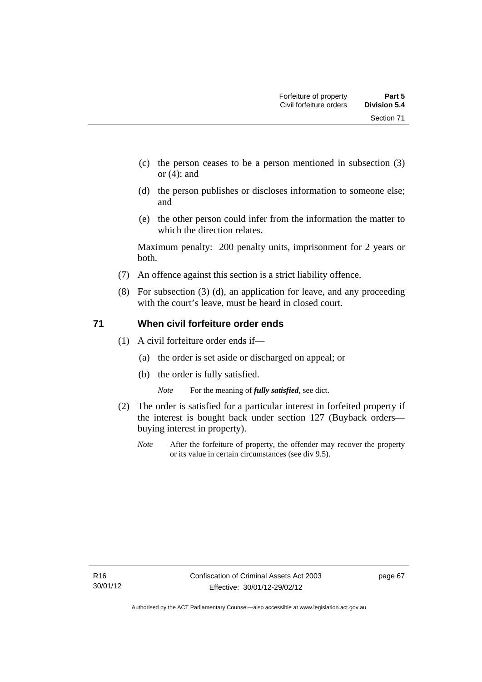Section 71

- (c) the person ceases to be a person mentioned in subsection (3) or (4); and
- (d) the person publishes or discloses information to someone else; and
- (e) the other person could infer from the information the matter to which the direction relates.

Maximum penalty: 200 penalty units, imprisonment for 2 years or both.

- (7) An offence against this section is a strict liability offence.
- (8) For subsection (3) (d), an application for leave, and any proceeding with the court's leave, must be heard in closed court.

## **71 When civil forfeiture order ends**

- (1) A civil forfeiture order ends if—
	- (a) the order is set aside or discharged on appeal; or
	- (b) the order is fully satisfied.

*Note* For the meaning of *fully satisfied*, see dict.

- (2) The order is satisfied for a particular interest in forfeited property if the interest is bought back under section 127 (Buyback orders buying interest in property).
	- *Note* After the forfeiture of property, the offender may recover the property or its value in certain circumstances (see div 9.5).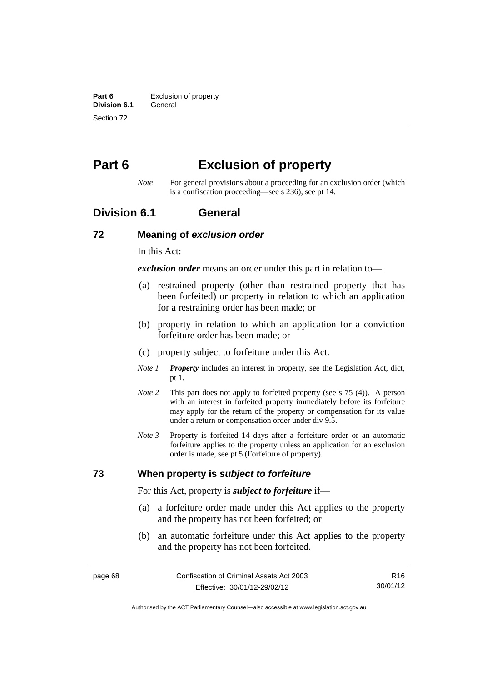**Part 6 Exclusion of property**<br>**Division 6.1 General Division 6.1** Section 72

# **Part 6 Exclusion of property**

*Note* For general provisions about a proceeding for an exclusion order (which is a confiscation proceeding—see s 236), see pt 14.

## **Division 6.1 General**

#### **72 Meaning of** *exclusion order*

In this Act:

*exclusion order* means an order under this part in relation to—

- (a) restrained property (other than restrained property that has been forfeited) or property in relation to which an application for a restraining order has been made; or
- (b) property in relation to which an application for a conviction forfeiture order has been made; or
- (c) property subject to forfeiture under this Act.
- *Note 1 Property* includes an interest in property, see the Legislation Act, dict, pt 1.
- *Note 2* This part does not apply to forfeited property (see s 75 (4)). A person with an interest in forfeited property immediately before its forfeiture may apply for the return of the property or compensation for its value under a return or compensation order under div 9.5.
- *Note 3* Property is forfeited 14 days after a forfeiture order or an automatic forfeiture applies to the property unless an application for an exclusion order is made, see pt 5 (Forfeiture of property).

### **73 When property is** *subject to forfeiture*

For this Act, property is *subject to forfeiture* if—

- (a) a forfeiture order made under this Act applies to the property and the property has not been forfeited; or
- (b) an automatic forfeiture under this Act applies to the property and the property has not been forfeited.

Authorised by the ACT Parliamentary Counsel—also accessible at www.legislation.act.gov.au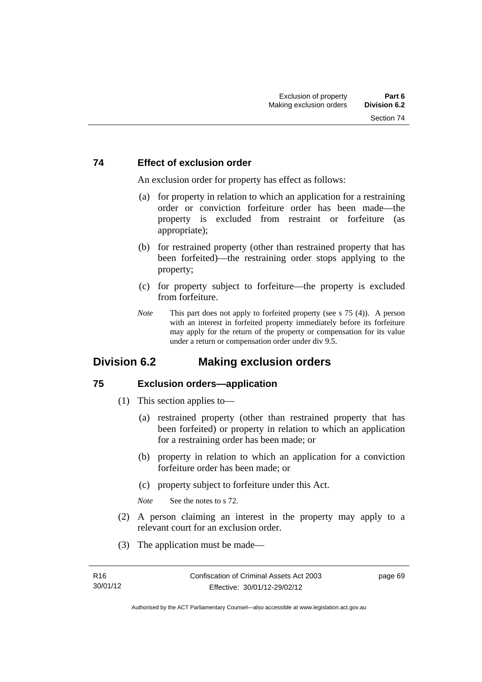### **74 Effect of exclusion order**

An exclusion order for property has effect as follows:

- (a) for property in relation to which an application for a restraining order or conviction forfeiture order has been made—the property is excluded from restraint or forfeiture (as appropriate);
- (b) for restrained property (other than restrained property that has been forfeited)—the restraining order stops applying to the property;
- (c) for property subject to forfeiture—the property is excluded from forfeiture.
- *Note* This part does not apply to forfeited property (see s 75 (4)). A person with an interest in forfeited property immediately before its forfeiture may apply for the return of the property or compensation for its value under a return or compensation order under div 9.5.

# **Division 6.2 Making exclusion orders**

### **75 Exclusion orders—application**

- (1) This section applies to—
	- (a) restrained property (other than restrained property that has been forfeited) or property in relation to which an application for a restraining order has been made; or
	- (b) property in relation to which an application for a conviction forfeiture order has been made; or
	- (c) property subject to forfeiture under this Act.

*Note* See the notes to s 72.

- (2) A person claiming an interest in the property may apply to a relevant court for an exclusion order.
- (3) The application must be made—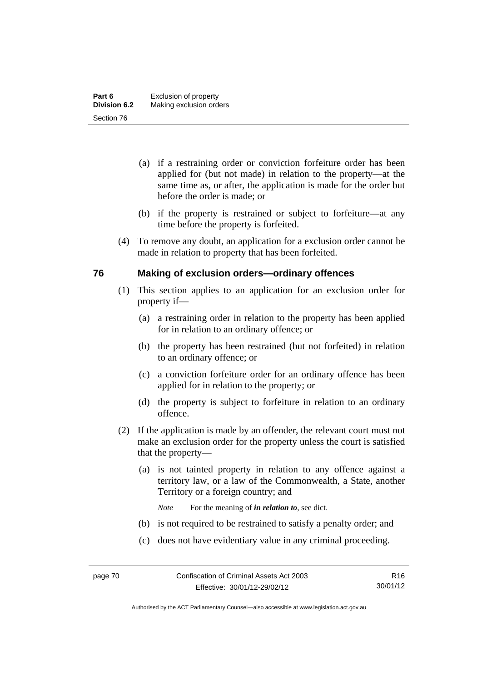- (a) if a restraining order or conviction forfeiture order has been applied for (but not made) in relation to the property—at the same time as, or after, the application is made for the order but before the order is made; or
- (b) if the property is restrained or subject to forfeiture—at any time before the property is forfeited.
- (4) To remove any doubt, an application for a exclusion order cannot be made in relation to property that has been forfeited.

### **76 Making of exclusion orders—ordinary offences**

- (1) This section applies to an application for an exclusion order for property if—
	- (a) a restraining order in relation to the property has been applied for in relation to an ordinary offence; or
	- (b) the property has been restrained (but not forfeited) in relation to an ordinary offence; or
	- (c) a conviction forfeiture order for an ordinary offence has been applied for in relation to the property; or
	- (d) the property is subject to forfeiture in relation to an ordinary offence.
- (2) If the application is made by an offender, the relevant court must not make an exclusion order for the property unless the court is satisfied that the property—
	- (a) is not tainted property in relation to any offence against a territory law, or a law of the Commonwealth, a State, another Territory or a foreign country; and
		- *Note* For the meaning of *in relation to*, see dict.
	- (b) is not required to be restrained to satisfy a penalty order; and
	- (c) does not have evidentiary value in any criminal proceeding.

Authorised by the ACT Parliamentary Counsel—also accessible at www.legislation.act.gov.au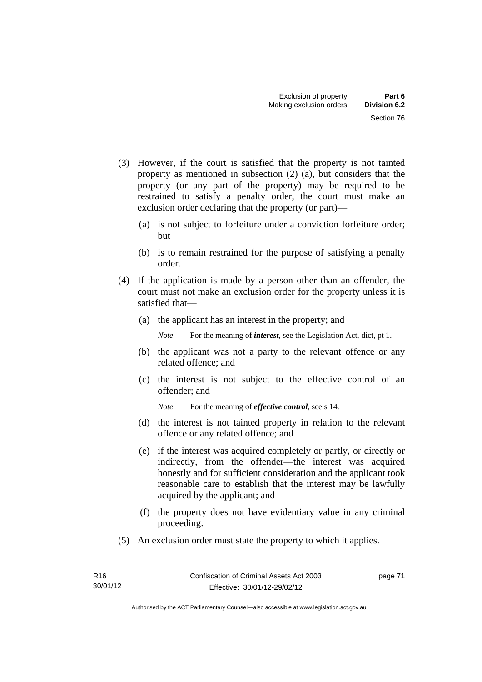- (3) However, if the court is satisfied that the property is not tainted property as mentioned in subsection (2) (a), but considers that the property (or any part of the property) may be required to be restrained to satisfy a penalty order, the court must make an exclusion order declaring that the property (or part)—
	- (a) is not subject to forfeiture under a conviction forfeiture order; but
	- (b) is to remain restrained for the purpose of satisfying a penalty order.
- (4) If the application is made by a person other than an offender, the court must not make an exclusion order for the property unless it is satisfied that—
	- (a) the applicant has an interest in the property; and

*Note* For the meaning of *interest*, see the Legislation Act, dict, pt 1.

- (b) the applicant was not a party to the relevant offence or any related offence; and
- (c) the interest is not subject to the effective control of an offender; and
	- *Note* For the meaning of *effective control*, see s 14.
- (d) the interest is not tainted property in relation to the relevant offence or any related offence; and
- (e) if the interest was acquired completely or partly, or directly or indirectly, from the offender—the interest was acquired honestly and for sufficient consideration and the applicant took reasonable care to establish that the interest may be lawfully acquired by the applicant; and
- (f) the property does not have evidentiary value in any criminal proceeding.
- (5) An exclusion order must state the property to which it applies.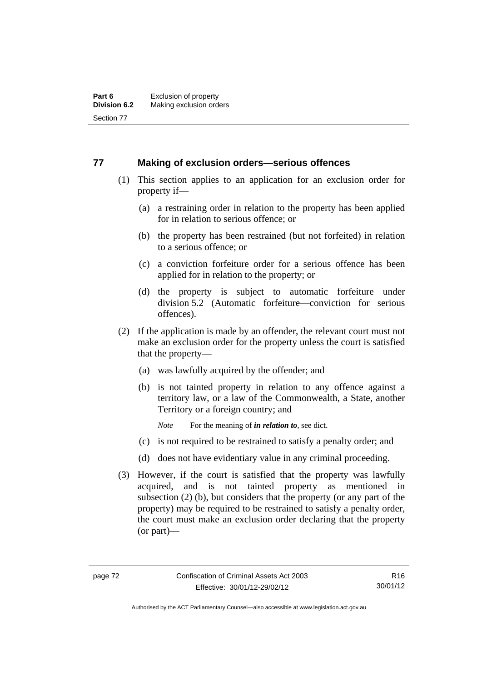### **77 Making of exclusion orders—serious offences**

- (1) This section applies to an application for an exclusion order for property if—
	- (a) a restraining order in relation to the property has been applied for in relation to serious offence; or
	- (b) the property has been restrained (but not forfeited) in relation to a serious offence; or
	- (c) a conviction forfeiture order for a serious offence has been applied for in relation to the property; or
	- (d) the property is subject to automatic forfeiture under division 5.2 (Automatic forfeiture—conviction for serious offences).
- (2) If the application is made by an offender, the relevant court must not make an exclusion order for the property unless the court is satisfied that the property—
	- (a) was lawfully acquired by the offender; and
	- (b) is not tainted property in relation to any offence against a territory law, or a law of the Commonwealth, a State, another Territory or a foreign country; and
		- *Note* For the meaning of *in relation to*, see dict.
	- (c) is not required to be restrained to satisfy a penalty order; and
	- (d) does not have evidentiary value in any criminal proceeding.
- (3) However, if the court is satisfied that the property was lawfully acquired, and is not tainted property as mentioned in subsection (2) (b), but considers that the property (or any part of the property) may be required to be restrained to satisfy a penalty order, the court must make an exclusion order declaring that the property (or part)—

Authorised by the ACT Parliamentary Counsel—also accessible at www.legislation.act.gov.au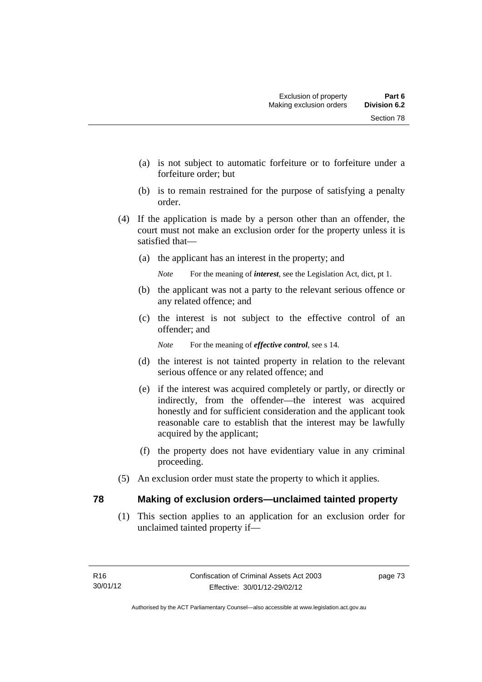- (a) is not subject to automatic forfeiture or to forfeiture under a forfeiture order; but
- (b) is to remain restrained for the purpose of satisfying a penalty order.
- (4) If the application is made by a person other than an offender, the court must not make an exclusion order for the property unless it is satisfied that—
	- (a) the applicant has an interest in the property; and

*Note* For the meaning of *interest*, see the Legislation Act, dict, pt 1.

- (b) the applicant was not a party to the relevant serious offence or any related offence; and
- (c) the interest is not subject to the effective control of an offender; and

*Note* For the meaning of *effective control*, see s 14.

- (d) the interest is not tainted property in relation to the relevant serious offence or any related offence; and
- (e) if the interest was acquired completely or partly, or directly or indirectly, from the offender—the interest was acquired honestly and for sufficient consideration and the applicant took reasonable care to establish that the interest may be lawfully acquired by the applicant;
- (f) the property does not have evidentiary value in any criminal proceeding.
- (5) An exclusion order must state the property to which it applies.

### **78 Making of exclusion orders—unclaimed tainted property**

 (1) This section applies to an application for an exclusion order for unclaimed tainted property if—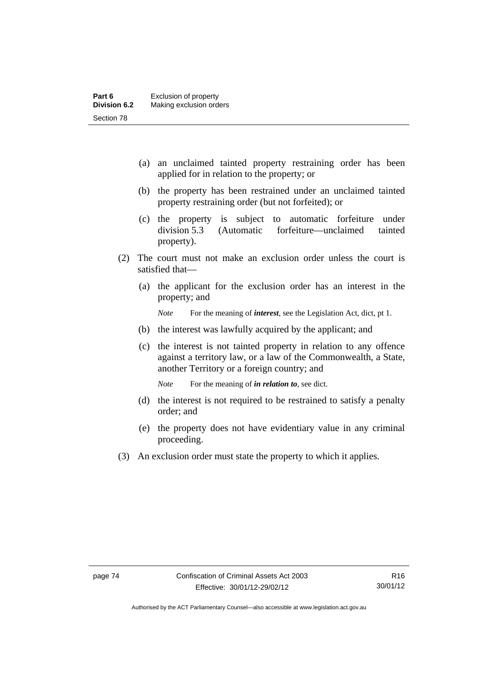- (a) an unclaimed tainted property restraining order has been applied for in relation to the property; or
- (b) the property has been restrained under an unclaimed tainted property restraining order (but not forfeited); or
- (c) the property is subject to automatic forfeiture under division 5.3 (Automatic forfeiture—unclaimed tainted property).
- (2) The court must not make an exclusion order unless the court is satisfied that—
	- (a) the applicant for the exclusion order has an interest in the property; and

*Note* For the meaning of *interest*, see the Legislation Act, dict, pt 1.

- (b) the interest was lawfully acquired by the applicant; and
- (c) the interest is not tainted property in relation to any offence against a territory law, or a law of the Commonwealth, a State, another Territory or a foreign country; and

*Note* For the meaning of *in relation to*, see dict.

- (d) the interest is not required to be restrained to satisfy a penalty order; and
- (e) the property does not have evidentiary value in any criminal proceeding.
- (3) An exclusion order must state the property to which it applies.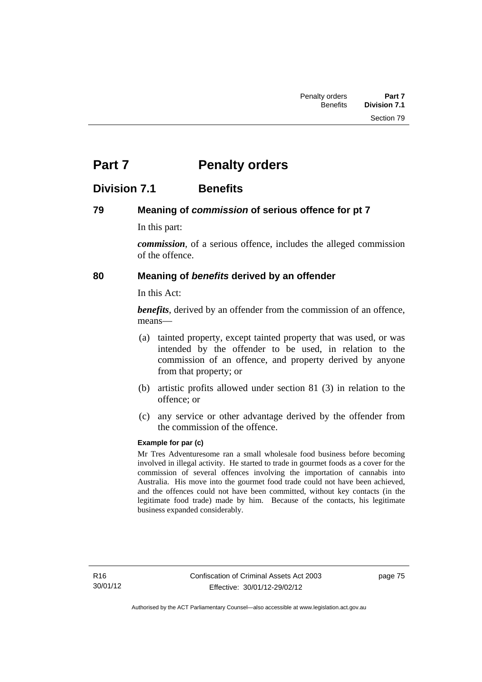# **Part 7** Penalty orders

# **Division 7.1 Benefits**

### **79 Meaning of** *commission* **of serious offence for pt 7**

In this part:

*commission*, of a serious offence, includes the alleged commission of the offence.

## **80 Meaning of** *benefits* **derived by an offender**

In this Act:

*benefits*, derived by an offender from the commission of an offence, means—

- (a) tainted property, except tainted property that was used, or was intended by the offender to be used, in relation to the commission of an offence, and property derived by anyone from that property; or
- (b) artistic profits allowed under section 81 (3) in relation to the offence; or
- (c) any service or other advantage derived by the offender from the commission of the offence.

### **Example for par (c)**

Mr Tres Adventuresome ran a small wholesale food business before becoming involved in illegal activity. He started to trade in gourmet foods as a cover for the commission of several offences involving the importation of cannabis into Australia. His move into the gourmet food trade could not have been achieved, and the offences could not have been committed, without key contacts (in the legitimate food trade) made by him. Because of the contacts, his legitimate business expanded considerably.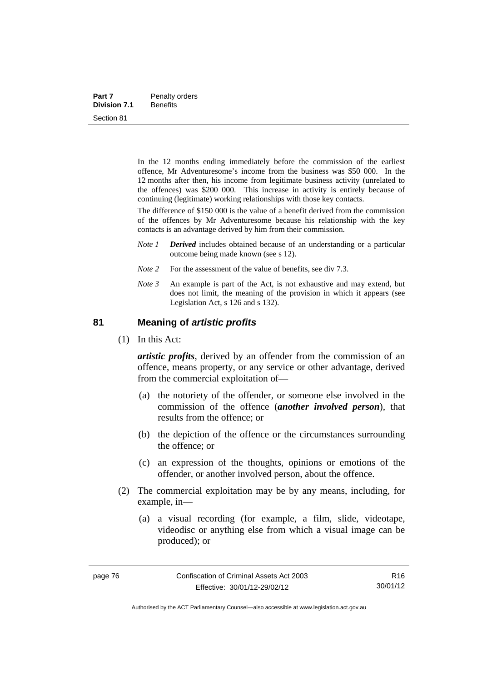| Part 7              | Penalty orders  |
|---------------------|-----------------|
| <b>Division 7.1</b> | <b>Benefits</b> |
| Section 81          |                 |

In the 12 months ending immediately before the commission of the earliest offence, Mr Adventuresome's income from the business was \$50 000. In the 12 months after then, his income from legitimate business activity (unrelated to the offences) was \$200 000. This increase in activity is entirely because of continuing (legitimate) working relationships with those key contacts.

The difference of \$150 000 is the value of a benefit derived from the commission of the offences by Mr Adventuresome because his relationship with the key contacts is an advantage derived by him from their commission.

- *Note 1 Derived* includes obtained because of an understanding or a particular outcome being made known (see s 12).
- *Note* 2 For the assessment of the value of benefits, see div 7.3.
- *Note 3* An example is part of the Act, is not exhaustive and may extend, but does not limit, the meaning of the provision in which it appears (see Legislation Act, s 126 and s 132).

### **81 Meaning of** *artistic profits*

(1) In this Act:

*artistic profits*, derived by an offender from the commission of an offence, means property, or any service or other advantage, derived from the commercial exploitation of—

- (a) the notoriety of the offender, or someone else involved in the commission of the offence (*another involved person*), that results from the offence; or
- (b) the depiction of the offence or the circumstances surrounding the offence; or
- (c) an expression of the thoughts, opinions or emotions of the offender, or another involved person, about the offence.
- (2) The commercial exploitation may be by any means, including, for example, in—
	- (a) a visual recording (for example, a film, slide, videotape, videodisc or anything else from which a visual image can be produced); or

R16 30/01/12

Authorised by the ACT Parliamentary Counsel—also accessible at www.legislation.act.gov.au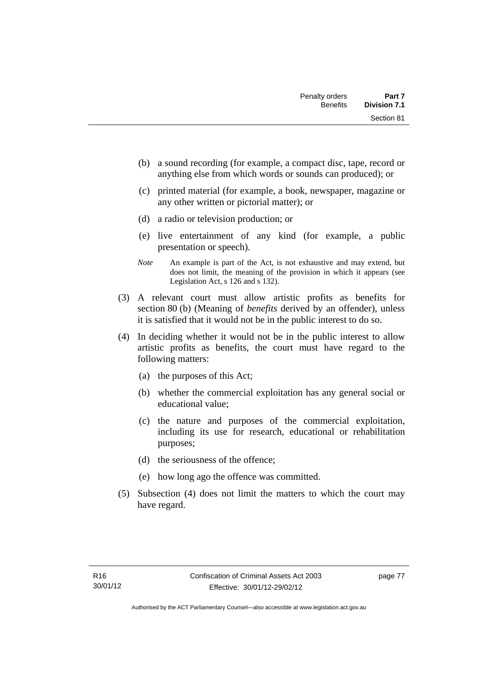- (b) a sound recording (for example, a compact disc, tape, record or anything else from which words or sounds can produced); or
- (c) printed material (for example, a book, newspaper, magazine or any other written or pictorial matter); or
- (d) a radio or television production; or
- (e) live entertainment of any kind (for example, a public presentation or speech).
- *Note* An example is part of the Act, is not exhaustive and may extend, but does not limit, the meaning of the provision in which it appears (see Legislation Act, s 126 and s 132).
- (3) A relevant court must allow artistic profits as benefits for section 80 (b) (Meaning of *benefits* derived by an offender), unless it is satisfied that it would not be in the public interest to do so.
- (4) In deciding whether it would not be in the public interest to allow artistic profits as benefits, the court must have regard to the following matters:
	- (a) the purposes of this Act;
	- (b) whether the commercial exploitation has any general social or educational value;
	- (c) the nature and purposes of the commercial exploitation, including its use for research, educational or rehabilitation purposes;
	- (d) the seriousness of the offence;
	- (e) how long ago the offence was committed.
- (5) Subsection (4) does not limit the matters to which the court may have regard.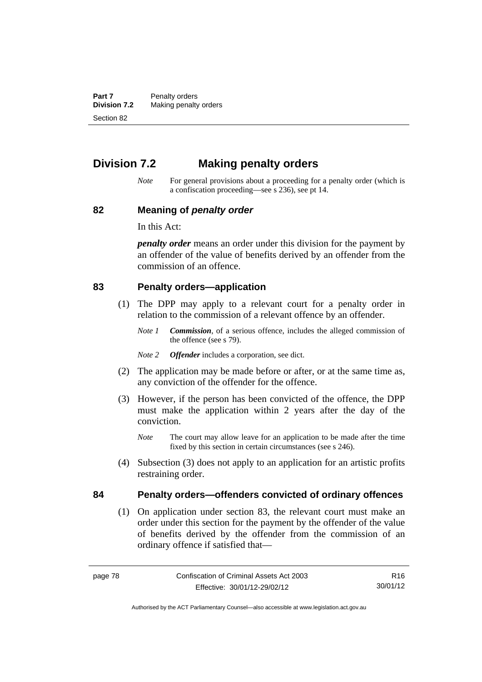**Part 7** Penalty orders **Division 7.2** Making penalty orders Section 82

# **Division 7.2 Making penalty orders**

*Note* For general provisions about a proceeding for a penalty order (which is a confiscation proceeding—see s 236), see pt 14.

#### **82 Meaning of** *penalty order*

In this Act:

*penalty order* means an order under this division for the payment by an offender of the value of benefits derived by an offender from the commission of an offence.

### **83 Penalty orders—application**

- (1) The DPP may apply to a relevant court for a penalty order in relation to the commission of a relevant offence by an offender.
	- *Note 1 Commission*, of a serious offence, includes the alleged commission of the offence (see s 79).
	- *Note 2 Offender* includes a corporation, see dict.
- (2) The application may be made before or after, or at the same time as, any conviction of the offender for the offence.
- (3) However, if the person has been convicted of the offence, the DPP must make the application within 2 years after the day of the conviction.
	- *Note* The court may allow leave for an application to be made after the time fixed by this section in certain circumstances (see s 246).
- (4) Subsection (3) does not apply to an application for an artistic profits restraining order.

### **84 Penalty orders—offenders convicted of ordinary offences**

(1) On application under section 83, the relevant court must make an order under this section for the payment by the offender of the value of benefits derived by the offender from the commission of an ordinary offence if satisfied that—

R16 30/01/12

Authorised by the ACT Parliamentary Counsel—also accessible at www.legislation.act.gov.au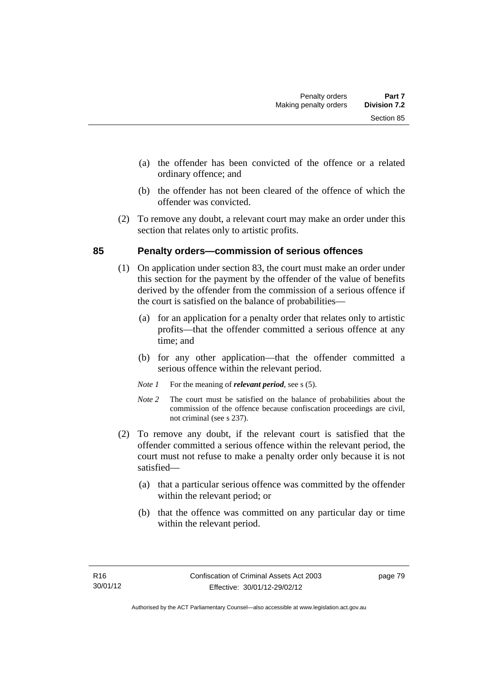- (a) the offender has been convicted of the offence or a related ordinary offence; and
- (b) the offender has not been cleared of the offence of which the offender was convicted.
- (2) To remove any doubt, a relevant court may make an order under this section that relates only to artistic profits.

### **85 Penalty orders—commission of serious offences**

- (1) On application under section 83, the court must make an order under this section for the payment by the offender of the value of benefits derived by the offender from the commission of a serious offence if the court is satisfied on the balance of probabilities—
	- (a) for an application for a penalty order that relates only to artistic profits—that the offender committed a serious offence at any time; and
	- (b) for any other application—that the offender committed a serious offence within the relevant period.
	- *Note 1* For the meaning of *relevant period*, see s (5).
	- *Note* 2 The court must be satisfied on the balance of probabilities about the commission of the offence because confiscation proceedings are civil, not criminal (see s 237).
- (2) To remove any doubt, if the relevant court is satisfied that the offender committed a serious offence within the relevant period, the court must not refuse to make a penalty order only because it is not satisfied—
	- (a) that a particular serious offence was committed by the offender within the relevant period; or
	- (b) that the offence was committed on any particular day or time within the relevant period.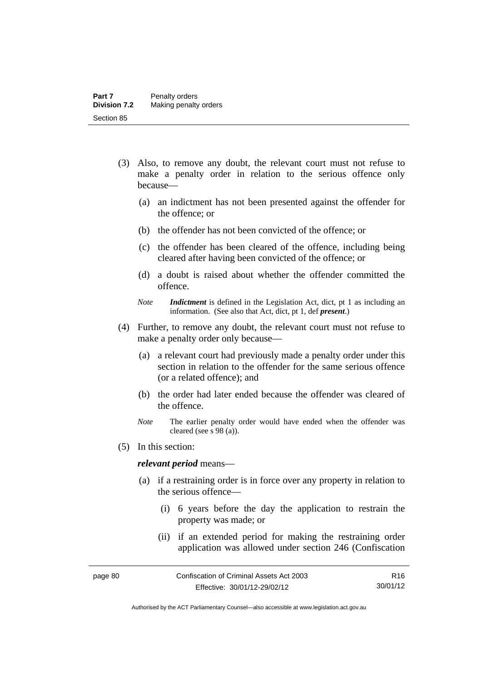- (3) Also, to remove any doubt, the relevant court must not refuse to make a penalty order in relation to the serious offence only because—
	- (a) an indictment has not been presented against the offender for the offence; or
	- (b) the offender has not been convicted of the offence; or
	- (c) the offender has been cleared of the offence, including being cleared after having been convicted of the offence; or
	- (d) a doubt is raised about whether the offender committed the offence.
	- *Note Indictment* is defined in the Legislation Act, dict, pt 1 as including an information. (See also that Act, dict, pt 1, def *present*.)
- (4) Further, to remove any doubt, the relevant court must not refuse to make a penalty order only because—
	- (a) a relevant court had previously made a penalty order under this section in relation to the offender for the same serious offence (or a related offence); and
	- (b) the order had later ended because the offender was cleared of the offence.
	- *Note* The earlier penalty order would have ended when the offender was cleared (see s 98 (a)).
- (5) In this section:

#### *relevant period* means—

- (a) if a restraining order is in force over any property in relation to the serious offence—
	- (i) 6 years before the day the application to restrain the property was made; or
	- (ii) if an extended period for making the restraining order application was allowed under section 246 (Confiscation

Authorised by the ACT Parliamentary Counsel—also accessible at www.legislation.act.gov.au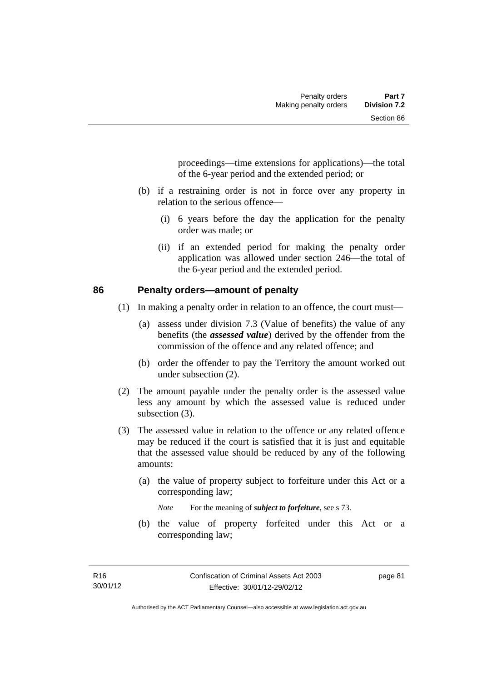proceedings—time extensions for applications)—the total of the 6-year period and the extended period; or

- (b) if a restraining order is not in force over any property in relation to the serious offence—
	- (i) 6 years before the day the application for the penalty order was made; or
	- (ii) if an extended period for making the penalty order application was allowed under section 246—the total of the 6-year period and the extended period.

### **86 Penalty orders—amount of penalty**

- (1) In making a penalty order in relation to an offence, the court must—
	- (a) assess under division 7.3 (Value of benefits) the value of any benefits (the *assessed value*) derived by the offender from the commission of the offence and any related offence; and
	- (b) order the offender to pay the Territory the amount worked out under subsection (2).
- (2) The amount payable under the penalty order is the assessed value less any amount by which the assessed value is reduced under subsection  $(3)$ .
- (3) The assessed value in relation to the offence or any related offence may be reduced if the court is satisfied that it is just and equitable that the assessed value should be reduced by any of the following amounts:
	- (a) the value of property subject to forfeiture under this Act or a corresponding law;

*Note* For the meaning of *subject to forfeiture*, see s 73.

 (b) the value of property forfeited under this Act or a corresponding law;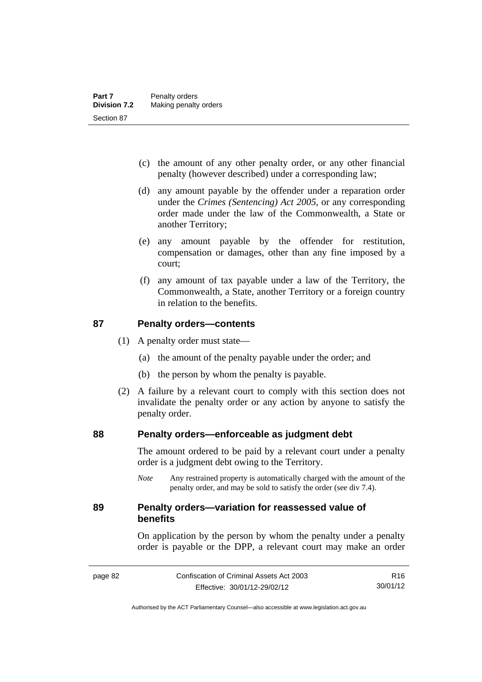- (c) the amount of any other penalty order, or any other financial penalty (however described) under a corresponding law;
- (d) any amount payable by the offender under a reparation order under the *Crimes (Sentencing) Act 2005*, or any corresponding order made under the law of the Commonwealth, a State or another Territory;
- (e) any amount payable by the offender for restitution, compensation or damages, other than any fine imposed by a court;
- (f) any amount of tax payable under a law of the Territory, the Commonwealth, a State, another Territory or a foreign country in relation to the benefits.

### **87 Penalty orders—contents**

- (1) A penalty order must state—
	- (a) the amount of the penalty payable under the order; and
	- (b) the person by whom the penalty is payable.
- (2) A failure by a relevant court to comply with this section does not invalidate the penalty order or any action by anyone to satisfy the penalty order.

### **88 Penalty orders—enforceable as judgment debt**

The amount ordered to be paid by a relevant court under a penalty order is a judgment debt owing to the Territory.

*Note* Any restrained property is automatically charged with the amount of the penalty order, and may be sold to satisfy the order (see div 7.4).

### **89 Penalty orders—variation for reassessed value of benefits**

On application by the person by whom the penalty under a penalty order is payable or the DPP, a relevant court may make an order

R16 30/01/12

Authorised by the ACT Parliamentary Counsel—also accessible at www.legislation.act.gov.au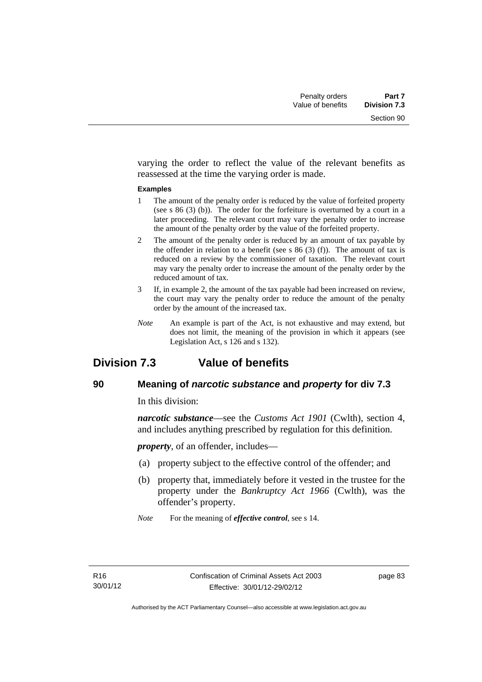varying the order to reflect the value of the relevant benefits as reassessed at the time the varying order is made.

#### **Examples**

- 1 The amount of the penalty order is reduced by the value of forfeited property (see s 86 (3) (b)). The order for the forfeiture is overturned by a court in a later proceeding. The relevant court may vary the penalty order to increase the amount of the penalty order by the value of the forfeited property.
- 2 The amount of the penalty order is reduced by an amount of tax payable by the offender in relation to a benefit (see s  $86$  (3) (f)). The amount of tax is reduced on a review by the commissioner of taxation. The relevant court may vary the penalty order to increase the amount of the penalty order by the reduced amount of tax.
- 3 If, in example 2, the amount of the tax payable had been increased on review, the court may vary the penalty order to reduce the amount of the penalty order by the amount of the increased tax.
- *Note* An example is part of the Act, is not exhaustive and may extend, but does not limit, the meaning of the provision in which it appears (see Legislation Act, s 126 and s 132).

# **Division 7.3 Value of benefits**

### **90 Meaning of** *narcotic substance* **and** *property* **for div 7.3**

In this division:

*narcotic substance*—see the *Customs Act 1901* (Cwlth), section 4, and includes anything prescribed by regulation for this definition.

*property*, of an offender, includes—

- (a) property subject to the effective control of the offender; and
- (b) property that, immediately before it vested in the trustee for the property under the *Bankruptcy Act 1966* (Cwlth), was the offender's property.
- *Note* For the meaning of *effective control*, see s 14.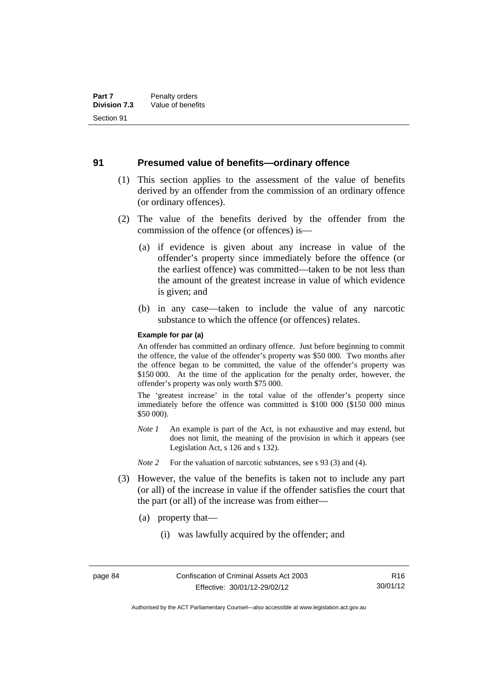#### **91 Presumed value of benefits—ordinary offence**

- (1) This section applies to the assessment of the value of benefits derived by an offender from the commission of an ordinary offence (or ordinary offences).
- (2) The value of the benefits derived by the offender from the commission of the offence (or offences) is—
	- (a) if evidence is given about any increase in value of the offender's property since immediately before the offence (or the earliest offence) was committed—taken to be not less than the amount of the greatest increase in value of which evidence is given; and
	- (b) in any case—taken to include the value of any narcotic substance to which the offence (or offences) relates.

#### **Example for par (a)**

An offender has committed an ordinary offence. Just before beginning to commit the offence, the value of the offender's property was \$50 000. Two months after the offence began to be committed, the value of the offender's property was \$150 000. At the time of the application for the penalty order, however, the offender's property was only worth \$75 000.

The 'greatest increase' in the total value of the offender's property since immediately before the offence was committed is \$100 000 (\$150 000 minus \$50 000).

- *Note 1* An example is part of the Act, is not exhaustive and may extend, but does not limit, the meaning of the provision in which it appears (see Legislation Act, s 126 and s 132).
- *Note* 2 For the valuation of narcotic substances, see s 93 (3) and (4).
- (3) However, the value of the benefits is taken not to include any part (or all) of the increase in value if the offender satisfies the court that the part (or all) of the increase was from either—
	- (a) property that—
		- (i) was lawfully acquired by the offender; and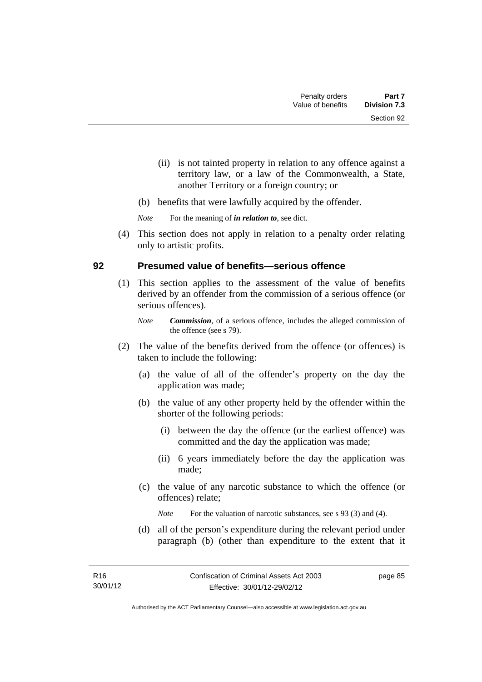- (ii) is not tainted property in relation to any offence against a territory law, or a law of the Commonwealth, a State, another Territory or a foreign country; or
- (b) benefits that were lawfully acquired by the offender.

*Note* For the meaning of *in relation to*, see dict.

 (4) This section does not apply in relation to a penalty order relating only to artistic profits.

### **92 Presumed value of benefits—serious offence**

- (1) This section applies to the assessment of the value of benefits derived by an offender from the commission of a serious offence (or serious offences).
	- *Note Commission*, of a serious offence, includes the alleged commission of the offence (see s 79).
- (2) The value of the benefits derived from the offence (or offences) is taken to include the following:
	- (a) the value of all of the offender's property on the day the application was made;
	- (b) the value of any other property held by the offender within the shorter of the following periods:
		- (i) between the day the offence (or the earliest offence) was committed and the day the application was made;
		- (ii) 6 years immediately before the day the application was made;
	- (c) the value of any narcotic substance to which the offence (or offences) relate;

*Note* For the valuation of narcotic substances, see s 93 (3) and (4).

 (d) all of the person's expenditure during the relevant period under paragraph (b) (other than expenditure to the extent that it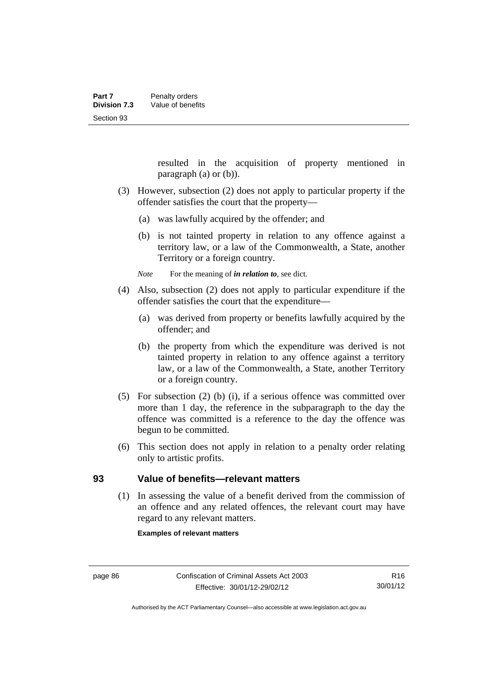resulted in the acquisition of property mentioned in paragraph (a) or (b)).

- (3) However, subsection (2) does not apply to particular property if the offender satisfies the court that the property—
	- (a) was lawfully acquired by the offender; and
	- (b) is not tainted property in relation to any offence against a territory law, or a law of the Commonwealth, a State, another Territory or a foreign country.

*Note* For the meaning of *in relation to*, see dict.

- (4) Also, subsection (2) does not apply to particular expenditure if the offender satisfies the court that the expenditure—
	- (a) was derived from property or benefits lawfully acquired by the offender; and
	- (b) the property from which the expenditure was derived is not tainted property in relation to any offence against a territory law, or a law of the Commonwealth, a State, another Territory or a foreign country.
- (5) For subsection (2) (b) (i), if a serious offence was committed over more than 1 day, the reference in the subparagraph to the day the offence was committed is a reference to the day the offence was begun to be committed.
- (6) This section does not apply in relation to a penalty order relating only to artistic profits.

### **93 Value of benefits—relevant matters**

(1) In assessing the value of a benefit derived from the commission of an offence and any related offences, the relevant court may have regard to any relevant matters.

**Examples of relevant matters** 

Authorised by the ACT Parliamentary Counsel—also accessible at www.legislation.act.gov.au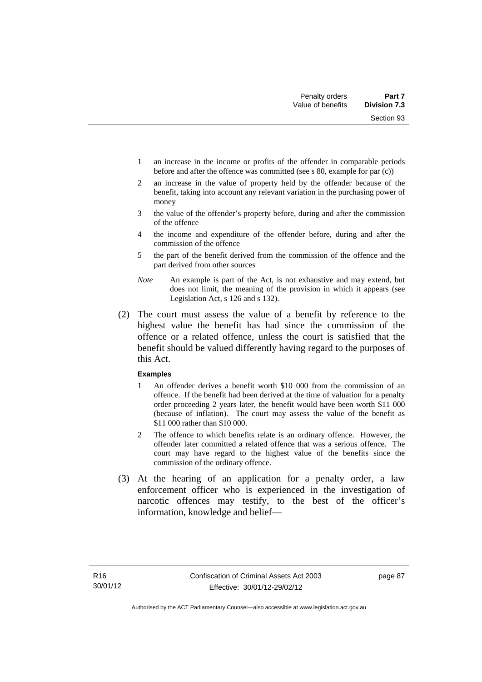Section 93

- 1 an increase in the income or profits of the offender in comparable periods before and after the offence was committed (see s 80, example for par (c))
- 2 an increase in the value of property held by the offender because of the benefit, taking into account any relevant variation in the purchasing power of money
- 3 the value of the offender's property before, during and after the commission of the offence
- 4 the income and expenditure of the offender before, during and after the commission of the offence
- 5 the part of the benefit derived from the commission of the offence and the part derived from other sources
- *Note* An example is part of the Act, is not exhaustive and may extend, but does not limit, the meaning of the provision in which it appears (see Legislation Act, s 126 and s 132).
- (2) The court must assess the value of a benefit by reference to the highest value the benefit has had since the commission of the offence or a related offence, unless the court is satisfied that the benefit should be valued differently having regard to the purposes of this Act.

#### **Examples**

- 1 An offender derives a benefit worth \$10 000 from the commission of an offence. If the benefit had been derived at the time of valuation for a penalty order proceeding 2 years later, the benefit would have been worth \$11 000 (because of inflation). The court may assess the value of the benefit as \$11 000 rather than \$10 000.
- 2 The offence to which benefits relate is an ordinary offence. However, the offender later committed a related offence that was a serious offence. The court may have regard to the highest value of the benefits since the commission of the ordinary offence.
- (3) At the hearing of an application for a penalty order, a law enforcement officer who is experienced in the investigation of narcotic offences may testify, to the best of the officer's information, knowledge and belief—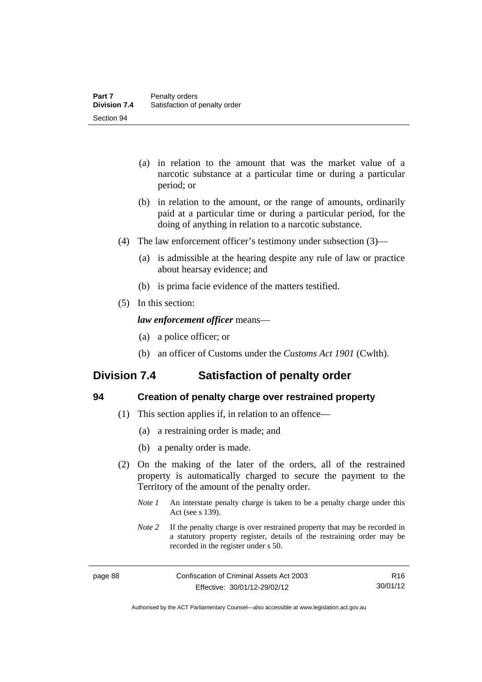- (a) in relation to the amount that was the market value of a narcotic substance at a particular time or during a particular period; or
- (b) in relation to the amount, or the range of amounts, ordinarily paid at a particular time or during a particular period, for the doing of anything in relation to a narcotic substance.
- (4) The law enforcement officer's testimony under subsection (3)—
	- (a) is admissible at the hearing despite any rule of law or practice about hearsay evidence; and
	- (b) is prima facie evidence of the matters testified.
- (5) In this section:

### *law enforcement officer* means—

- (a) a police officer; or
- (b) an officer of Customs under the *Customs Act 1901* (Cwlth).

# **Division 7.4 Satisfaction of penalty order**

| I       |
|---------|
| r.      |
| s<br>۰. |
| w<br>v  |

### **94 Creation of penalty charge over restrained property**

- (1) This section applies if, in relation to an offence—
	- (a) a restraining order is made; and
	- (b) a penalty order is made.
- (2) On the making of the later of the orders, all of the restrained property is automatically charged to secure the payment to the Territory of the amount of the penalty order.
	- *Note 1* An interstate penalty charge is taken to be a penalty charge under this Act (see s 139).
	- *Note 2* If the penalty charge is over restrained property that may be recorded in a statutory property register, details of the restraining order may be recorded in the register under s 50.

R16 30/01/12

Authorised by the ACT Parliamentary Counsel—also accessible at www.legislation.act.gov.au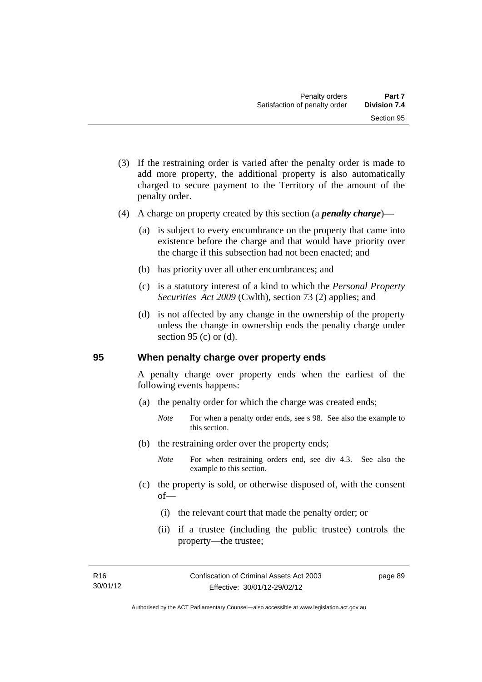- (3) If the restraining order is varied after the penalty order is made to add more property, the additional property is also automatically charged to secure payment to the Territory of the amount of the penalty order.
- (4) A charge on property created by this section (a *penalty charge*)—
	- (a) is subject to every encumbrance on the property that came into existence before the charge and that would have priority over the charge if this subsection had not been enacted; and
	- (b) has priority over all other encumbrances; and
	- (c) is a statutory interest of a kind to which the *Personal Property Securities Act 2009* (Cwlth), section 73 (2) applies; and
	- (d) is not affected by any change in the ownership of the property unless the change in ownership ends the penalty charge under section 95 (c) or  $(d)$ .

### **95 When penalty charge over property ends**

A penalty charge over property ends when the earliest of the following events happens:

- (a) the penalty order for which the charge was created ends;
	- *Note* For when a penalty order ends, see s 98. See also the example to this section.
- (b) the restraining order over the property ends;
	- *Note* For when restraining orders end, see div 4.3. See also the example to this section.
- (c) the property is sold, or otherwise disposed of, with the consent of—
	- (i) the relevant court that made the penalty order; or
	- (ii) if a trustee (including the public trustee) controls the property—the trustee;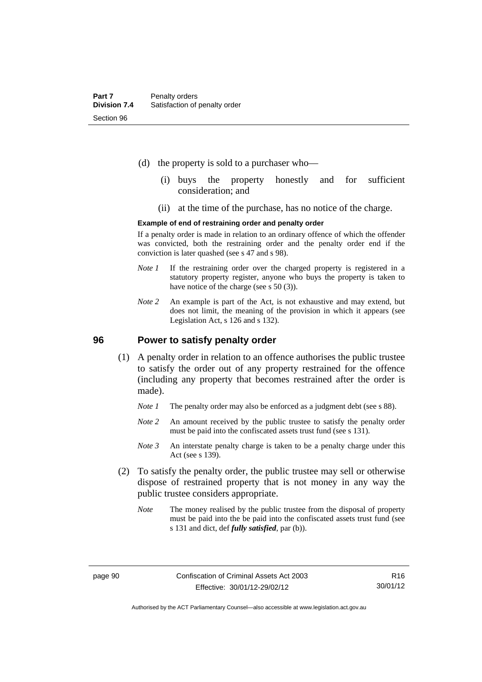- (d) the property is sold to a purchaser who—
	- (i) buys the property honestly and for sufficient consideration; and
	- (ii) at the time of the purchase, has no notice of the charge.

#### **Example of end of restraining order and penalty order**

If a penalty order is made in relation to an ordinary offence of which the offender was convicted, both the restraining order and the penalty order end if the conviction is later quashed (see s 47 and s 98).

- *Note 1* If the restraining order over the charged property is registered in a statutory property register, anyone who buys the property is taken to have notice of the charge (see s 50 (3)).
- *Note* 2 An example is part of the Act, is not exhaustive and may extend, but does not limit, the meaning of the provision in which it appears (see Legislation Act, s 126 and s 132).

### **96 Power to satisfy penalty order**

- (1) A penalty order in relation to an offence authorises the public trustee to satisfy the order out of any property restrained for the offence (including any property that becomes restrained after the order is made).
	- *Note 1* The penalty order may also be enforced as a judgment debt (see s 88).
	- *Note* 2 An amount received by the public trustee to satisfy the penalty order must be paid into the confiscated assets trust fund (see s 131).
	- *Note 3* An interstate penalty charge is taken to be a penalty charge under this Act (see s 139).
- (2) To satisfy the penalty order, the public trustee may sell or otherwise dispose of restrained property that is not money in any way the public trustee considers appropriate.
	- *Note* The money realised by the public trustee from the disposal of property must be paid into the be paid into the confiscated assets trust fund (see s 131 and dict, def *fully satisfied*, par (b)).

Authorised by the ACT Parliamentary Counsel—also accessible at www.legislation.act.gov.au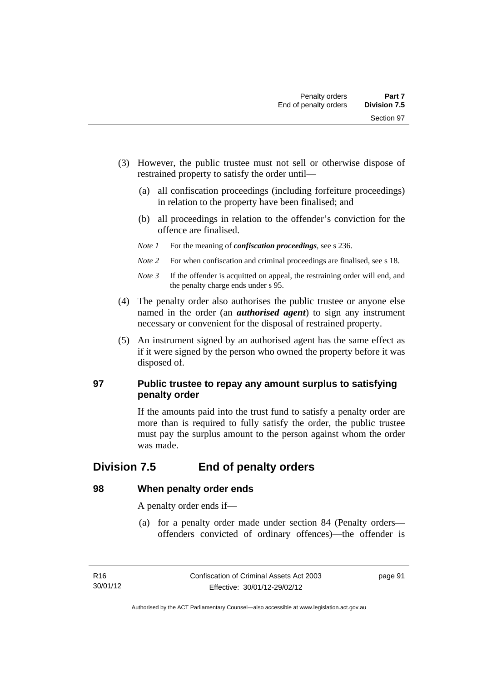- (3) However, the public trustee must not sell or otherwise dispose of restrained property to satisfy the order until—
	- (a) all confiscation proceedings (including forfeiture proceedings) in relation to the property have been finalised; and
	- (b) all proceedings in relation to the offender's conviction for the offence are finalised.
	- *Note 1* For the meaning of *confiscation proceedings*, see s 236.
	- *Note 2* For when confiscation and criminal proceedings are finalised, see s 18.
	- *Note 3* If the offender is acquitted on appeal, the restraining order will end, and the penalty charge ends under s 95.
- (4) The penalty order also authorises the public trustee or anyone else named in the order (an *authorised agent*) to sign any instrument necessary or convenient for the disposal of restrained property.
- (5) An instrument signed by an authorised agent has the same effect as if it were signed by the person who owned the property before it was disposed of.

### **97 Public trustee to repay any amount surplus to satisfying penalty order**

If the amounts paid into the trust fund to satisfy a penalty order are more than is required to fully satisfy the order, the public trustee must pay the surplus amount to the person against whom the order was made.

# **Division 7.5 End of penalty orders**

### **98 When penalty order ends**

A penalty order ends if—

 (a) for a penalty order made under section 84 (Penalty orders offenders convicted of ordinary offences)—the offender is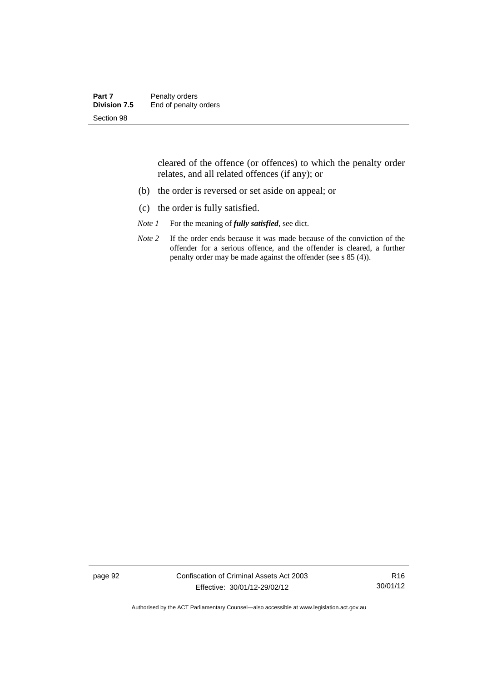| Part 7              | Penalty orders        |
|---------------------|-----------------------|
| <b>Division 7.5</b> | End of penalty orders |
| Section 98          |                       |

cleared of the offence (or offences) to which the penalty order relates, and all related offences (if any); or

- (b) the order is reversed or set aside on appeal; or
- (c) the order is fully satisfied.
- *Note 1* For the meaning of *fully satisfied*, see dict.
- *Note* 2 If the order ends because it was made because of the conviction of the offender for a serious offence, and the offender is cleared, a further penalty order may be made against the offender (see s 85 (4)).

page 92 Confiscation of Criminal Assets Act 2003 Effective: 30/01/12-29/02/12

R16 30/01/12

Authorised by the ACT Parliamentary Counsel—also accessible at www.legislation.act.gov.au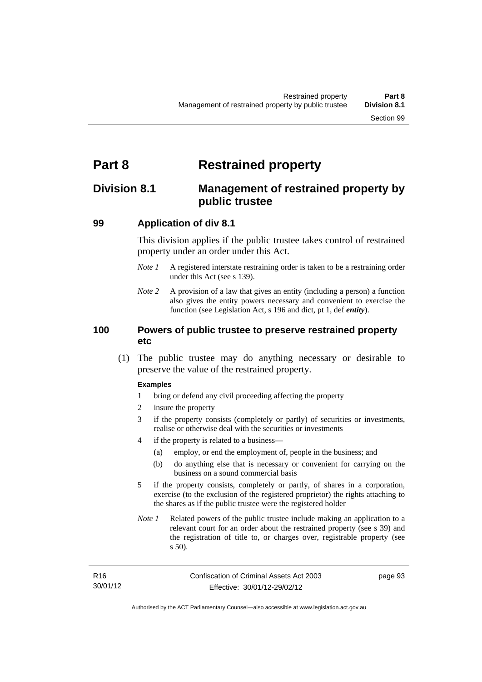# **Part 8 Restrained property**

# **Division 8.1 Management of restrained property by public trustee**

### **99 Application of div 8.1**

This division applies if the public trustee takes control of restrained property under an order under this Act.

- *Note 1* A registered interstate restraining order is taken to be a restraining order under this Act (see s 139).
- *Note 2* A provision of a law that gives an entity (including a person) a function also gives the entity powers necessary and convenient to exercise the function (see Legislation Act, s 196 and dict, pt 1, def *entity*).

### **100 Powers of public trustee to preserve restrained property etc**

 (1) The public trustee may do anything necessary or desirable to preserve the value of the restrained property.

#### **Examples**

- 1 bring or defend any civil proceeding affecting the property
- 2 insure the property
- 3 if the property consists (completely or partly) of securities or investments, realise or otherwise deal with the securities or investments
- 4 if the property is related to a business—
	- (a) employ, or end the employment of, people in the business; and
	- (b) do anything else that is necessary or convenient for carrying on the business on a sound commercial basis
- 5 if the property consists, completely or partly, of shares in a corporation, exercise (to the exclusion of the registered proprietor) the rights attaching to the shares as if the public trustee were the registered holder
- *Note 1* Related powers of the public trustee include making an application to a relevant court for an order about the restrained property (see s 39) and the registration of title to, or charges over, registrable property (see s 50).

| R16      | Confiscation of Criminal Assets Act 2003 | page 93 |
|----------|------------------------------------------|---------|
| 30/01/12 | Effective: 30/01/12-29/02/12             |         |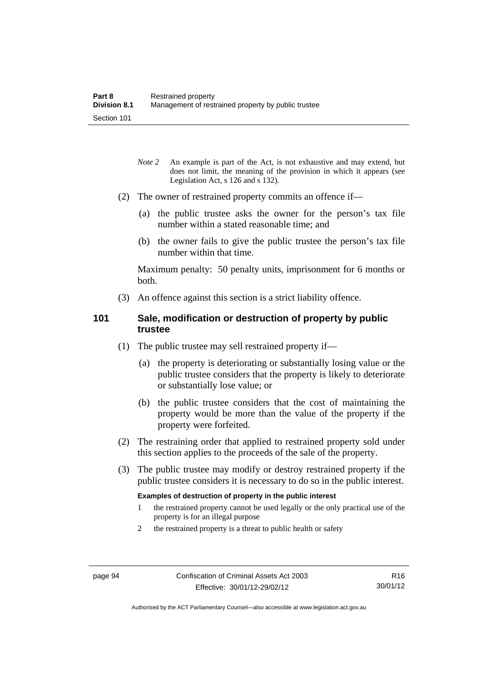- *Note* 2 An example is part of the Act, is not exhaustive and may extend, but does not limit, the meaning of the provision in which it appears (see Legislation Act, s 126 and s 132).
- (2) The owner of restrained property commits an offence if—
	- (a) the public trustee asks the owner for the person's tax file number within a stated reasonable time; and
	- (b) the owner fails to give the public trustee the person's tax file number within that time.

Maximum penalty: 50 penalty units, imprisonment for 6 months or both.

(3) An offence against this section is a strict liability offence.

### **101 Sale, modification or destruction of property by public trustee**

- (1) The public trustee may sell restrained property if—
	- (a) the property is deteriorating or substantially losing value or the public trustee considers that the property is likely to deteriorate or substantially lose value; or
	- (b) the public trustee considers that the cost of maintaining the property would be more than the value of the property if the property were forfeited.
- (2) The restraining order that applied to restrained property sold under this section applies to the proceeds of the sale of the property.
- (3) The public trustee may modify or destroy restrained property if the public trustee considers it is necessary to do so in the public interest.

#### **Examples of destruction of property in the public interest**

- 1 the restrained property cannot be used legally or the only practical use of the property is for an illegal purpose
- 2 the restrained property is a threat to public health or safety

Authorised by the ACT Parliamentary Counsel—also accessible at www.legislation.act.gov.au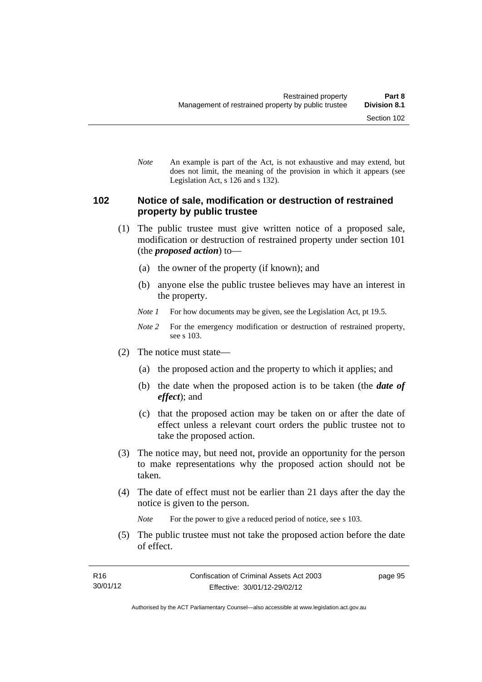*Note* An example is part of the Act, is not exhaustive and may extend, but does not limit, the meaning of the provision in which it appears (see Legislation Act, s 126 and s 132).

#### **102 Notice of sale, modification or destruction of restrained property by public trustee**

- (1) The public trustee must give written notice of a proposed sale, modification or destruction of restrained property under section 101 (the *proposed action*) to—
	- (a) the owner of the property (if known); and
	- (b) anyone else the public trustee believes may have an interest in the property.
	- *Note 1* For how documents may be given, see the Legislation Act, pt 19.5.
	- *Note 2* For the emergency modification or destruction of restrained property, see s 103.
- (2) The notice must state—
	- (a) the proposed action and the property to which it applies; and
	- (b) the date when the proposed action is to be taken (the *date of effect*); and
	- (c) that the proposed action may be taken on or after the date of effect unless a relevant court orders the public trustee not to take the proposed action.
- (3) The notice may, but need not, provide an opportunity for the person to make representations why the proposed action should not be taken.
- (4) The date of effect must not be earlier than 21 days after the day the notice is given to the person.

*Note* For the power to give a reduced period of notice, see s 103.

 (5) The public trustee must not take the proposed action before the date of effect.

page 95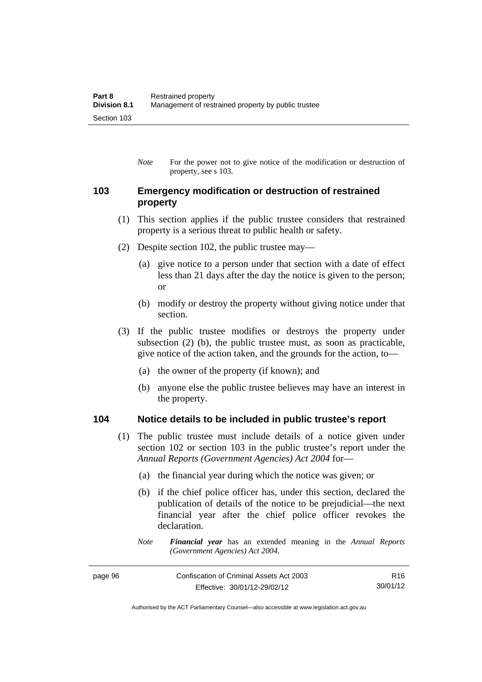*Note* For the power not to give notice of the modification or destruction of property, see s 103.

#### **103 Emergency modification or destruction of restrained property**

- (1) This section applies if the public trustee considers that restrained property is a serious threat to public health or safety.
- (2) Despite section 102, the public trustee may—
	- (a) give notice to a person under that section with a date of effect less than 21 days after the day the notice is given to the person; or
	- (b) modify or destroy the property without giving notice under that section.
- (3) If the public trustee modifies or destroys the property under subsection (2) (b), the public trustee must, as soon as practicable, give notice of the action taken, and the grounds for the action, to—
	- (a) the owner of the property (if known); and
	- (b) anyone else the public trustee believes may have an interest in the property.

#### **104 Notice details to be included in public trustee's report**

- (1) The public trustee must include details of a notice given under section 102 or section 103 in the public trustee's report under the *Annual Reports (Government Agencies) Act 2004* for—
	- (a) the financial year during which the notice was given; or
	- (b) if the chief police officer has, under this section, declared the publication of details of the notice to be prejudicial—the next financial year after the chief police officer revokes the declaration.
	- *Note Financial year* has an extended meaning in the *Annual Reports (Government Agencies) Act 2004*.

| page 96 | Confiscation of Criminal Assets Act 2003 |          |
|---------|------------------------------------------|----------|
|         | Effective: 30/01/12-29/02/12             | 30/01/12 |

Authorised by the ACT Parliamentary Counsel—also accessible at www.legislation.act.gov.au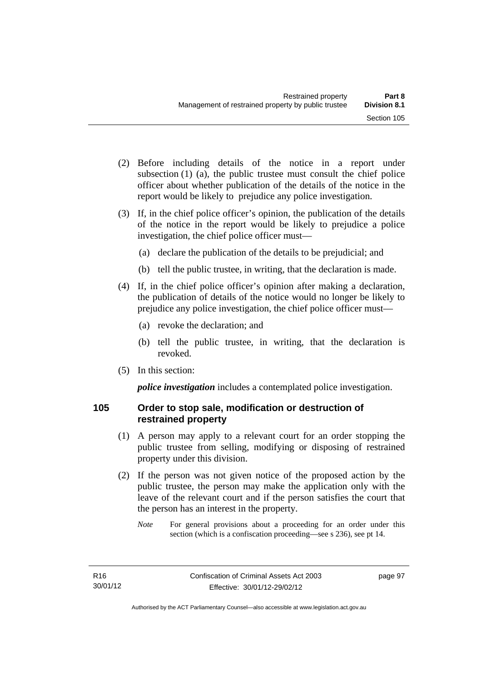- (2) Before including details of the notice in a report under subsection (1) (a), the public trustee must consult the chief police officer about whether publication of the details of the notice in the report would be likely to prejudice any police investigation.
- (3) If, in the chief police officer's opinion, the publication of the details of the notice in the report would be likely to prejudice a police investigation, the chief police officer must—
	- (a) declare the publication of the details to be prejudicial; and
	- (b) tell the public trustee, in writing, that the declaration is made.
- (4) If, in the chief police officer's opinion after making a declaration, the publication of details of the notice would no longer be likely to prejudice any police investigation, the chief police officer must—
	- (a) revoke the declaration; and
	- (b) tell the public trustee, in writing, that the declaration is revoked.
- (5) In this section:

*police investigation* includes a contemplated police investigation.

## **105 Order to stop sale, modification or destruction of restrained property**

- (1) A person may apply to a relevant court for an order stopping the public trustee from selling, modifying or disposing of restrained property under this division.
- (2) If the person was not given notice of the proposed action by the public trustee, the person may make the application only with the leave of the relevant court and if the person satisfies the court that the person has an interest in the property.
	- *Note* For general provisions about a proceeding for an order under this section (which is a confiscation proceeding—see s 236), see pt 14.

page 97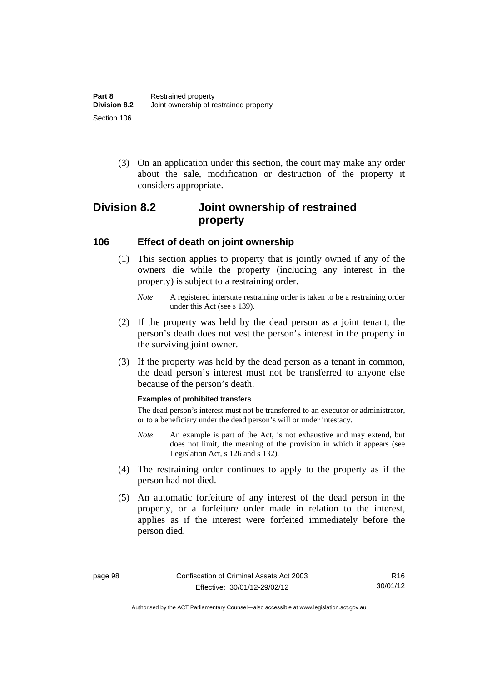(3) On an application under this section, the court may make any order about the sale, modification or destruction of the property it considers appropriate.

# **Division 8.2 Joint ownership of restrained property**

#### **106 Effect of death on joint ownership**

- (1) This section applies to property that is jointly owned if any of the owners die while the property (including any interest in the property) is subject to a restraining order.
	- *Note* A registered interstate restraining order is taken to be a restraining order under this Act (see s 139).
- (2) If the property was held by the dead person as a joint tenant, the person's death does not vest the person's interest in the property in the surviving joint owner.
- (3) If the property was held by the dead person as a tenant in common, the dead person's interest must not be transferred to anyone else because of the person's death.

#### **Examples of prohibited transfers**

The dead person's interest must not be transferred to an executor or administrator, or to a beneficiary under the dead person's will or under intestacy.

- *Note* An example is part of the Act, is not exhaustive and may extend, but does not limit, the meaning of the provision in which it appears (see Legislation Act, s 126 and s 132).
- (4) The restraining order continues to apply to the property as if the person had not died.
- (5) An automatic forfeiture of any interest of the dead person in the property, or a forfeiture order made in relation to the interest, applies as if the interest were forfeited immediately before the person died.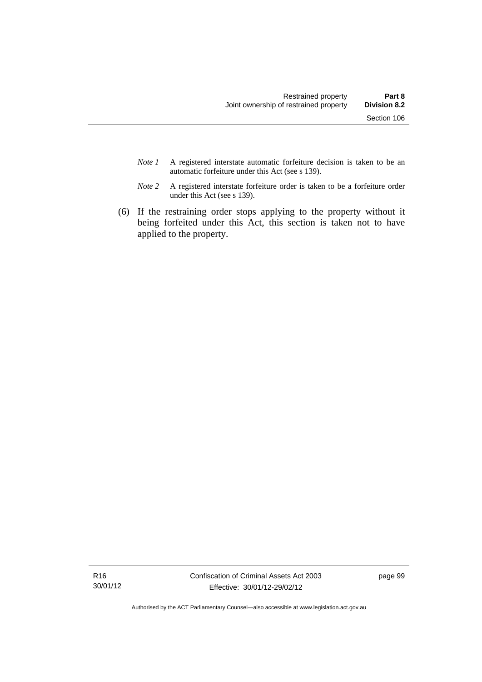- *Note 1* A registered interstate automatic forfeiture decision is taken to be an automatic forfeiture under this Act (see s 139).
- *Note 2* A registered interstate forfeiture order is taken to be a forfeiture order under this Act (see s 139).
- (6) If the restraining order stops applying to the property without it being forfeited under this Act, this section is taken not to have applied to the property.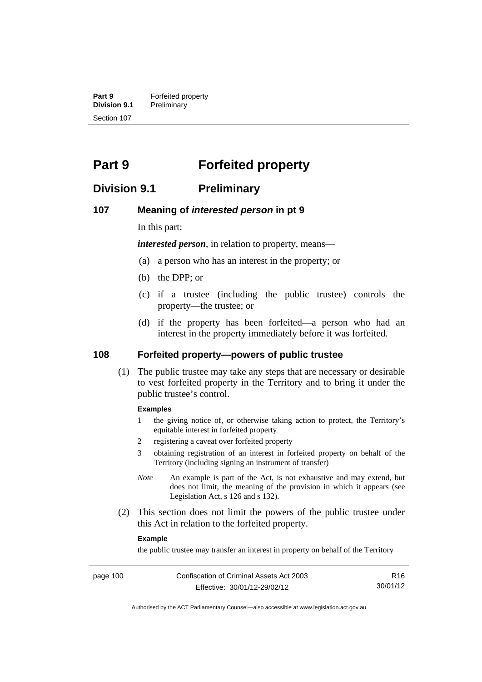**Part 9 Forfeited property**<br>**Division 9.1 Preliminary Division 9.1** Preliminary Section 107

# **Part 9 Forfeited property**

## **Division 9.1 Preliminary**

#### **107 Meaning of** *interested person* **in pt 9**

In this part:

*interested person*, in relation to property, means—

- (a) a person who has an interest in the property; or
- (b) the DPP; or
- (c) if a trustee (including the public trustee) controls the property—the trustee; or
- (d) if the property has been forfeited—a person who had an interest in the property immediately before it was forfeited.

#### **108 Forfeited property—powers of public trustee**

(1) The public trustee may take any steps that are necessary or desirable to vest forfeited property in the Territory and to bring it under the public trustee's control.

#### **Examples**

- 1 the giving notice of, or otherwise taking action to protect, the Territory's equitable interest in forfeited property
- 2 registering a caveat over forfeited property
- 3 obtaining registration of an interest in forfeited property on behalf of the Territory (including signing an instrument of transfer)
- *Note* An example is part of the Act, is not exhaustive and may extend, but does not limit, the meaning of the provision in which it appears (see Legislation Act, s 126 and s 132).
- (2) This section does not limit the powers of the public trustee under this Act in relation to the forfeited property.

#### **Example**

the public trustee may transfer an interest in property on behalf of the Territory

R16 30/01/12

Authorised by the ACT Parliamentary Counsel—also accessible at www.legislation.act.gov.au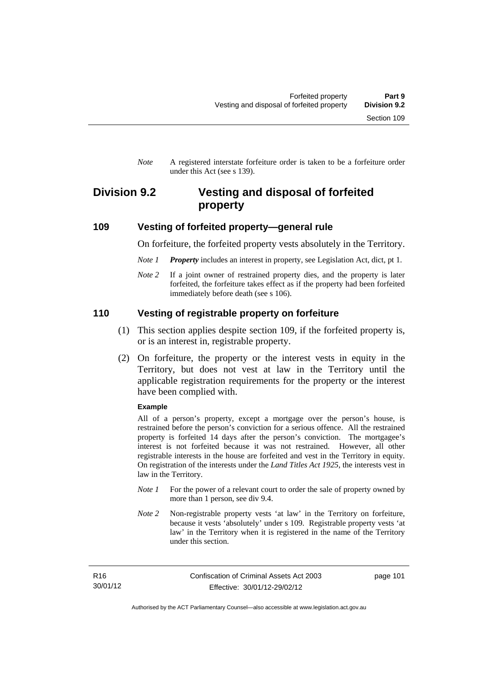*Note* A registered interstate forfeiture order is taken to be a forfeiture order under this Act (see s 139).

# **Division 9.2 Vesting and disposal of forfeited property**

#### **109 Vesting of forfeited property—general rule**

On forfeiture, the forfeited property vests absolutely in the Territory.

- *Note 1 Property* includes an interest in property, see Legislation Act, dict, pt 1.
- *Note* 2 If a joint owner of restrained property dies, and the property is later forfeited, the forfeiture takes effect as if the property had been forfeited immediately before death (see s 106).

#### **110 Vesting of registrable property on forfeiture**

- (1) This section applies despite section 109, if the forfeited property is, or is an interest in, registrable property.
- (2) On forfeiture, the property or the interest vests in equity in the Territory, but does not vest at law in the Territory until the applicable registration requirements for the property or the interest have been complied with.

#### **Example**

All of a person's property, except a mortgage over the person's house, is restrained before the person's conviction for a serious offence. All the restrained property is forfeited 14 days after the person's conviction. The mortgagee's interest is not forfeited because it was not restrained. However, all other registrable interests in the house are forfeited and vest in the Territory in equity. On registration of the interests under the *Land Titles Act 1925*, the interests vest in law in the Territory.

- *Note 1* For the power of a relevant court to order the sale of property owned by more than 1 person, see div 9.4.
- *Note 2* Non-registrable property vests 'at law' in the Territory on forfeiture, because it vests 'absolutely' under s 109. Registrable property vests 'at law' in the Territory when it is registered in the name of the Territory under this section.

R16 30/01/12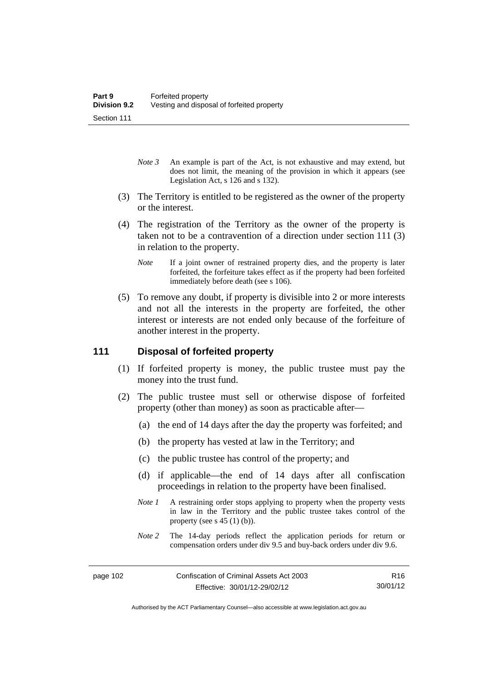- *Note 3* An example is part of the Act, is not exhaustive and may extend, but does not limit, the meaning of the provision in which it appears (see Legislation Act, s 126 and s 132).
- (3) The Territory is entitled to be registered as the owner of the property or the interest.
- (4) The registration of the Territory as the owner of the property is taken not to be a contravention of a direction under section 111 (3) in relation to the property.
	- *Note* If a joint owner of restrained property dies, and the property is later forfeited, the forfeiture takes effect as if the property had been forfeited immediately before death (see s 106).
- (5) To remove any doubt, if property is divisible into 2 or more interests and not all the interests in the property are forfeited, the other interest or interests are not ended only because of the forfeiture of another interest in the property.

#### **111 Disposal of forfeited property**

- (1) If forfeited property is money, the public trustee must pay the money into the trust fund.
- (2) The public trustee must sell or otherwise dispose of forfeited property (other than money) as soon as practicable after—
	- (a) the end of 14 days after the day the property was forfeited; and
	- (b) the property has vested at law in the Territory; and
	- (c) the public trustee has control of the property; and
	- (d) if applicable—the end of 14 days after all confiscation proceedings in relation to the property have been finalised.
	- *Note 1* A restraining order stops applying to property when the property vests in law in the Territory and the public trustee takes control of the property (see s  $45(1)(b)$ ).
	- *Note 2* The 14-day periods reflect the application periods for return or compensation orders under div 9.5 and buy-back orders under div 9.6.

R16 30/01/12

Authorised by the ACT Parliamentary Counsel—also accessible at www.legislation.act.gov.au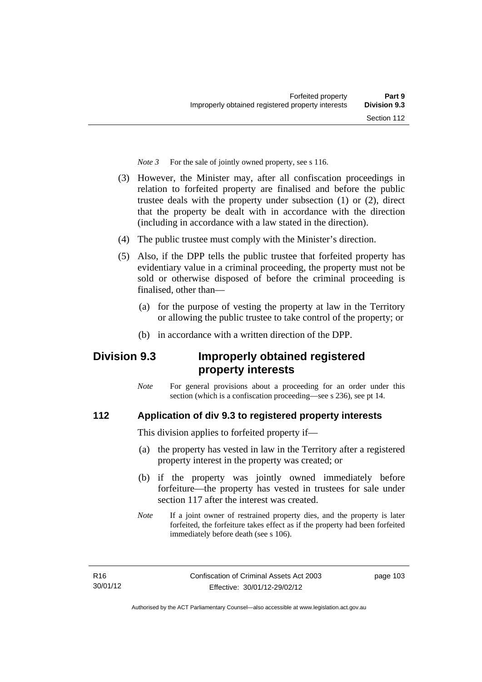*Note 3* For the sale of jointly owned property, see s 116.

- (3) However, the Minister may, after all confiscation proceedings in relation to forfeited property are finalised and before the public trustee deals with the property under subsection (1) or (2), direct that the property be dealt with in accordance with the direction (including in accordance with a law stated in the direction).
- (4) The public trustee must comply with the Minister's direction.
- (5) Also, if the DPP tells the public trustee that forfeited property has evidentiary value in a criminal proceeding, the property must not be sold or otherwise disposed of before the criminal proceeding is finalised, other than-
	- (a) for the purpose of vesting the property at law in the Territory or allowing the public trustee to take control of the property; or
	- (b) in accordance with a written direction of the DPP.

# **Division 9.3 Improperly obtained registered property interests**

*Note* For general provisions about a proceeding for an order under this section (which is a confiscation proceeding—see s 236), see pt 14.

## **112 Application of div 9.3 to registered property interests**

This division applies to forfeited property if—

- (a) the property has vested in law in the Territory after a registered property interest in the property was created; or
- (b) if the property was jointly owned immediately before forfeiture—the property has vested in trustees for sale under section 117 after the interest was created.
- *Note* If a joint owner of restrained property dies, and the property is later forfeited, the forfeiture takes effect as if the property had been forfeited immediately before death (see s 106).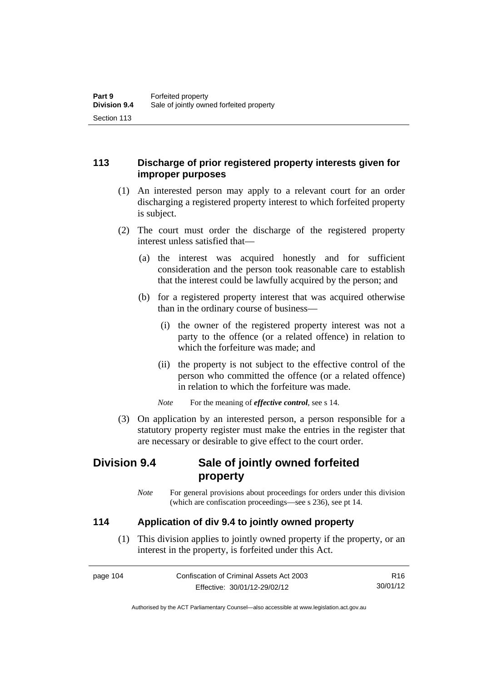## **113 Discharge of prior registered property interests given for improper purposes**

- (1) An interested person may apply to a relevant court for an order discharging a registered property interest to which forfeited property is subject.
- (2) The court must order the discharge of the registered property interest unless satisfied that—
	- (a) the interest was acquired honestly and for sufficient consideration and the person took reasonable care to establish that the interest could be lawfully acquired by the person; and
	- (b) for a registered property interest that was acquired otherwise than in the ordinary course of business—
		- (i) the owner of the registered property interest was not a party to the offence (or a related offence) in relation to which the forfeiture was made; and
		- (ii) the property is not subject to the effective control of the person who committed the offence (or a related offence) in relation to which the forfeiture was made.

*Note* For the meaning of *effective control*, see s 14.

 (3) On application by an interested person, a person responsible for a statutory property register must make the entries in the register that are necessary or desirable to give effect to the court order.

# **Division 9.4 Sale of jointly owned forfeited property**

*Note* For general provisions about proceedings for orders under this division (which are confiscation proceedings—see s 236), see pt 14.

## **114 Application of div 9.4 to jointly owned property**

 (1) This division applies to jointly owned property if the property, or an interest in the property, is forfeited under this Act.

| page 104 | Confiscation of Criminal Assets Act 2003 | R16      |
|----------|------------------------------------------|----------|
|          | Effective: 30/01/12-29/02/12             | 30/01/12 |

Authorised by the ACT Parliamentary Counsel—also accessible at www.legislation.act.gov.au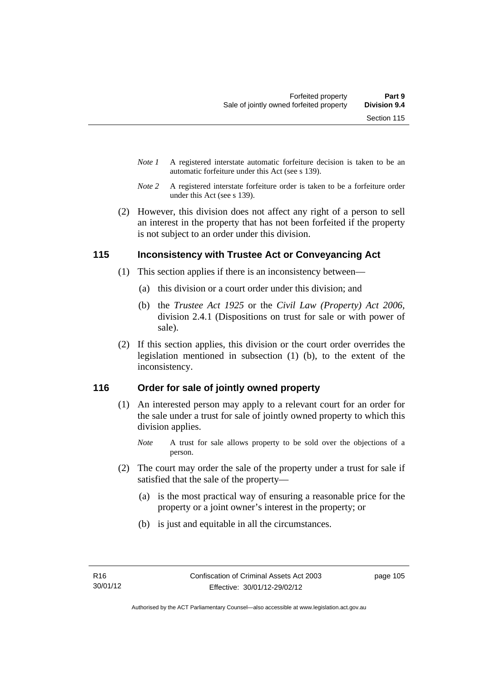- *Note 1* A registered interstate automatic forfeiture decision is taken to be an automatic forfeiture under this Act (see s 139).
- *Note 2* A registered interstate forfeiture order is taken to be a forfeiture order under this Act (see s 139).
- (2) However, this division does not affect any right of a person to sell an interest in the property that has not been forfeited if the property is not subject to an order under this division.

#### **115 Inconsistency with Trustee Act or Conveyancing Act**

- (1) This section applies if there is an inconsistency between—
	- (a) this division or a court order under this division; and
	- (b) the *Trustee Act 1925* or the *Civil Law (Property) Act 2006*, division 2.4.1 (Dispositions on trust for sale or with power of sale).
- (2) If this section applies, this division or the court order overrides the legislation mentioned in subsection (1) (b), to the extent of the inconsistency.

## **116 Order for sale of jointly owned property**

- (1) An interested person may apply to a relevant court for an order for the sale under a trust for sale of jointly owned property to which this division applies.
	- *Note* A trust for sale allows property to be sold over the objections of a person.
- (2) The court may order the sale of the property under a trust for sale if satisfied that the sale of the property—
	- (a) is the most practical way of ensuring a reasonable price for the property or a joint owner's interest in the property; or
	- (b) is just and equitable in all the circumstances.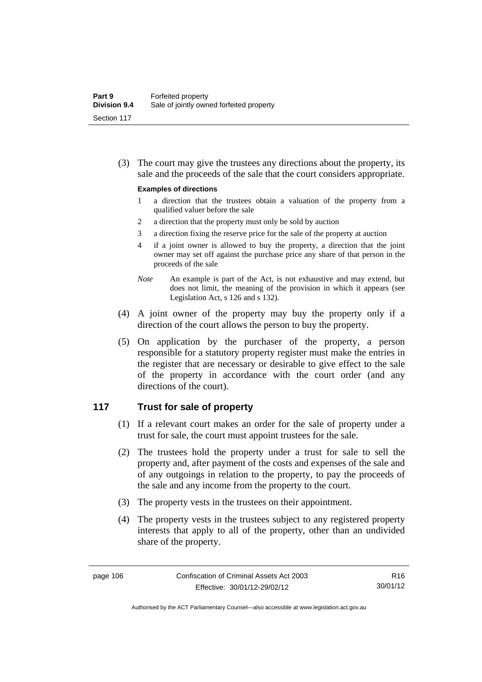(3) The court may give the trustees any directions about the property, its sale and the proceeds of the sale that the court considers appropriate.

#### **Examples of directions**

- 1 a direction that the trustees obtain a valuation of the property from a qualified valuer before the sale
- 2 a direction that the property must only be sold by auction
- 3 a direction fixing the reserve price for the sale of the property at auction
- 4 if a joint owner is allowed to buy the property, a direction that the joint owner may set off against the purchase price any share of that person in the proceeds of the sale
- *Note* An example is part of the Act, is not exhaustive and may extend, but does not limit, the meaning of the provision in which it appears (see Legislation Act, s 126 and s 132).
- (4) A joint owner of the property may buy the property only if a direction of the court allows the person to buy the property.
- (5) On application by the purchaser of the property, a person responsible for a statutory property register must make the entries in the register that are necessary or desirable to give effect to the sale of the property in accordance with the court order (and any directions of the court).

#### **117 Trust for sale of property**

- (1) If a relevant court makes an order for the sale of property under a trust for sale, the court must appoint trustees for the sale.
- (2) The trustees hold the property under a trust for sale to sell the property and, after payment of the costs and expenses of the sale and of any outgoings in relation to the property, to pay the proceeds of the sale and any income from the property to the court.
- (3) The property vests in the trustees on their appointment.
- (4) The property vests in the trustees subject to any registered property interests that apply to all of the property, other than an undivided share of the property.

R16 30/01/12

Authorised by the ACT Parliamentary Counsel—also accessible at www.legislation.act.gov.au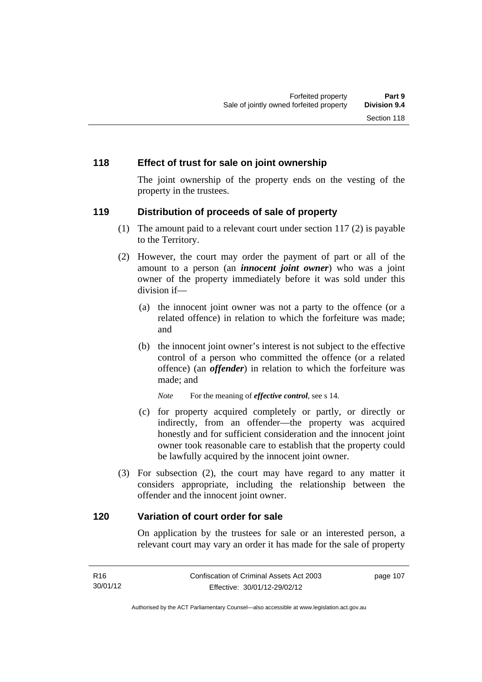#### **118 Effect of trust for sale on joint ownership**

The joint ownership of the property ends on the vesting of the property in the trustees.

#### **119 Distribution of proceeds of sale of property**

- (1) The amount paid to a relevant court under section 117 (2) is payable to the Territory.
- (2) However, the court may order the payment of part or all of the amount to a person (an *innocent joint owner*) who was a joint owner of the property immediately before it was sold under this division if—
	- (a) the innocent joint owner was not a party to the offence (or a related offence) in relation to which the forfeiture was made; and
	- (b) the innocent joint owner's interest is not subject to the effective control of a person who committed the offence (or a related offence) (an *offender*) in relation to which the forfeiture was made; and

*Note* For the meaning of *effective control*, see s 14.

- (c) for property acquired completely or partly, or directly or indirectly, from an offender—the property was acquired honestly and for sufficient consideration and the innocent joint owner took reasonable care to establish that the property could be lawfully acquired by the innocent joint owner.
- (3) For subsection (2), the court may have regard to any matter it considers appropriate, including the relationship between the offender and the innocent joint owner.

#### **120 Variation of court order for sale**

On application by the trustees for sale or an interested person, a relevant court may vary an order it has made for the sale of property

| R16      | Confiscation of Criminal Assets Act 2003 | page 107 |
|----------|------------------------------------------|----------|
| 30/01/12 | Effective: 30/01/12-29/02/12             |          |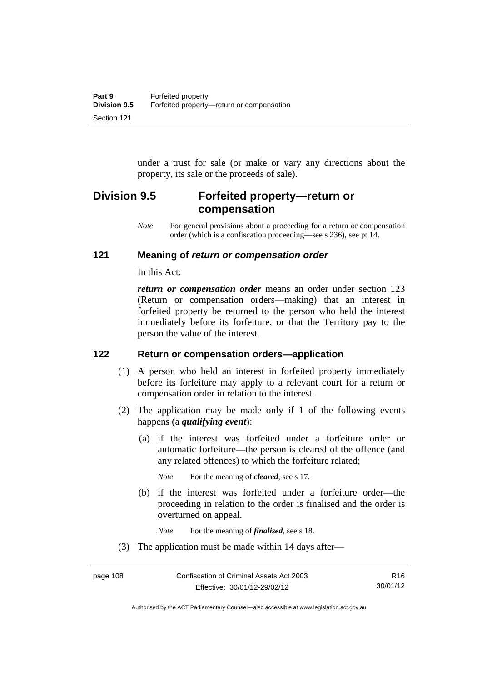under a trust for sale (or make or vary any directions about the property, its sale or the proceeds of sale).

# **Division 9.5 Forfeited property—return or compensation**

*Note* For general provisions about a proceeding for a return or compensation order (which is a confiscation proceeding—see s 236), see pt 14.

#### **121 Meaning of** *return or compensation order*

In this Act:

*return or compensation order* means an order under section 123 (Return or compensation orders—making) that an interest in forfeited property be returned to the person who held the interest immediately before its forfeiture, or that the Territory pay to the person the value of the interest.

#### **122 Return or compensation orders—application**

- (1) A person who held an interest in forfeited property immediately before its forfeiture may apply to a relevant court for a return or compensation order in relation to the interest.
- (2) The application may be made only if 1 of the following events happens (a *qualifying event*):
	- (a) if the interest was forfeited under a forfeiture order or automatic forfeiture—the person is cleared of the offence (and any related offences) to which the forfeiture related;

*Note* For the meaning of *cleared*, see s 17.

 (b) if the interest was forfeited under a forfeiture order—the proceeding in relation to the order is finalised and the order is overturned on appeal.

*Note* For the meaning of *finalised*, see s 18.

(3) The application must be made within 14 days after—

Authorised by the ACT Parliamentary Counsel—also accessible at www.legislation.act.gov.au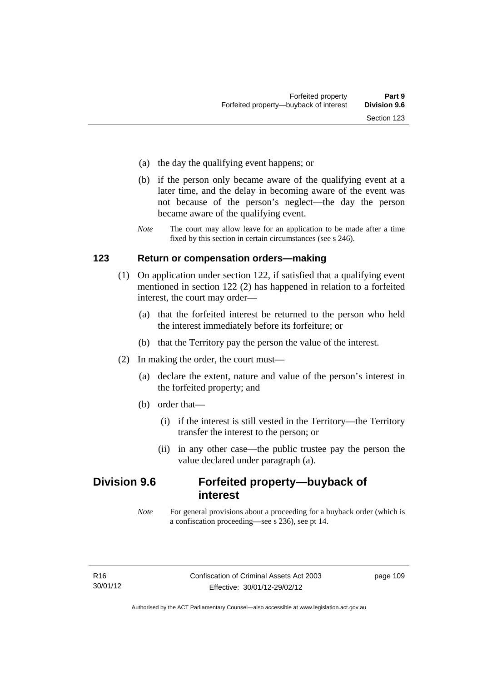- (a) the day the qualifying event happens; or
- (b) if the person only became aware of the qualifying event at a later time, and the delay in becoming aware of the event was not because of the person's neglect—the day the person became aware of the qualifying event.
- *Note* The court may allow leave for an application to be made after a time fixed by this section in certain circumstances (see s 246).

#### **123 Return or compensation orders—making**

- (1) On application under section 122, if satisfied that a qualifying event mentioned in section 122 (2) has happened in relation to a forfeited interest, the court may order—
	- (a) that the forfeited interest be returned to the person who held the interest immediately before its forfeiture; or
	- (b) that the Territory pay the person the value of the interest.
- (2) In making the order, the court must—
	- (a) declare the extent, nature and value of the person's interest in the forfeited property; and
	- (b) order that—
		- (i) if the interest is still vested in the Territory—the Territory transfer the interest to the person; or
		- (ii) in any other case—the public trustee pay the person the value declared under paragraph (a).

# **Division 9.6 Forfeited property—buyback of interest**

*Note* For general provisions about a proceeding for a buyback order (which is a confiscation proceeding—see s 236), see pt 14.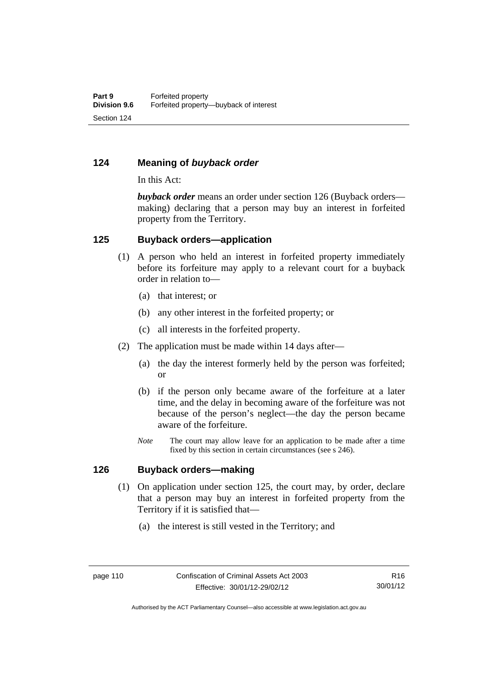#### **124 Meaning of** *buyback order*

In this Act:

*buyback order* means an order under section 126 (Buyback orders making) declaring that a person may buy an interest in forfeited property from the Territory.

#### **125 Buyback orders—application**

- (1) A person who held an interest in forfeited property immediately before its forfeiture may apply to a relevant court for a buyback order in relation to—
	- (a) that interest; or
	- (b) any other interest in the forfeited property; or
	- (c) all interests in the forfeited property.
- (2) The application must be made within 14 days after—
	- (a) the day the interest formerly held by the person was forfeited; or
	- (b) if the person only became aware of the forfeiture at a later time, and the delay in becoming aware of the forfeiture was not because of the person's neglect—the day the person became aware of the forfeiture.
	- *Note* The court may allow leave for an application to be made after a time fixed by this section in certain circumstances (see s 246).

#### **126 Buyback orders—making**

- (1) On application under section 125, the court may, by order, declare that a person may buy an interest in forfeited property from the Territory if it is satisfied that—
	- (a) the interest is still vested in the Territory; and

Authorised by the ACT Parliamentary Counsel—also accessible at www.legislation.act.gov.au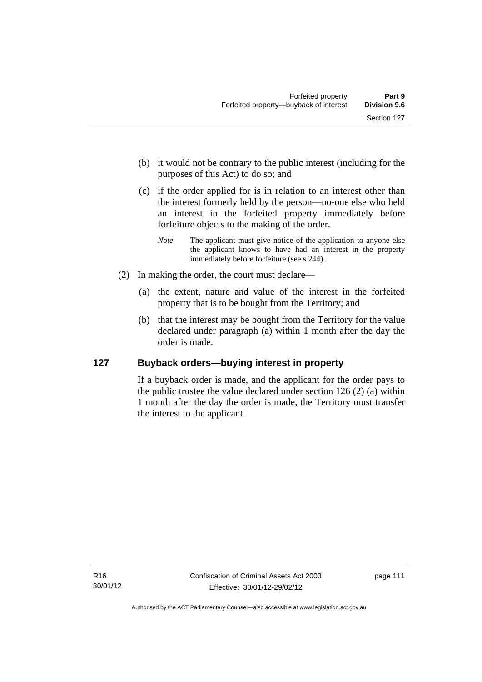- (b) it would not be contrary to the public interest (including for the purposes of this Act) to do so; and
- (c) if the order applied for is in relation to an interest other than the interest formerly held by the person—no-one else who held an interest in the forfeited property immediately before forfeiture objects to the making of the order.
	- *Note* The applicant must give notice of the application to anyone else the applicant knows to have had an interest in the property immediately before forfeiture (see s 244).
- (2) In making the order, the court must declare—
	- (a) the extent, nature and value of the interest in the forfeited property that is to be bought from the Territory; and
	- (b) that the interest may be bought from the Territory for the value declared under paragraph (a) within 1 month after the day the order is made.

## **127 Buyback orders—buying interest in property**

If a buyback order is made, and the applicant for the order pays to the public trustee the value declared under section 126 (2) (a) within 1 month after the day the order is made, the Territory must transfer the interest to the applicant.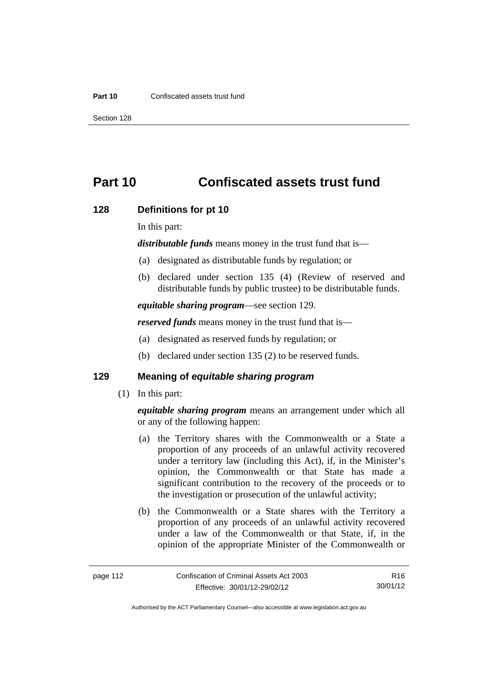#### **Part 10** Confiscated assets trust fund

Section 128

# **Part 10 Confiscated assets trust fund**

#### **128 Definitions for pt 10**

In this part:

*distributable funds* means money in the trust fund that is—

- (a) designated as distributable funds by regulation; or
- (b) declared under section 135 (4) (Review of reserved and distributable funds by public trustee) to be distributable funds.

*equitable sharing program*—see section 129.

*reserved funds* means money in the trust fund that is—

- (a) designated as reserved funds by regulation; or
- (b) declared under section 135 (2) to be reserved funds.

#### **129 Meaning of** *equitable sharing program*

(1) In this part:

*equitable sharing program* means an arrangement under which all or any of the following happen:

- (a) the Territory shares with the Commonwealth or a State a proportion of any proceeds of an unlawful activity recovered under a territory law (including this Act), if, in the Minister's opinion, the Commonwealth or that State has made a significant contribution to the recovery of the proceeds or to the investigation or prosecution of the unlawful activity;
- (b) the Commonwealth or a State shares with the Territory a proportion of any proceeds of an unlawful activity recovered under a law of the Commonwealth or that State, if, in the opinion of the appropriate Minister of the Commonwealth or

R16 30/01/12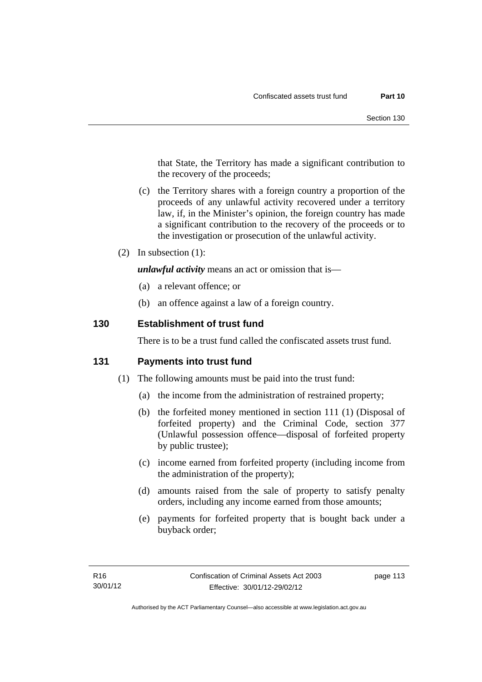that State, the Territory has made a significant contribution to the recovery of the proceeds;

- (c) the Territory shares with a foreign country a proportion of the proceeds of any unlawful activity recovered under a territory law, if, in the Minister's opinion, the foreign country has made a significant contribution to the recovery of the proceeds or to the investigation or prosecution of the unlawful activity.
- (2) In subsection (1):

*unlawful activity* means an act or omission that is—

- (a) a relevant offence; or
- (b) an offence against a law of a foreign country.

#### **130 Establishment of trust fund**

There is to be a trust fund called the confiscated assets trust fund.

#### **131 Payments into trust fund**

- (1) The following amounts must be paid into the trust fund:
	- (a) the income from the administration of restrained property;
	- (b) the forfeited money mentioned in section 111 (1) (Disposal of forfeited property) and the Criminal Code, section 377 (Unlawful possession offence—disposal of forfeited property by public trustee);
	- (c) income earned from forfeited property (including income from the administration of the property);
	- (d) amounts raised from the sale of property to satisfy penalty orders, including any income earned from those amounts;
	- (e) payments for forfeited property that is bought back under a buyback order;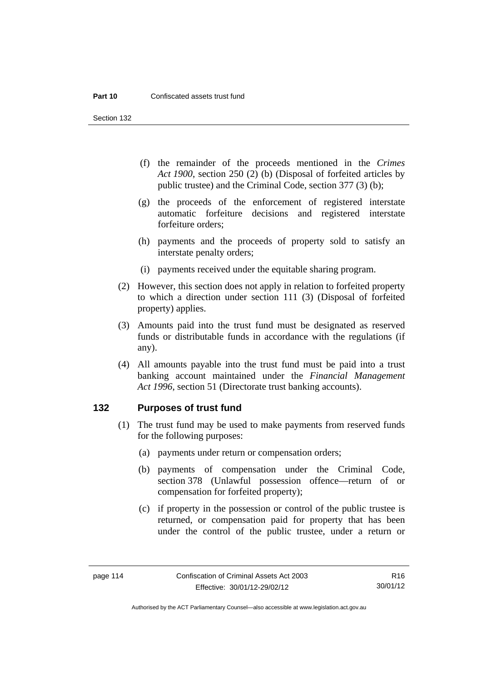Section 132

- (f) the remainder of the proceeds mentioned in the *Crimes Act 1900*, section 250 (2) (b) (Disposal of forfeited articles by public trustee) and the Criminal Code, section 377 (3) (b);
- (g) the proceeds of the enforcement of registered interstate automatic forfeiture decisions and registered interstate forfeiture orders;
- (h) payments and the proceeds of property sold to satisfy an interstate penalty orders;
- (i) payments received under the equitable sharing program.
- (2) However, this section does not apply in relation to forfeited property to which a direction under section 111 (3) (Disposal of forfeited property) applies.
- (3) Amounts paid into the trust fund must be designated as reserved funds or distributable funds in accordance with the regulations (if any).
- (4) All amounts payable into the trust fund must be paid into a trust banking account maintained under the *Financial Management Act 1996*, section 51 (Directorate trust banking accounts).

#### **132 Purposes of trust fund**

- (1) The trust fund may be used to make payments from reserved funds for the following purposes:
	- (a) payments under return or compensation orders;
	- (b) payments of compensation under the Criminal Code, section 378 (Unlawful possession offence—return of or compensation for forfeited property);
	- (c) if property in the possession or control of the public trustee is returned, or compensation paid for property that has been under the control of the public trustee, under a return or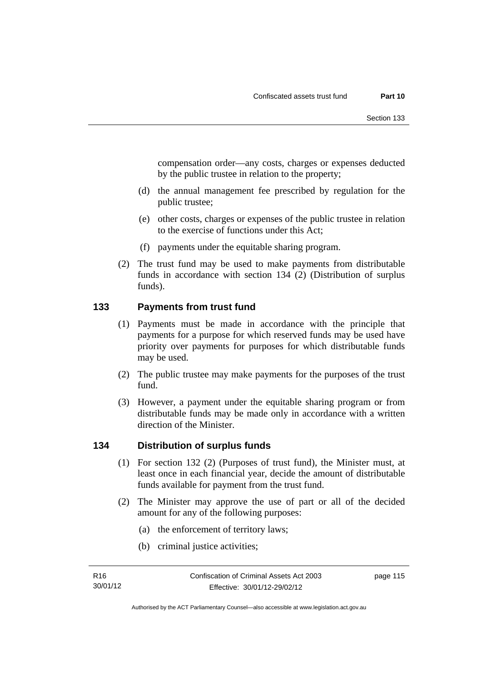compensation order—any costs, charges or expenses deducted by the public trustee in relation to the property;

- (d) the annual management fee prescribed by regulation for the public trustee;
- (e) other costs, charges or expenses of the public trustee in relation to the exercise of functions under this Act;
- (f) payments under the equitable sharing program.
- (2) The trust fund may be used to make payments from distributable funds in accordance with section 134 (2) (Distribution of surplus funds).

#### **133 Payments from trust fund**

- (1) Payments must be made in accordance with the principle that payments for a purpose for which reserved funds may be used have priority over payments for purposes for which distributable funds may be used.
- (2) The public trustee may make payments for the purposes of the trust fund.
- (3) However, a payment under the equitable sharing program or from distributable funds may be made only in accordance with a written direction of the Minister.

## **134 Distribution of surplus funds**

- (1) For section 132 (2) (Purposes of trust fund), the Minister must, at least once in each financial year, decide the amount of distributable funds available for payment from the trust fund.
- (2) The Minister may approve the use of part or all of the decided amount for any of the following purposes:
	- (a) the enforcement of territory laws;
	- (b) criminal justice activities;

page 115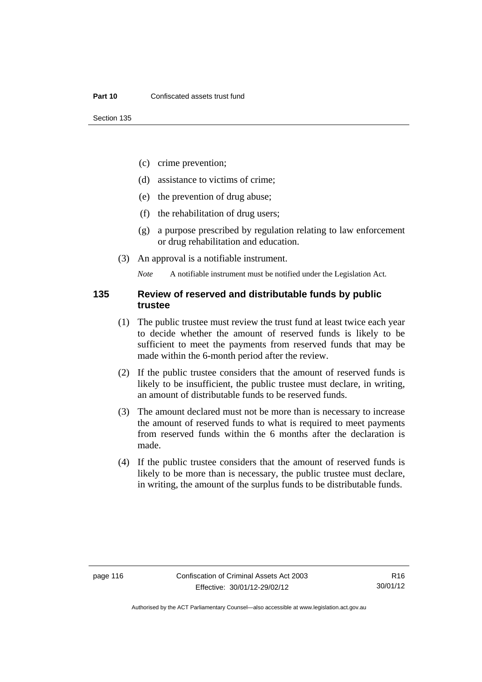- (c) crime prevention;
- (d) assistance to victims of crime;
- (e) the prevention of drug abuse;
- (f) the rehabilitation of drug users;
- (g) a purpose prescribed by regulation relating to law enforcement or drug rehabilitation and education.
- (3) An approval is a notifiable instrument.

*Note* A notifiable instrument must be notified under the Legislation Act.

#### **135 Review of reserved and distributable funds by public trustee**

- (1) The public trustee must review the trust fund at least twice each year to decide whether the amount of reserved funds is likely to be sufficient to meet the payments from reserved funds that may be made within the 6-month period after the review.
- (2) If the public trustee considers that the amount of reserved funds is likely to be insufficient, the public trustee must declare, in writing, an amount of distributable funds to be reserved funds.
- (3) The amount declared must not be more than is necessary to increase the amount of reserved funds to what is required to meet payments from reserved funds within the 6 months after the declaration is made.
- (4) If the public trustee considers that the amount of reserved funds is likely to be more than is necessary, the public trustee must declare, in writing, the amount of the surplus funds to be distributable funds.

R16 30/01/12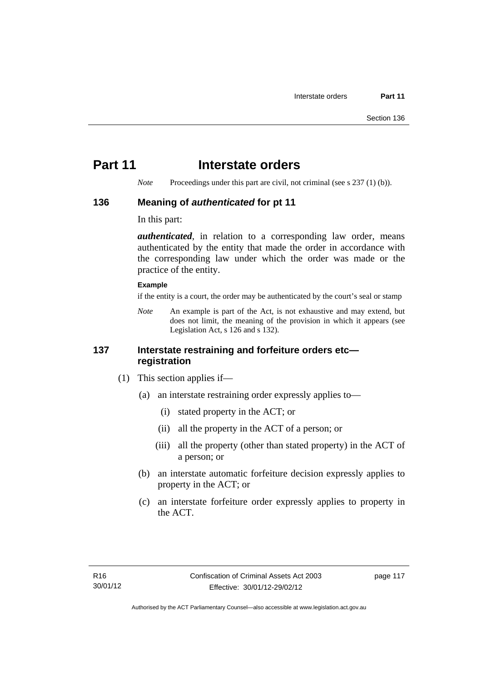# **Part 11** Interstate orders

*Note* Proceedings under this part are civil, not criminal (see s 237 (1) (b)).

#### **136 Meaning of** *authenticated* **for pt 11**

In this part:

*authenticated*, in relation to a corresponding law order, means authenticated by the entity that made the order in accordance with the corresponding law under which the order was made or the practice of the entity.

#### **Example**

if the entity is a court, the order may be authenticated by the court's seal or stamp

*Note* An example is part of the Act, is not exhaustive and may extend, but does not limit, the meaning of the provision in which it appears (see Legislation Act, s 126 and s 132).

#### **137 Interstate restraining and forfeiture orders etc registration**

- (1) This section applies if—
	- (a) an interstate restraining order expressly applies to—
		- (i) stated property in the ACT; or
		- (ii) all the property in the ACT of a person; or
		- (iii) all the property (other than stated property) in the ACT of a person; or
	- (b) an interstate automatic forfeiture decision expressly applies to property in the ACT; or
	- (c) an interstate forfeiture order expressly applies to property in the ACT.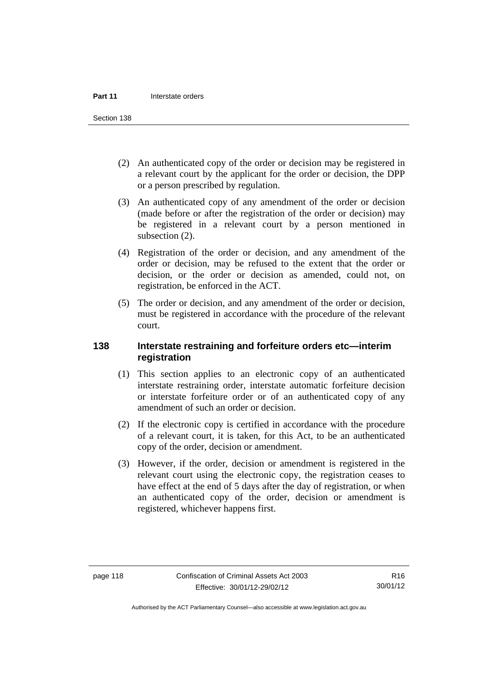Section 138

- (2) An authenticated copy of the order or decision may be registered in a relevant court by the applicant for the order or decision, the DPP or a person prescribed by regulation.
- (3) An authenticated copy of any amendment of the order or decision (made before or after the registration of the order or decision) may be registered in a relevant court by a person mentioned in subsection  $(2)$ .
- (4) Registration of the order or decision, and any amendment of the order or decision, may be refused to the extent that the order or decision, or the order or decision as amended, could not, on registration, be enforced in the ACT.
- (5) The order or decision, and any amendment of the order or decision, must be registered in accordance with the procedure of the relevant court.

#### **138 Interstate restraining and forfeiture orders etc—interim registration**

- (1) This section applies to an electronic copy of an authenticated interstate restraining order, interstate automatic forfeiture decision or interstate forfeiture order or of an authenticated copy of any amendment of such an order or decision.
- (2) If the electronic copy is certified in accordance with the procedure of a relevant court, it is taken, for this Act, to be an authenticated copy of the order, decision or amendment.
- (3) However, if the order, decision or amendment is registered in the relevant court using the electronic copy, the registration ceases to have effect at the end of 5 days after the day of registration, or when an authenticated copy of the order, decision or amendment is registered, whichever happens first.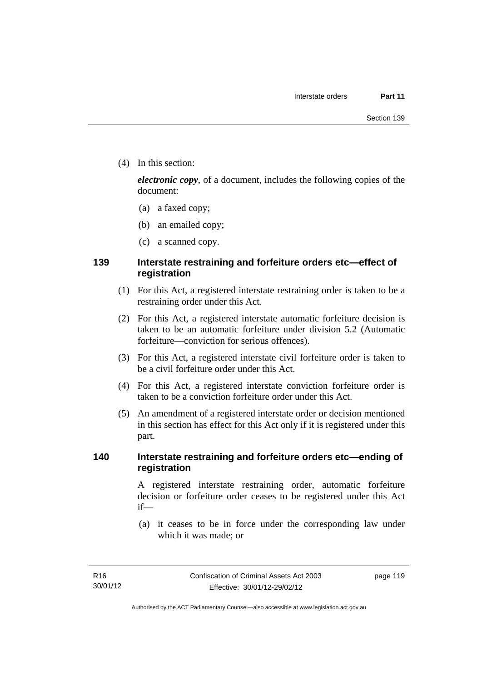(4) In this section:

*electronic copy*, of a document, includes the following copies of the document:

- (a) a faxed copy;
- (b) an emailed copy;
- (c) a scanned copy.

## **139 Interstate restraining and forfeiture orders etc—effect of registration**

- (1) For this Act, a registered interstate restraining order is taken to be a restraining order under this Act.
- (2) For this Act, a registered interstate automatic forfeiture decision is taken to be an automatic forfeiture under division 5.2 (Automatic forfeiture—conviction for serious offences).
- (3) For this Act, a registered interstate civil forfeiture order is taken to be a civil forfeiture order under this Act.
- (4) For this Act, a registered interstate conviction forfeiture order is taken to be a conviction forfeiture order under this Act.
- (5) An amendment of a registered interstate order or decision mentioned in this section has effect for this Act only if it is registered under this part.

#### **140 Interstate restraining and forfeiture orders etc—ending of registration**

A registered interstate restraining order, automatic forfeiture decision or forfeiture order ceases to be registered under this Act if—

 (a) it ceases to be in force under the corresponding law under which it was made; or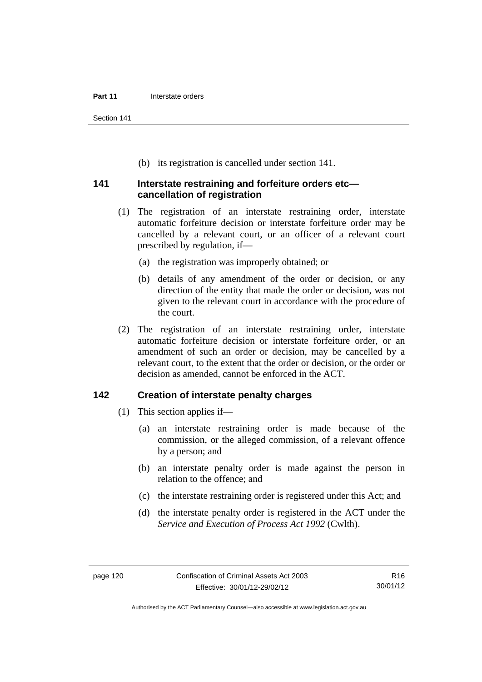Section 141

(b) its registration is cancelled under section 141.

#### **141 Interstate restraining and forfeiture orders etc cancellation of registration**

- (1) The registration of an interstate restraining order, interstate automatic forfeiture decision or interstate forfeiture order may be cancelled by a relevant court, or an officer of a relevant court prescribed by regulation, if—
	- (a) the registration was improperly obtained; or
	- (b) details of any amendment of the order or decision, or any direction of the entity that made the order or decision, was not given to the relevant court in accordance with the procedure of the court.
- (2) The registration of an interstate restraining order, interstate automatic forfeiture decision or interstate forfeiture order, or an amendment of such an order or decision, may be cancelled by a relevant court, to the extent that the order or decision, or the order or decision as amended, cannot be enforced in the ACT.

#### **142 Creation of interstate penalty charges**

- (1) This section applies if—
	- (a) an interstate restraining order is made because of the commission, or the alleged commission, of a relevant offence by a person; and
	- (b) an interstate penalty order is made against the person in relation to the offence; and
	- (c) the interstate restraining order is registered under this Act; and
	- (d) the interstate penalty order is registered in the ACT under the *Service and Execution of Process Act 1992* (Cwlth).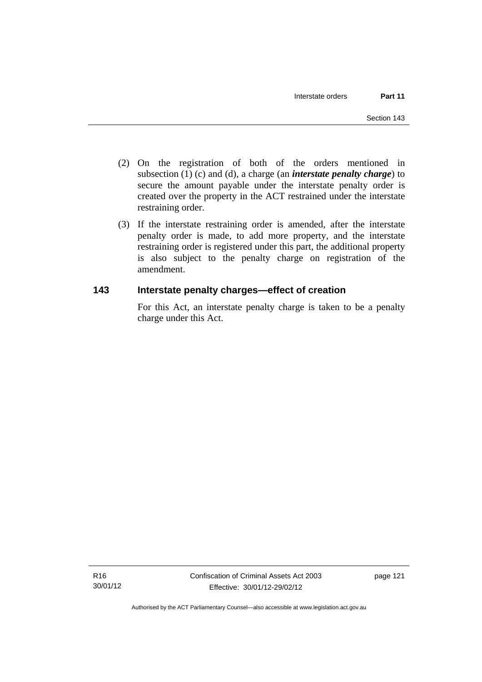- (2) On the registration of both of the orders mentioned in subsection (1) (c) and (d), a charge (an *interstate penalty charge*) to secure the amount payable under the interstate penalty order is created over the property in the ACT restrained under the interstate restraining order.
- (3) If the interstate restraining order is amended, after the interstate penalty order is made, to add more property, and the interstate restraining order is registered under this part, the additional property is also subject to the penalty charge on registration of the amendment.

## **143 Interstate penalty charges—effect of creation**

For this Act, an interstate penalty charge is taken to be a penalty charge under this Act.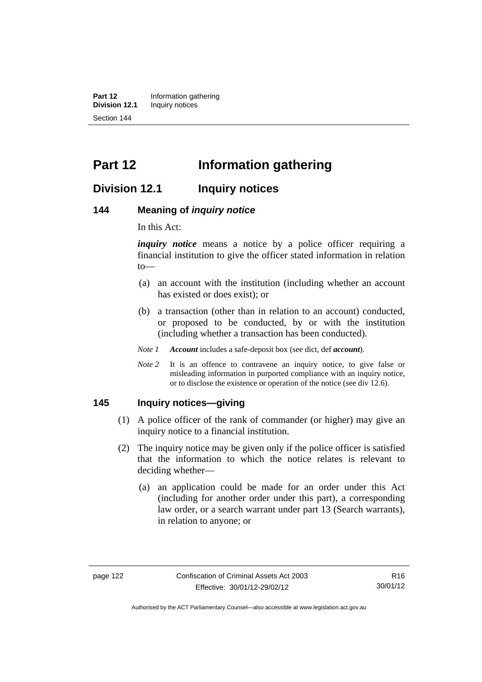**Part 12** Information gathering<br>**Division 12.1** Inquiry notices **Inquiry notices** Section 144

# **Part 12 Information gathering**

## **Division 12.1 Inquiry notices**

#### **144 Meaning of** *inquiry notice*

In this Act:

*inquiry notice* means a notice by a police officer requiring a financial institution to give the officer stated information in relation to—

- (a) an account with the institution (including whether an account has existed or does exist); or
- (b) a transaction (other than in relation to an account) conducted, or proposed to be conducted, by or with the institution (including whether a transaction has been conducted).
- *Note 1 Account* includes a safe-deposit box (see dict, def *account*).
- *Note* 2 It is an offence to contravene an inquiry notice, to give false or misleading information in purported compliance with an inquiry notice, or to disclose the existence or operation of the notice (see div 12.6).

#### **145 Inquiry notices—giving**

- (1) A police officer of the rank of commander (or higher) may give an inquiry notice to a financial institution.
- (2) The inquiry notice may be given only if the police officer is satisfied that the information to which the notice relates is relevant to deciding whether—
	- (a) an application could be made for an order under this Act (including for another order under this part), a corresponding law order, or a search warrant under part 13 (Search warrants), in relation to anyone; or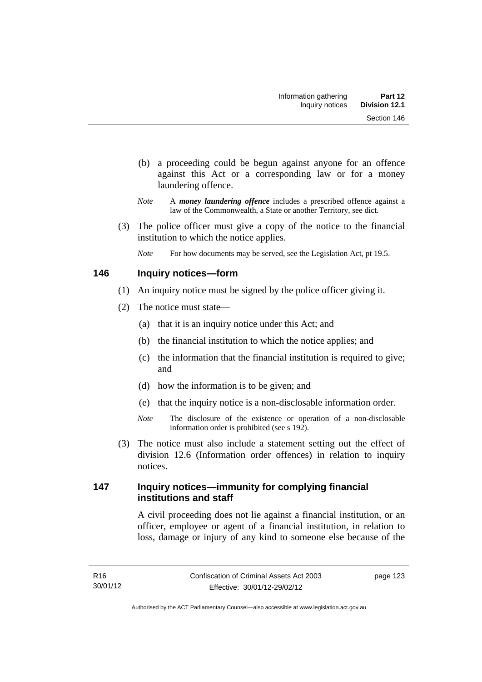- (b) a proceeding could be begun against anyone for an offence against this Act or a corresponding law or for a money laundering offence.
- *Note* A *money laundering offence* includes a prescribed offence against a law of the Commonwealth, a State or another Territory, see dict.
- (3) The police officer must give a copy of the notice to the financial institution to which the notice applies.
	- *Note* For how documents may be served, see the Legislation Act, pt 19.5.

## **146 Inquiry notices—form**

- (1) An inquiry notice must be signed by the police officer giving it.
- (2) The notice must state—
	- (a) that it is an inquiry notice under this Act; and
	- (b) the financial institution to which the notice applies; and
	- (c) the information that the financial institution is required to give; and
	- (d) how the information is to be given; and
	- (e) that the inquiry notice is a non-disclosable information order.
	- *Note* The disclosure of the existence or operation of a non-disclosable information order is prohibited (see s 192).
- (3) The notice must also include a statement setting out the effect of division 12.6 (Information order offences) in relation to inquiry notices.

## **147 Inquiry notices—immunity for complying financial institutions and staff**

A civil proceeding does not lie against a financial institution, or an officer, employee or agent of a financial institution, in relation to loss, damage or injury of any kind to someone else because of the

page 123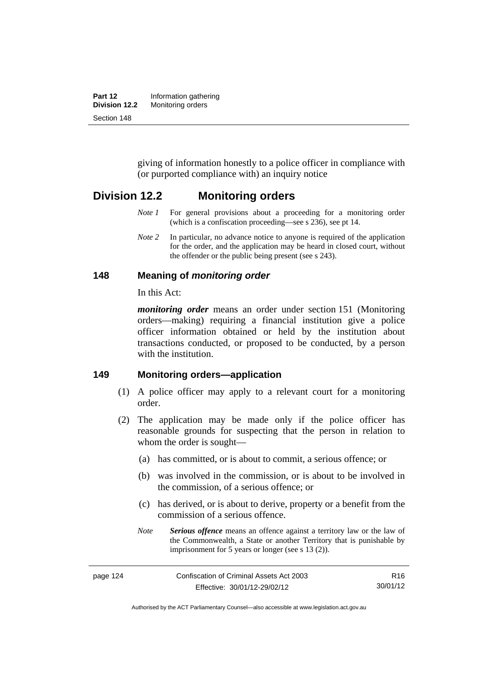| Part 12       | Information gathering |  |
|---------------|-----------------------|--|
| Division 12.2 | Monitoring orders     |  |
| Section 148   |                       |  |

giving of information honestly to a police officer in compliance with (or purported compliance with) an inquiry notice

## **Division 12.2 Monitoring orders**

- *Note 1* For general provisions about a proceeding for a monitoring order (which is a confiscation proceeding—see s 236), see pt 14.
- *Note 2* In particular, no advance notice to anyone is required of the application for the order, and the application may be heard in closed court, without the offender or the public being present (see s 243).

#### **148 Meaning of** *monitoring order*

In this Act:

*monitoring order* means an order under section 151 (Monitoring orders—making) requiring a financial institution give a police officer information obtained or held by the institution about transactions conducted, or proposed to be conducted, by a person with the institution.

#### **149 Monitoring orders—application**

- (1) A police officer may apply to a relevant court for a monitoring order.
- (2) The application may be made only if the police officer has reasonable grounds for suspecting that the person in relation to whom the order is sought—
	- (a) has committed, or is about to commit, a serious offence; or
	- (b) was involved in the commission, or is about to be involved in the commission, of a serious offence; or
	- (c) has derived, or is about to derive, property or a benefit from the commission of a serious offence.
	- *Note Serious offence* means an offence against a territory law or the law of the Commonwealth, a State or another Territory that is punishable by imprisonment for 5 years or longer (see s 13 (2)).

page 124 Confiscation of Criminal Assets Act 2003 Effective: 30/01/12-29/02/12 R16 30/01/12

Authorised by the ACT Parliamentary Counsel—also accessible at www.legislation.act.gov.au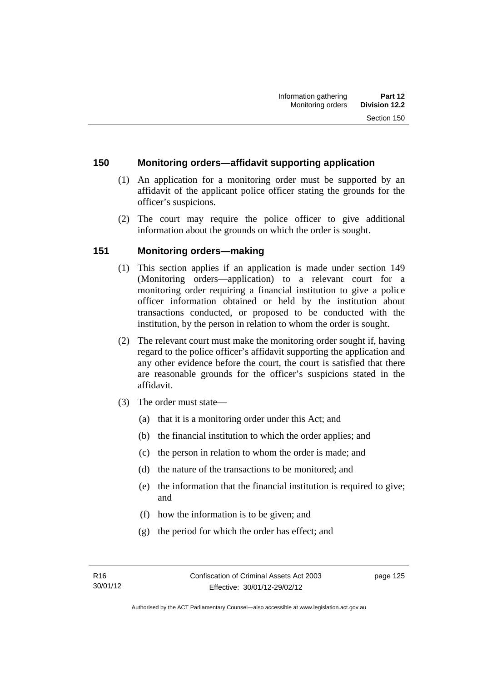#### **150 Monitoring orders—affidavit supporting application**

- (1) An application for a monitoring order must be supported by an affidavit of the applicant police officer stating the grounds for the officer's suspicions.
- (2) The court may require the police officer to give additional information about the grounds on which the order is sought.

## **151 Monitoring orders—making**

- (1) This section applies if an application is made under section 149 (Monitoring orders—application) to a relevant court for a monitoring order requiring a financial institution to give a police officer information obtained or held by the institution about transactions conducted, or proposed to be conducted with the institution, by the person in relation to whom the order is sought.
- (2) The relevant court must make the monitoring order sought if, having regard to the police officer's affidavit supporting the application and any other evidence before the court, the court is satisfied that there are reasonable grounds for the officer's suspicions stated in the affidavit.
- (3) The order must state—
	- (a) that it is a monitoring order under this Act; and
	- (b) the financial institution to which the order applies; and
	- (c) the person in relation to whom the order is made; and
	- (d) the nature of the transactions to be monitored; and
	- (e) the information that the financial institution is required to give; and
	- (f) how the information is to be given; and
	- (g) the period for which the order has effect; and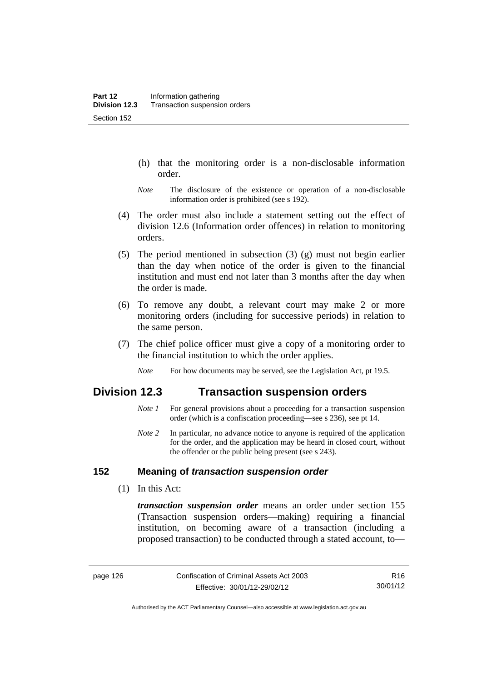- (h) that the monitoring order is a non-disclosable information order.
- *Note* The disclosure of the existence or operation of a non-disclosable information order is prohibited (see s 192).
- (4) The order must also include a statement setting out the effect of division 12.6 (Information order offences) in relation to monitoring orders.
- (5) The period mentioned in subsection (3) (g) must not begin earlier than the day when notice of the order is given to the financial institution and must end not later than 3 months after the day when the order is made.
- (6) To remove any doubt, a relevant court may make 2 or more monitoring orders (including for successive periods) in relation to the same person.
- (7) The chief police officer must give a copy of a monitoring order to the financial institution to which the order applies.
	- *Note* For how documents may be served, see the Legislation Act, pt 19.5.

## **Division 12.3 Transaction suspension orders**

- *Note 1* For general provisions about a proceeding for a transaction suspension order (which is a confiscation proceeding—see s 236), see pt 14.
- *Note 2* In particular, no advance notice to anyone is required of the application for the order, and the application may be heard in closed court, without the offender or the public being present (see s 243).

#### **152 Meaning of** *transaction suspension order*

(1) In this Act:

*transaction suspension order* means an order under section 155 (Transaction suspension orders—making) requiring a financial institution, on becoming aware of a transaction (including a proposed transaction) to be conducted through a stated account, to—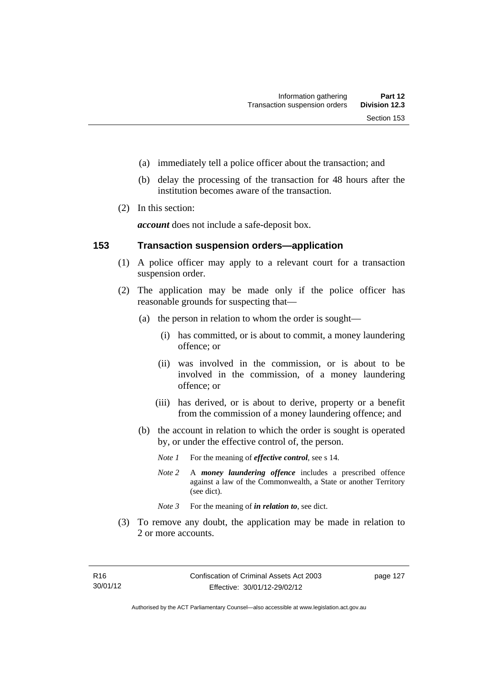- (a) immediately tell a police officer about the transaction; and
- (b) delay the processing of the transaction for 48 hours after the institution becomes aware of the transaction.
- (2) In this section:

*account* does not include a safe-deposit box.

#### **153 Transaction suspension orders—application**

- (1) A police officer may apply to a relevant court for a transaction suspension order.
- (2) The application may be made only if the police officer has reasonable grounds for suspecting that—
	- (a) the person in relation to whom the order is sought—
		- (i) has committed, or is about to commit, a money laundering offence; or
		- (ii) was involved in the commission, or is about to be involved in the commission, of a money laundering offence; or
		- (iii) has derived, or is about to derive, property or a benefit from the commission of a money laundering offence; and
	- (b) the account in relation to which the order is sought is operated by, or under the effective control of, the person.
		- *Note 1* For the meaning of *effective control*, see s 14.
		- *Note 2* A *money laundering offence* includes a prescribed offence against a law of the Commonwealth, a State or another Territory (see dict).
		- *Note* 3 For the meaning of *in relation to*, see dict.
- (3) To remove any doubt, the application may be made in relation to 2 or more accounts.

page 127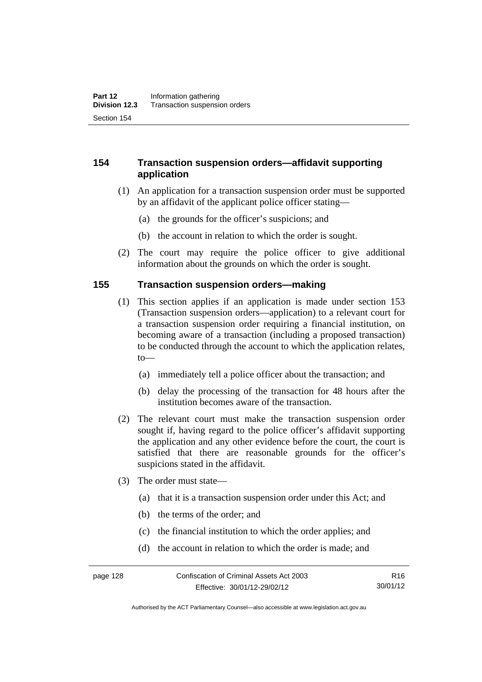#### **154 Transaction suspension orders—affidavit supporting application**

- (1) An application for a transaction suspension order must be supported by an affidavit of the applicant police officer stating—
	- (a) the grounds for the officer's suspicions; and
	- (b) the account in relation to which the order is sought.
- (2) The court may require the police officer to give additional information about the grounds on which the order is sought.

#### **155 Transaction suspension orders—making**

- (1) This section applies if an application is made under section 153 (Transaction suspension orders—application) to a relevant court for a transaction suspension order requiring a financial institution, on becoming aware of a transaction (including a proposed transaction) to be conducted through the account to which the application relates, to—
	- (a) immediately tell a police officer about the transaction; and
	- (b) delay the processing of the transaction for 48 hours after the institution becomes aware of the transaction.
- (2) The relevant court must make the transaction suspension order sought if, having regard to the police officer's affidavit supporting the application and any other evidence before the court, the court is satisfied that there are reasonable grounds for the officer's suspicions stated in the affidavit.
- (3) The order must state—
	- (a) that it is a transaction suspension order under this Act; and
	- (b) the terms of the order; and
	- (c) the financial institution to which the order applies; and
	- (d) the account in relation to which the order is made; and

Authorised by the ACT Parliamentary Counsel—also accessible at www.legislation.act.gov.au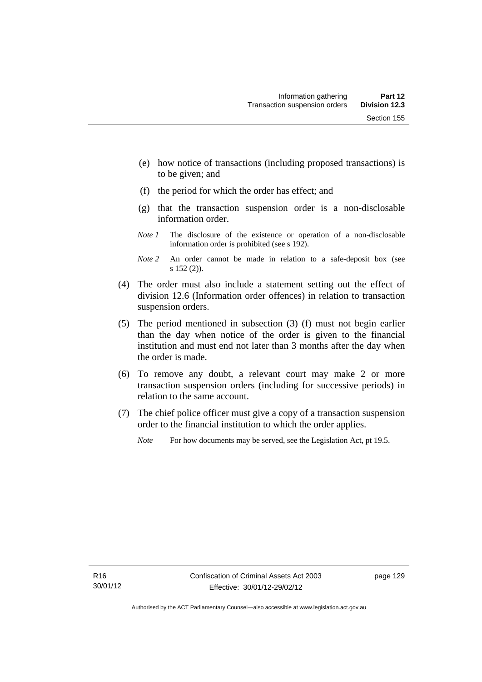- (e) how notice of transactions (including proposed transactions) is to be given; and
- (f) the period for which the order has effect; and
- (g) that the transaction suspension order is a non-disclosable information order.
- *Note 1* The disclosure of the existence or operation of a non-disclosable information order is prohibited (see s 192).
- *Note 2* An order cannot be made in relation to a safe-deposit box (see s 152 (2)).
- (4) The order must also include a statement setting out the effect of division 12.6 (Information order offences) in relation to transaction suspension orders.
- (5) The period mentioned in subsection (3) (f) must not begin earlier than the day when notice of the order is given to the financial institution and must end not later than 3 months after the day when the order is made.
- (6) To remove any doubt, a relevant court may make 2 or more transaction suspension orders (including for successive periods) in relation to the same account.
- (7) The chief police officer must give a copy of a transaction suspension order to the financial institution to which the order applies.
	- *Note* For how documents may be served, see the Legislation Act, pt 19.5.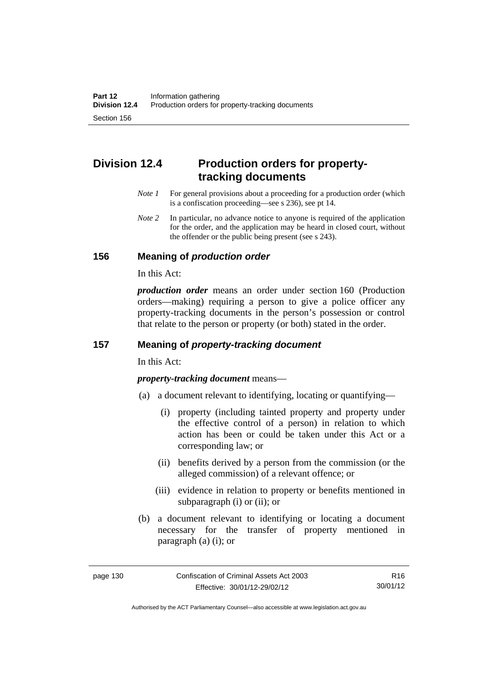# **Division 12.4 Production orders for propertytracking documents**

- *Note 1* For general provisions about a proceeding for a production order (which is a confiscation proceeding—see s 236), see pt 14.
- *Note 2* In particular, no advance notice to anyone is required of the application for the order, and the application may be heard in closed court, without the offender or the public being present (see s 243).

#### **156 Meaning of** *production order*

In this Act:

*production order* means an order under section 160 (Production orders—making) requiring a person to give a police officer any property-tracking documents in the person's possession or control that relate to the person or property (or both) stated in the order.

## **157 Meaning of** *property-tracking document*

In this Act:

*property-tracking document* means—

- (a) a document relevant to identifying, locating or quantifying—
	- (i) property (including tainted property and property under the effective control of a person) in relation to which action has been or could be taken under this Act or a corresponding law; or
	- (ii) benefits derived by a person from the commission (or the alleged commission) of a relevant offence; or
	- (iii) evidence in relation to property or benefits mentioned in subparagraph (i) or (ii); or
- (b) a document relevant to identifying or locating a document necessary for the transfer of property mentioned in paragraph (a) (i); or

R16 30/01/12

Authorised by the ACT Parliamentary Counsel—also accessible at www.legislation.act.gov.au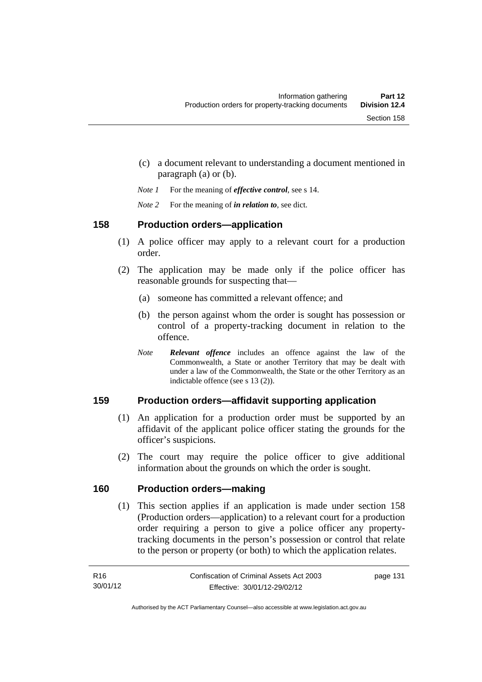- (c) a document relevant to understanding a document mentioned in paragraph (a) or (b).
- *Note 1* For the meaning of *effective control*, see s 14.
- *Note 2* For the meaning of *in relation to*, see dict.

### **158 Production orders—application**

- (1) A police officer may apply to a relevant court for a production order.
- (2) The application may be made only if the police officer has reasonable grounds for suspecting that—
	- (a) someone has committed a relevant offence; and
	- (b) the person against whom the order is sought has possession or control of a property-tracking document in relation to the offence.
	- *Note Relevant offence* includes an offence against the law of the Commonwealth, a State or another Territory that may be dealt with under a law of the Commonwealth, the State or the other Territory as an indictable offence (see s 13 (2)).

### **159 Production orders—affidavit supporting application**

- (1) An application for a production order must be supported by an affidavit of the applicant police officer stating the grounds for the officer's suspicions.
- (2) The court may require the police officer to give additional information about the grounds on which the order is sought.

### **160 Production orders—making**

(1) This section applies if an application is made under section 158 (Production orders—application) to a relevant court for a production order requiring a person to give a police officer any propertytracking documents in the person's possession or control that relate to the person or property (or both) to which the application relates.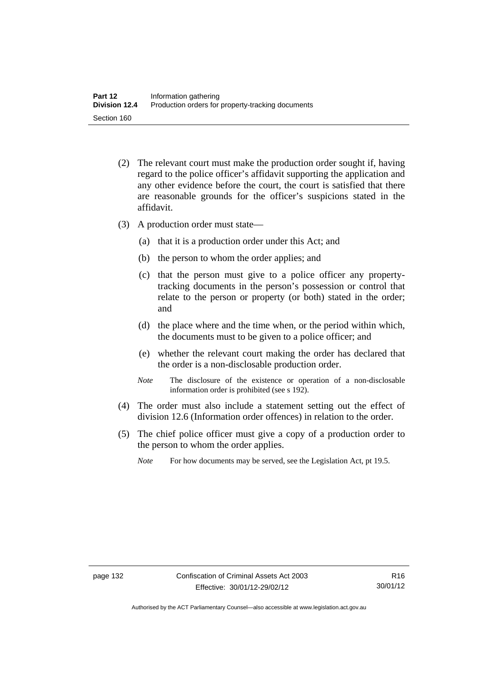- (2) The relevant court must make the production order sought if, having regard to the police officer's affidavit supporting the application and any other evidence before the court, the court is satisfied that there are reasonable grounds for the officer's suspicions stated in the affidavit.
- (3) A production order must state—
	- (a) that it is a production order under this Act; and
	- (b) the person to whom the order applies; and
	- (c) that the person must give to a police officer any propertytracking documents in the person's possession or control that relate to the person or property (or both) stated in the order; and
	- (d) the place where and the time when, or the period within which, the documents must to be given to a police officer; and
	- (e) whether the relevant court making the order has declared that the order is a non-disclosable production order.
	- *Note* The disclosure of the existence or operation of a non-disclosable information order is prohibited (see s 192).
- (4) The order must also include a statement setting out the effect of division 12.6 (Information order offences) in relation to the order.
- (5) The chief police officer must give a copy of a production order to the person to whom the order applies.
	- *Note* For how documents may be served, see the Legislation Act, pt 19.5.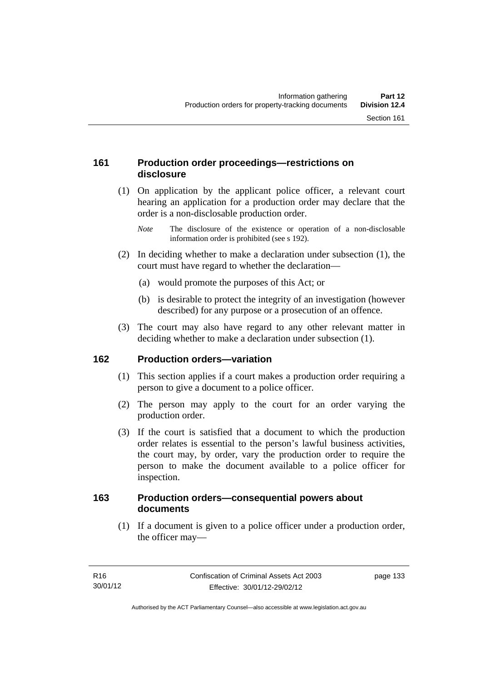### **161 Production order proceedings—restrictions on disclosure**

 (1) On application by the applicant police officer, a relevant court hearing an application for a production order may declare that the order is a non-disclosable production order.

- (2) In deciding whether to make a declaration under subsection (1), the court must have regard to whether the declaration—
	- (a) would promote the purposes of this Act; or
	- (b) is desirable to protect the integrity of an investigation (however described) for any purpose or a prosecution of an offence.
- (3) The court may also have regard to any other relevant matter in deciding whether to make a declaration under subsection (1).

### **162 Production orders—variation**

- (1) This section applies if a court makes a production order requiring a person to give a document to a police officer.
- (2) The person may apply to the court for an order varying the production order.
- (3) If the court is satisfied that a document to which the production order relates is essential to the person's lawful business activities, the court may, by order, vary the production order to require the person to make the document available to a police officer for inspection.

#### **163 Production orders—consequential powers about documents**

 (1) If a document is given to a police officer under a production order, the officer may—

*Note* The disclosure of the existence or operation of a non-disclosable information order is prohibited (see s 192).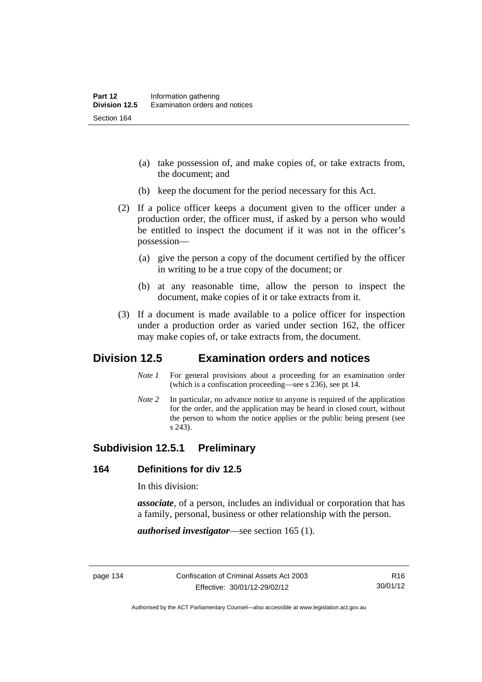- (a) take possession of, and make copies of, or take extracts from, the document; and
- (b) keep the document for the period necessary for this Act.
- (2) If a police officer keeps a document given to the officer under a production order, the officer must, if asked by a person who would be entitled to inspect the document if it was not in the officer's possession—
	- (a) give the person a copy of the document certified by the officer in writing to be a true copy of the document; or
	- (b) at any reasonable time, allow the person to inspect the document, make copies of it or take extracts from it.
- (3) If a document is made available to a police officer for inspection under a production order as varied under section 162, the officer may make copies of, or take extracts from, the document.

# **Division 12.5 Examination orders and notices**

- *Note 1* For general provisions about a proceeding for an examination order (which is a confiscation proceeding—see s 236), see pt 14.
- *Note 2* In particular, no advance notice to anyone is required of the application for the order, and the application may be heard in closed court, without the person to whom the notice applies or the public being present (see s 243).

### **Subdivision 12.5.1 Preliminary**

#### **164 Definitions for div 12.5**

In this division:

*associate*, of a person, includes an individual or corporation that has a family, personal, business or other relationship with the person.

*authorised investigator*—see section 165 (1).

Authorised by the ACT Parliamentary Counsel—also accessible at www.legislation.act.gov.au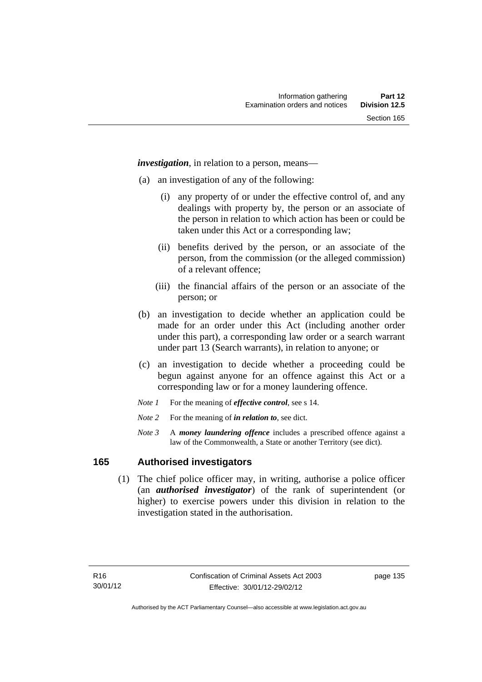*investigation*, in relation to a person, means—

- (a) an investigation of any of the following:
	- (i) any property of or under the effective control of, and any dealings with property by, the person or an associate of the person in relation to which action has been or could be taken under this Act or a corresponding law;
	- (ii) benefits derived by the person, or an associate of the person, from the commission (or the alleged commission) of a relevant offence;
	- (iii) the financial affairs of the person or an associate of the person; or
- (b) an investigation to decide whether an application could be made for an order under this Act (including another order under this part), a corresponding law order or a search warrant under part 13 (Search warrants), in relation to anyone; or
- (c) an investigation to decide whether a proceeding could be begun against anyone for an offence against this Act or a corresponding law or for a money laundering offence.
- *Note 1* For the meaning of *effective control*, see s 14.
- *Note* 2 For the meaning of *in relation to*, see dict.
- *Note 3* A *money laundering offence* includes a prescribed offence against a law of the Commonwealth, a State or another Territory (see dict).

#### **165 Authorised investigators**

 (1) The chief police officer may, in writing, authorise a police officer (an *authorised investigator*) of the rank of superintendent (or higher) to exercise powers under this division in relation to the investigation stated in the authorisation.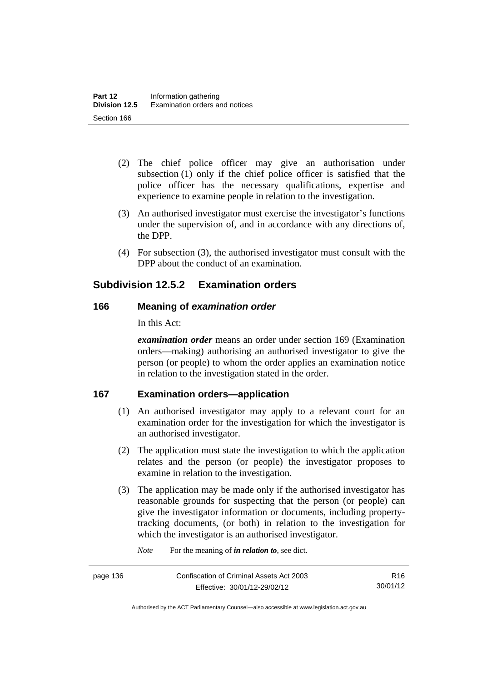- (2) The chief police officer may give an authorisation under subsection (1) only if the chief police officer is satisfied that the police officer has the necessary qualifications, expertise and experience to examine people in relation to the investigation.
- (3) An authorised investigator must exercise the investigator's functions under the supervision of, and in accordance with any directions of, the DPP.
- (4) For subsection (3), the authorised investigator must consult with the DPP about the conduct of an examination.

# **Subdivision 12.5.2 Examination orders**

### **166 Meaning of** *examination order*

In this Act:

*examination order* means an order under section 169 (Examination orders—making) authorising an authorised investigator to give the person (or people) to whom the order applies an examination notice in relation to the investigation stated in the order.

### **167 Examination orders—application**

- (1) An authorised investigator may apply to a relevant court for an examination order for the investigation for which the investigator is an authorised investigator.
- (2) The application must state the investigation to which the application relates and the person (or people) the investigator proposes to examine in relation to the investigation.
- (3) The application may be made only if the authorised investigator has reasonable grounds for suspecting that the person (or people) can give the investigator information or documents, including propertytracking documents, (or both) in relation to the investigation for which the investigator is an authorised investigator.

*Note* For the meaning of *in relation to*, see dict.

R16 30/01/12

Authorised by the ACT Parliamentary Counsel—also accessible at www.legislation.act.gov.au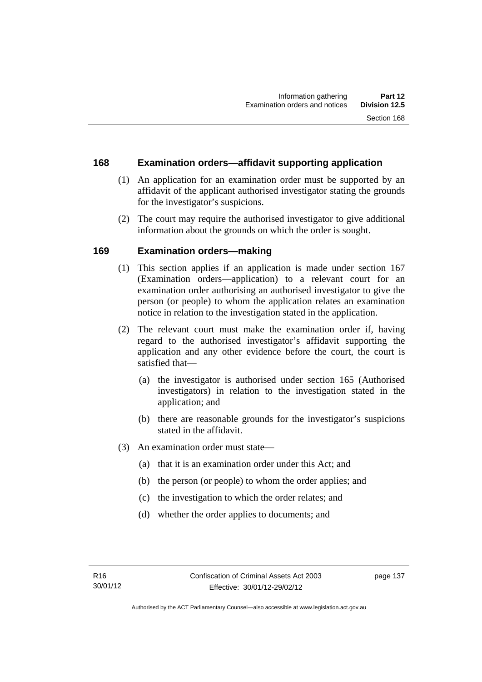### **168 Examination orders—affidavit supporting application**

- (1) An application for an examination order must be supported by an affidavit of the applicant authorised investigator stating the grounds for the investigator's suspicions.
- (2) The court may require the authorised investigator to give additional information about the grounds on which the order is sought.

### **169 Examination orders—making**

- (1) This section applies if an application is made under section 167 (Examination orders—application) to a relevant court for an examination order authorising an authorised investigator to give the person (or people) to whom the application relates an examination notice in relation to the investigation stated in the application.
- (2) The relevant court must make the examination order if, having regard to the authorised investigator's affidavit supporting the application and any other evidence before the court, the court is satisfied that—
	- (a) the investigator is authorised under section 165 (Authorised investigators) in relation to the investigation stated in the application; and
	- (b) there are reasonable grounds for the investigator's suspicions stated in the affidavit.
- (3) An examination order must state—
	- (a) that it is an examination order under this Act; and
	- (b) the person (or people) to whom the order applies; and
	- (c) the investigation to which the order relates; and
	- (d) whether the order applies to documents; and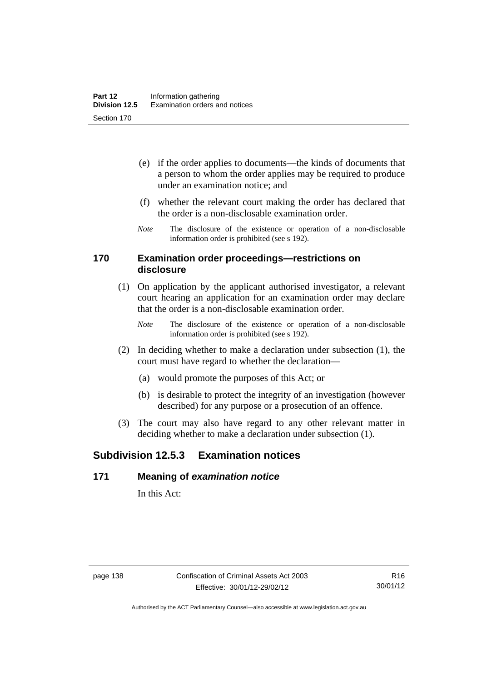- (e) if the order applies to documents—the kinds of documents that a person to whom the order applies may be required to produce under an examination notice; and
- (f) whether the relevant court making the order has declared that the order is a non-disclosable examination order.
- *Note* The disclosure of the existence or operation of a non-disclosable information order is prohibited (see s 192).

#### **170 Examination order proceedings—restrictions on disclosure**

- (1) On application by the applicant authorised investigator, a relevant court hearing an application for an examination order may declare that the order is a non-disclosable examination order.
	- *Note* The disclosure of the existence or operation of a non-disclosable information order is prohibited (see s 192).
- (2) In deciding whether to make a declaration under subsection (1), the court must have regard to whether the declaration—
	- (a) would promote the purposes of this Act; or
	- (b) is desirable to protect the integrity of an investigation (however described) for any purpose or a prosecution of an offence.
- (3) The court may also have regard to any other relevant matter in deciding whether to make a declaration under subsection (1).

# **Subdivision 12.5.3 Examination notices**

#### **171 Meaning of** *examination notice*

In this Act: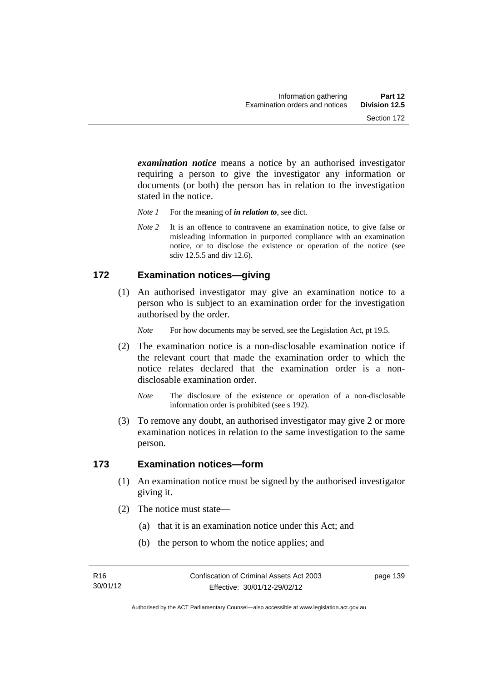*examination notice* means a notice by an authorised investigator requiring a person to give the investigator any information or documents (or both) the person has in relation to the investigation stated in the notice.

- *Note 1* For the meaning of *in relation to*, see dict.
- *Note* 2 It is an offence to contravene an examination notice, to give false or misleading information in purported compliance with an examination notice, or to disclose the existence or operation of the notice (see sdiv 12.5.5 and div 12.6).

#### **172 Examination notices—giving**

 (1) An authorised investigator may give an examination notice to a person who is subject to an examination order for the investigation authorised by the order.

*Note* For how documents may be served, see the Legislation Act, pt 19.5.

- (2) The examination notice is a non-disclosable examination notice if the relevant court that made the examination order to which the notice relates declared that the examination order is a nondisclosable examination order.
	- *Note* The disclosure of the existence or operation of a non-disclosable information order is prohibited (see s 192).
- (3) To remove any doubt, an authorised investigator may give 2 or more examination notices in relation to the same investigation to the same person.

#### **173 Examination notices—form**

- (1) An examination notice must be signed by the authorised investigator giving it.
- (2) The notice must state—
	- (a) that it is an examination notice under this Act; and
	- (b) the person to whom the notice applies; and

page 139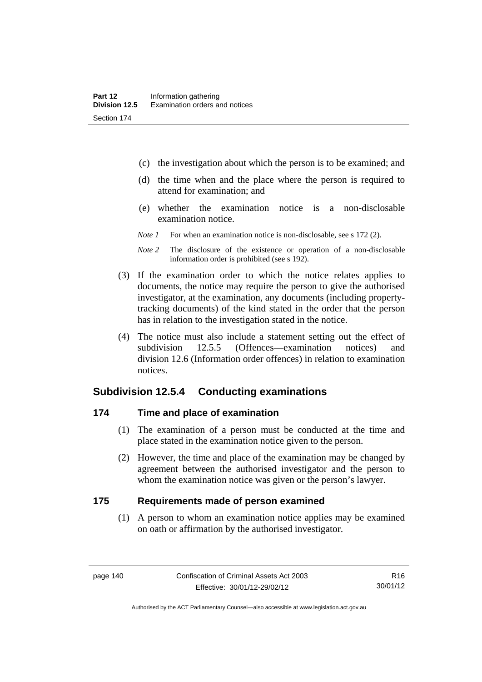- (c) the investigation about which the person is to be examined; and
- (d) the time when and the place where the person is required to attend for examination; and
- (e) whether the examination notice is a non-disclosable examination notice.
- *Note 1* For when an examination notice is non-disclosable, see s 172 (2).
- *Note 2* The disclosure of the existence or operation of a non-disclosable information order is prohibited (see s 192).
- (3) If the examination order to which the notice relates applies to documents, the notice may require the person to give the authorised investigator, at the examination, any documents (including propertytracking documents) of the kind stated in the order that the person has in relation to the investigation stated in the notice.
- (4) The notice must also include a statement setting out the effect of subdivision 12.5.5 (Offences—examination notices) and division 12.6 (Information order offences) in relation to examination notices.

#### **Subdivision 12.5.4 Conducting examinations**

#### **174 Time and place of examination**

- (1) The examination of a person must be conducted at the time and place stated in the examination notice given to the person.
- (2) However, the time and place of the examination may be changed by agreement between the authorised investigator and the person to whom the examination notice was given or the person's lawyer.

#### **175 Requirements made of person examined**

(1) A person to whom an examination notice applies may be examined on oath or affirmation by the authorised investigator.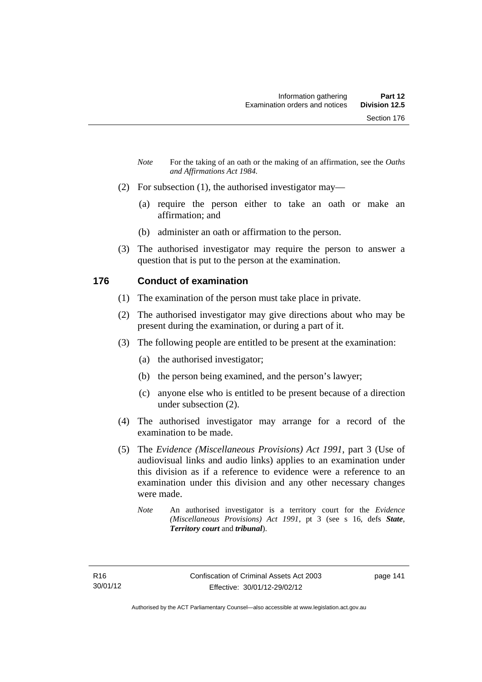- *Note* For the taking of an oath or the making of an affirmation, see the *Oaths and Affirmations Act 1984.*
- (2) For subsection (1), the authorised investigator may—
	- (a) require the person either to take an oath or make an affirmation; and
	- (b) administer an oath or affirmation to the person.
- (3) The authorised investigator may require the person to answer a question that is put to the person at the examination.

### **176 Conduct of examination**

- (1) The examination of the person must take place in private.
- (2) The authorised investigator may give directions about who may be present during the examination, or during a part of it.
- (3) The following people are entitled to be present at the examination:
	- (a) the authorised investigator;
	- (b) the person being examined, and the person's lawyer;
	- (c) anyone else who is entitled to be present because of a direction under subsection (2).
- (4) The authorised investigator may arrange for a record of the examination to be made.
- (5) The *Evidence (Miscellaneous Provisions) Act 1991*, part 3 (Use of audiovisual links and audio links) applies to an examination under this division as if a reference to evidence were a reference to an examination under this division and any other necessary changes were made.
	- *Note* An authorised investigator is a territory court for the *Evidence (Miscellaneous Provisions) Act 1991*, pt 3 (see s 16, defs *State*, *Territory court* and *tribunal*).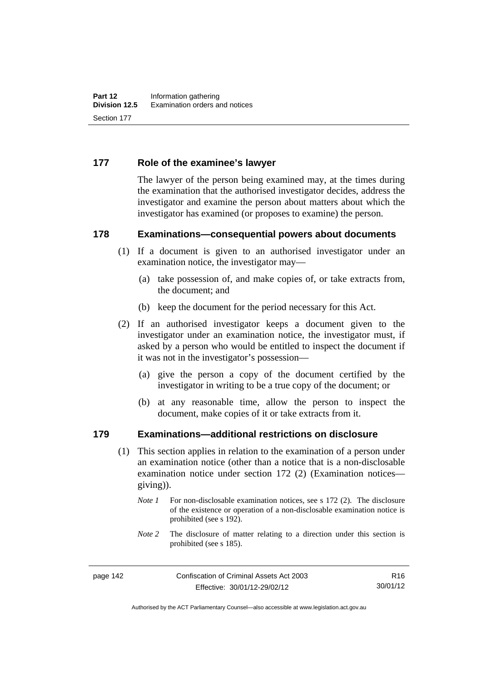#### **177 Role of the examinee's lawyer**

The lawyer of the person being examined may, at the times during the examination that the authorised investigator decides, address the investigator and examine the person about matters about which the investigator has examined (or proposes to examine) the person.

#### **178 Examinations—consequential powers about documents**

- (1) If a document is given to an authorised investigator under an examination notice, the investigator may—
	- (a) take possession of, and make copies of, or take extracts from, the document; and
	- (b) keep the document for the period necessary for this Act.
- (2) If an authorised investigator keeps a document given to the investigator under an examination notice, the investigator must, if asked by a person who would be entitled to inspect the document if it was not in the investigator's possession—
	- (a) give the person a copy of the document certified by the investigator in writing to be a true copy of the document; or
	- (b) at any reasonable time, allow the person to inspect the document, make copies of it or take extracts from it.

#### **179 Examinations—additional restrictions on disclosure**

- (1) This section applies in relation to the examination of a person under an examination notice (other than a notice that is a non-disclosable examination notice under section 172 (2) (Examination notices giving)).
	- *Note 1* For non-disclosable examination notices, see s 172 (2). The disclosure of the existence or operation of a non-disclosable examination notice is prohibited (see s 192).
	- *Note* 2 The disclosure of matter relating to a direction under this section is prohibited (see s 185).

Authorised by the ACT Parliamentary Counsel—also accessible at www.legislation.act.gov.au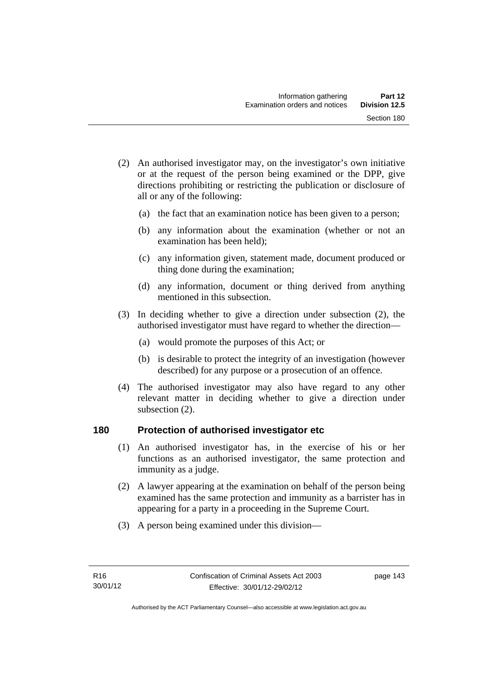- (2) An authorised investigator may, on the investigator's own initiative or at the request of the person being examined or the DPP, give directions prohibiting or restricting the publication or disclosure of all or any of the following:
	- (a) the fact that an examination notice has been given to a person;
	- (b) any information about the examination (whether or not an examination has been held);
	- (c) any information given, statement made, document produced or thing done during the examination;
	- (d) any information, document or thing derived from anything mentioned in this subsection.
- (3) In deciding whether to give a direction under subsection (2), the authorised investigator must have regard to whether the direction—
	- (a) would promote the purposes of this Act; or
	- (b) is desirable to protect the integrity of an investigation (however described) for any purpose or a prosecution of an offence.
- (4) The authorised investigator may also have regard to any other relevant matter in deciding whether to give a direction under subsection (2).

#### **180 Protection of authorised investigator etc**

- (1) An authorised investigator has, in the exercise of his or her functions as an authorised investigator, the same protection and immunity as a judge.
- (2) A lawyer appearing at the examination on behalf of the person being examined has the same protection and immunity as a barrister has in appearing for a party in a proceeding in the Supreme Court.
- (3) A person being examined under this division—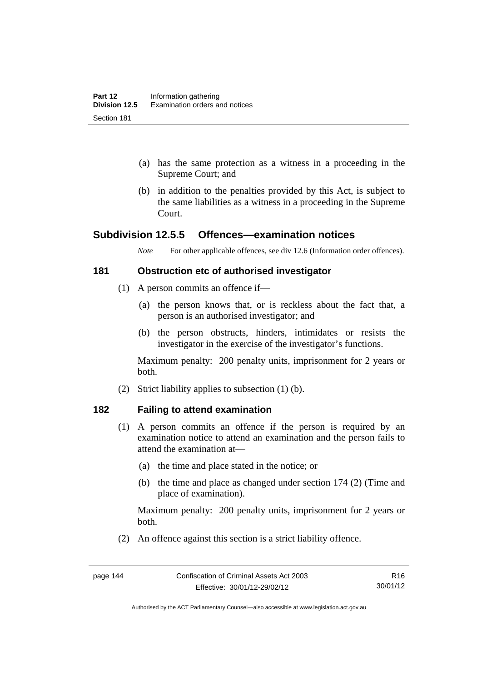- (a) has the same protection as a witness in a proceeding in the Supreme Court; and
- (b) in addition to the penalties provided by this Act, is subject to the same liabilities as a witness in a proceeding in the Supreme Court.

### **Subdivision 12.5.5 Offences—examination notices**

*Note* For other applicable offences, see div 12.6 (Information order offences).

#### **181 Obstruction etc of authorised investigator**

- (1) A person commits an offence if—
	- (a) the person knows that, or is reckless about the fact that, a person is an authorised investigator; and
	- (b) the person obstructs, hinders, intimidates or resists the investigator in the exercise of the investigator's functions.

Maximum penalty: 200 penalty units, imprisonment for 2 years or both.

(2) Strict liability applies to subsection (1) (b).

#### **182 Failing to attend examination**

- (1) A person commits an offence if the person is required by an examination notice to attend an examination and the person fails to attend the examination at—
	- (a) the time and place stated in the notice; or
	- (b) the time and place as changed under section 174 (2) (Time and place of examination).

Maximum penalty: 200 penalty units, imprisonment for 2 years or both.

(2) An offence against this section is a strict liability offence.

Authorised by the ACT Parliamentary Counsel—also accessible at www.legislation.act.gov.au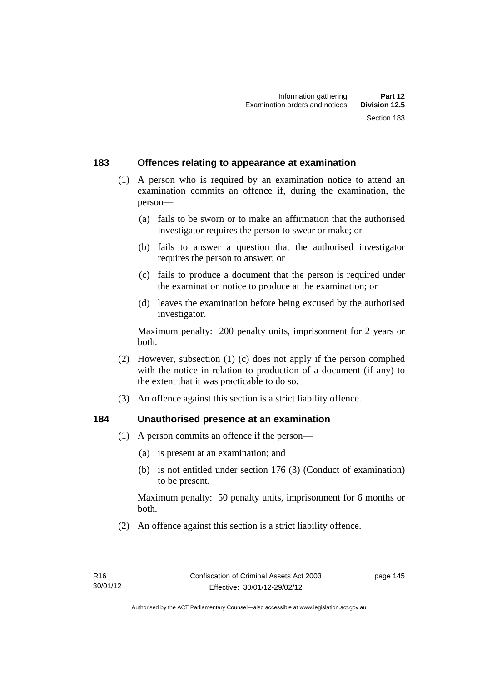#### **183 Offences relating to appearance at examination**

- (1) A person who is required by an examination notice to attend an examination commits an offence if, during the examination, the person—
	- (a) fails to be sworn or to make an affirmation that the authorised investigator requires the person to swear or make; or
	- (b) fails to answer a question that the authorised investigator requires the person to answer; or
	- (c) fails to produce a document that the person is required under the examination notice to produce at the examination; or
	- (d) leaves the examination before being excused by the authorised investigator.

Maximum penalty: 200 penalty units, imprisonment for 2 years or both.

- (2) However, subsection (1) (c) does not apply if the person complied with the notice in relation to production of a document (if any) to the extent that it was practicable to do so.
- (3) An offence against this section is a strict liability offence.

### **184 Unauthorised presence at an examination**

- (1) A person commits an offence if the person—
	- (a) is present at an examination; and
	- (b) is not entitled under section 176 (3) (Conduct of examination) to be present.

Maximum penalty: 50 penalty units, imprisonment for 6 months or both.

(2) An offence against this section is a strict liability offence.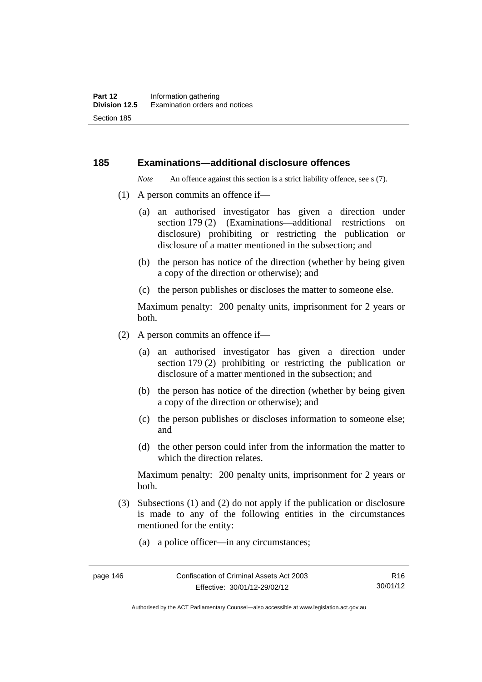#### **185 Examinations—additional disclosure offences**

*Note* An offence against this section is a strict liability offence, see s (7).

- (1) A person commits an offence if—
	- (a) an authorised investigator has given a direction under section 179 (2) (Examinations—additional restrictions on disclosure) prohibiting or restricting the publication or disclosure of a matter mentioned in the subsection; and
	- (b) the person has notice of the direction (whether by being given a copy of the direction or otherwise); and
	- (c) the person publishes or discloses the matter to someone else.

Maximum penalty: 200 penalty units, imprisonment for 2 years or both.

- (2) A person commits an offence if—
	- (a) an authorised investigator has given a direction under section 179 (2) prohibiting or restricting the publication or disclosure of a matter mentioned in the subsection; and
	- (b) the person has notice of the direction (whether by being given a copy of the direction or otherwise); and
	- (c) the person publishes or discloses information to someone else; and
	- (d) the other person could infer from the information the matter to which the direction relates.

Maximum penalty: 200 penalty units, imprisonment for 2 years or both.

- (3) Subsections (1) and (2) do not apply if the publication or disclosure is made to any of the following entities in the circumstances mentioned for the entity:
	- (a) a police officer—in any circumstances;

Authorised by the ACT Parliamentary Counsel—also accessible at www.legislation.act.gov.au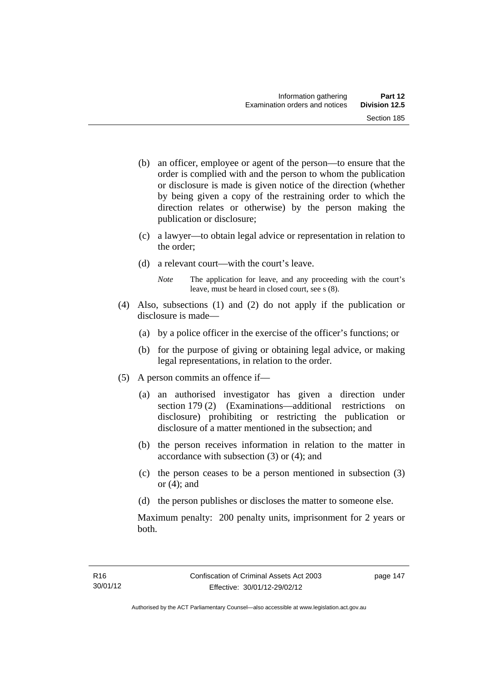- (b) an officer, employee or agent of the person—to ensure that the order is complied with and the person to whom the publication or disclosure is made is given notice of the direction (whether by being given a copy of the restraining order to which the direction relates or otherwise) by the person making the publication or disclosure;
- (c) a lawyer—to obtain legal advice or representation in relation to the order;
- (d) a relevant court—with the court's leave.
	- *Note* The application for leave, and any proceeding with the court's leave, must be heard in closed court, see s (8).
- (4) Also, subsections (1) and (2) do not apply if the publication or disclosure is made—
	- (a) by a police officer in the exercise of the officer's functions; or
	- (b) for the purpose of giving or obtaining legal advice, or making legal representations, in relation to the order.
- (5) A person commits an offence if—
	- (a) an authorised investigator has given a direction under section 179 (2) (Examinations—additional restrictions on disclosure) prohibiting or restricting the publication or disclosure of a matter mentioned in the subsection; and
	- (b) the person receives information in relation to the matter in accordance with subsection (3) or (4); and
	- (c) the person ceases to be a person mentioned in subsection (3) or  $(4)$ ; and
	- (d) the person publishes or discloses the matter to someone else.

Maximum penalty: 200 penalty units, imprisonment for 2 years or both.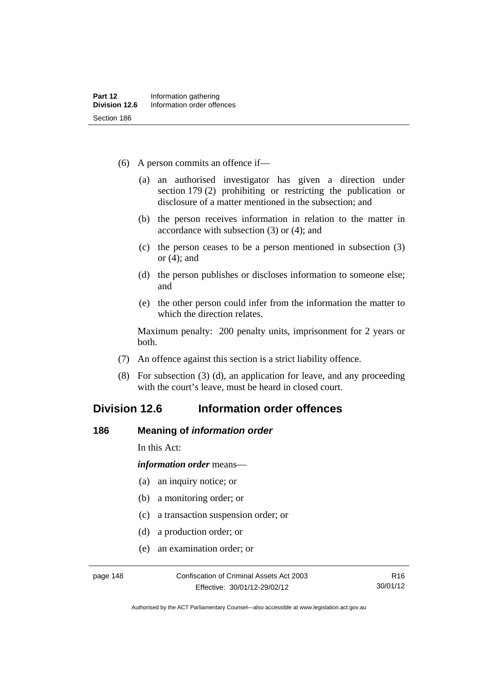- (6) A person commits an offence if—
	- (a) an authorised investigator has given a direction under section 179 (2) prohibiting or restricting the publication or disclosure of a matter mentioned in the subsection; and
	- (b) the person receives information in relation to the matter in accordance with subsection (3) or (4); and
	- (c) the person ceases to be a person mentioned in subsection (3) or (4); and
	- (d) the person publishes or discloses information to someone else; and
	- (e) the other person could infer from the information the matter to which the direction relates.

Maximum penalty: 200 penalty units, imprisonment for 2 years or both.

- (7) An offence against this section is a strict liability offence.
- (8) For subsection (3) (d), an application for leave, and any proceeding with the court's leave, must be heard in closed court.

# **Division 12.6 Information order offences**

#### **186 Meaning of** *information order*

In this Act:

*information order* means—

- (a) an inquiry notice; or
- (b) a monitoring order; or
- (c) a transaction suspension order; or
- (d) a production order; or
- (e) an examination order; or

Authorised by the ACT Parliamentary Counsel—also accessible at www.legislation.act.gov.au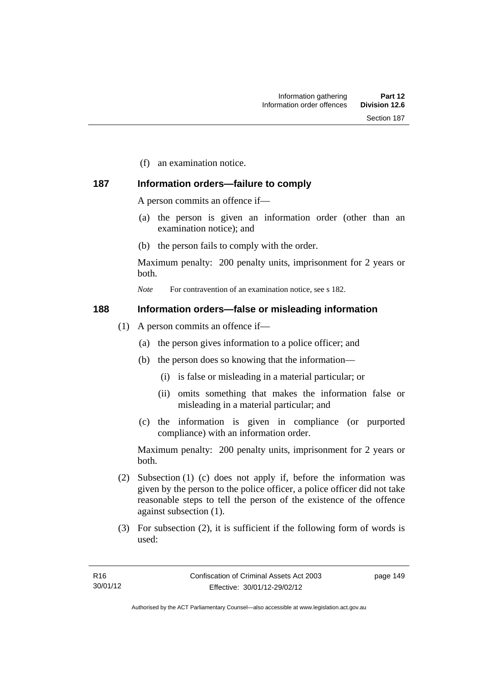(f) an examination notice.

### **187 Information orders—failure to comply**

A person commits an offence if—

- (a) the person is given an information order (other than an examination notice); and
- (b) the person fails to comply with the order.

Maximum penalty: 200 penalty units, imprisonment for 2 years or both.

*Note* For contravention of an examination notice, see s 182.

#### **188 Information orders—false or misleading information**

- (1) A person commits an offence if—
	- (a) the person gives information to a police officer; and
	- (b) the person does so knowing that the information—
		- (i) is false or misleading in a material particular; or
		- (ii) omits something that makes the information false or misleading in a material particular; and
	- (c) the information is given in compliance (or purported compliance) with an information order.

Maximum penalty: 200 penalty units, imprisonment for 2 years or both.

- (2) Subsection (1) (c) does not apply if, before the information was given by the person to the police officer, a police officer did not take reasonable steps to tell the person of the existence of the offence against subsection (1).
- (3) For subsection (2), it is sufficient if the following form of words is used:

page 149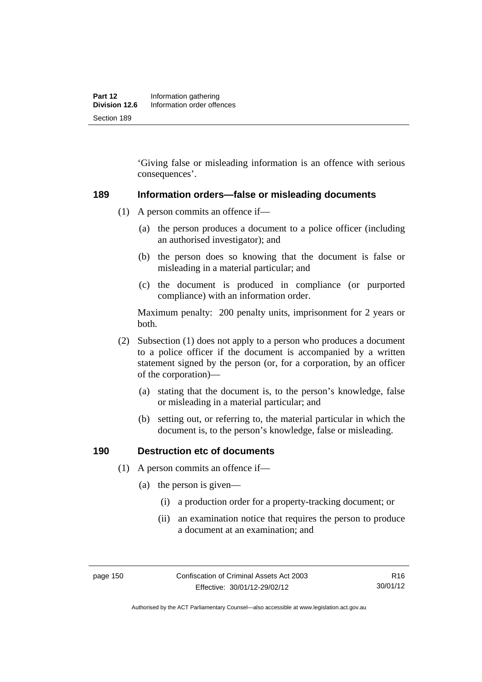'Giving false or misleading information is an offence with serious consequences'.

#### **189 Information orders—false or misleading documents**

- (1) A person commits an offence if—
	- (a) the person produces a document to a police officer (including an authorised investigator); and
	- (b) the person does so knowing that the document is false or misleading in a material particular; and
	- (c) the document is produced in compliance (or purported compliance) with an information order.

Maximum penalty: 200 penalty units, imprisonment for 2 years or both.

- (2) Subsection (1) does not apply to a person who produces a document to a police officer if the document is accompanied by a written statement signed by the person (or, for a corporation, by an officer of the corporation)—
	- (a) stating that the document is, to the person's knowledge, false or misleading in a material particular; and
	- (b) setting out, or referring to, the material particular in which the document is, to the person's knowledge, false or misleading.

#### **190 Destruction etc of documents**

- (1) A person commits an offence if—
	- (a) the person is given—
		- (i) a production order for a property-tracking document; or
		- (ii) an examination notice that requires the person to produce a document at an examination; and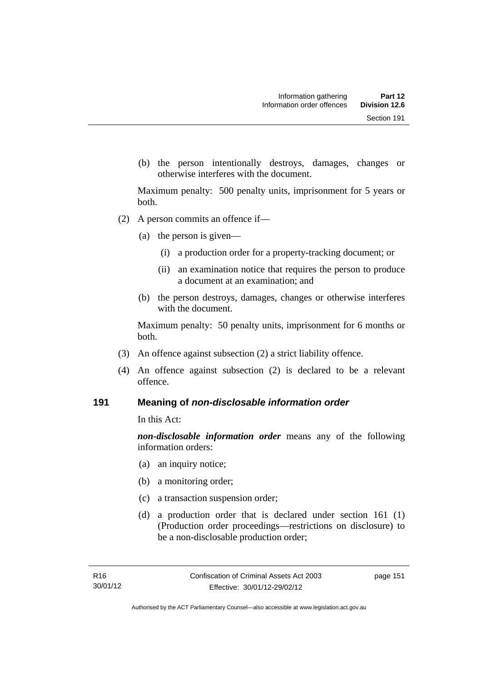(b) the person intentionally destroys, damages, changes or otherwise interferes with the document.

Maximum penalty: 500 penalty units, imprisonment for 5 years or both.

- (2) A person commits an offence if—
	- (a) the person is given—
		- (i) a production order for a property-tracking document; or
		- (ii) an examination notice that requires the person to produce a document at an examination; and
	- (b) the person destroys, damages, changes or otherwise interferes with the document.

Maximum penalty: 50 penalty units, imprisonment for 6 months or both.

- (3) An offence against subsection (2) a strict liability offence.
- (4) An offence against subsection (2) is declared to be a relevant offence.

#### **191 Meaning of** *non-disclosable information order*

In this Act:

*non-disclosable information order* means any of the following information orders:

- (a) an inquiry notice;
- (b) a monitoring order;
- (c) a transaction suspension order;
- (d) a production order that is declared under section 161 (1) (Production order proceedings—restrictions on disclosure) to be a non-disclosable production order;

page 151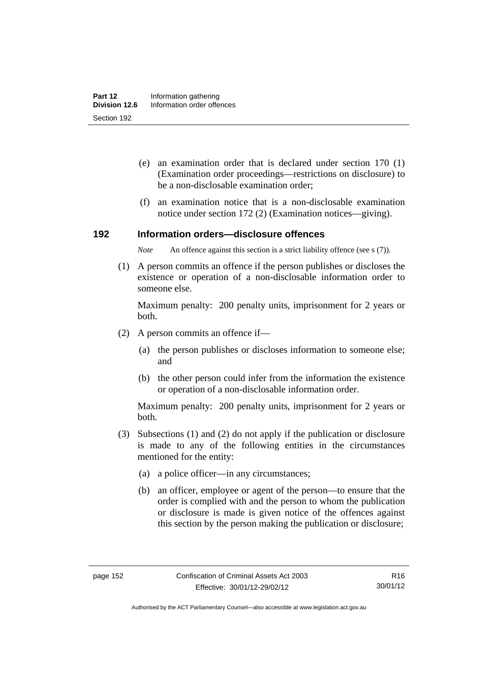- (e) an examination order that is declared under section 170 (1) (Examination order proceedings—restrictions on disclosure) to be a non-disclosable examination order;
- (f) an examination notice that is a non-disclosable examination notice under section 172 (2) (Examination notices—giving).

#### **192 Information orders—disclosure offences**

*Note* An offence against this section is a strict liability offence (see s (7)).

 (1) A person commits an offence if the person publishes or discloses the existence or operation of a non-disclosable information order to someone else.

Maximum penalty: 200 penalty units, imprisonment for 2 years or both.

- (2) A person commits an offence if—
	- (a) the person publishes or discloses information to someone else; and
	- (b) the other person could infer from the information the existence or operation of a non-disclosable information order.

Maximum penalty: 200 penalty units, imprisonment for 2 years or both.

- (3) Subsections (1) and (2) do not apply if the publication or disclosure is made to any of the following entities in the circumstances mentioned for the entity:
	- (a) a police officer—in any circumstances;
	- (b) an officer, employee or agent of the person—to ensure that the order is complied with and the person to whom the publication or disclosure is made is given notice of the offences against this section by the person making the publication or disclosure;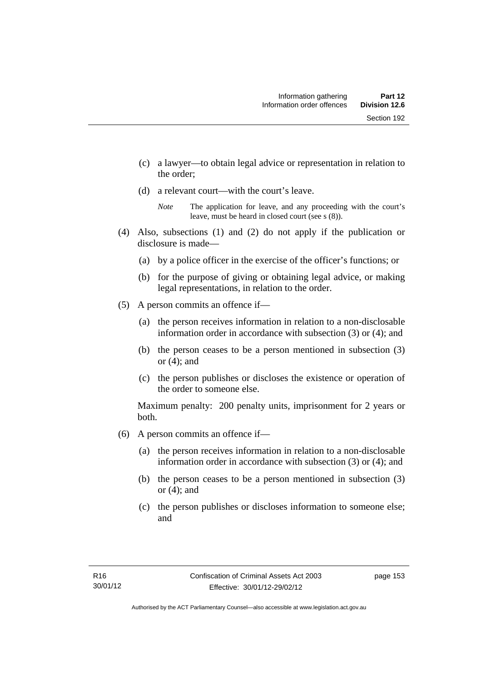- (c) a lawyer—to obtain legal advice or representation in relation to the order;
- (d) a relevant court—with the court's leave.

- (4) Also, subsections (1) and (2) do not apply if the publication or disclosure is made—
	- (a) by a police officer in the exercise of the officer's functions; or
	- (b) for the purpose of giving or obtaining legal advice, or making legal representations, in relation to the order.
- (5) A person commits an offence if—
	- (a) the person receives information in relation to a non-disclosable information order in accordance with subsection (3) or (4); and
	- (b) the person ceases to be a person mentioned in subsection (3) or  $(4)$ ; and
	- (c) the person publishes or discloses the existence or operation of the order to someone else.

Maximum penalty: 200 penalty units, imprisonment for 2 years or both.

- (6) A person commits an offence if—
	- (a) the person receives information in relation to a non-disclosable information order in accordance with subsection (3) or (4); and
	- (b) the person ceases to be a person mentioned in subsection (3) or  $(4)$ ; and
	- (c) the person publishes or discloses information to someone else; and

*Note* The application for leave, and any proceeding with the court's leave, must be heard in closed court (see s (8)).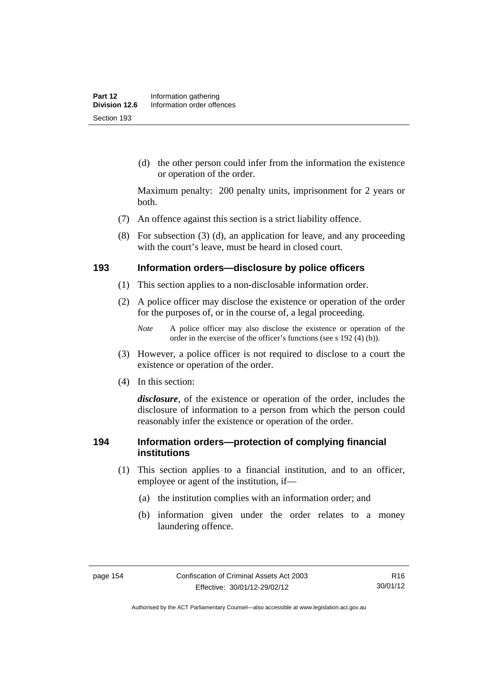(d) the other person could infer from the information the existence or operation of the order.

Maximum penalty: 200 penalty units, imprisonment for 2 years or both.

- (7) An offence against this section is a strict liability offence.
- (8) For subsection (3) (d), an application for leave, and any proceeding with the court's leave, must be heard in closed court.

#### **193 Information orders—disclosure by police officers**

- (1) This section applies to a non-disclosable information order.
- (2) A police officer may disclose the existence or operation of the order for the purposes of, or in the course of, a legal proceeding.

- (3) However, a police officer is not required to disclose to a court the existence or operation of the order.
- (4) In this section:

*disclosure*, of the existence or operation of the order, includes the disclosure of information to a person from which the person could reasonably infer the existence or operation of the order.

#### **194 Information orders—protection of complying financial institutions**

- (1) This section applies to a financial institution, and to an officer, employee or agent of the institution, if—
	- (a) the institution complies with an information order; and
	- (b) information given under the order relates to a money laundering offence.

*Note* A police officer may also disclose the existence or operation of the order in the exercise of the officer's functions (see s 192 (4) (b)).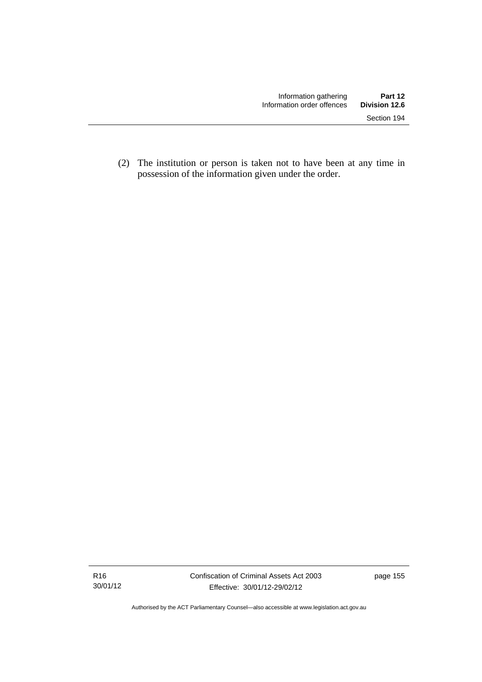(2) The institution or person is taken not to have been at any time in possession of the information given under the order.

Authorised by the ACT Parliamentary Counsel—also accessible at www.legislation.act.gov.au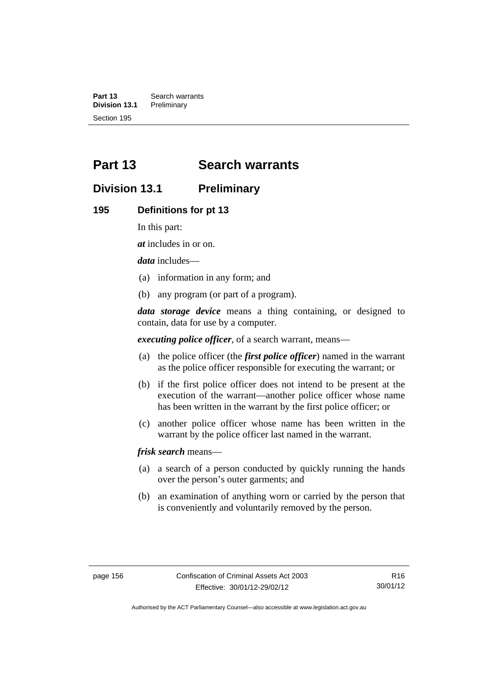**Part 13 Search warrants**<br>**Division 13.1 Preliminary Division 13.1** Section 195

# **Part 13 Search warrants**

# **Division 13.1 Preliminary**

#### **195 Definitions for pt 13**

In this part:

*at* includes in or on.

*data* includes—

- (a) information in any form; and
- (b) any program (or part of a program).

*data storage device* means a thing containing, or designed to contain, data for use by a computer.

*executing police officer*, of a search warrant, means—

- (a) the police officer (the *first police officer*) named in the warrant as the police officer responsible for executing the warrant; or
- (b) if the first police officer does not intend to be present at the execution of the warrant—another police officer whose name has been written in the warrant by the first police officer; or
- (c) another police officer whose name has been written in the warrant by the police officer last named in the warrant.

*frisk search* means—

- (a) a search of a person conducted by quickly running the hands over the person's outer garments; and
- (b) an examination of anything worn or carried by the person that is conveniently and voluntarily removed by the person.

Authorised by the ACT Parliamentary Counsel—also accessible at www.legislation.act.gov.au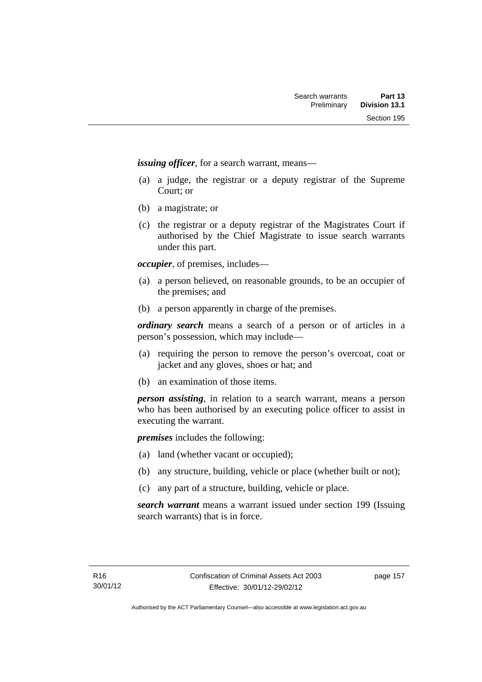*issuing officer*, for a search warrant, means—

- (a) a judge, the registrar or a deputy registrar of the Supreme Court; or
- (b) a magistrate; or
- (c) the registrar or a deputy registrar of the Magistrates Court if authorised by the Chief Magistrate to issue search warrants under this part.

*occupier*, of premises, includes—

- (a) a person believed, on reasonable grounds, to be an occupier of the premises; and
- (b) a person apparently in charge of the premises.

*ordinary search* means a search of a person or of articles in a person's possession, which may include—

- (a) requiring the person to remove the person's overcoat, coat or jacket and any gloves, shoes or hat; and
- (b) an examination of those items.

*person assisting*, in relation to a search warrant, means a person who has been authorised by an executing police officer to assist in executing the warrant.

*premises* includes the following:

- (a) land (whether vacant or occupied);
- (b) any structure, building, vehicle or place (whether built or not);
- (c) any part of a structure, building, vehicle or place.

*search warrant* means a warrant issued under section 199 (Issuing search warrants) that is in force.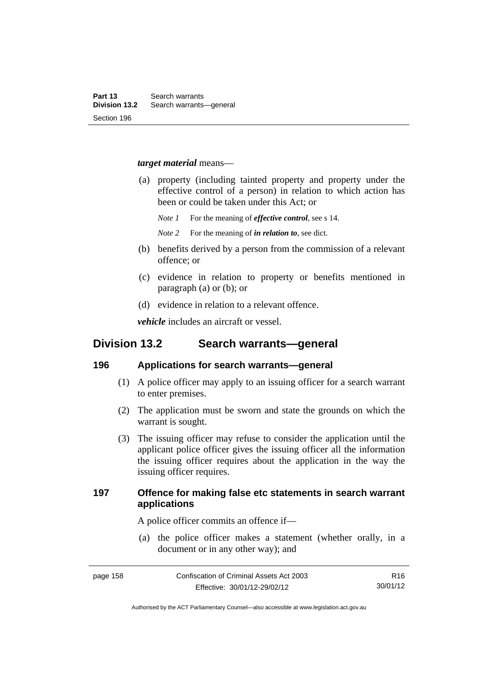#### *target material* means—

- (a) property (including tainted property and property under the effective control of a person) in relation to which action has been or could be taken under this Act; or
	- *Note 1* For the meaning of *effective control*, see s 14.
	- *Note 2* For the meaning of *in relation to*, see dict.
- (b) benefits derived by a person from the commission of a relevant offence; or
- (c) evidence in relation to property or benefits mentioned in paragraph (a) or (b); or
- (d) evidence in relation to a relevant offence.

*vehicle* includes an aircraft or vessel.

## **Division 13.2 Search warrants—general**

#### **196 Applications for search warrants—general**

- (1) A police officer may apply to an issuing officer for a search warrant to enter premises.
- (2) The application must be sworn and state the grounds on which the warrant is sought.
- (3) The issuing officer may refuse to consider the application until the applicant police officer gives the issuing officer all the information the issuing officer requires about the application in the way the issuing officer requires.

### **197 Offence for making false etc statements in search warrant applications**

A police officer commits an offence if—

 (a) the police officer makes a statement (whether orally, in a document or in any other way); and

R16 30/01/12

Authorised by the ACT Parliamentary Counsel—also accessible at www.legislation.act.gov.au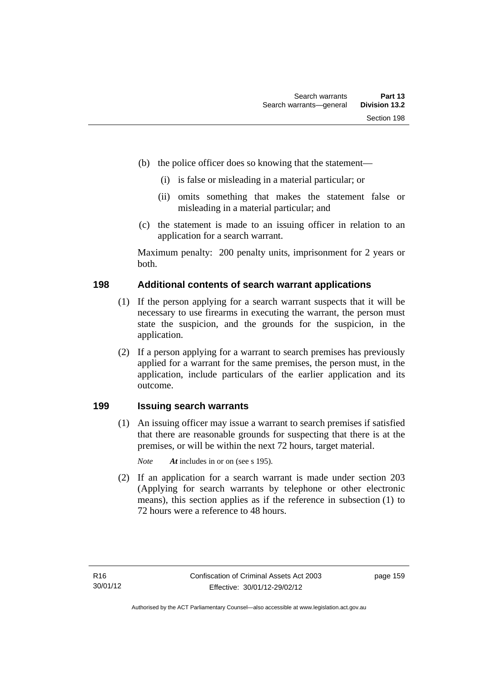- (b) the police officer does so knowing that the statement—
	- (i) is false or misleading in a material particular; or
	- (ii) omits something that makes the statement false or misleading in a material particular; and
- (c) the statement is made to an issuing officer in relation to an application for a search warrant.

Maximum penalty: 200 penalty units, imprisonment for 2 years or both.

### **198 Additional contents of search warrant applications**

- (1) If the person applying for a search warrant suspects that it will be necessary to use firearms in executing the warrant, the person must state the suspicion, and the grounds for the suspicion, in the application.
- (2) If a person applying for a warrant to search premises has previously applied for a warrant for the same premises, the person must, in the application, include particulars of the earlier application and its outcome.

### **199 Issuing search warrants**

(1) An issuing officer may issue a warrant to search premises if satisfied that there are reasonable grounds for suspecting that there is at the premises, or will be within the next 72 hours, target material.

*Note At* includes in or on (see s 195).

 (2) If an application for a search warrant is made under section 203 (Applying for search warrants by telephone or other electronic means), this section applies as if the reference in subsection (1) to 72 hours were a reference to 48 hours.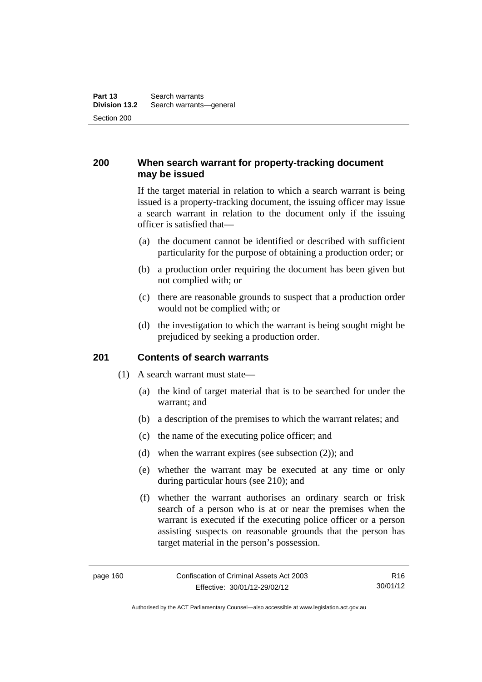### **200 When search warrant for property-tracking document may be issued**

If the target material in relation to which a search warrant is being issued is a property-tracking document, the issuing officer may issue a search warrant in relation to the document only if the issuing officer is satisfied that—

- (a) the document cannot be identified or described with sufficient particularity for the purpose of obtaining a production order; or
- (b) a production order requiring the document has been given but not complied with; or
- (c) there are reasonable grounds to suspect that a production order would not be complied with; or
- (d) the investigation to which the warrant is being sought might be prejudiced by seeking a production order.

#### **201 Contents of search warrants**

- (1) A search warrant must state—
	- (a) the kind of target material that is to be searched for under the warrant; and
	- (b) a description of the premises to which the warrant relates; and
	- (c) the name of the executing police officer; and
	- (d) when the warrant expires (see subsection (2)); and
	- (e) whether the warrant may be executed at any time or only during particular hours (see 210); and
	- (f) whether the warrant authorises an ordinary search or frisk search of a person who is at or near the premises when the warrant is executed if the executing police officer or a person assisting suspects on reasonable grounds that the person has target material in the person's possession.

R16 30/01/12

Authorised by the ACT Parliamentary Counsel—also accessible at www.legislation.act.gov.au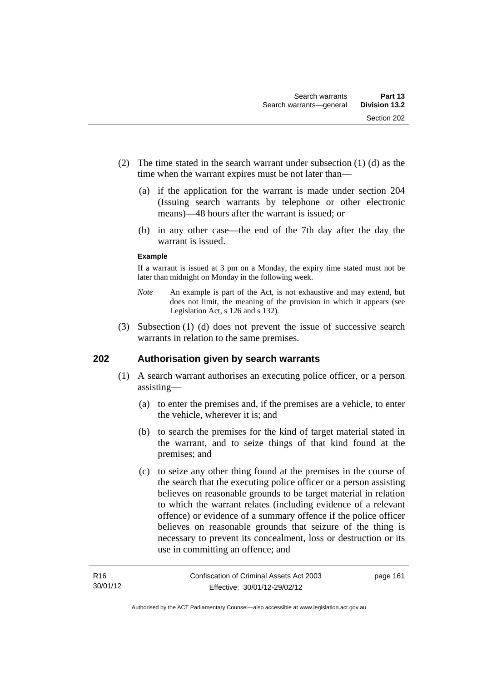- (2) The time stated in the search warrant under subsection (1) (d) as the time when the warrant expires must be not later than—
	- (a) if the application for the warrant is made under section 204 (Issuing search warrants by telephone or other electronic means)—48 hours after the warrant is issued; or
	- (b) in any other case—the end of the 7th day after the day the warrant is issued.

#### **Example**

If a warrant is issued at 3 pm on a Monday, the expiry time stated must not be later than midnight on Monday in the following week.

- *Note* An example is part of the Act, is not exhaustive and may extend, but does not limit, the meaning of the provision in which it appears (see Legislation Act, s 126 and s 132).
- (3) Subsection (1) (d) does not prevent the issue of successive search warrants in relation to the same premises.

### **202 Authorisation given by search warrants**

- (1) A search warrant authorises an executing police officer, or a person assisting—
	- (a) to enter the premises and, if the premises are a vehicle, to enter the vehicle, wherever it is; and
	- (b) to search the premises for the kind of target material stated in the warrant, and to seize things of that kind found at the premises; and
	- (c) to seize any other thing found at the premises in the course of the search that the executing police officer or a person assisting believes on reasonable grounds to be target material in relation to which the warrant relates (including evidence of a relevant offence) or evidence of a summary offence if the police officer believes on reasonable grounds that seizure of the thing is necessary to prevent its concealment, loss or destruction or its use in committing an offence; and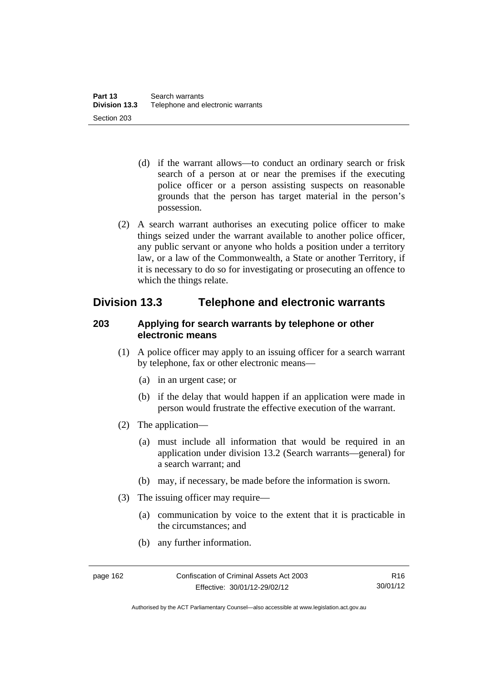- (d) if the warrant allows—to conduct an ordinary search or frisk search of a person at or near the premises if the executing police officer or a person assisting suspects on reasonable grounds that the person has target material in the person's possession.
- (2) A search warrant authorises an executing police officer to make things seized under the warrant available to another police officer, any public servant or anyone who holds a position under a territory law, or a law of the Commonwealth, a State or another Territory, if it is necessary to do so for investigating or prosecuting an offence to which the things relate.

# **Division 13.3 Telephone and electronic warrants**

### **203 Applying for search warrants by telephone or other electronic means**

- (1) A police officer may apply to an issuing officer for a search warrant by telephone, fax or other electronic means—
	- (a) in an urgent case; or
	- (b) if the delay that would happen if an application were made in person would frustrate the effective execution of the warrant.
- (2) The application—
	- (a) must include all information that would be required in an application under division 13.2 (Search warrants—general) for a search warrant; and
	- (b) may, if necessary, be made before the information is sworn.
- (3) The issuing officer may require—
	- (a) communication by voice to the extent that it is practicable in the circumstances; and
	- (b) any further information.

Authorised by the ACT Parliamentary Counsel—also accessible at www.legislation.act.gov.au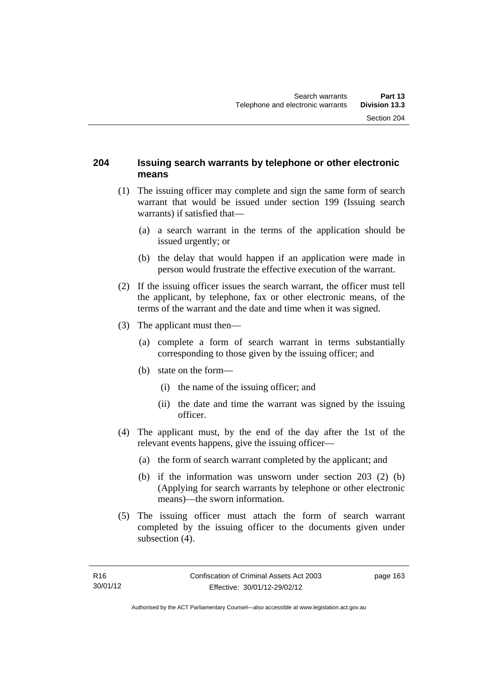#### **204 Issuing search warrants by telephone or other electronic means**

- (1) The issuing officer may complete and sign the same form of search warrant that would be issued under section 199 (Issuing search warrants) if satisfied that—
	- (a) a search warrant in the terms of the application should be issued urgently; or
	- (b) the delay that would happen if an application were made in person would frustrate the effective execution of the warrant.
- (2) If the issuing officer issues the search warrant, the officer must tell the applicant, by telephone, fax or other electronic means, of the terms of the warrant and the date and time when it was signed.
- (3) The applicant must then—
	- (a) complete a form of search warrant in terms substantially corresponding to those given by the issuing officer; and
	- (b) state on the form—
		- (i) the name of the issuing officer; and
		- (ii) the date and time the warrant was signed by the issuing officer.
- (4) The applicant must, by the end of the day after the 1st of the relevant events happens, give the issuing officer—
	- (a) the form of search warrant completed by the applicant; and
	- (b) if the information was unsworn under section 203 (2) (b) (Applying for search warrants by telephone or other electronic means)—the sworn information.
- (5) The issuing officer must attach the form of search warrant completed by the issuing officer to the documents given under subsection  $(4)$ .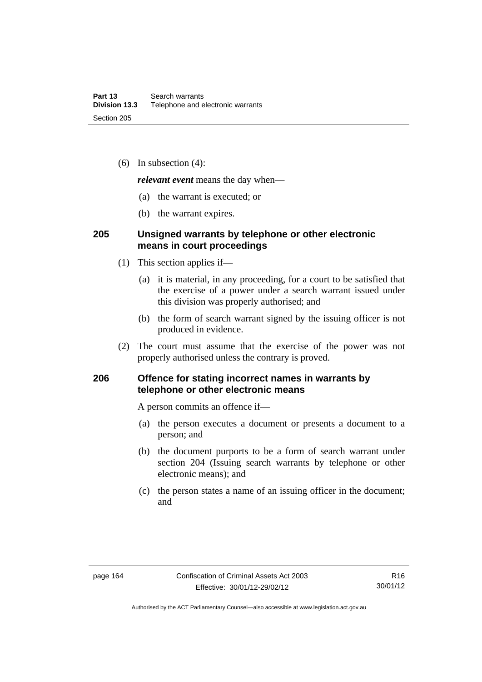(6) In subsection (4):

*relevant event* means the day when—

- (a) the warrant is executed; or
- (b) the warrant expires.

#### **205 Unsigned warrants by telephone or other electronic means in court proceedings**

- (1) This section applies if—
	- (a) it is material, in any proceeding, for a court to be satisfied that the exercise of a power under a search warrant issued under this division was properly authorised; and
	- (b) the form of search warrant signed by the issuing officer is not produced in evidence.
- (2) The court must assume that the exercise of the power was not properly authorised unless the contrary is proved.

### **206 Offence for stating incorrect names in warrants by telephone or other electronic means**

A person commits an offence if—

- (a) the person executes a document or presents a document to a person; and
- (b) the document purports to be a form of search warrant under section 204 (Issuing search warrants by telephone or other electronic means); and
- (c) the person states a name of an issuing officer in the document; and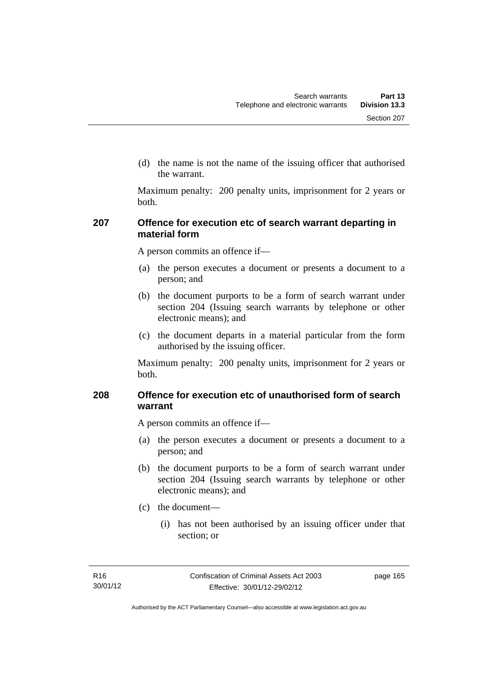(d) the name is not the name of the issuing officer that authorised the warrant.

Maximum penalty: 200 penalty units, imprisonment for 2 years or both.

#### **207 Offence for execution etc of search warrant departing in material form**

A person commits an offence if—

- (a) the person executes a document or presents a document to a person; and
- (b) the document purports to be a form of search warrant under section 204 (Issuing search warrants by telephone or other electronic means); and
- (c) the document departs in a material particular from the form authorised by the issuing officer.

Maximum penalty: 200 penalty units, imprisonment for 2 years or both.

### **208 Offence for execution etc of unauthorised form of search warrant**

A person commits an offence if—

- (a) the person executes a document or presents a document to a person; and
- (b) the document purports to be a form of search warrant under section 204 (Issuing search warrants by telephone or other electronic means); and
- (c) the document—
	- (i) has not been authorised by an issuing officer under that section; or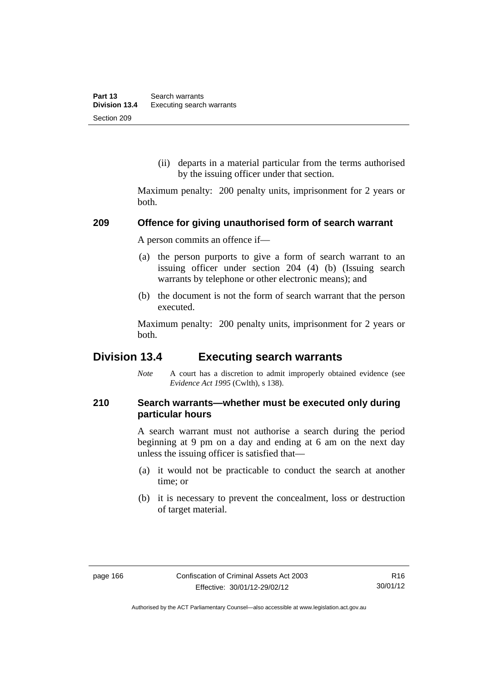(ii) departs in a material particular from the terms authorised by the issuing officer under that section.

Maximum penalty: 200 penalty units, imprisonment for 2 years or both.

#### **209 Offence for giving unauthorised form of search warrant**

A person commits an offence if—

- (a) the person purports to give a form of search warrant to an issuing officer under section 204 (4) (b) (Issuing search warrants by telephone or other electronic means); and
- (b) the document is not the form of search warrant that the person executed.

Maximum penalty: 200 penalty units, imprisonment for 2 years or both.

# **Division 13.4 Executing search warrants**

*Note* A court has a discretion to admit improperly obtained evidence (see *Evidence Act 1995* (Cwlth), s 138).

### **210 Search warrants—whether must be executed only during particular hours**

A search warrant must not authorise a search during the period beginning at 9 pm on a day and ending at 6 am on the next day unless the issuing officer is satisfied that—

- (a) it would not be practicable to conduct the search at another time; or
- (b) it is necessary to prevent the concealment, loss or destruction of target material.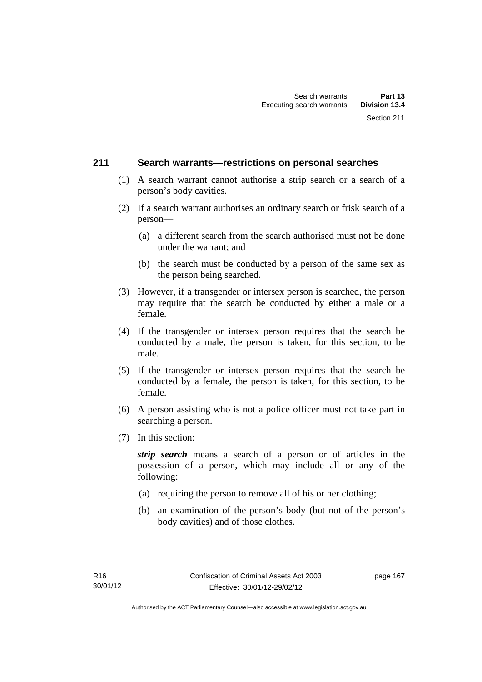### **211 Search warrants—restrictions on personal searches**

- (1) A search warrant cannot authorise a strip search or a search of a person's body cavities.
- (2) If a search warrant authorises an ordinary search or frisk search of a person—
	- (a) a different search from the search authorised must not be done under the warrant; and
	- (b) the search must be conducted by a person of the same sex as the person being searched.
- (3) However, if a transgender or intersex person is searched, the person may require that the search be conducted by either a male or a female.
- (4) If the transgender or intersex person requires that the search be conducted by a male, the person is taken, for this section, to be male.
- (5) If the transgender or intersex person requires that the search be conducted by a female, the person is taken, for this section, to be female.
- (6) A person assisting who is not a police officer must not take part in searching a person.
- (7) In this section:

*strip search* means a search of a person or of articles in the possession of a person, which may include all or any of the following:

- (a) requiring the person to remove all of his or her clothing;
- (b) an examination of the person's body (but not of the person's body cavities) and of those clothes.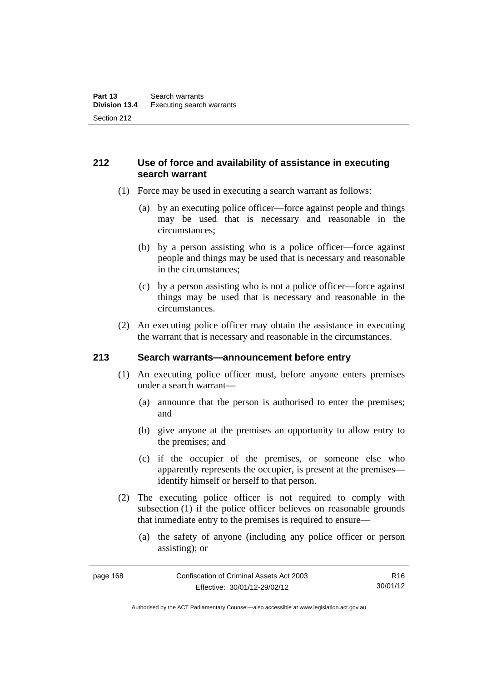# **212 Use of force and availability of assistance in executing search warrant**

- (1) Force may be used in executing a search warrant as follows:
	- (a) by an executing police officer—force against people and things may be used that is necessary and reasonable in the circumstances;
	- (b) by a person assisting who is a police officer—force against people and things may be used that is necessary and reasonable in the circumstances;
	- (c) by a person assisting who is not a police officer—force against things may be used that is necessary and reasonable in the circumstances.
- (2) An executing police officer may obtain the assistance in executing the warrant that is necessary and reasonable in the circumstances.

### **213 Search warrants—announcement before entry**

- (1) An executing police officer must, before anyone enters premises under a search warrant—
	- (a) announce that the person is authorised to enter the premises; and
	- (b) give anyone at the premises an opportunity to allow entry to the premises; and
	- (c) if the occupier of the premises, or someone else who apparently represents the occupier, is present at the premises identify himself or herself to that person.
- (2) The executing police officer is not required to comply with subsection (1) if the police officer believes on reasonable grounds that immediate entry to the premises is required to ensure—
	- (a) the safety of anyone (including any police officer or person assisting); or

Authorised by the ACT Parliamentary Counsel—also accessible at www.legislation.act.gov.au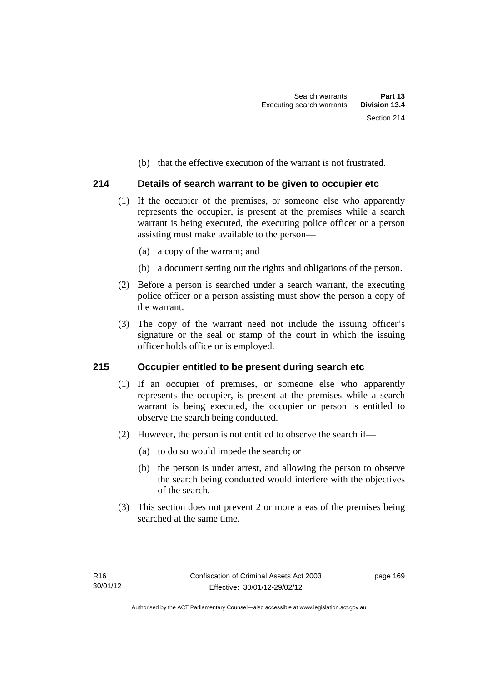(b) that the effective execution of the warrant is not frustrated.

## **214 Details of search warrant to be given to occupier etc**

- (1) If the occupier of the premises, or someone else who apparently represents the occupier, is present at the premises while a search warrant is being executed, the executing police officer or a person assisting must make available to the person—
	- (a) a copy of the warrant; and
	- (b) a document setting out the rights and obligations of the person.
- (2) Before a person is searched under a search warrant, the executing police officer or a person assisting must show the person a copy of the warrant.
- (3) The copy of the warrant need not include the issuing officer's signature or the seal or stamp of the court in which the issuing officer holds office or is employed.

### **215 Occupier entitled to be present during search etc**

- (1) If an occupier of premises, or someone else who apparently represents the occupier, is present at the premises while a search warrant is being executed, the occupier or person is entitled to observe the search being conducted.
- (2) However, the person is not entitled to observe the search if—
	- (a) to do so would impede the search; or
	- (b) the person is under arrest, and allowing the person to observe the search being conducted would interfere with the objectives of the search.
- (3) This section does not prevent 2 or more areas of the premises being searched at the same time.

page 169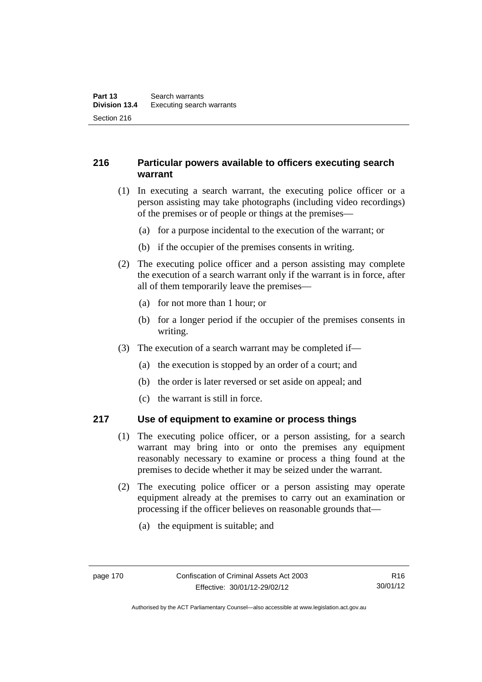# **216 Particular powers available to officers executing search warrant**

- (1) In executing a search warrant, the executing police officer or a person assisting may take photographs (including video recordings) of the premises or of people or things at the premises—
	- (a) for a purpose incidental to the execution of the warrant; or
	- (b) if the occupier of the premises consents in writing.
- (2) The executing police officer and a person assisting may complete the execution of a search warrant only if the warrant is in force, after all of them temporarily leave the premises—
	- (a) for not more than 1 hour; or
	- (b) for a longer period if the occupier of the premises consents in writing.
- (3) The execution of a search warrant may be completed if—
	- (a) the execution is stopped by an order of a court; and
	- (b) the order is later reversed or set aside on appeal; and
	- (c) the warrant is still in force.

### **217 Use of equipment to examine or process things**

- (1) The executing police officer, or a person assisting, for a search warrant may bring into or onto the premises any equipment reasonably necessary to examine or process a thing found at the premises to decide whether it may be seized under the warrant.
- (2) The executing police officer or a person assisting may operate equipment already at the premises to carry out an examination or processing if the officer believes on reasonable grounds that—
	- (a) the equipment is suitable; and

Authorised by the ACT Parliamentary Counsel—also accessible at www.legislation.act.gov.au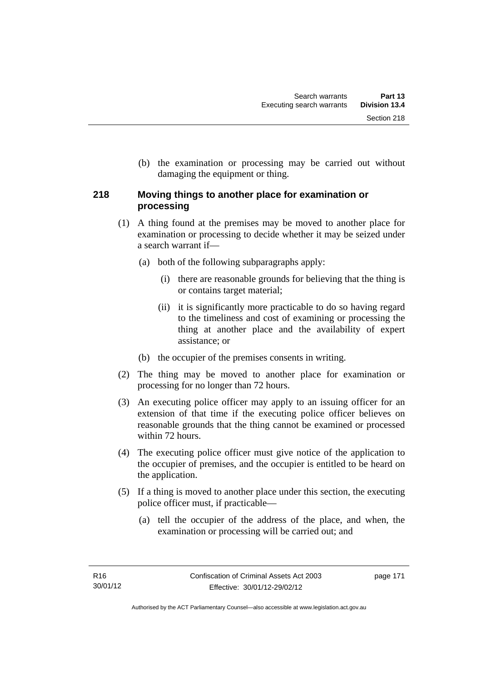(b) the examination or processing may be carried out without damaging the equipment or thing.

# **218 Moving things to another place for examination or processing**

- (1) A thing found at the premises may be moved to another place for examination or processing to decide whether it may be seized under a search warrant if—
	- (a) both of the following subparagraphs apply:
		- (i) there are reasonable grounds for believing that the thing is or contains target material;
		- (ii) it is significantly more practicable to do so having regard to the timeliness and cost of examining or processing the thing at another place and the availability of expert assistance; or
	- (b) the occupier of the premises consents in writing.
- (2) The thing may be moved to another place for examination or processing for no longer than 72 hours.
- (3) An executing police officer may apply to an issuing officer for an extension of that time if the executing police officer believes on reasonable grounds that the thing cannot be examined or processed within 72 hours.
- (4) The executing police officer must give notice of the application to the occupier of premises, and the occupier is entitled to be heard on the application.
- (5) If a thing is moved to another place under this section, the executing police officer must, if practicable—
	- (a) tell the occupier of the address of the place, and when, the examination or processing will be carried out; and

page 171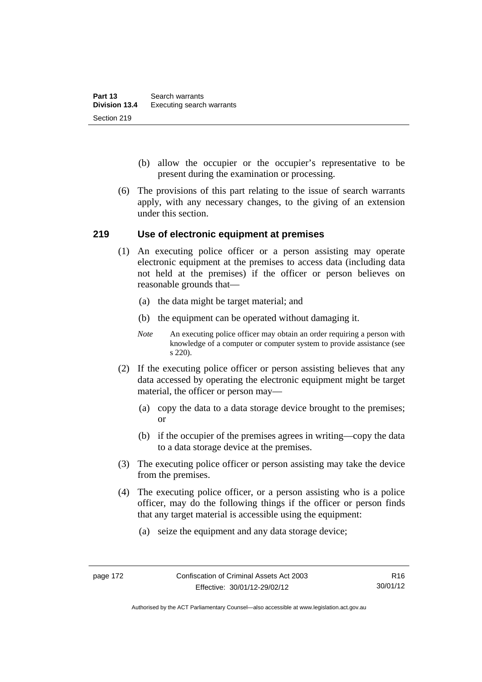- (b) allow the occupier or the occupier's representative to be present during the examination or processing.
- (6) The provisions of this part relating to the issue of search warrants apply, with any necessary changes, to the giving of an extension under this section.

### **219 Use of electronic equipment at premises**

- (1) An executing police officer or a person assisting may operate electronic equipment at the premises to access data (including data not held at the premises) if the officer or person believes on reasonable grounds that—
	- (a) the data might be target material; and
	- (b) the equipment can be operated without damaging it.
	- *Note* An executing police officer may obtain an order requiring a person with knowledge of a computer or computer system to provide assistance (see s 220).
- (2) If the executing police officer or person assisting believes that any data accessed by operating the electronic equipment might be target material, the officer or person may—
	- (a) copy the data to a data storage device brought to the premises; or
	- (b) if the occupier of the premises agrees in writing—copy the data to a data storage device at the premises.
- (3) The executing police officer or person assisting may take the device from the premises.
- (4) The executing police officer, or a person assisting who is a police officer, may do the following things if the officer or person finds that any target material is accessible using the equipment:
	- (a) seize the equipment and any data storage device;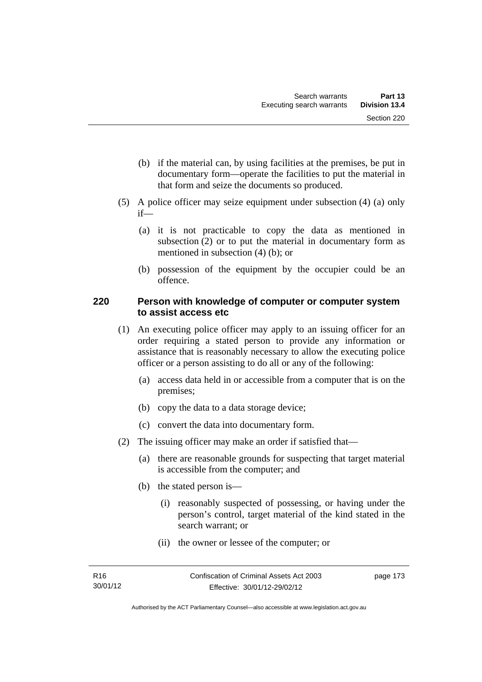- (b) if the material can, by using facilities at the premises, be put in documentary form—operate the facilities to put the material in that form and seize the documents so produced.
- (5) A police officer may seize equipment under subsection (4) (a) only if—
	- (a) it is not practicable to copy the data as mentioned in subsection (2) or to put the material in documentary form as mentioned in subsection (4) (b); or
	- (b) possession of the equipment by the occupier could be an offence.

### **220 Person with knowledge of computer or computer system to assist access etc**

- (1) An executing police officer may apply to an issuing officer for an order requiring a stated person to provide any information or assistance that is reasonably necessary to allow the executing police officer or a person assisting to do all or any of the following:
	- (a) access data held in or accessible from a computer that is on the premises;
	- (b) copy the data to a data storage device;
	- (c) convert the data into documentary form.
- (2) The issuing officer may make an order if satisfied that—
	- (a) there are reasonable grounds for suspecting that target material is accessible from the computer; and
	- (b) the stated person is—
		- (i) reasonably suspected of possessing, or having under the person's control, target material of the kind stated in the search warrant; or
		- (ii) the owner or lessee of the computer; or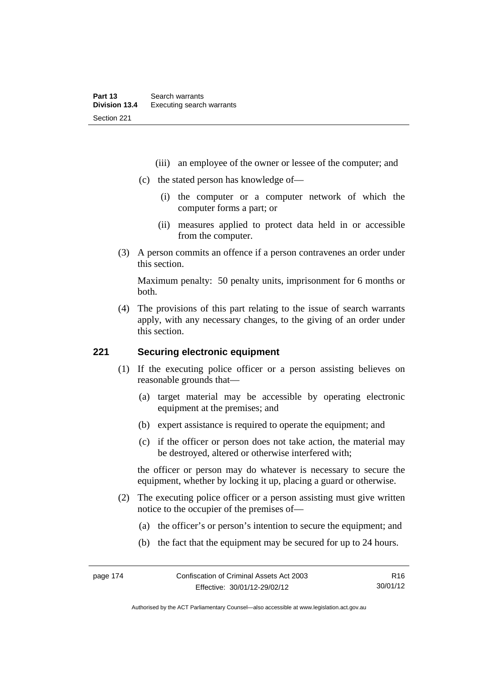- (iii) an employee of the owner or lessee of the computer; and
- (c) the stated person has knowledge of—
	- (i) the computer or a computer network of which the computer forms a part; or
	- (ii) measures applied to protect data held in or accessible from the computer.
- (3) A person commits an offence if a person contravenes an order under this section.

Maximum penalty: 50 penalty units, imprisonment for 6 months or both.

 (4) The provisions of this part relating to the issue of search warrants apply, with any necessary changes, to the giving of an order under this section.

### **221 Securing electronic equipment**

- (1) If the executing police officer or a person assisting believes on reasonable grounds that—
	- (a) target material may be accessible by operating electronic equipment at the premises; and
	- (b) expert assistance is required to operate the equipment; and
	- (c) if the officer or person does not take action, the material may be destroyed, altered or otherwise interfered with;

the officer or person may do whatever is necessary to secure the equipment, whether by locking it up, placing a guard or otherwise.

- (2) The executing police officer or a person assisting must give written notice to the occupier of the premises of—
	- (a) the officer's or person's intention to secure the equipment; and
	- (b) the fact that the equipment may be secured for up to 24 hours.

R16 30/01/12

Authorised by the ACT Parliamentary Counsel—also accessible at www.legislation.act.gov.au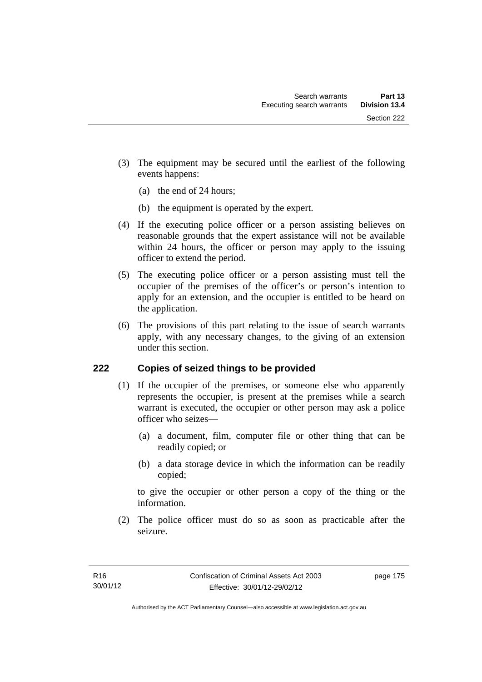- (3) The equipment may be secured until the earliest of the following events happens:
	- (a) the end of 24 hours;
	- (b) the equipment is operated by the expert.
- (4) If the executing police officer or a person assisting believes on reasonable grounds that the expert assistance will not be available within 24 hours, the officer or person may apply to the issuing officer to extend the period.
- (5) The executing police officer or a person assisting must tell the occupier of the premises of the officer's or person's intention to apply for an extension, and the occupier is entitled to be heard on the application.
- (6) The provisions of this part relating to the issue of search warrants apply, with any necessary changes, to the giving of an extension under this section.

# **222 Copies of seized things to be provided**

- (1) If the occupier of the premises, or someone else who apparently represents the occupier, is present at the premises while a search warrant is executed, the occupier or other person may ask a police officer who seizes—
	- (a) a document, film, computer file or other thing that can be readily copied; or
	- (b) a data storage device in which the information can be readily copied;

to give the occupier or other person a copy of the thing or the information.

 (2) The police officer must do so as soon as practicable after the seizure.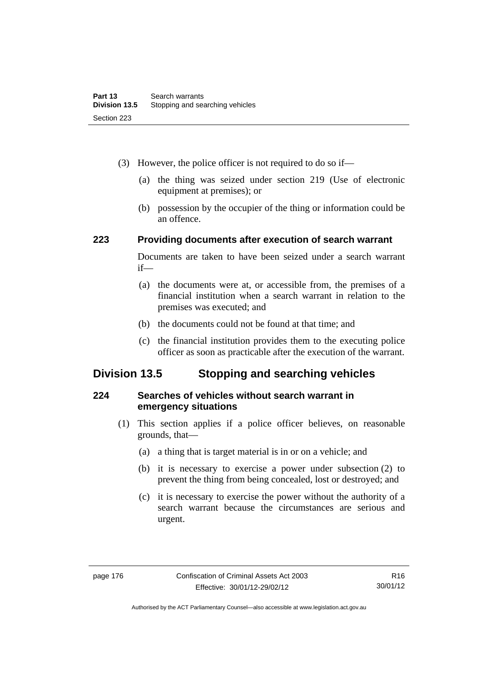- (3) However, the police officer is not required to do so if—
	- (a) the thing was seized under section 219 (Use of electronic equipment at premises); or
	- (b) possession by the occupier of the thing or information could be an offence.

### **223 Providing documents after execution of search warrant**

Documents are taken to have been seized under a search warrant if—

- (a) the documents were at, or accessible from, the premises of a financial institution when a search warrant in relation to the premises was executed; and
- (b) the documents could not be found at that time; and
- (c) the financial institution provides them to the executing police officer as soon as practicable after the execution of the warrant.

# **Division 13.5 Stopping and searching vehicles**

### **224 Searches of vehicles without search warrant in emergency situations**

- (1) This section applies if a police officer believes, on reasonable grounds, that—
	- (a) a thing that is target material is in or on a vehicle; and
	- (b) it is necessary to exercise a power under subsection (2) to prevent the thing from being concealed, lost or destroyed; and
	- (c) it is necessary to exercise the power without the authority of a search warrant because the circumstances are serious and urgent.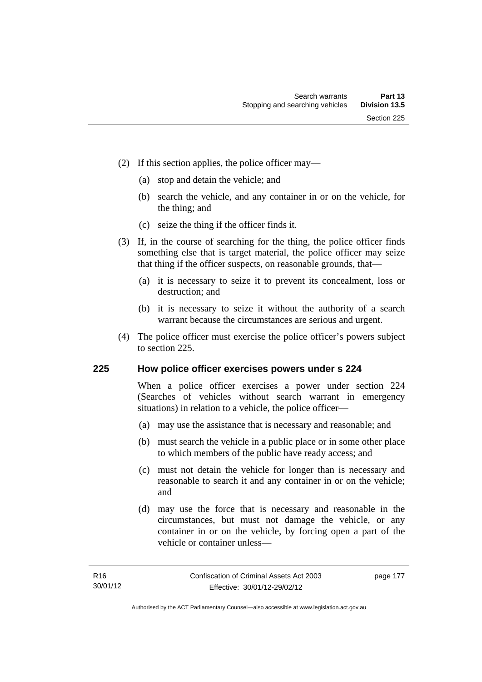- (2) If this section applies, the police officer may—
	- (a) stop and detain the vehicle; and
	- (b) search the vehicle, and any container in or on the vehicle, for the thing; and
	- (c) seize the thing if the officer finds it.
- (3) If, in the course of searching for the thing, the police officer finds something else that is target material, the police officer may seize that thing if the officer suspects, on reasonable grounds, that—
	- (a) it is necessary to seize it to prevent its concealment, loss or destruction; and
	- (b) it is necessary to seize it without the authority of a search warrant because the circumstances are serious and urgent.
- (4) The police officer must exercise the police officer's powers subject to section 225.

### **225 How police officer exercises powers under s 224**

When a police officer exercises a power under section 224 (Searches of vehicles without search warrant in emergency situations) in relation to a vehicle, the police officer—

- (a) may use the assistance that is necessary and reasonable; and
- (b) must search the vehicle in a public place or in some other place to which members of the public have ready access; and
- (c) must not detain the vehicle for longer than is necessary and reasonable to search it and any container in or on the vehicle; and
- (d) may use the force that is necessary and reasonable in the circumstances, but must not damage the vehicle, or any container in or on the vehicle, by forcing open a part of the vehicle or container unless—

page 177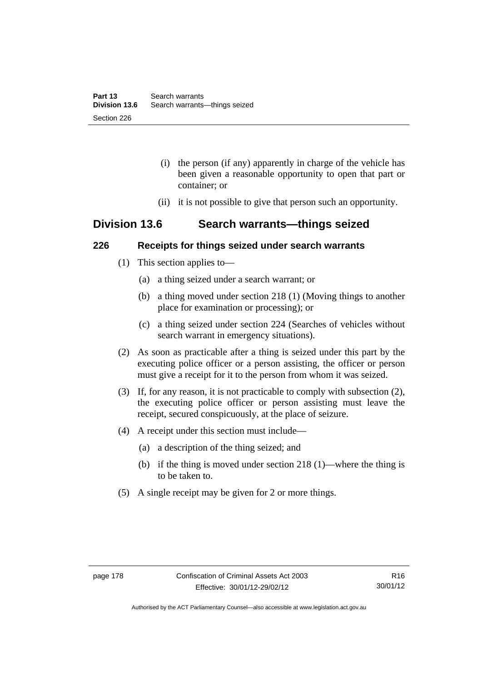- (i) the person (if any) apparently in charge of the vehicle has been given a reasonable opportunity to open that part or container; or
- (ii) it is not possible to give that person such an opportunity.

# **Division 13.6 Search warrants—things seized**

### **226 Receipts for things seized under search warrants**

- (1) This section applies to—
	- (a) a thing seized under a search warrant; or
	- (b) a thing moved under section 218 (1) (Moving things to another place for examination or processing); or
	- (c) a thing seized under section 224 (Searches of vehicles without search warrant in emergency situations).
- (2) As soon as practicable after a thing is seized under this part by the executing police officer or a person assisting, the officer or person must give a receipt for it to the person from whom it was seized.
- (3) If, for any reason, it is not practicable to comply with subsection (2), the executing police officer or person assisting must leave the receipt, secured conspicuously, at the place of seizure.
- (4) A receipt under this section must include—
	- (a) a description of the thing seized; and
	- (b) if the thing is moved under section 218 (1)—where the thing is to be taken to.
- (5) A single receipt may be given for 2 or more things.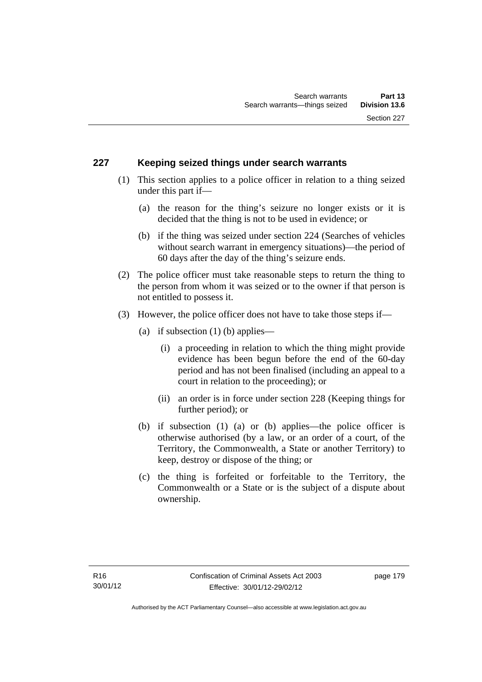### **227 Keeping seized things under search warrants**

- (1) This section applies to a police officer in relation to a thing seized under this part if—
	- (a) the reason for the thing's seizure no longer exists or it is decided that the thing is not to be used in evidence; or
	- (b) if the thing was seized under section 224 (Searches of vehicles without search warrant in emergency situations)—the period of 60 days after the day of the thing's seizure ends.
- (2) The police officer must take reasonable steps to return the thing to the person from whom it was seized or to the owner if that person is not entitled to possess it.
- (3) However, the police officer does not have to take those steps if—
	- (a) if subsection  $(1)$  (b) applies—
		- (i) a proceeding in relation to which the thing might provide evidence has been begun before the end of the 60-day period and has not been finalised (including an appeal to a court in relation to the proceeding); or
		- (ii) an order is in force under section 228 (Keeping things for further period); or
	- (b) if subsection (1) (a) or (b) applies—the police officer is otherwise authorised (by a law, or an order of a court, of the Territory, the Commonwealth, a State or another Territory) to keep, destroy or dispose of the thing; or
	- (c) the thing is forfeited or forfeitable to the Territory, the Commonwealth or a State or is the subject of a dispute about ownership.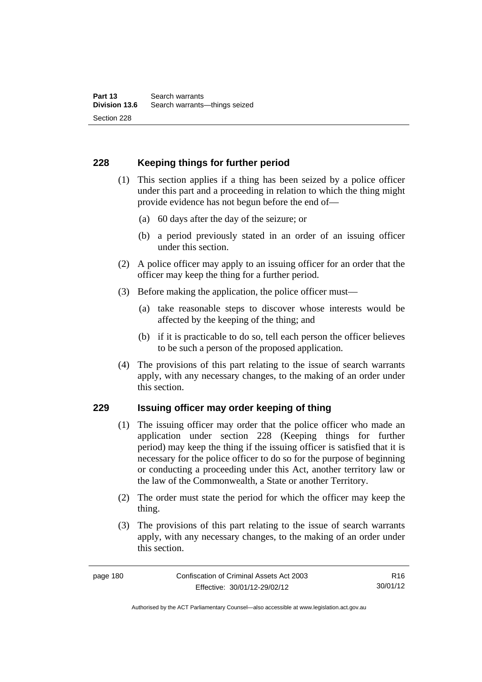# **228 Keeping things for further period**

- (1) This section applies if a thing has been seized by a police officer under this part and a proceeding in relation to which the thing might provide evidence has not begun before the end of—
	- (a) 60 days after the day of the seizure; or
	- (b) a period previously stated in an order of an issuing officer under this section.
- (2) A police officer may apply to an issuing officer for an order that the officer may keep the thing for a further period.
- (3) Before making the application, the police officer must—
	- (a) take reasonable steps to discover whose interests would be affected by the keeping of the thing; and
	- (b) if it is practicable to do so, tell each person the officer believes to be such a person of the proposed application.
- (4) The provisions of this part relating to the issue of search warrants apply, with any necessary changes, to the making of an order under this section.

### **229 Issuing officer may order keeping of thing**

- (1) The issuing officer may order that the police officer who made an application under section 228 (Keeping things for further period) may keep the thing if the issuing officer is satisfied that it is necessary for the police officer to do so for the purpose of beginning or conducting a proceeding under this Act, another territory law or the law of the Commonwealth, a State or another Territory.
- (2) The order must state the period for which the officer may keep the thing.
- (3) The provisions of this part relating to the issue of search warrants apply, with any necessary changes, to the making of an order under this section.

Authorised by the ACT Parliamentary Counsel—also accessible at www.legislation.act.gov.au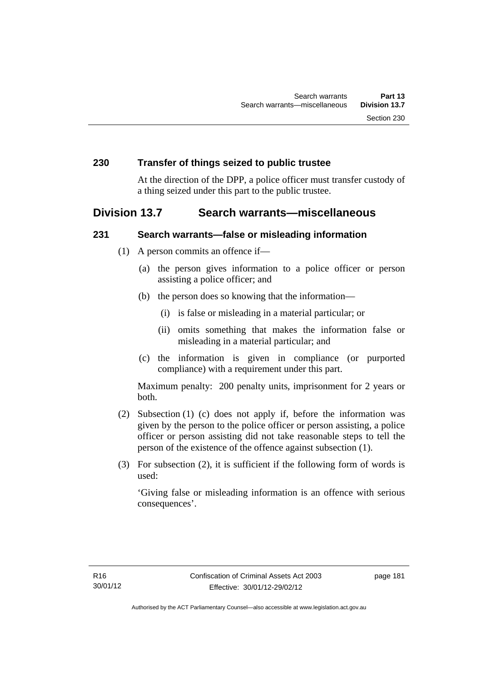### **230 Transfer of things seized to public trustee**

At the direction of the DPP, a police officer must transfer custody of a thing seized under this part to the public trustee.

# **Division 13.7 Search warrants—miscellaneous**

### **231 Search warrants—false or misleading information**

- (1) A person commits an offence if—
	- (a) the person gives information to a police officer or person assisting a police officer; and
	- (b) the person does so knowing that the information—
		- (i) is false or misleading in a material particular; or
		- (ii) omits something that makes the information false or misleading in a material particular; and
	- (c) the information is given in compliance (or purported compliance) with a requirement under this part.

Maximum penalty: 200 penalty units, imprisonment for 2 years or both.

- (2) Subsection (1) (c) does not apply if, before the information was given by the person to the police officer or person assisting, a police officer or person assisting did not take reasonable steps to tell the person of the existence of the offence against subsection (1).
- (3) For subsection (2), it is sufficient if the following form of words is used:

'Giving false or misleading information is an offence with serious consequences'.

page 181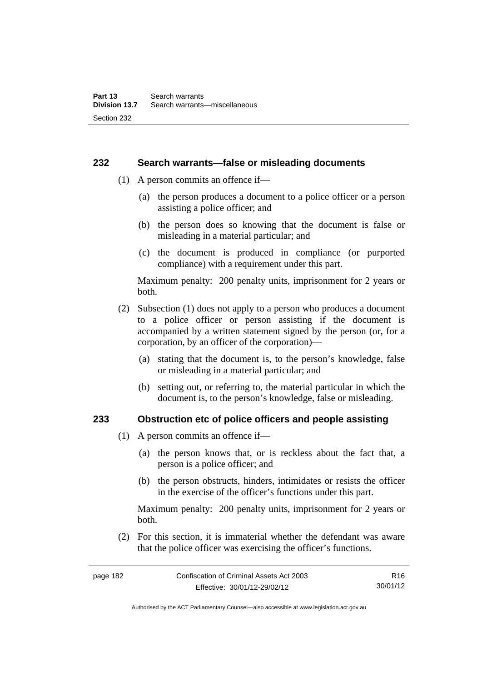### **232 Search warrants—false or misleading documents**

- (1) A person commits an offence if—
	- (a) the person produces a document to a police officer or a person assisting a police officer; and
	- (b) the person does so knowing that the document is false or misleading in a material particular; and
	- (c) the document is produced in compliance (or purported compliance) with a requirement under this part.

Maximum penalty: 200 penalty units, imprisonment for 2 years or both.

- (2) Subsection (1) does not apply to a person who produces a document to a police officer or person assisting if the document is accompanied by a written statement signed by the person (or, for a corporation, by an officer of the corporation)—
	- (a) stating that the document is, to the person's knowledge, false or misleading in a material particular; and
	- (b) setting out, or referring to, the material particular in which the document is, to the person's knowledge, false or misleading.

### **233 Obstruction etc of police officers and people assisting**

- (1) A person commits an offence if—
	- (a) the person knows that, or is reckless about the fact that, a person is a police officer; and
	- (b) the person obstructs, hinders, intimidates or resists the officer in the exercise of the officer's functions under this part.

Maximum penalty: 200 penalty units, imprisonment for 2 years or both.

 (2) For this section, it is immaterial whether the defendant was aware that the police officer was exercising the officer's functions.

page 182 Confiscation of Criminal Assets Act 2003 Effective: 30/01/12-29/02/12

Authorised by the ACT Parliamentary Counsel—also accessible at www.legislation.act.gov.au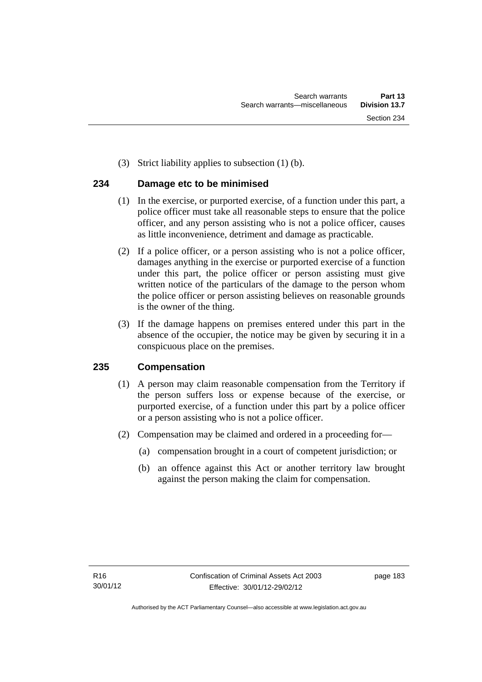(3) Strict liability applies to subsection (1) (b).

## **234 Damage etc to be minimised**

- (1) In the exercise, or purported exercise, of a function under this part, a police officer must take all reasonable steps to ensure that the police officer, and any person assisting who is not a police officer, causes as little inconvenience, detriment and damage as practicable.
- (2) If a police officer, or a person assisting who is not a police officer, damages anything in the exercise or purported exercise of a function under this part, the police officer or person assisting must give written notice of the particulars of the damage to the person whom the police officer or person assisting believes on reasonable grounds is the owner of the thing.
- (3) If the damage happens on premises entered under this part in the absence of the occupier, the notice may be given by securing it in a conspicuous place on the premises.

# **235 Compensation**

- (1) A person may claim reasonable compensation from the Territory if the person suffers loss or expense because of the exercise, or purported exercise, of a function under this part by a police officer or a person assisting who is not a police officer.
- (2) Compensation may be claimed and ordered in a proceeding for—
	- (a) compensation brought in a court of competent jurisdiction; or
	- (b) an offence against this Act or another territory law brought against the person making the claim for compensation.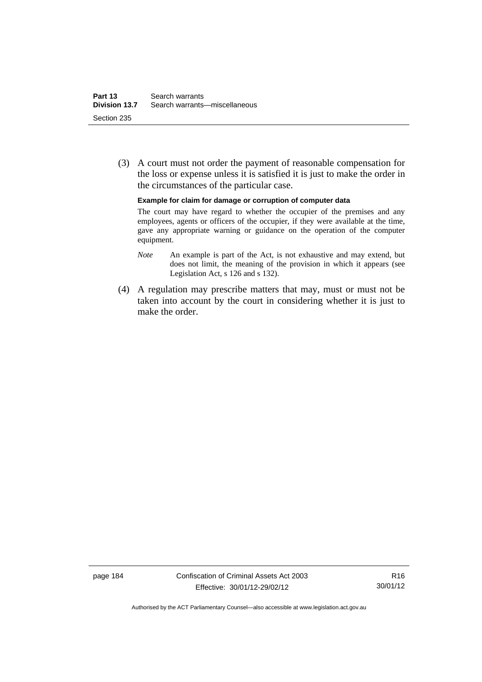(3) A court must not order the payment of reasonable compensation for the loss or expense unless it is satisfied it is just to make the order in the circumstances of the particular case.

**Example for claim for damage or corruption of computer data** 

The court may have regard to whether the occupier of the premises and any employees, agents or officers of the occupier, if they were available at the time, gave any appropriate warning or guidance on the operation of the computer equipment.

- *Note* An example is part of the Act, is not exhaustive and may extend, but does not limit, the meaning of the provision in which it appears (see Legislation Act, s 126 and s 132).
- (4) A regulation may prescribe matters that may, must or must not be taken into account by the court in considering whether it is just to make the order.

page 184 Confiscation of Criminal Assets Act 2003 Effective: 30/01/12-29/02/12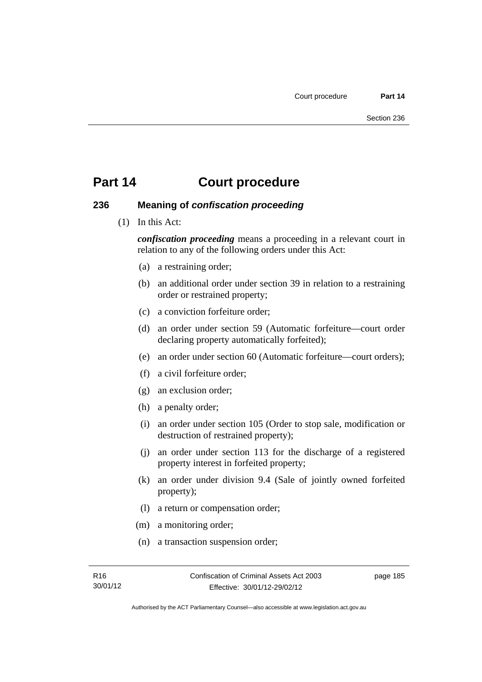### **236 Meaning of** *confiscation proceeding*

(1) In this Act:

*confiscation proceeding* means a proceeding in a relevant court in relation to any of the following orders under this Act:

- (a) a restraining order;
- (b) an additional order under section 39 in relation to a restraining order or restrained property;
- (c) a conviction forfeiture order;
- (d) an order under section 59 (Automatic forfeiture—court order declaring property automatically forfeited);
- (e) an order under section 60 (Automatic forfeiture—court orders);
- (f) a civil forfeiture order;
- (g) an exclusion order;
- (h) a penalty order;
- (i) an order under section 105 (Order to stop sale, modification or destruction of restrained property);
- (j) an order under section 113 for the discharge of a registered property interest in forfeited property;
- (k) an order under division 9.4 (Sale of jointly owned forfeited property);
- (l) a return or compensation order;
- (m) a monitoring order;
- (n) a transaction suspension order;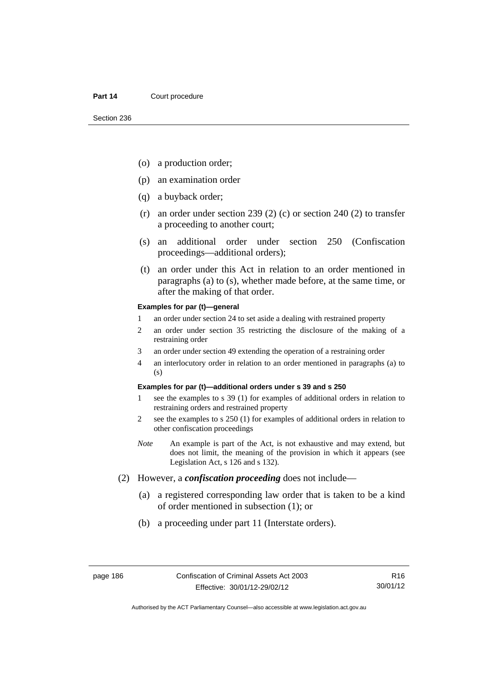- (o) a production order;
- (p) an examination order
- (q) a buyback order;
- (r) an order under section 239 (2) (c) or section 240 (2) to transfer a proceeding to another court;
- (s) an additional order under section 250 (Confiscation proceedings—additional orders);
- (t) an order under this Act in relation to an order mentioned in paragraphs (a) to (s), whether made before, at the same time, or after the making of that order.

#### **Examples for par (t)—general**

- 1 an order under section 24 to set aside a dealing with restrained property
- 2 an order under section 35 restricting the disclosure of the making of a restraining order
- 3 an order under section 49 extending the operation of a restraining order
- 4 an interlocutory order in relation to an order mentioned in paragraphs (a) to (s)

#### **Examples for par (t)—additional orders under s 39 and s 250**

- 1 see the examples to s 39 (1) for examples of additional orders in relation to restraining orders and restrained property
- 2 see the examples to s 250 (1) for examples of additional orders in relation to other confiscation proceedings
- *Note* An example is part of the Act, is not exhaustive and may extend, but does not limit, the meaning of the provision in which it appears (see Legislation Act, s 126 and s 132).
- (2) However, a *confiscation proceeding* does not include—
	- (a) a registered corresponding law order that is taken to be a kind of order mentioned in subsection (1); or
	- (b) a proceeding under part 11 (Interstate orders).

R16 30/01/12

Authorised by the ACT Parliamentary Counsel—also accessible at www.legislation.act.gov.au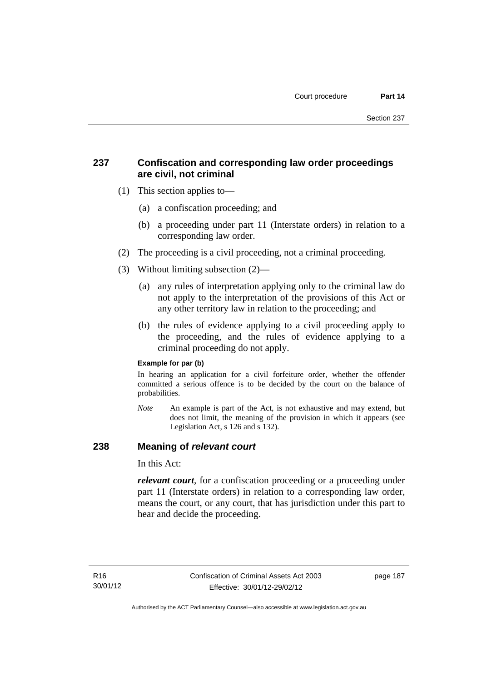# **237 Confiscation and corresponding law order proceedings are civil, not criminal**

- (1) This section applies to—
	- (a) a confiscation proceeding; and
	- (b) a proceeding under part 11 (Interstate orders) in relation to a corresponding law order.
- (2) The proceeding is a civil proceeding, not a criminal proceeding.
- (3) Without limiting subsection (2)—
	- (a) any rules of interpretation applying only to the criminal law do not apply to the interpretation of the provisions of this Act or any other territory law in relation to the proceeding; and
	- (b) the rules of evidence applying to a civil proceeding apply to the proceeding, and the rules of evidence applying to a criminal proceeding do not apply.

### **Example for par (b)**

In hearing an application for a civil forfeiture order, whether the offender committed a serious offence is to be decided by the court on the balance of probabilities.

*Note* An example is part of the Act, is not exhaustive and may extend, but does not limit, the meaning of the provision in which it appears (see Legislation Act, s 126 and s 132).

### **238 Meaning of** *relevant court*

In this Act:

*relevant court*, for a confiscation proceeding or a proceeding under part 11 (Interstate orders) in relation to a corresponding law order, means the court, or any court, that has jurisdiction under this part to hear and decide the proceeding.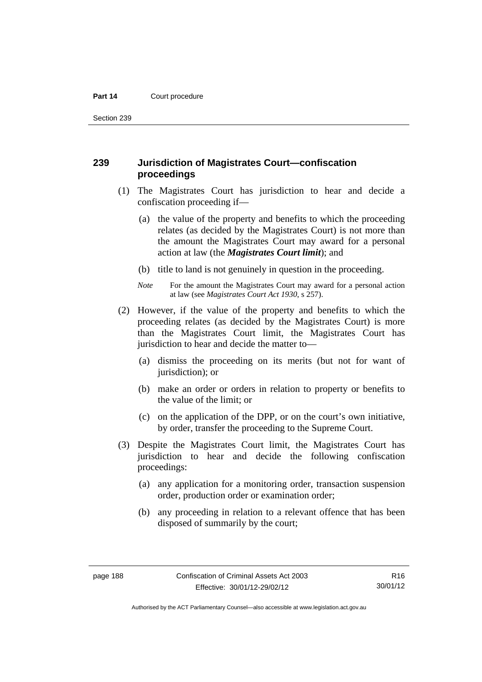Section 239

### **239 Jurisdiction of Magistrates Court—confiscation proceedings**

- (1) The Magistrates Court has jurisdiction to hear and decide a confiscation proceeding if—
	- (a) the value of the property and benefits to which the proceeding relates (as decided by the Magistrates Court) is not more than the amount the Magistrates Court may award for a personal action at law (the *Magistrates Court limit*); and
	- (b) title to land is not genuinely in question in the proceeding.
	- *Note* For the amount the Magistrates Court may award for a personal action at law (see *Magistrates Court Act 1930*, s 257).
- (2) However, if the value of the property and benefits to which the proceeding relates (as decided by the Magistrates Court) is more than the Magistrates Court limit, the Magistrates Court has jurisdiction to hear and decide the matter to—
	- (a) dismiss the proceeding on its merits (but not for want of jurisdiction); or
	- (b) make an order or orders in relation to property or benefits to the value of the limit; or
	- (c) on the application of the DPP, or on the court's own initiative, by order, transfer the proceeding to the Supreme Court.
- (3) Despite the Magistrates Court limit, the Magistrates Court has jurisdiction to hear and decide the following confiscation proceedings:
	- (a) any application for a monitoring order, transaction suspension order, production order or examination order;
	- (b) any proceeding in relation to a relevant offence that has been disposed of summarily by the court;

Authorised by the ACT Parliamentary Counsel—also accessible at www.legislation.act.gov.au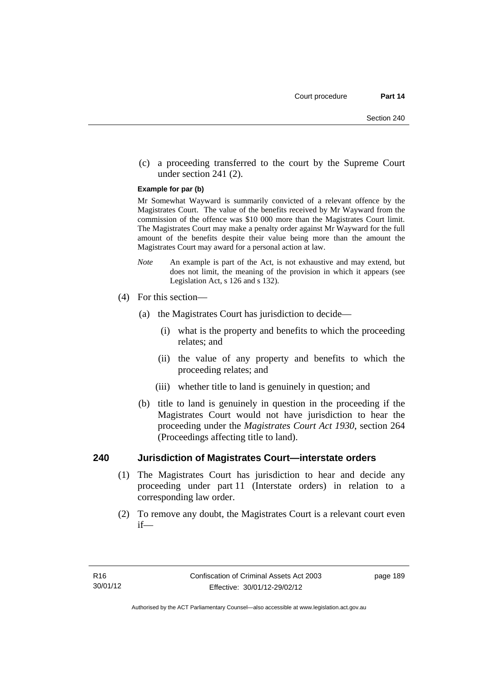(c) a proceeding transferred to the court by the Supreme Court under section 241 (2).

#### **Example for par (b)**

Mr Somewhat Wayward is summarily convicted of a relevant offence by the Magistrates Court. The value of the benefits received by Mr Wayward from the commission of the offence was \$10 000 more than the Magistrates Court limit. The Magistrates Court may make a penalty order against Mr Wayward for the full amount of the benefits despite their value being more than the amount the Magistrates Court may award for a personal action at law.

- *Note* An example is part of the Act, is not exhaustive and may extend, but does not limit, the meaning of the provision in which it appears (see Legislation Act, s 126 and s 132).
- (4) For this section—
	- (a) the Magistrates Court has jurisdiction to decide—
		- (i) what is the property and benefits to which the proceeding relates; and
		- (ii) the value of any property and benefits to which the proceeding relates; and
		- (iii) whether title to land is genuinely in question; and
	- (b) title to land is genuinely in question in the proceeding if the Magistrates Court would not have jurisdiction to hear the proceeding under the *Magistrates Court Act 1930*, section 264 (Proceedings affecting title to land).

### **240 Jurisdiction of Magistrates Court—interstate orders**

- (1) The Magistrates Court has jurisdiction to hear and decide any proceeding under part 11 (Interstate orders) in relation to a corresponding law order.
- (2) To remove any doubt, the Magistrates Court is a relevant court even if—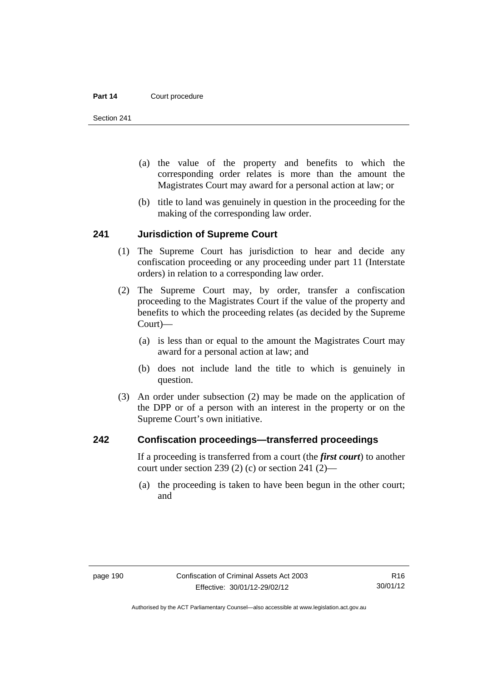Section 241

- (a) the value of the property and benefits to which the corresponding order relates is more than the amount the Magistrates Court may award for a personal action at law; or
- (b) title to land was genuinely in question in the proceeding for the making of the corresponding law order.

### **241 Jurisdiction of Supreme Court**

- (1) The Supreme Court has jurisdiction to hear and decide any confiscation proceeding or any proceeding under part 11 (Interstate orders) in relation to a corresponding law order.
- (2) The Supreme Court may, by order, transfer a confiscation proceeding to the Magistrates Court if the value of the property and benefits to which the proceeding relates (as decided by the Supreme Court)—
	- (a) is less than or equal to the amount the Magistrates Court may award for a personal action at law; and
	- (b) does not include land the title to which is genuinely in question.
- (3) An order under subsection (2) may be made on the application of the DPP or of a person with an interest in the property or on the Supreme Court's own initiative.

### **242 Confiscation proceedings—transferred proceedings**

If a proceeding is transferred from a court (the *first court*) to another court under section 239 (2) (c) or section 241 (2)—

 (a) the proceeding is taken to have been begun in the other court; and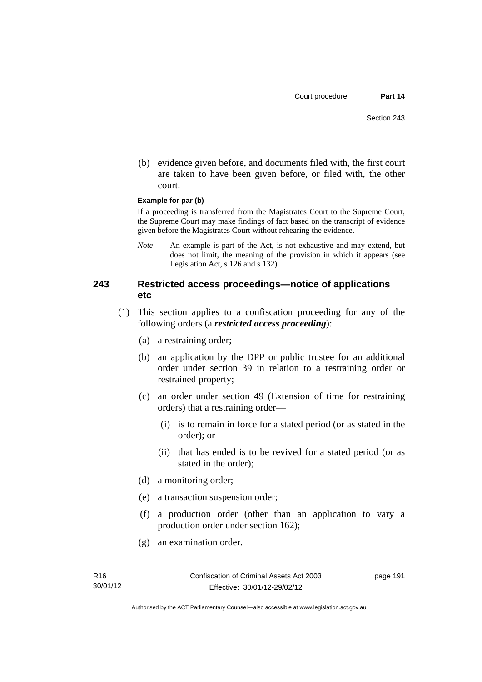(b) evidence given before, and documents filed with, the first court are taken to have been given before, or filed with, the other court.

#### **Example for par (b)**

If a proceeding is transferred from the Magistrates Court to the Supreme Court, the Supreme Court may make findings of fact based on the transcript of evidence given before the Magistrates Court without rehearing the evidence.

*Note* An example is part of the Act, is not exhaustive and may extend, but does not limit, the meaning of the provision in which it appears (see Legislation Act, s 126 and s 132).

### **243 Restricted access proceedings—notice of applications etc**

- (1) This section applies to a confiscation proceeding for any of the following orders (a *restricted access proceeding*):
	- (a) a restraining order;
	- (b) an application by the DPP or public trustee for an additional order under section 39 in relation to a restraining order or restrained property;
	- (c) an order under section 49 (Extension of time for restraining orders) that a restraining order—
		- (i) is to remain in force for a stated period (or as stated in the order); or
		- (ii) that has ended is to be revived for a stated period (or as stated in the order);
	- (d) a monitoring order;
	- (e) a transaction suspension order;
	- (f) a production order (other than an application to vary a production order under section 162);
	- (g) an examination order.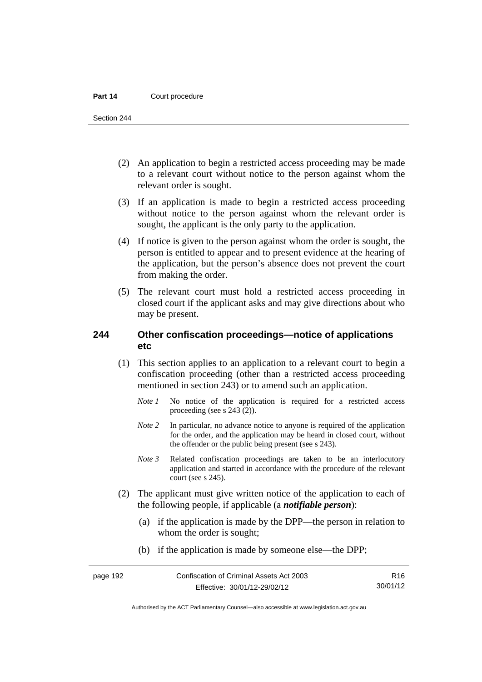Section 244

- (2) An application to begin a restricted access proceeding may be made to a relevant court without notice to the person against whom the relevant order is sought.
- (3) If an application is made to begin a restricted access proceeding without notice to the person against whom the relevant order is sought, the applicant is the only party to the application.
- (4) If notice is given to the person against whom the order is sought, the person is entitled to appear and to present evidence at the hearing of the application, but the person's absence does not prevent the court from making the order.
- (5) The relevant court must hold a restricted access proceeding in closed court if the applicant asks and may give directions about who may be present.

### **244 Other confiscation proceedings—notice of applications etc**

- (1) This section applies to an application to a relevant court to begin a confiscation proceeding (other than a restricted access proceeding mentioned in section 243) or to amend such an application.
	- *Note 1* No notice of the application is required for a restricted access proceeding (see s 243 (2)).
	- *Note 2* In particular, no advance notice to anyone is required of the application for the order, and the application may be heard in closed court, without the offender or the public being present (see s 243).
	- *Note 3* Related confiscation proceedings are taken to be an interlocutory application and started in accordance with the procedure of the relevant court (see s 245).
- (2) The applicant must give written notice of the application to each of the following people, if applicable (a *notifiable person*):
	- (a) if the application is made by the DPP—the person in relation to whom the order is sought;
	- (b) if the application is made by someone else—the DPP;

R16 30/01/12

Authorised by the ACT Parliamentary Counsel—also accessible at www.legislation.act.gov.au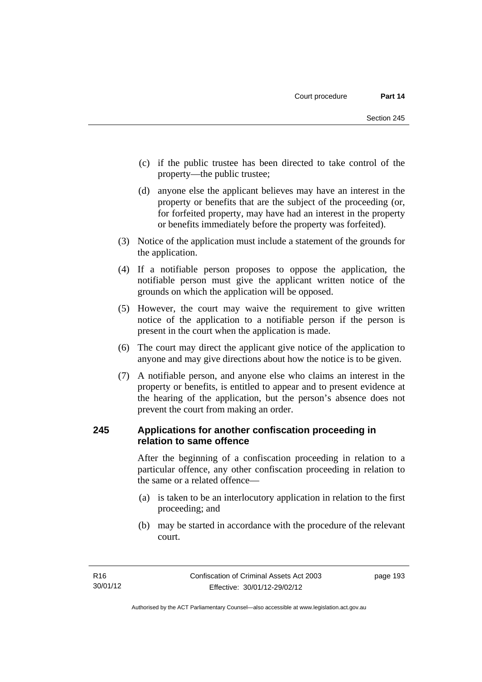- (c) if the public trustee has been directed to take control of the property—the public trustee;
- (d) anyone else the applicant believes may have an interest in the property or benefits that are the subject of the proceeding (or, for forfeited property, may have had an interest in the property or benefits immediately before the property was forfeited).
- (3) Notice of the application must include a statement of the grounds for the application.
- (4) If a notifiable person proposes to oppose the application, the notifiable person must give the applicant written notice of the grounds on which the application will be opposed.
- (5) However, the court may waive the requirement to give written notice of the application to a notifiable person if the person is present in the court when the application is made.
- (6) The court may direct the applicant give notice of the application to anyone and may give directions about how the notice is to be given.
- (7) A notifiable person, and anyone else who claims an interest in the property or benefits, is entitled to appear and to present evidence at the hearing of the application, but the person's absence does not prevent the court from making an order.

## **245 Applications for another confiscation proceeding in relation to same offence**

After the beginning of a confiscation proceeding in relation to a particular offence, any other confiscation proceeding in relation to the same or a related offence—

- (a) is taken to be an interlocutory application in relation to the first proceeding; and
- (b) may be started in accordance with the procedure of the relevant court.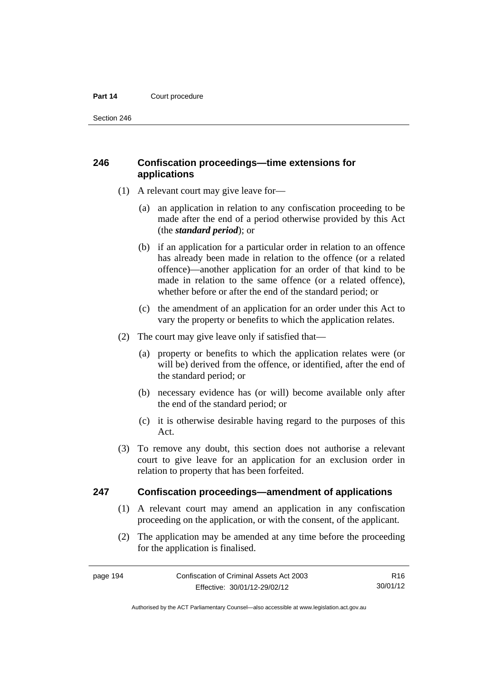Section 246

# **246 Confiscation proceedings—time extensions for applications**

- (1) A relevant court may give leave for—
	- (a) an application in relation to any confiscation proceeding to be made after the end of a period otherwise provided by this Act (the *standard period*); or
	- (b) if an application for a particular order in relation to an offence has already been made in relation to the offence (or a related offence)—another application for an order of that kind to be made in relation to the same offence (or a related offence), whether before or after the end of the standard period; or
	- (c) the amendment of an application for an order under this Act to vary the property or benefits to which the application relates.
- (2) The court may give leave only if satisfied that—
	- (a) property or benefits to which the application relates were (or will be) derived from the offence, or identified, after the end of the standard period; or
	- (b) necessary evidence has (or will) become available only after the end of the standard period; or
	- (c) it is otherwise desirable having regard to the purposes of this Act.
- (3) To remove any doubt, this section does not authorise a relevant court to give leave for an application for an exclusion order in relation to property that has been forfeited.

### **247 Confiscation proceedings—amendment of applications**

- (1) A relevant court may amend an application in any confiscation proceeding on the application, or with the consent, of the applicant.
- (2) The application may be amended at any time before the proceeding for the application is finalised.

Authorised by the ACT Parliamentary Counsel—also accessible at www.legislation.act.gov.au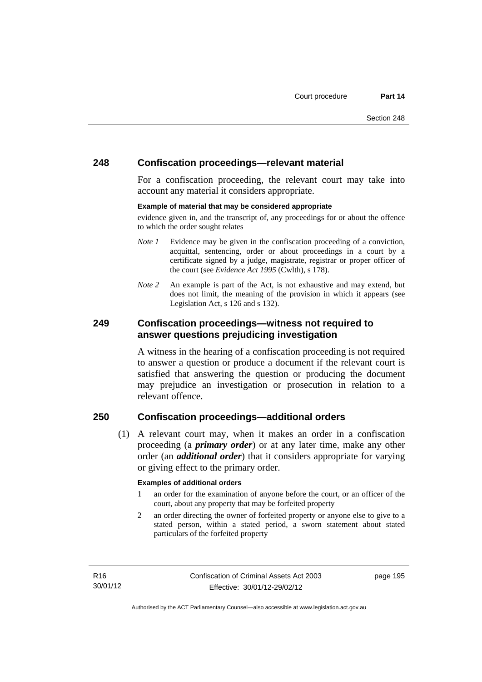### **248 Confiscation proceedings—relevant material**

For a confiscation proceeding, the relevant court may take into account any material it considers appropriate.

#### **Example of material that may be considered appropriate**

evidence given in, and the transcript of, any proceedings for or about the offence to which the order sought relates

- *Note 1* Evidence may be given in the confiscation proceeding of a conviction, acquittal, sentencing, order or about proceedings in a court by a certificate signed by a judge, magistrate, registrar or proper officer of the court (see *Evidence Act 1995* (Cwlth), s 178).
- *Note* 2 An example is part of the Act, is not exhaustive and may extend, but does not limit, the meaning of the provision in which it appears (see Legislation Act, s 126 and s 132).

### **249 Confiscation proceedings—witness not required to answer questions prejudicing investigation**

A witness in the hearing of a confiscation proceeding is not required to answer a question or produce a document if the relevant court is satisfied that answering the question or producing the document may prejudice an investigation or prosecution in relation to a relevant offence.

### **250 Confiscation proceedings—additional orders**

 (1) A relevant court may, when it makes an order in a confiscation proceeding (a *primary order*) or at any later time, make any other order (an *additional order*) that it considers appropriate for varying or giving effect to the primary order.

#### **Examples of additional orders**

- 1 an order for the examination of anyone before the court, or an officer of the court, about any property that may be forfeited property
- 2 an order directing the owner of forfeited property or anyone else to give to a stated person, within a stated period, a sworn statement about stated particulars of the forfeited property

page 195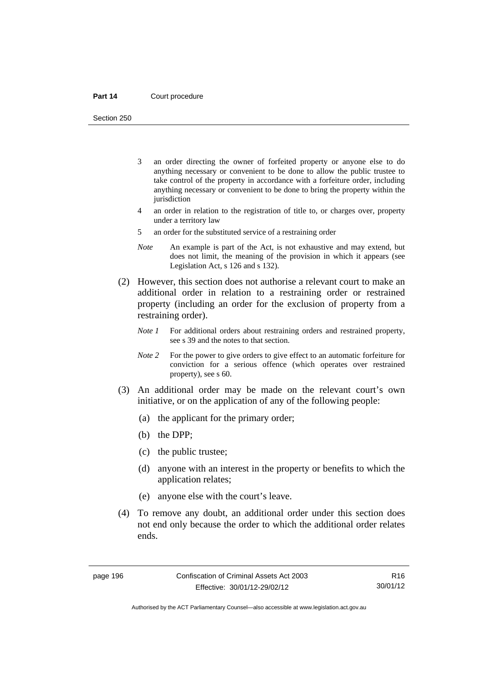Section 250

- 3 an order directing the owner of forfeited property or anyone else to do anything necessary or convenient to be done to allow the public trustee to take control of the property in accordance with a forfeiture order, including anything necessary or convenient to be done to bring the property within the jurisdiction
- 4 an order in relation to the registration of title to, or charges over, property under a territory law
- 5 an order for the substituted service of a restraining order
- *Note* An example is part of the Act, is not exhaustive and may extend, but does not limit, the meaning of the provision in which it appears (see Legislation Act, s 126 and s 132).
- (2) However, this section does not authorise a relevant court to make an additional order in relation to a restraining order or restrained property (including an order for the exclusion of property from a restraining order).
	- *Note 1* For additional orders about restraining orders and restrained property, see s 39 and the notes to that section.
	- *Note 2* For the power to give orders to give effect to an automatic forfeiture for conviction for a serious offence (which operates over restrained property), see s 60.
- (3) An additional order may be made on the relevant court's own initiative, or on the application of any of the following people:
	- (a) the applicant for the primary order;
	- (b) the DPP;
	- (c) the public trustee;
	- (d) anyone with an interest in the property or benefits to which the application relates;
	- (e) anyone else with the court's leave.
- (4) To remove any doubt, an additional order under this section does not end only because the order to which the additional order relates ends.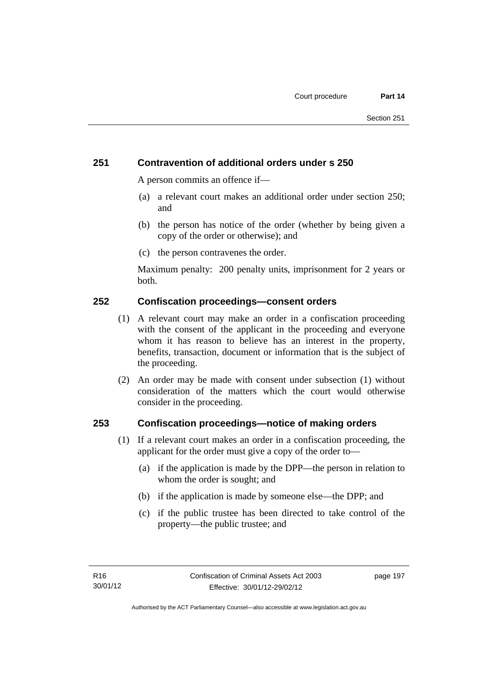# **251 Contravention of additional orders under s 250**

A person commits an offence if—

- (a) a relevant court makes an additional order under section 250; and
- (b) the person has notice of the order (whether by being given a copy of the order or otherwise); and
- (c) the person contravenes the order.

Maximum penalty: 200 penalty units, imprisonment for 2 years or both.

## **252 Confiscation proceedings—consent orders**

- (1) A relevant court may make an order in a confiscation proceeding with the consent of the applicant in the proceeding and everyone whom it has reason to believe has an interest in the property, benefits, transaction, document or information that is the subject of the proceeding.
- (2) An order may be made with consent under subsection (1) without consideration of the matters which the court would otherwise consider in the proceeding.

### **253 Confiscation proceedings—notice of making orders**

- (1) If a relevant court makes an order in a confiscation proceeding, the applicant for the order must give a copy of the order to—
	- (a) if the application is made by the DPP—the person in relation to whom the order is sought; and
	- (b) if the application is made by someone else—the DPP; and
	- (c) if the public trustee has been directed to take control of the property—the public trustee; and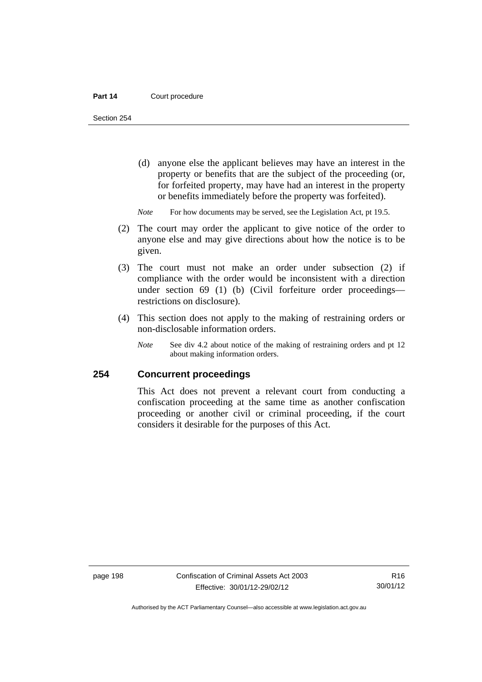Section 254

- (d) anyone else the applicant believes may have an interest in the property or benefits that are the subject of the proceeding (or, for forfeited property, may have had an interest in the property or benefits immediately before the property was forfeited).
- *Note* For how documents may be served, see the Legislation Act, pt 19.5.
- (2) The court may order the applicant to give notice of the order to anyone else and may give directions about how the notice is to be given.
- (3) The court must not make an order under subsection (2) if compliance with the order would be inconsistent with a direction under section 69 (1) (b) (Civil forfeiture order proceedings restrictions on disclosure).
- (4) This section does not apply to the making of restraining orders or non-disclosable information orders.
	- *Note* See div 4.2 about notice of the making of restraining orders and pt 12 about making information orders.

### **254 Concurrent proceedings**

This Act does not prevent a relevant court from conducting a confiscation proceeding at the same time as another confiscation proceeding or another civil or criminal proceeding, if the court considers it desirable for the purposes of this Act.

Authorised by the ACT Parliamentary Counsel—also accessible at www.legislation.act.gov.au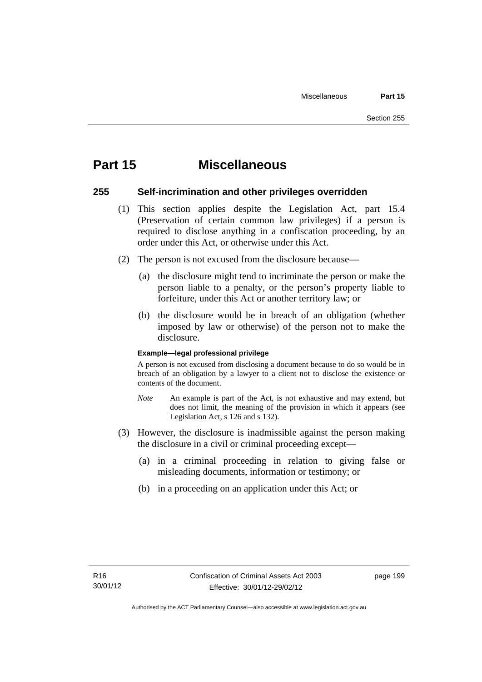# **Part 15 Miscellaneous**

### **255 Self-incrimination and other privileges overridden**

- (1) This section applies despite the Legislation Act, part 15.4 (Preservation of certain common law privileges) if a person is required to disclose anything in a confiscation proceeding, by an order under this Act, or otherwise under this Act.
- (2) The person is not excused from the disclosure because—
	- (a) the disclosure might tend to incriminate the person or make the person liable to a penalty, or the person's property liable to forfeiture, under this Act or another territory law; or
	- (b) the disclosure would be in breach of an obligation (whether imposed by law or otherwise) of the person not to make the disclosure.

#### **Example—legal professional privilege**

A person is not excused from disclosing a document because to do so would be in breach of an obligation by a lawyer to a client not to disclose the existence or contents of the document.

- *Note* An example is part of the Act, is not exhaustive and may extend, but does not limit, the meaning of the provision in which it appears (see Legislation Act, s 126 and s 132).
- (3) However, the disclosure is inadmissible against the person making the disclosure in a civil or criminal proceeding except—
	- (a) in a criminal proceeding in relation to giving false or misleading documents, information or testimony; or
	- (b) in a proceeding on an application under this Act; or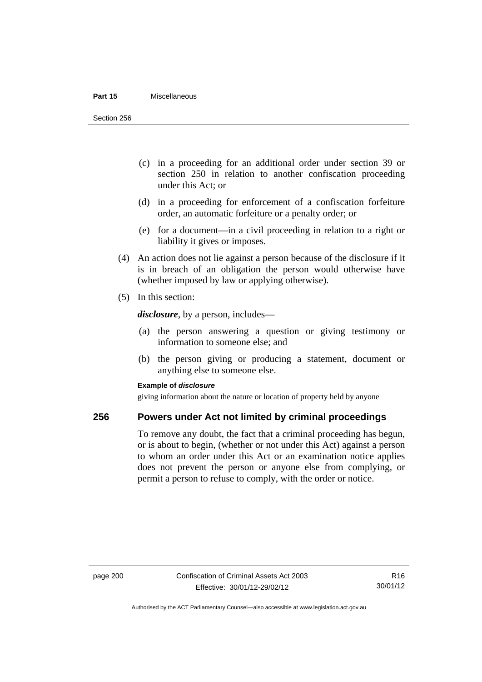#### **Part 15** Miscellaneous

Section 256

- (c) in a proceeding for an additional order under section 39 or section 250 in relation to another confiscation proceeding under this Act; or
- (d) in a proceeding for enforcement of a confiscation forfeiture order, an automatic forfeiture or a penalty order; or
- (e) for a document—in a civil proceeding in relation to a right or liability it gives or imposes.
- (4) An action does not lie against a person because of the disclosure if it is in breach of an obligation the person would otherwise have (whether imposed by law or applying otherwise).
- (5) In this section:

*disclosure*, by a person, includes—

- (a) the person answering a question or giving testimony or information to someone else; and
- (b) the person giving or producing a statement, document or anything else to someone else.

#### **Example of** *disclosure*

giving information about the nature or location of property held by anyone

### **256 Powers under Act not limited by criminal proceedings**

To remove any doubt, the fact that a criminal proceeding has begun, or is about to begin, (whether or not under this Act) against a person to whom an order under this Act or an examination notice applies does not prevent the person or anyone else from complying, or permit a person to refuse to comply, with the order or notice.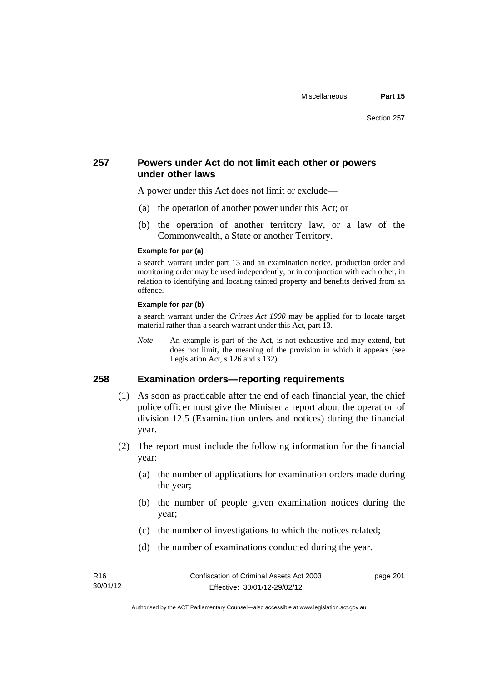### **257 Powers under Act do not limit each other or powers under other laws**

A power under this Act does not limit or exclude—

- (a) the operation of another power under this Act; or
- (b) the operation of another territory law, or a law of the Commonwealth, a State or another Territory.

#### **Example for par (a)**

a search warrant under part 13 and an examination notice, production order and monitoring order may be used independently, or in conjunction with each other, in relation to identifying and locating tainted property and benefits derived from an offence.

#### **Example for par (b)**

a search warrant under the *Crimes Act 1900* may be applied for to locate target material rather than a search warrant under this Act, part 13.

*Note* An example is part of the Act, is not exhaustive and may extend, but does not limit, the meaning of the provision in which it appears (see Legislation Act, s 126 and s 132).

### **258 Examination orders—reporting requirements**

- (1) As soon as practicable after the end of each financial year, the chief police officer must give the Minister a report about the operation of division 12.5 (Examination orders and notices) during the financial year.
- (2) The report must include the following information for the financial year:
	- (a) the number of applications for examination orders made during the year;
	- (b) the number of people given examination notices during the year;
	- (c) the number of investigations to which the notices related;
	- (d) the number of examinations conducted during the year.

page 201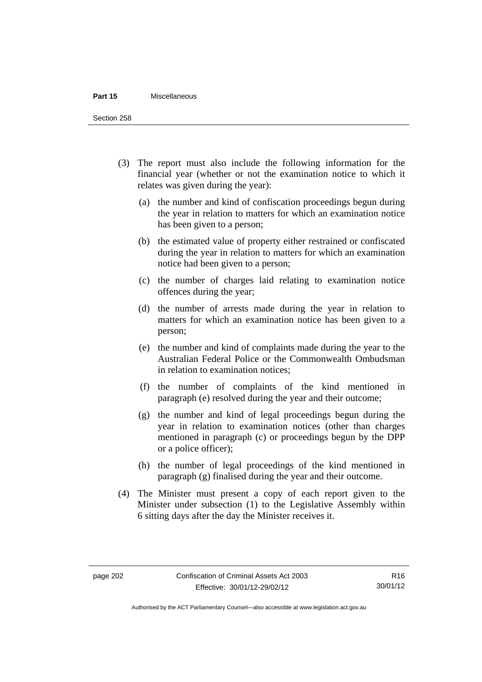#### **Part 15** Miscellaneous

Section 258

- (3) The report must also include the following information for the financial year (whether or not the examination notice to which it relates was given during the year):
	- (a) the number and kind of confiscation proceedings begun during the year in relation to matters for which an examination notice has been given to a person;
	- (b) the estimated value of property either restrained or confiscated during the year in relation to matters for which an examination notice had been given to a person;
	- (c) the number of charges laid relating to examination notice offences during the year;
	- (d) the number of arrests made during the year in relation to matters for which an examination notice has been given to a person;
	- (e) the number and kind of complaints made during the year to the Australian Federal Police or the Commonwealth Ombudsman in relation to examination notices;
	- (f) the number of complaints of the kind mentioned in paragraph (e) resolved during the year and their outcome;
	- (g) the number and kind of legal proceedings begun during the year in relation to examination notices (other than charges mentioned in paragraph (c) or proceedings begun by the DPP or a police officer);
	- (h) the number of legal proceedings of the kind mentioned in paragraph (g) finalised during the year and their outcome.
- (4) The Minister must present a copy of each report given to the Minister under subsection (1) to the Legislative Assembly within 6 sitting days after the day the Minister receives it.

Authorised by the ACT Parliamentary Counsel—also accessible at www.legislation.act.gov.au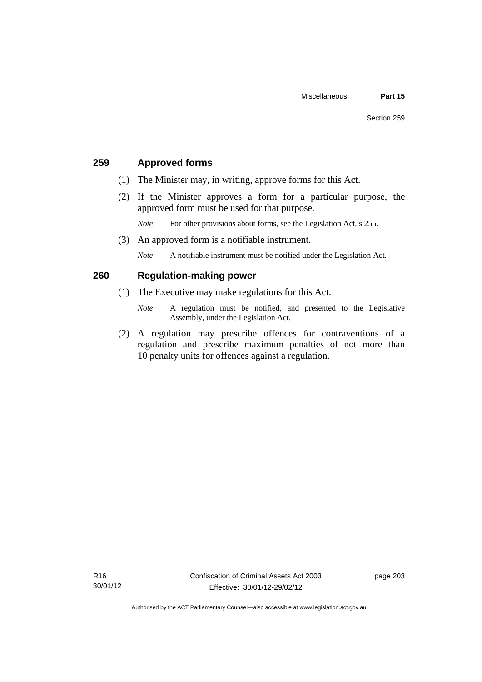# **259 Approved forms**

- (1) The Minister may, in writing, approve forms for this Act.
- (2) If the Minister approves a form for a particular purpose, the approved form must be used for that purpose.

*Note* For other provisions about forms, see the Legislation Act, s 255.

(3) An approved form is a notifiable instrument.

*Note* A notifiable instrument must be notified under the Legislation Act.

## **260 Regulation-making power**

- (1) The Executive may make regulations for this Act.
	- *Note* A regulation must be notified, and presented to the Legislative Assembly, under the Legislation Act.
- (2) A regulation may prescribe offences for contraventions of a regulation and prescribe maximum penalties of not more than 10 penalty units for offences against a regulation.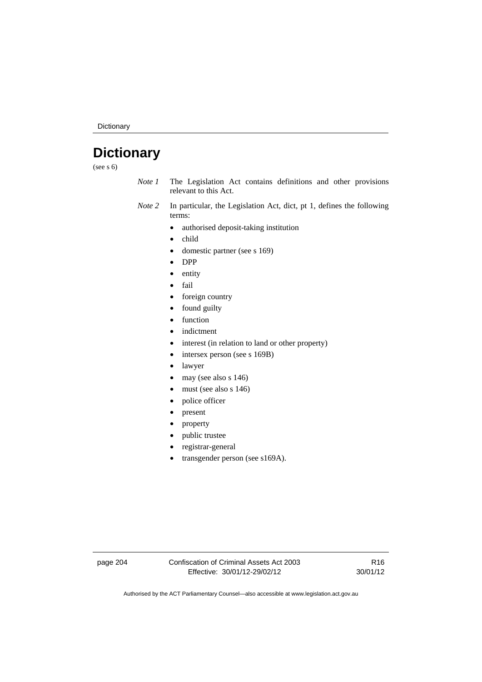Dictionary

# **Dictionary**

(see s 6)

- *Note 1* The Legislation Act contains definitions and other provisions relevant to this Act.
- *Note 2* In particular, the Legislation Act, dict, pt 1, defines the following terms:
	- authorised deposit-taking institution
	- child
	- domestic partner (see s 169)
	- DPP
	- entity
	- fail
	- foreign country
	- found guilty
	- function
	- indictment
	- interest (in relation to land or other property)
	- intersex person (see s 169B)
	- lawyer
	- $\bullet$  may (see also s 146)
	- must (see also s 146)
	- police officer
	- present
	- property
	- public trustee
	- registrar-general
	- transgender person (see s169A).

page 204 Confiscation of Criminal Assets Act 2003 Effective: 30/01/12-29/02/12

R16 30/01/12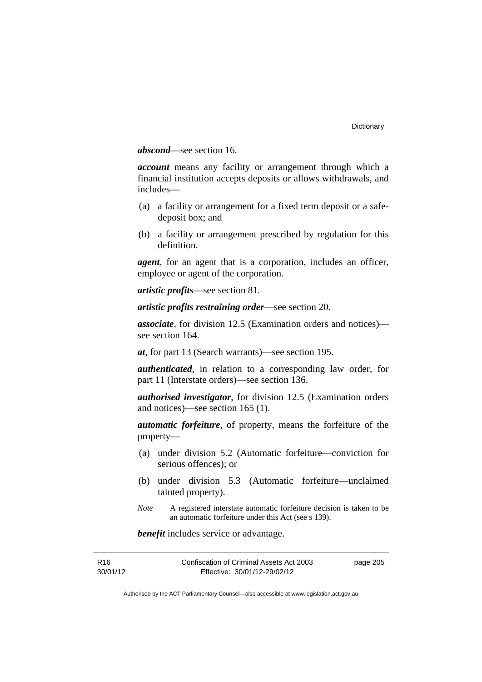## *abscond*—see section 16.

*account* means any facility or arrangement through which a financial institution accepts deposits or allows withdrawals, and includes—

- (a) a facility or arrangement for a fixed term deposit or a safedeposit box; and
- (b) a facility or arrangement prescribed by regulation for this definition.

*agent*, for an agent that is a corporation, includes an officer, employee or agent of the corporation.

*artistic profits*—see section 81.

*artistic profits restraining order*—see section 20.

*associate*, for division 12.5 (Examination orders and notices) see section 164.

*at*, for part 13 (Search warrants)—see section 195.

*authenticated*, in relation to a corresponding law order, for part 11 (Interstate orders)—see section 136.

*authorised investigator*, for division 12.5 (Examination orders and notices)—see section 165 (1).

*automatic forfeiture*, of property, means the forfeiture of the property—

- (a) under division 5.2 (Automatic forfeiture—conviction for serious offences); or
- (b) under division 5.3 (Automatic forfeiture—unclaimed tainted property).
- *Note* A registered interstate automatic forfeiture decision is taken to be an automatic forfeiture under this Act (see s 139).

*benefit* includes service or advantage.

| R16      | Confiscation of Criminal Assets Act 2003 | page 205 |
|----------|------------------------------------------|----------|
| 30/01/12 | Effective: 30/01/12-29/02/12             |          |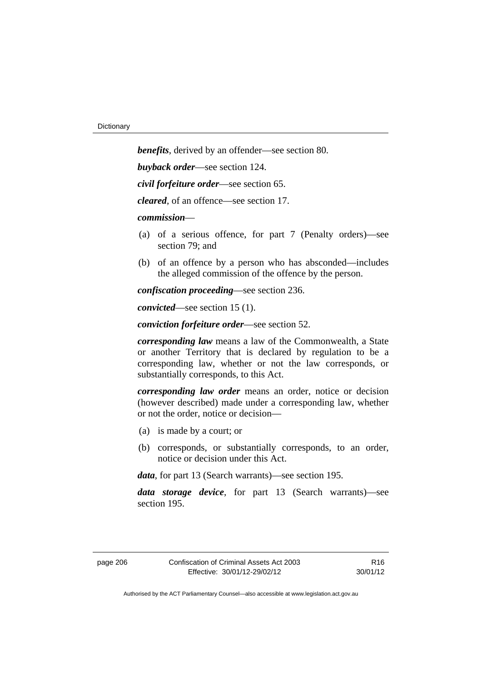*benefits*, derived by an offender—see section 80. *buyback order*—see section 124. *civil forfeiture order*—see section 65. *cleared*, of an offence—see section 17. *commission*— (a) of a serious offence, for part 7 (Penalty orders)—see section 79; and (b) of an offence by a person who has absconded—includes the alleged commission of the offence by the person. *confiscation proceeding*—see section 236.

*convicted*—see section 15 (1).

*conviction forfeiture order*—see section 52.

*corresponding law* means a law of the Commonwealth, a State or another Territory that is declared by regulation to be a corresponding law, whether or not the law corresponds, or substantially corresponds, to this Act.

*corresponding law order* means an order, notice or decision (however described) made under a corresponding law, whether or not the order, notice or decision—

- (a) is made by a court; or
- (b) corresponds, or substantially corresponds, to an order, notice or decision under this Act.

*data*, for part 13 (Search warrants)—see section 195.

*data storage device*, for part 13 (Search warrants)—see section 195.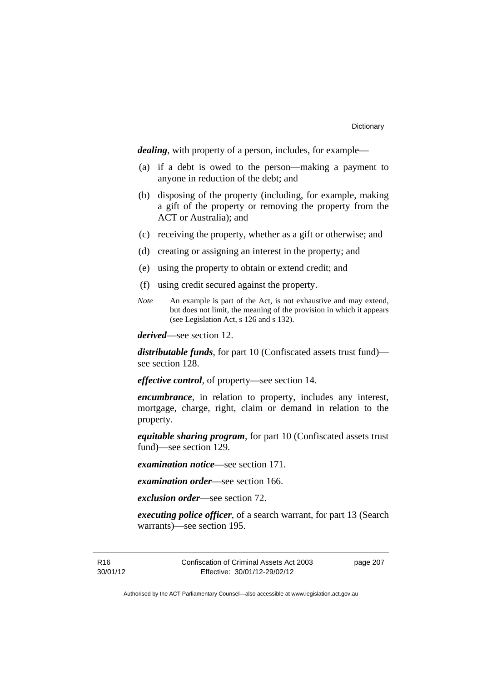*dealing*, with property of a person, includes, for example—

- (a) if a debt is owed to the person—making a payment to anyone in reduction of the debt; and
- (b) disposing of the property (including, for example, making a gift of the property or removing the property from the ACT or Australia); and
- (c) receiving the property, whether as a gift or otherwise; and
- (d) creating or assigning an interest in the property; and
- (e) using the property to obtain or extend credit; and
- (f) using credit secured against the property.
- *Note* An example is part of the Act, is not exhaustive and may extend, but does not limit, the meaning of the provision in which it appears (see Legislation Act, s 126 and s 132).

*derived*—see section 12.

*distributable funds*, for part 10 (Confiscated assets trust fund) see section 128.

*effective control*, of property—see section 14.

*encumbrance*, in relation to property, includes any interest, mortgage, charge, right, claim or demand in relation to the property.

*equitable sharing program*, for part 10 (Confiscated assets trust fund)—see section 129.

*examination notice*—see section 171.

*examination order*—see section 166.

*exclusion order*—see section 72.

*executing police officer*, of a search warrant, for part 13 (Search warrants)—see section 195.

R16 30/01/12 Confiscation of Criminal Assets Act 2003 Effective: 30/01/12-29/02/12

page 207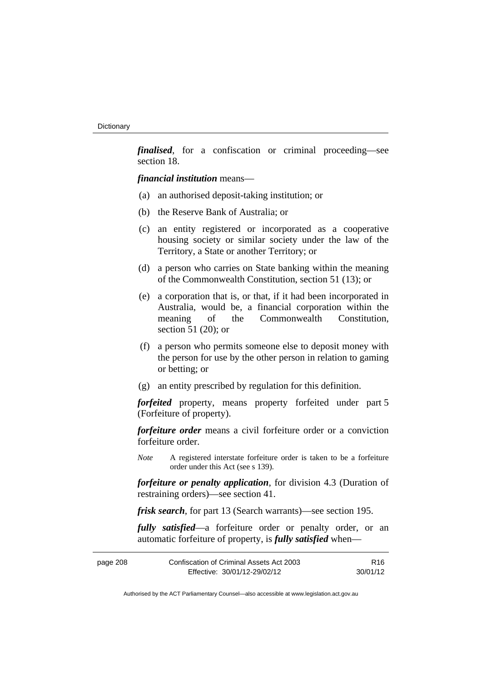*finalised*, for a confiscation or criminal proceeding—see section 18.

*financial institution* means—

- (a) an authorised deposit-taking institution; or
- (b) the Reserve Bank of Australia; or
- (c) an entity registered or incorporated as a cooperative housing society or similar society under the law of the Territory, a State or another Territory; or
- (d) a person who carries on State banking within the meaning of the Commonwealth Constitution, section 51 (13); or
- (e) a corporation that is, or that, if it had been incorporated in Australia, would be, a financial corporation within the meaning of the Commonwealth Constitution, section 51 (20); or
- (f) a person who permits someone else to deposit money with the person for use by the other person in relation to gaming or betting; or
- (g) an entity prescribed by regulation for this definition.

*forfeited* property, means property forfeited under part 5 (Forfeiture of property).

*forfeiture order* means a civil forfeiture order or a conviction forfeiture order.

*Note* A registered interstate forfeiture order is taken to be a forfeiture order under this Act (see s 139).

*forfeiture or penalty application*, for division 4.3 (Duration of restraining orders)—see section 41.

*frisk search*, for part 13 (Search warrants)—see section 195.

*fully satisfied*—a forfeiture order or penalty order, or an automatic forfeiture of property, is *fully satisfied* when—

| Confiscation of Criminal Assets Act 2003<br>page 208 |                              | R <sub>16</sub> |
|------------------------------------------------------|------------------------------|-----------------|
|                                                      | Effective: 30/01/12-29/02/12 | 30/01/12        |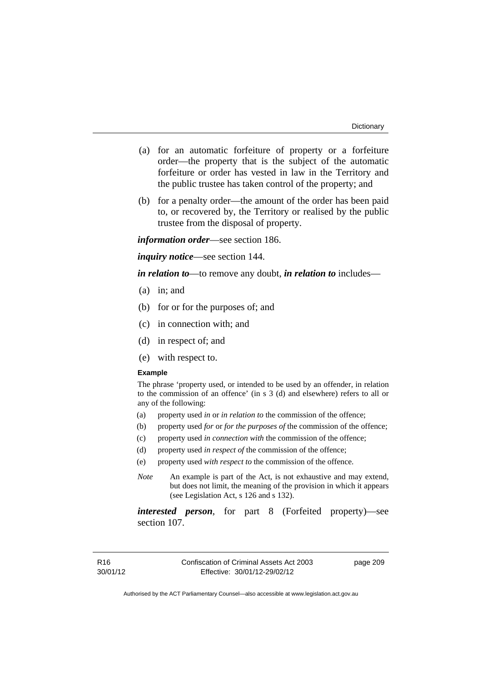- (a) for an automatic forfeiture of property or a forfeiture order—the property that is the subject of the automatic forfeiture or order has vested in law in the Territory and the public trustee has taken control of the property; and
- (b) for a penalty order—the amount of the order has been paid to, or recovered by, the Territory or realised by the public trustee from the disposal of property.

*information order*—see section 186.

*inquiry notice*—see section 144.

*in relation to*—to remove any doubt, *in relation to* includes—

- (a) in; and
- (b) for or for the purposes of; and
- (c) in connection with; and
- (d) in respect of; and
- (e) with respect to.

#### **Example**

The phrase 'property used, or intended to be used by an offender, in relation to the commission of an offence' (in s 3 (d) and elsewhere) refers to all or any of the following:

- (a) property used *in* or *in relation to* the commission of the offence;
- (b) property used *for* or *for the purposes of* the commission of the offence;
- (c) property used *in connection with* the commission of the offence;
- (d) property used *in respect of* the commission of the offence;
- (e) property used *with respect to* the commission of the offence.
- *Note* An example is part of the Act, is not exhaustive and may extend, but does not limit, the meaning of the provision in which it appears (see Legislation Act, s 126 and s 132).

*interested person*, for part 8 (Forfeited property)—see section 107.

page 209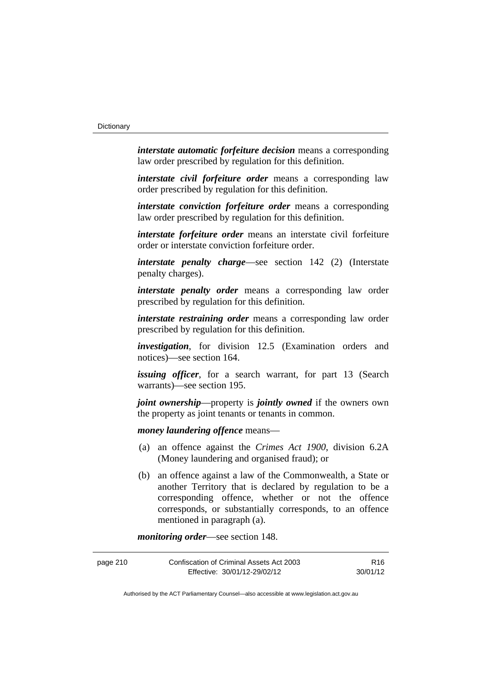*interstate automatic forfeiture decision* means a corresponding law order prescribed by regulation for this definition.

*interstate civil forfeiture order* means a corresponding law order prescribed by regulation for this definition.

*interstate conviction forfeiture order* means a corresponding law order prescribed by regulation for this definition.

*interstate forfeiture order* means an interstate civil forfeiture order or interstate conviction forfeiture order.

*interstate penalty charge*—see section 142 (2) (Interstate penalty charges).

*interstate penalty order* means a corresponding law order prescribed by regulation for this definition.

*interstate restraining order* means a corresponding law order prescribed by regulation for this definition.

*investigation*, for division 12.5 (Examination orders and notices)—see section 164.

*issuing officer*, for a search warrant, for part 13 (Search warrants)—see section 195.

*joint ownership*—property is *jointly owned* if the owners own the property as joint tenants or tenants in common.

*money laundering offence* means—

- (a) an offence against the *Crimes Act 1900*, division 6.2A (Money laundering and organised fraud); or
- (b) an offence against a law of the Commonwealth, a State or another Territory that is declared by regulation to be a corresponding offence, whether or not the offence corresponds, or substantially corresponds, to an offence mentioned in paragraph (a).

*monitoring order*—see section 148.

| Confiscation of Criminal Assets Act 2003<br>page 210 |                              | R16.     |
|------------------------------------------------------|------------------------------|----------|
|                                                      | Effective: 30/01/12-29/02/12 | 30/01/12 |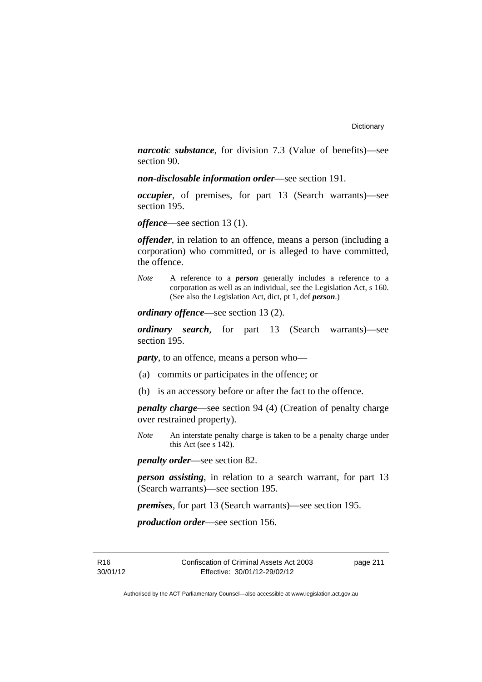*narcotic substance*, for division 7.3 (Value of benefits)—see section 90.

*non-disclosable information order*—see section 191.

*occupier*, of premises, for part 13 (Search warrants)—see section 195.

*offence*—see section 13 (1).

*offender*, in relation to an offence, means a person (including a corporation) who committed, or is alleged to have committed, the offence.

*Note* A reference to a *person* generally includes a reference to a corporation as well as an individual, see the Legislation Act, s 160. (See also the Legislation Act, dict, pt 1, def *person*.)

*ordinary offence*—see section 13 (2).

*ordinary search*, for part 13 (Search warrants)—see section 195.

*party*, to an offence, means a person who—

- (a) commits or participates in the offence; or
- (b) is an accessory before or after the fact to the offence.

*penalty charge*—see section 94 (4) (Creation of penalty charge over restrained property).

*Note* An interstate penalty charge is taken to be a penalty charge under this Act (see s 142).

*penalty order*—see section 82.

*person assisting*, in relation to a search warrant, for part 13 (Search warrants)—see section 195.

*premises*, for part 13 (Search warrants)—see section 195.

*production order*—see section 156.

R16 30/01/12 page 211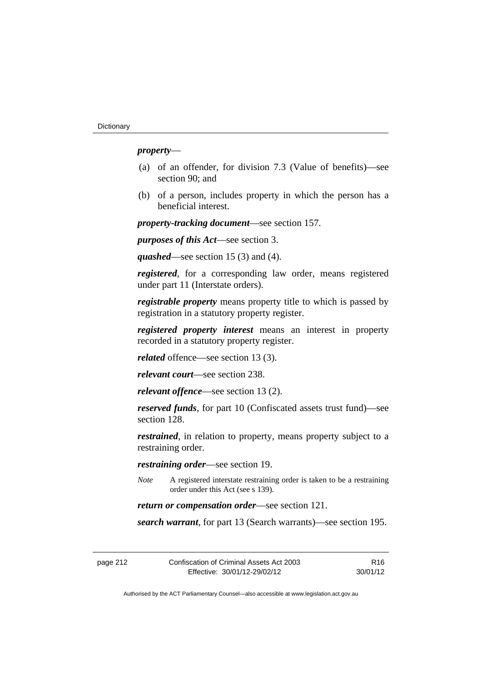## *property*—

- (a) of an offender, for division 7.3 (Value of benefits)—see section 90; and
- (b) of a person, includes property in which the person has a beneficial interest.

*property-tracking document*—see section 157.

*purposes of this Act*—see section 3.

*quashed*—see section 15 (3) and (4).

*registered*, for a corresponding law order, means registered under part 11 (Interstate orders).

*registrable property* means property title to which is passed by registration in a statutory property register.

*registered property interest* means an interest in property recorded in a statutory property register.

*related* offence—see section 13 (3).

*relevant court*—see section 238.

*relevant offence*—see section 13 (2).

*reserved funds*, for part 10 (Confiscated assets trust fund)—see section 128.

*restrained*, in relation to property, means property subject to a restraining order.

*restraining order*—see section 19.

*Note* A registered interstate restraining order is taken to be a restraining order under this Act (see s 139).

*return or compensation order*—see section 121.

*search warrant*, for part 13 (Search warrants)—see section 195.

| page 212 | Confiscation of Criminal Assets Act 2003 | R16      |
|----------|------------------------------------------|----------|
|          | Effective: 30/01/12-29/02/12             | 30/01/12 |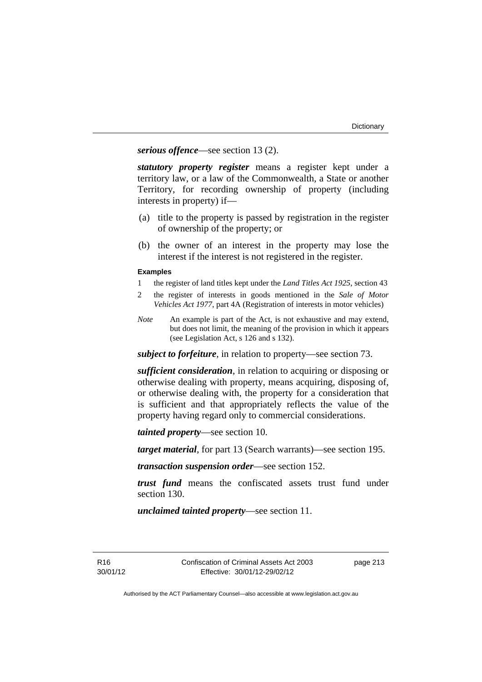*serious offence*—see section 13 (2).

*statutory property register* means a register kept under a territory law, or a law of the Commonwealth, a State or another Territory, for recording ownership of property (including interests in property) if—

- (a) title to the property is passed by registration in the register of ownership of the property; or
- (b) the owner of an interest in the property may lose the interest if the interest is not registered in the register.

#### **Examples**

- 1 the register of land titles kept under the *Land Titles Act 1925*, section 43
- 2 the register of interests in goods mentioned in the *Sale of Motor Vehicles Act 1977*, part 4A (Registration of interests in motor vehicles)
- *Note* An example is part of the Act, is not exhaustive and may extend, but does not limit, the meaning of the provision in which it appears (see Legislation Act, s 126 and s 132).

*subject to forfeiture*, in relation to property—see section 73.

*sufficient consideration*, in relation to acquiring or disposing or otherwise dealing with property, means acquiring, disposing of, or otherwise dealing with, the property for a consideration that is sufficient and that appropriately reflects the value of the property having regard only to commercial considerations.

*tainted property*—see section 10.

*target material*, for part 13 (Search warrants)—see section 195.

*transaction suspension order*—see section 152.

*trust fund* means the confiscated assets trust fund under section 130.

*unclaimed tainted property*—see section 11.

R16 30/01/12 page 213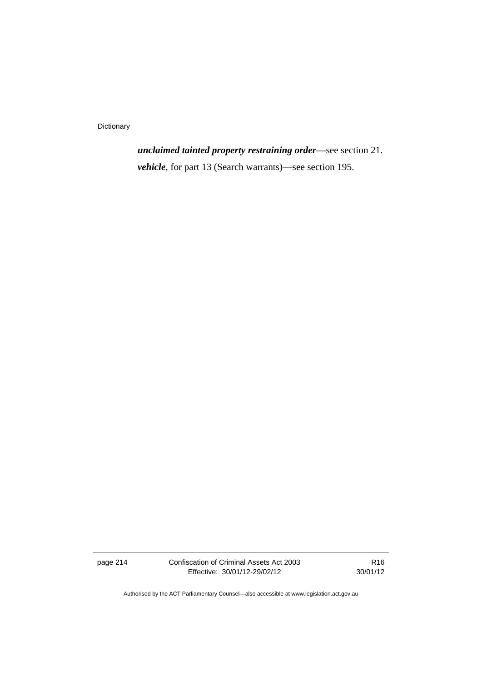Dictionary

*unclaimed tainted property restraining order*—see section 21. *vehicle*, for part 13 (Search warrants)—see section 195.

page 214 Confiscation of Criminal Assets Act 2003 Effective: 30/01/12-29/02/12

R16 30/01/12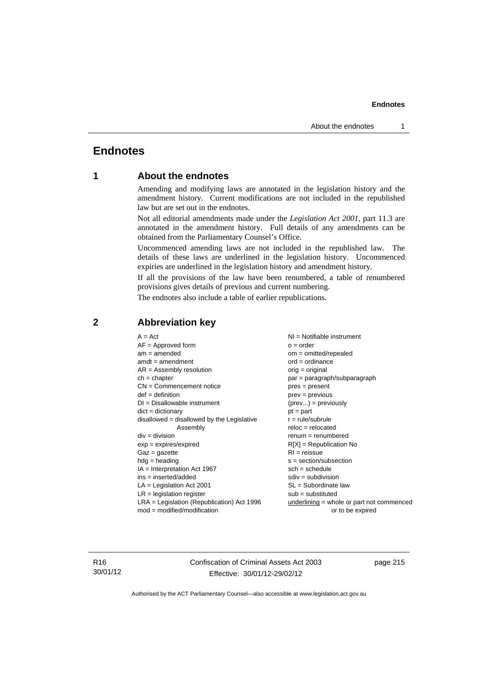# **Endnotes**

# **1 About the endnotes**

Amending and modifying laws are annotated in the legislation history and the amendment history. Current modifications are not included in the republished law but are set out in the endnotes.

Not all editorial amendments made under the *Legislation Act 2001*, part 11.3 are annotated in the amendment history. Full details of any amendments can be obtained from the Parliamentary Counsel's Office.

Uncommenced amending laws are not included in the republished law. The details of these laws are underlined in the legislation history. Uncommenced expiries are underlined in the legislation history and amendment history.

If all the provisions of the law have been renumbered, a table of renumbered provisions gives details of previous and current numbering.

The endnotes also include a table of earlier republications.

| $A = Act$<br>$AF =$ Approved form<br>$am = amended$<br>$amdt = amendment$<br>$AR = Assembly resolution$<br>$ch = chapter$<br>$CN =$ Commencement notice<br>$def = definition$<br>$DI = Disallowable instrument$<br>$dict = dictionary$<br>disallowed = disallowed by the Legislative<br>Assembly<br>$div =$ division<br>$exp = expires/expired$<br>$Gaz = gazette$<br>$hdg =$ heading<br>$IA = Interpretation Act 1967$<br>$ins = inserted/added$<br>$LA =$ Legislation Act 2001<br>$LR =$ legislation register | $NI =$ Notifiable instrument<br>$o = order$<br>$om = omitted/repealed$<br>$ord = ordinance$<br>$orig = original$<br>$par = paragraph/subparagraph$<br>$pres = present$<br>$prev = previous$<br>$(\text{prev}) = \text{previously}$<br>$pt = part$<br>$r = rule/subrule$<br>$reloc = relocated$<br>$remum = renumbered$<br>$R[X]$ = Republication No<br>$RI = reissue$<br>$s = section/subsection$<br>$sch = schedule$<br>$sdiv = subdivision$<br>$SL = Subordinate$ law<br>$sub =$ substituted |
|-----------------------------------------------------------------------------------------------------------------------------------------------------------------------------------------------------------------------------------------------------------------------------------------------------------------------------------------------------------------------------------------------------------------------------------------------------------------------------------------------------------------|------------------------------------------------------------------------------------------------------------------------------------------------------------------------------------------------------------------------------------------------------------------------------------------------------------------------------------------------------------------------------------------------------------------------------------------------------------------------------------------------|
| $LRA =$ Legislation (Republication) Act 1996<br>$mod = modified/modification$                                                                                                                                                                                                                                                                                                                                                                                                                                   | $underlining = whole or part not commenced$                                                                                                                                                                                                                                                                                                                                                                                                                                                    |
|                                                                                                                                                                                                                                                                                                                                                                                                                                                                                                                 | or to be expired                                                                                                                                                                                                                                                                                                                                                                                                                                                                               |

## **2 Abbreviation key**

R16 30/01/12 Confiscation of Criminal Assets Act 2003 Effective: 30/01/12-29/02/12

page 215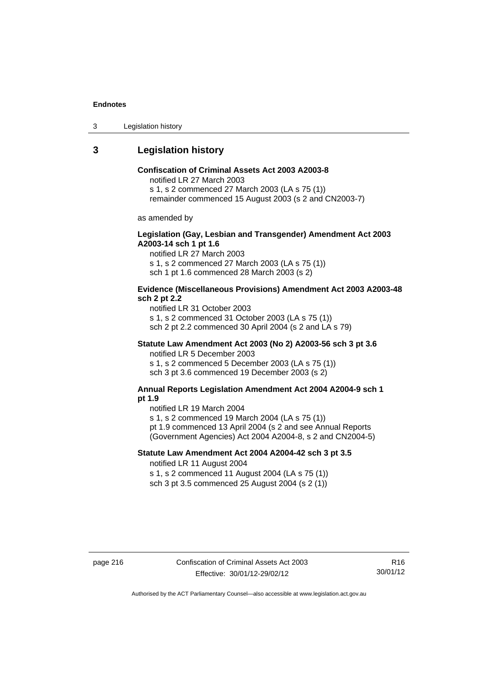3 Legislation history

# **3 Legislation history**

## **Confiscation of Criminal Assets Act 2003 A2003-8**

notified LR 27 March 2003

s 1, s 2 commenced 27 March 2003 (LA s 75 (1))

remainder commenced 15 August 2003 (s 2 and CN2003-7)

as amended by

### **Legislation (Gay, Lesbian and Transgender) Amendment Act 2003 A2003-14 sch 1 pt 1.6**

notified LR 27 March 2003 s 1, s 2 commenced 27 March 2003 (LA s 75 (1)) sch 1 pt 1.6 commenced 28 March 2003 (s 2)

#### **Evidence (Miscellaneous Provisions) Amendment Act 2003 A2003-48 sch 2 pt 2.2**

notified LR 31 October 2003 s 1, s 2 commenced 31 October 2003 (LA s 75 (1)) sch 2 pt 2.2 commenced 30 April 2004 (s 2 and LA s 79)

## **Statute Law Amendment Act 2003 (No 2) A2003-56 sch 3 pt 3.6**

notified LR 5 December 2003 s 1, s 2 commenced 5 December 2003 (LA s 75 (1)) sch 3 pt 3.6 commenced 19 December 2003 (s 2)

#### **Annual Reports Legislation Amendment Act 2004 A2004-9 sch 1 pt 1.9**

notified LR 19 March 2004

s 1, s 2 commenced 19 March 2004 (LA s 75 (1))

pt 1.9 commenced 13 April 2004 (s 2 and see Annual Reports (Government Agencies) Act 2004 A2004-8, s 2 and CN2004-5)

## **Statute Law Amendment Act 2004 A2004-42 sch 3 pt 3.5**  notified LR 11 August 2004

s 1, s 2 commenced 11 August 2004 (LA s 75 (1)) sch 3 pt 3.5 commenced 25 August 2004 (s 2 (1))

page 216 Confiscation of Criminal Assets Act 2003 Effective: 30/01/12-29/02/12

R16 30/01/12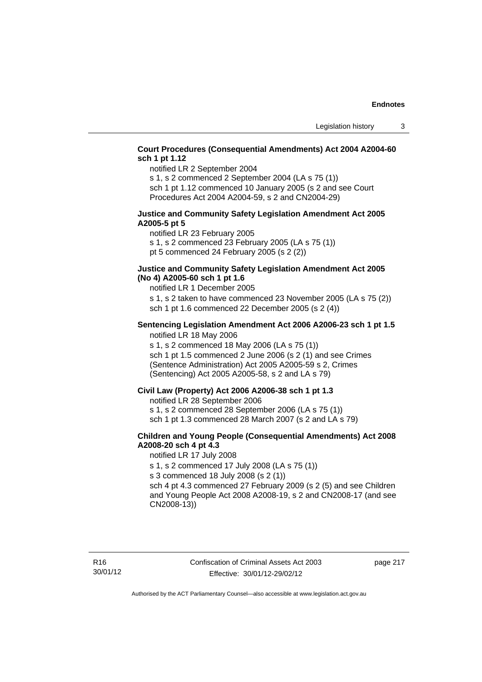## **Court Procedures (Consequential Amendments) Act 2004 A2004-60 sch 1 pt 1.12**

notified LR 2 September 2004

s 1, s 2 commenced 2 September 2004 (LA s 75 (1)) sch 1 pt 1.12 commenced 10 January 2005 (s 2 and see Court Procedures Act 2004 A2004-59, s 2 and CN2004-29)

## **Justice and Community Safety Legislation Amendment Act 2005 A2005-5 pt 5**

notified LR 23 February 2005 s 1, s 2 commenced 23 February 2005 (LA s 75 (1)) pt 5 commenced 24 February 2005 (s 2 (2))

### **Justice and Community Safety Legislation Amendment Act 2005 (No 4) A2005-60 sch 1 pt 1.6**

notified LR 1 December 2005

s 1, s 2 taken to have commenced 23 November 2005 (LA s 75 (2)) sch 1 pt 1.6 commenced 22 December 2005 (s 2 (4))

#### **Sentencing Legislation Amendment Act 2006 A2006-23 sch 1 pt 1.5**  notified LR 18 May 2006

s 1, s 2 commenced 18 May 2006 (LA s 75 (1)) sch 1 pt 1.5 commenced 2 June 2006 (s 2 (1) and see Crimes (Sentence Administration) Act 2005 A2005-59 s 2, Crimes (Sentencing) Act 2005 A2005-58, s 2 and LA s 79)

#### **Civil Law (Property) Act 2006 A2006-38 sch 1 pt 1.3**

notified LR 28 September 2006

s 1, s 2 commenced 28 September 2006 (LA s 75 (1))

sch 1 pt 1.3 commenced 28 March 2007 (s 2 and LA s 79)

### **Children and Young People (Consequential Amendments) Act 2008 A2008-20 sch 4 pt 4.3**

notified LR 17 July 2008

s 1, s 2 commenced 17 July 2008 (LA s 75 (1))

s 3 commenced 18 July 2008 (s 2 (1))

sch 4 pt 4.3 commenced 27 February 2009 (s 2 (5) and see Children and Young People Act 2008 A2008-19, s 2 and CN2008-17 (and see CN2008-13))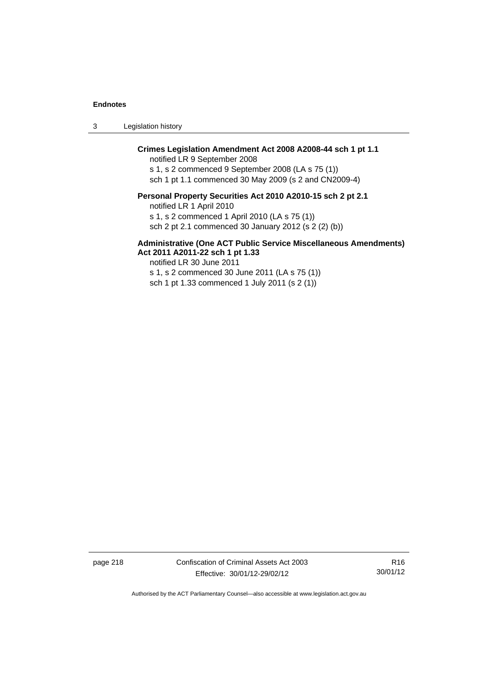3 Legislation history

# **Crimes Legislation Amendment Act 2008 A2008-44 sch 1 pt 1.1**

notified LR 9 September 2008

s 1, s 2 commenced 9 September 2008 (LA s 75 (1)) sch 1 pt 1.1 commenced 30 May 2009 (s 2 and CN2009-4)

# **Personal Property Securities Act 2010 A2010-15 sch 2 pt 2.1**

notified LR 1 April 2010

s 1, s 2 commenced 1 April 2010 (LA s 75 (1))

sch 2 pt 2.1 commenced 30 January 2012 (s 2 (2) (b))

#### **Administrative (One ACT Public Service Miscellaneous Amendments) Act 2011 A2011-22 sch 1 pt 1.33**

notified LR 30 June 2011

s 1, s 2 commenced 30 June 2011 (LA s 75 (1)) sch 1 pt 1.33 commenced 1 July 2011 (s 2 (1))

page 218 Confiscation of Criminal Assets Act 2003 Effective: 30/01/12-29/02/12

R16 30/01/12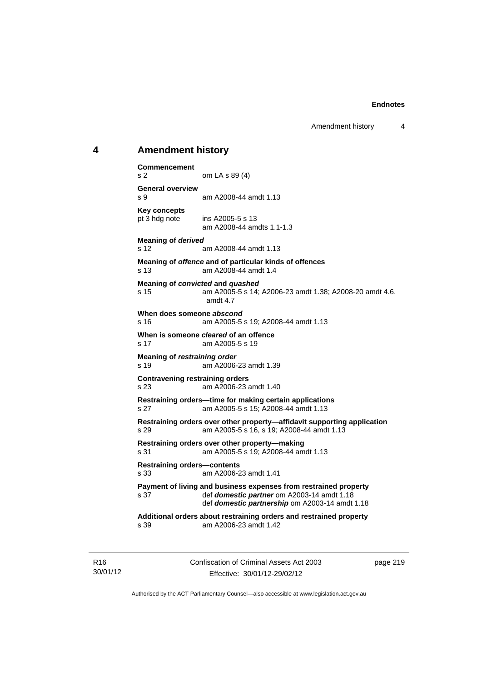Amendment history 4

## **4 Amendment history**

**Commencement**  s 2 om LA s 89 (4) **General overview**  s 9 am A2008-44 amdt 1.13 **Key concepts**  pt 3 hdg note ins A2005-5 s 13 am A2008-44 amdts 1.1-1.3 **Meaning of** *derived*  s 12 am A2008-44 amdt 1.13 **Meaning of** *offence* **and of particular kinds of offences**  s 13 am A2008-44 amdt 1.4 **Meaning of** *convicted* **and** *quashed* s 15 am A2005-5 s 14; A2006-23 amdt 1.38; A2008-20 amdt 4.6, amdt 4.7 **When does someone** *abscond* s 16 am A2005-5 s 19; A2008-44 amdt 1.13 **When is someone** *cleared* **of an offence**  s 17 am A2005-5 s 19 **Meaning of** *restraining order*  s 19 am A2006-23 amdt 1.39 **Contravening restraining orders**  s 23 am A2006-23 amdt 1.40 **Restraining orders—time for making certain applications**  s 27 am A2005-5 s 15; A2008-44 amdt 1.13 **Restraining orders over other property—affidavit supporting application**  s 29 am A2005-5 s 16, s 19; A2008-44 amdt 1.13 **Restraining orders over other property—making**  s 31 am A2005-5 s 19; A2008-44 amdt 1.13 **Restraining orders—contents**  s 33 am A2006-23 amdt 1.41 **Payment of living and business expenses from restrained property**  s 37 def *domestic partner* om A2003-14 amdt 1.18 def *domestic partnership* om A2003-14 amdt 1.18 **Additional orders about restraining orders and restrained property**  s 39 am A2006-23 amdt 1.42

R16 30/01/12 Confiscation of Criminal Assets Act 2003 Effective: 30/01/12-29/02/12

page 219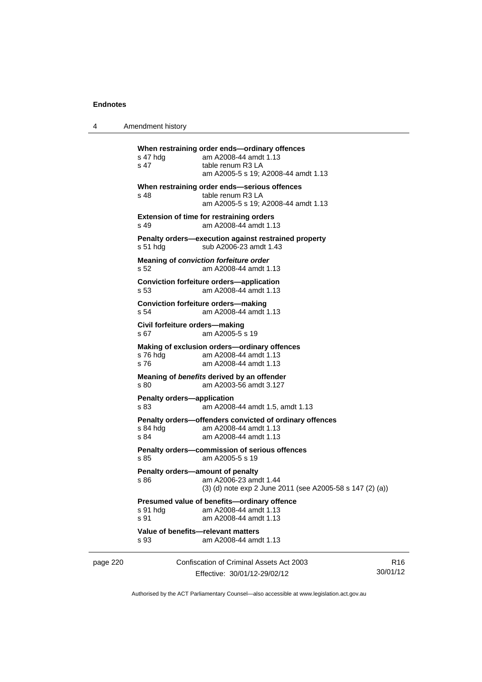4 Amendment history

|          | s 47 hdg<br>s 47                                                             | When restraining order ends-ordinary offences<br>am A2008-44 amdt 1.13<br>table renum R3 LA<br>am A2005-5 s 19; A2008-44 amdt 1.13 |                |
|----------|------------------------------------------------------------------------------|------------------------------------------------------------------------------------------------------------------------------------|----------------|
|          | s 48                                                                         | When restraining order ends-serious offences<br>table renum R3 LA<br>am A2005-5 s 19; A2008-44 amdt 1.13                           |                |
|          | s 49                                                                         | <b>Extension of time for restraining orders</b><br>am A2008-44 amdt 1.13                                                           |                |
|          | $s51$ hdg                                                                    | Penalty orders-execution against restrained property<br>sub A2006-23 amdt 1.43                                                     |                |
|          | s 52                                                                         | Meaning of conviction forfeiture order<br>am A2008-44 amdt 1.13                                                                    |                |
|          | s 53                                                                         | <b>Conviction forfeiture orders-application</b><br>am A2008-44 amdt 1.13                                                           |                |
|          | s 54                                                                         | <b>Conviction forfeiture orders-making</b><br>am A2008-44 amdt 1.13                                                                |                |
|          | Civil forfeiture orders-making<br>s 67                                       | am A2005-5 s 19                                                                                                                    |                |
|          | s 76 hdg<br>s 76                                                             | Making of exclusion orders-ordinary offences<br>am A2008-44 amdt 1.13<br>am A2008-44 amdt 1.13                                     |                |
|          | Meaning of benefits derived by an offender<br>am A2003-56 amdt 3.127<br>s 80 |                                                                                                                                    |                |
|          | <b>Penalty orders-application</b><br>s 83                                    | am A2008-44 amdt 1.5, amdt 1.13                                                                                                    |                |
|          | s 84 hda<br>s 84                                                             | Penalty orders-offenders convicted of ordinary offences<br>am A2008-44 amdt 1.13<br>am A2008-44 amdt 1.13                          |                |
|          | s 85                                                                         | Penalty orders-commission of serious offences<br>am A2005-5 s 19                                                                   |                |
|          | s 86                                                                         | Penalty orders-amount of penalty<br>am A2006-23 amdt 1.44<br>(3) (d) note exp 2 June 2011 (see A2005-58 s 147 (2) (a))             |                |
|          | s 91 hdg<br>s 91                                                             | Presumed value of benefits-ordinary offence<br>am A2008-44 amdt 1.13<br>am A2008-44 amdt 1.13                                      |                |
|          | s 93                                                                         | Value of benefits-relevant matters<br>am A2008-44 amdt 1.13                                                                        |                |
| page 220 |                                                                              | Confiscation of Criminal Assets Act 2003                                                                                           | R <sub>1</sub> |

Effective: 30/01/12-29/02/12

R16 30/01/12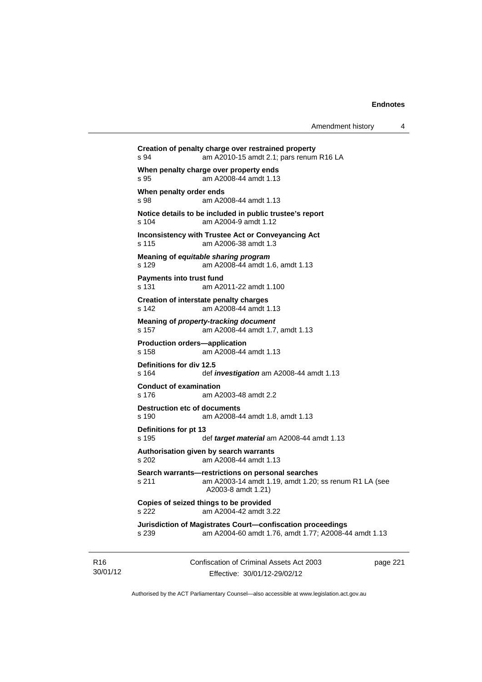```
Creation of penalty charge over restrained property 
s 94 am A2010-15 amdt 2.1; pars renum R16 LA 
When penalty charge over property ends 
s 95 am A2008-44 amdt 1.13 
When penalty order ends 
s 98 am A2008-44 amdt 1.13 
Notice details to be included in public trustee's report 
s 104 am A2004-9 amdt 1.12 
Inconsistency with Trustee Act or Conveyancing Act 
s 115 am A2006-38 amdt 1.3 
Meaning of equitable sharing program 
s 129 am A2008-44 amdt 1.6, amdt 1.13 
Payments into trust fund 
s 131 am A2011-22 amdt 1.100 
Creation of interstate penalty charges 
s 142 am A2008-44 amdt 1.13 
Meaning of property-tracking document 
s 157 am A2008-44 amdt 1.7, amdt 1.13 
Production orders—application 
s 158 am A2008-44 amdt 1.13 
Definitions for div 12.5 
s 164 def investigation am A2008-44 amdt 1.13 
Conduct of examination 
s 176 am A2003-48 amdt 2.2 
Destruction etc of documents
s 190 am A2008-44 amdt 1.8, amdt 1.13 
Definitions for pt 13 
s 195 def target material am A2008-44 amdt 1.13 
Authorisation given by search warrants 
s 202 am A2008-44 amdt 1.13 
Search warrants—restrictions on personal searches 
s 211 am A2003-14 amdt 1.19, amdt 1.20; ss renum R1 LA (see 
                 A2003-8 amdt 1.21) 
Copies of seized things to be provided 
s 222 am A2004-42 amdt 3.22 
Jurisdiction of Magistrates Court—confiscation proceedings 
s 239 am A2004-60 amdt 1.76, amdt 1.77; A2008-44 amdt 1.13
```
R16 30/01/12 Confiscation of Criminal Assets Act 2003 Effective: 30/01/12-29/02/12

page 221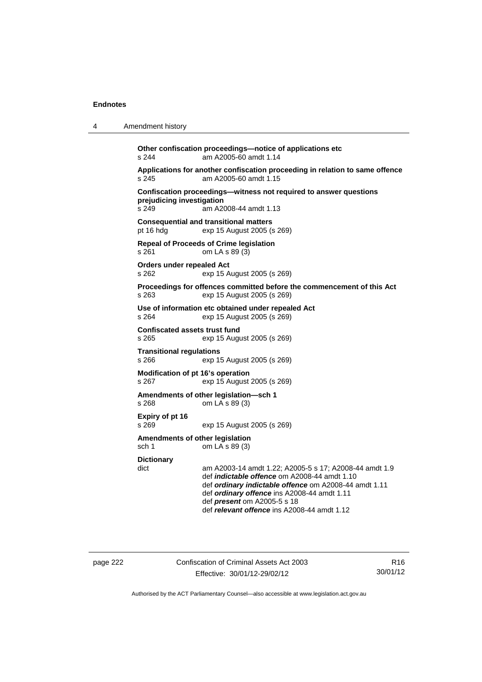| 4 | Amendment history                                                                                                                                                                                                                                                                                                                |  |  |
|---|----------------------------------------------------------------------------------------------------------------------------------------------------------------------------------------------------------------------------------------------------------------------------------------------------------------------------------|--|--|
|   | Other confiscation proceedings-notice of applications etc<br>s 244<br>am A2005-60 amdt 1.14                                                                                                                                                                                                                                      |  |  |
|   | Applications for another confiscation proceeding in relation to same offence<br>s 245<br>am A2005-60 amdt 1.15                                                                                                                                                                                                                   |  |  |
|   | Confiscation proceedings-witness not required to answer questions<br>prejudicing investigation<br>s 249<br>am A2008-44 amdt 1.13                                                                                                                                                                                                 |  |  |
|   | <b>Consequential and transitional matters</b><br>pt 16 hdg<br>exp 15 August 2005 (s 269)                                                                                                                                                                                                                                         |  |  |
|   | <b>Repeal of Proceeds of Crime legislation</b><br>s 261<br>om LA s 89 (3)                                                                                                                                                                                                                                                        |  |  |
|   | Orders under repealed Act<br>s 262<br>exp 15 August 2005 (s 269)                                                                                                                                                                                                                                                                 |  |  |
|   | Proceedings for offences committed before the commencement of this Act<br>s 263<br>exp 15 August 2005 (s 269)                                                                                                                                                                                                                    |  |  |
|   | Use of information etc obtained under repealed Act<br>s 264<br>exp 15 August 2005 (s 269)                                                                                                                                                                                                                                        |  |  |
|   | <b>Confiscated assets trust fund</b><br>s 265<br>exp 15 August 2005 (s 269)                                                                                                                                                                                                                                                      |  |  |
|   | <b>Transitional regulations</b><br>s 266<br>exp 15 August 2005 (s 269)                                                                                                                                                                                                                                                           |  |  |
|   | Modification of pt 16's operation<br>s 267<br>exp 15 August 2005 (s 269)                                                                                                                                                                                                                                                         |  |  |
|   | Amendments of other legislation-sch 1<br>om LA s 89 (3)<br>s 268                                                                                                                                                                                                                                                                 |  |  |
|   | Expiry of pt 16<br>s 269<br>exp 15 August 2005 (s 269)                                                                                                                                                                                                                                                                           |  |  |
|   | Amendments of other legislation<br>om LA s 89 (3)<br>sch 1                                                                                                                                                                                                                                                                       |  |  |
|   | <b>Dictionary</b><br>dict<br>am A2003-14 amdt 1.22; A2005-5 s 17; A2008-44 amdt 1.9<br>def <i>indictable</i> offence om A2008-44 amdt 1.10<br>def ordinary indictable offence om A2008-44 amdt 1.11<br>def ordinary offence ins A2008-44 amdt 1.11<br>def present om A2005-5 s 18<br>def relevant offence ins A2008-44 amdt 1.12 |  |  |

page 222 Confiscation of Criminal Assets Act 2003 Effective: 30/01/12-29/02/12

R16 30/01/12